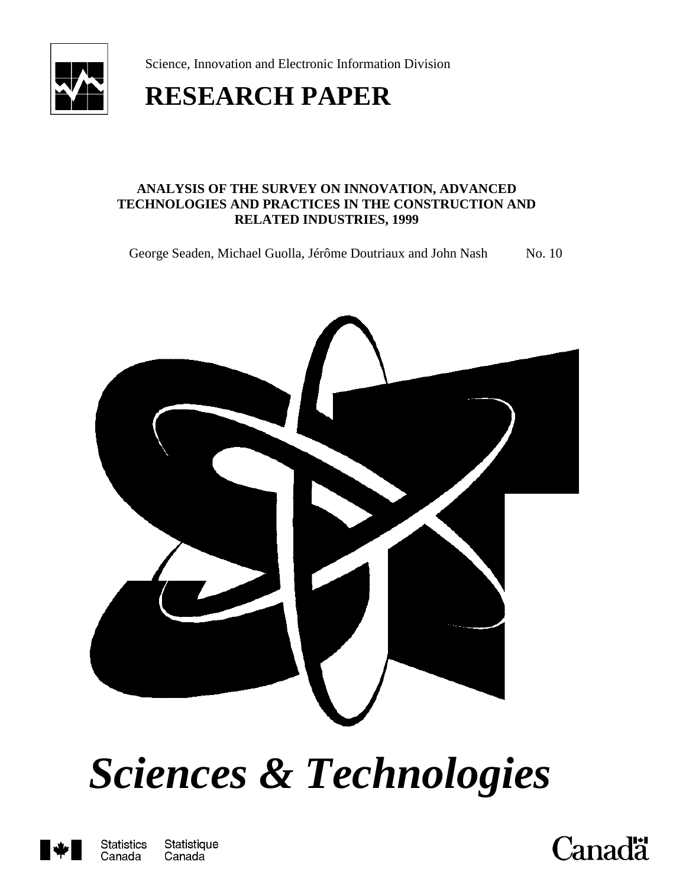

Science, Innovation and Electronic Information Division

# **RESEARCH PAPER**

#### **ANALYSIS OF THE SURVEY ON INNOVATION, ADVANCED TECHNOLOGIES AND PRACTICES IN THE CONSTRUCTION AND RELATED INDUSTRIES, 1999**

George Seaden, Michael Guolla, Jérôme Doutriaux and John Nash No. 10



# *Sciences & Technologies*



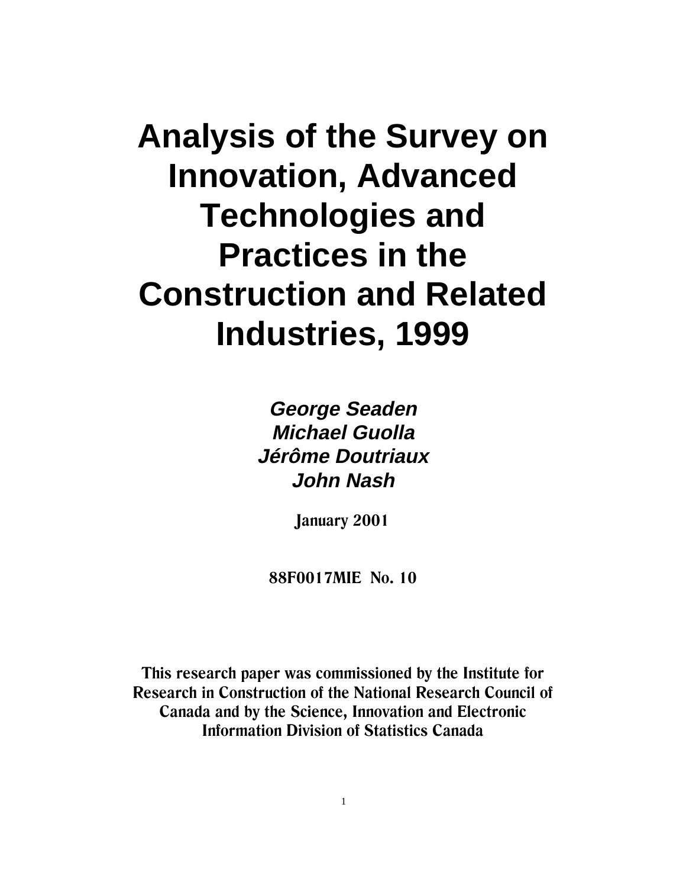# **Analysis of the Survey on Innovation, Advanced Technologies and Practices in the Construction and Related Industries, 1999**

**George Seaden Michael Guolla Jérôme Doutriaux John Nash**

**January 2001** 

88F0017MIE No. 10

This research paper was commissioned by the Institute for **Research in Construction of the National Research Council of** Canada and by the Science, Innovation and Electronic **Information Division of Statistics Canada**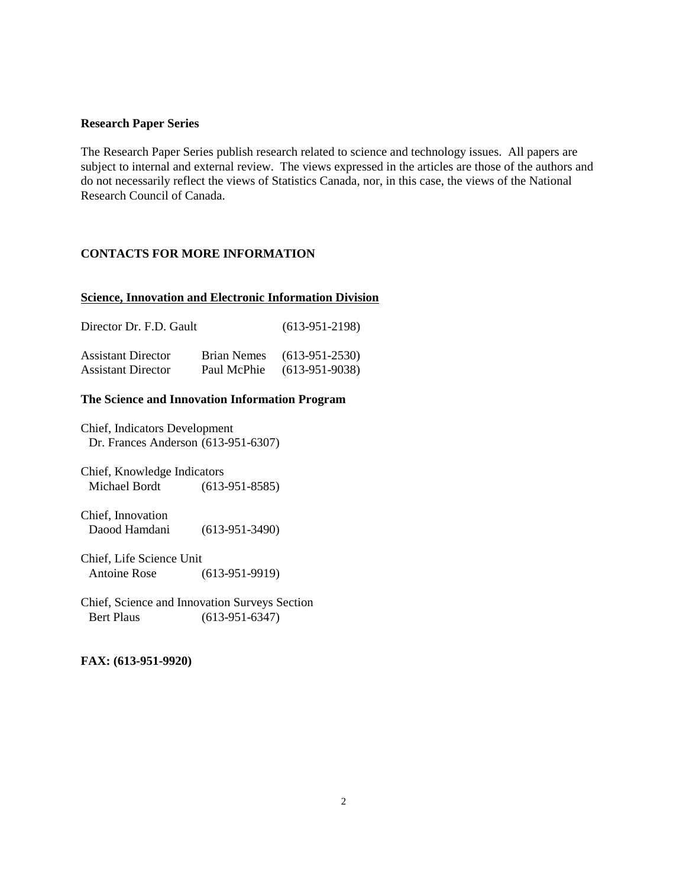#### **Research Paper Series**

The Research Paper Series publish research related to science and technology issues. All papers are subject to internal and external review. The views expressed in the articles are those of the authors and do not necessarily reflect the views of Statistics Canada, nor, in this case, the views of the National Research Council of Canada.

#### **CONTACTS FOR MORE INFORMATION**

#### **Science, Innovation and Electronic Information Division**

| Director Dr. F.D. Gault   |             | $(613-951-2198)$ |
|---------------------------|-------------|------------------|
| <b>Assistant Director</b> | Brian Nemes | $(613-951-2530)$ |
| <b>Assistant Director</b> | Paul McPhie | $(613-951-9038)$ |

#### **The Science and Innovation Information Program**

Chief, Indicators Development Dr. Frances Anderson (613-951-6307)

Chief, Knowledge Indicators Michael Bordt (613-951-8585)

Chief, Innovation Daood Hamdani (613-951-3490)

Chief, Life Science Unit Antoine Rose (613-951-9919)

Chief, Science and Innovation Surveys Section Bert Plaus (613-951-6347)

#### **FAX: (613-951-9920)**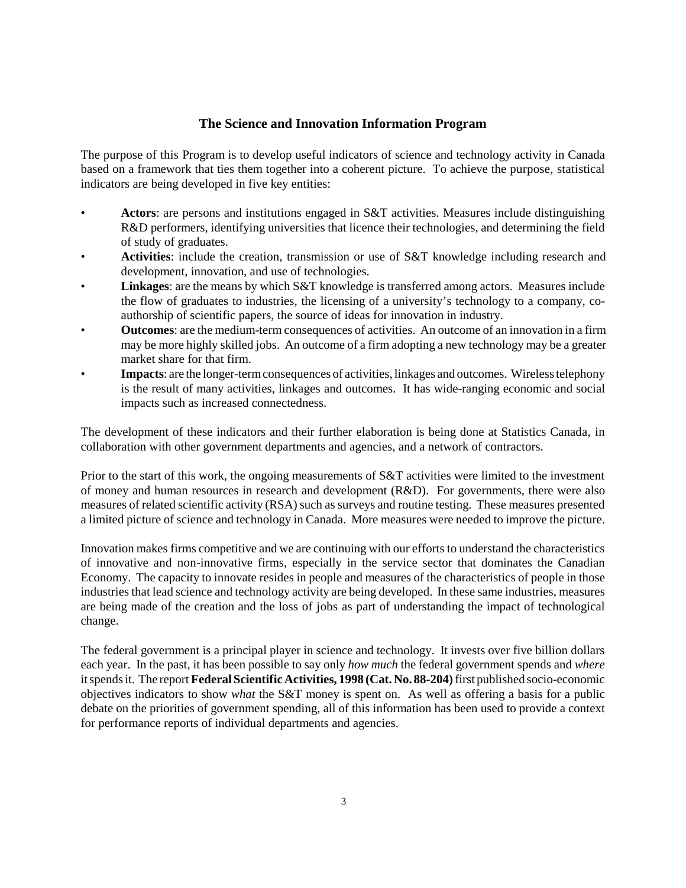#### **The Science and Innovation Information Program**

The purpose of this Program is to develop useful indicators of science and technology activity in Canada based on a framework that ties them together into a coherent picture. To achieve the purpose, statistical indicators are being developed in five key entities:

- **Actors**: are persons and institutions engaged in S&T activities. Measures include distinguishing R&D performers, identifying universities that licence their technologies, and determining the field of study of graduates.
- **Activities**: include the creation, transmission or use of S&T knowledge including research and development, innovation, and use of technologies.
- **Linkages**: are the means by which S&T knowledge is transferred among actors. Measures include the flow of graduates to industries, the licensing of a university's technology to a company, coauthorship of scientific papers, the source of ideas for innovation in industry.
- **Outcomes**: are the medium-term consequences of activities. An outcome of an innovation in a firm may be more highly skilled jobs. An outcome of a firm adopting a new technology may be a greater market share for that firm.
- **Impacts**: are the longer-term consequences of activities, linkages and outcomes. Wireless telephony is the result of many activities, linkages and outcomes. It has wide-ranging economic and social impacts such as increased connectedness.

The development of these indicators and their further elaboration is being done at Statistics Canada, in collaboration with other government departments and agencies, and a network of contractors.

Prior to the start of this work, the ongoing measurements of S&T activities were limited to the investment of money and human resources in research and development (R&D). For governments, there were also measures of related scientific activity (RSA) such as surveys and routine testing. These measures presented a limited picture of science and technology in Canada. More measures were needed to improve the picture.

Innovation makes firms competitive and we are continuing with our efforts to understand the characteristics of innovative and non-innovative firms, especially in the service sector that dominates the Canadian Economy. The capacity to innovate resides in people and measures of the characteristics of people in those industries that lead science and technology activity are being developed. In these same industries, measures are being made of the creation and the loss of jobs as part of understanding the impact of technological change.

The federal government is a principal player in science and technology. It invests over five billion dollars each year. In the past, it has been possible to say only *how much* the federal government spends and *where* it spends it. The report **Federal Scientific Activities, 1998 (Cat. No. 88-204)** first published socio-economic objectives indicators to show *what* the S&T money is spent on. As well as offering a basis for a public debate on the priorities of government spending, all of this information has been used to provide a context for performance reports of individual departments and agencies.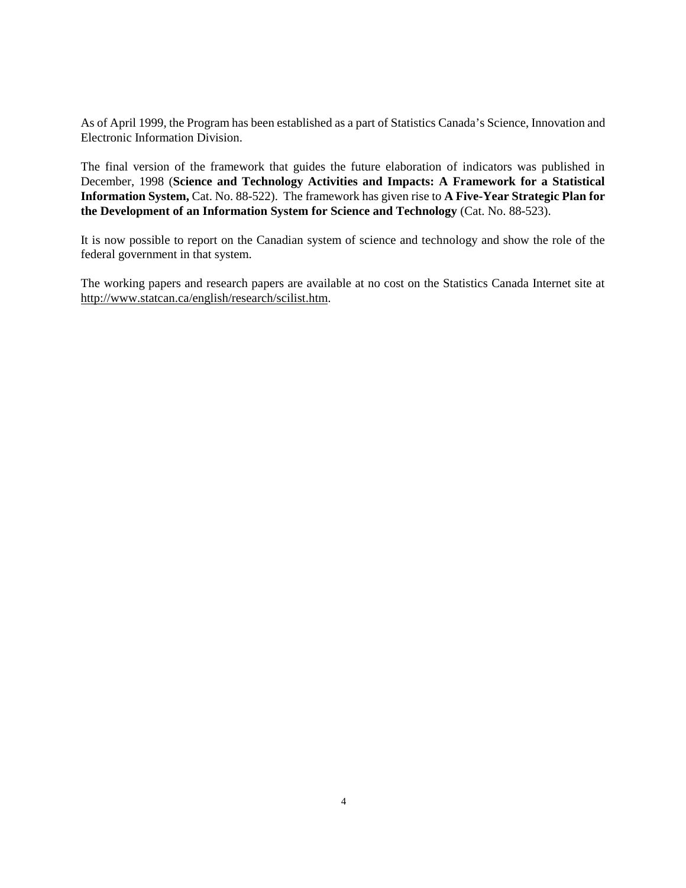As of April 1999, the Program has been established as a part of Statistics Canada's Science, Innovation and Electronic Information Division.

The final version of the framework that guides the future elaboration of indicators was published in December, 1998 (**Science and Technology Activities and Impacts: A Framework for a Statistical Information System,** Cat. No. 88-522). The framework has given rise to **A Five-Year Strategic Plan for the Development of an Information System for Science and Technology** (Cat. No. 88-523).

It is now possible to report on the Canadian system of science and technology and show the role of the federal government in that system.

The working papers and research papers are available at no cost on the Statistics Canada Internet site at http://www.statcan.ca/english/research/scilist.htm.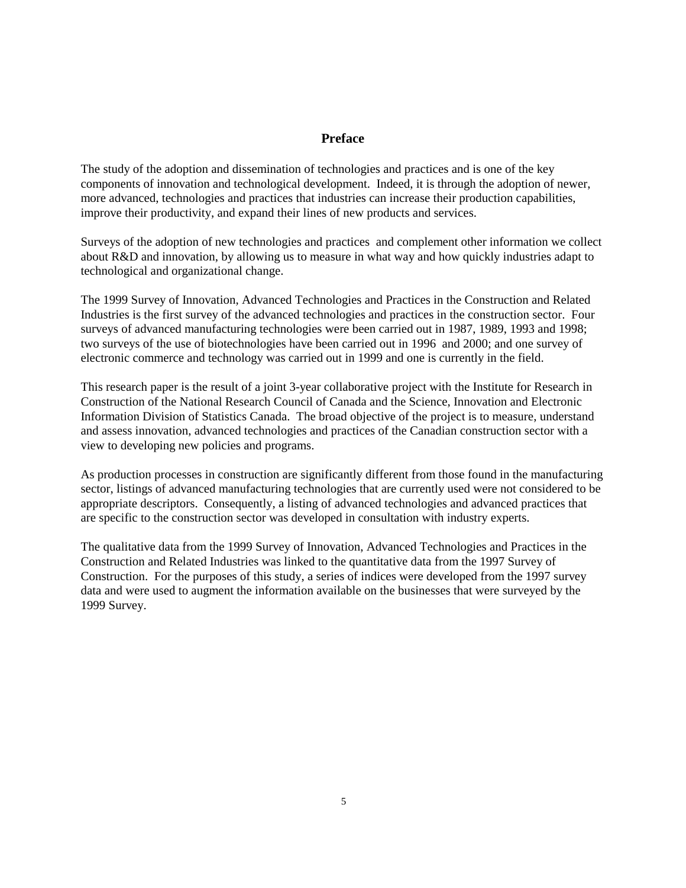#### **Preface**

The study of the adoption and dissemination of technologies and practices and is one of the key components of innovation and technological development. Indeed, it is through the adoption of newer, more advanced, technologies and practices that industries can increase their production capabilities, improve their productivity, and expand their lines of new products and services.

Surveys of the adoption of new technologies and practices and complement other information we collect about R&D and innovation, by allowing us to measure in what way and how quickly industries adapt to technological and organizational change.

The 1999 Survey of Innovation, Advanced Technologies and Practices in the Construction and Related Industries is the first survey of the advanced technologies and practices in the construction sector. Four surveys of advanced manufacturing technologies were been carried out in 1987, 1989, 1993 and 1998; two surveys of the use of biotechnologies have been carried out in 1996 and 2000; and one survey of electronic commerce and technology was carried out in 1999 and one is currently in the field.

This research paper is the result of a joint 3-year collaborative project with the Institute for Research in Construction of the National Research Council of Canada and the Science, Innovation and Electronic Information Division of Statistics Canada. The broad objective of the project is to measure, understand and assess innovation, advanced technologies and practices of the Canadian construction sector with a view to developing new policies and programs.

As production processes in construction are significantly different from those found in the manufacturing sector, listings of advanced manufacturing technologies that are currently used were not considered to be appropriate descriptors. Consequently, a listing of advanced technologies and advanced practices that are specific to the construction sector was developed in consultation with industry experts.

The qualitative data from the 1999 Survey of Innovation, Advanced Technologies and Practices in the Construction and Related Industries was linked to the quantitative data from the 1997 Survey of Construction. For the purposes of this study, a series of indices were developed from the 1997 survey data and were used to augment the information available on the businesses that were surveyed by the 1999 Survey.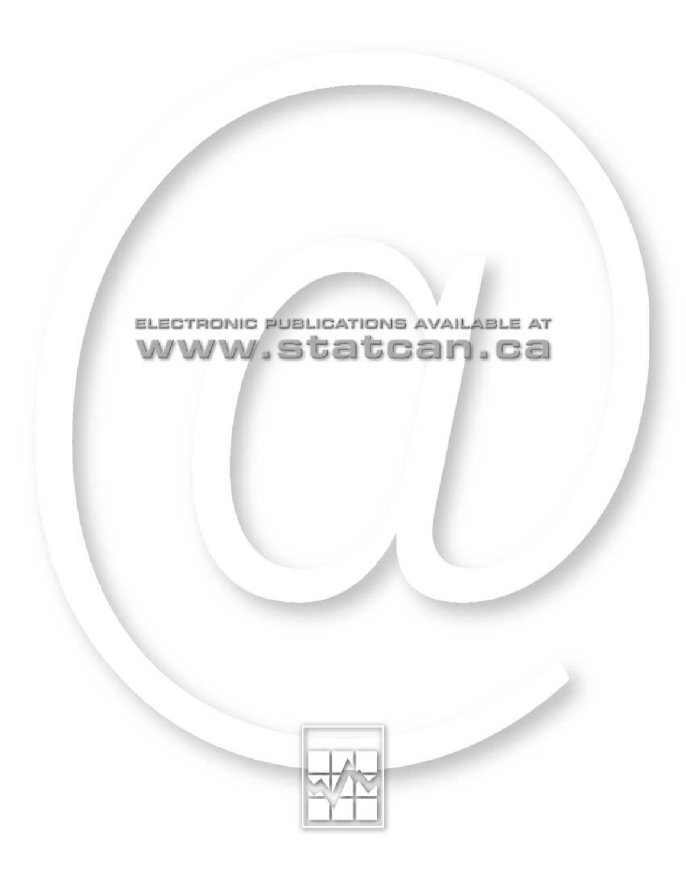

# ELECTRONIC PUBLICATIONS AVAILABLE AT www.statcan.ca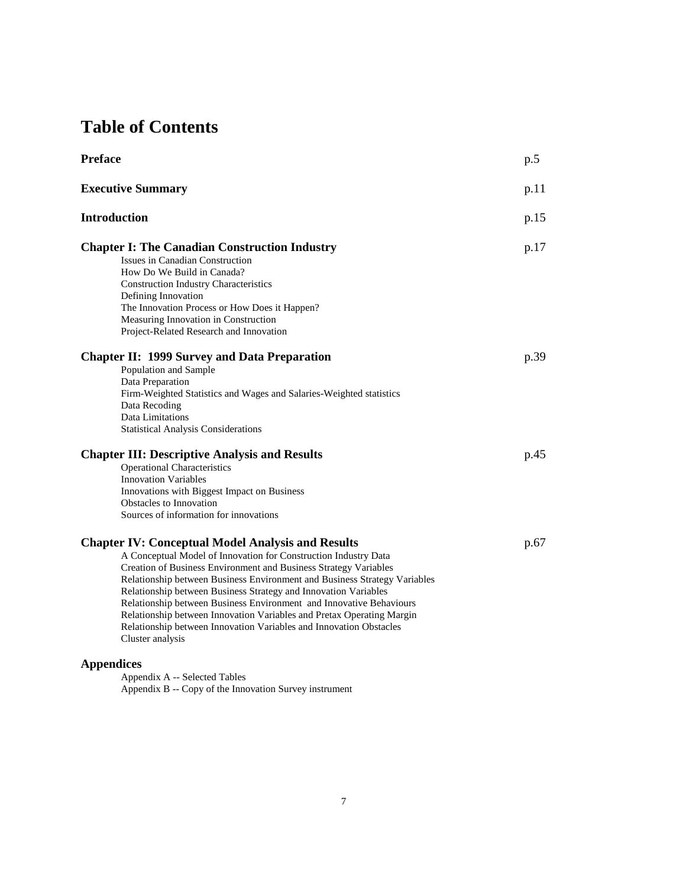## **Table of Contents**

| <b>Preface</b>                                                                                                                                                                                                                                                                                                                                                                                                                                                                                                                                                                            | p.5  |
|-------------------------------------------------------------------------------------------------------------------------------------------------------------------------------------------------------------------------------------------------------------------------------------------------------------------------------------------------------------------------------------------------------------------------------------------------------------------------------------------------------------------------------------------------------------------------------------------|------|
| <b>Executive Summary</b>                                                                                                                                                                                                                                                                                                                                                                                                                                                                                                                                                                  | p.11 |
| <b>Introduction</b>                                                                                                                                                                                                                                                                                                                                                                                                                                                                                                                                                                       | p.15 |
| <b>Chapter I: The Canadian Construction Industry</b><br>Issues in Canadian Construction<br>How Do We Build in Canada?<br><b>Construction Industry Characteristics</b><br>Defining Innovation<br>The Innovation Process or How Does it Happen?<br>Measuring Innovation in Construction<br>Project-Related Research and Innovation                                                                                                                                                                                                                                                          | p.17 |
| <b>Chapter II: 1999 Survey and Data Preparation</b><br>Population and Sample<br>Data Preparation<br>Firm-Weighted Statistics and Wages and Salaries-Weighted statistics<br>Data Recoding<br>Data Limitations<br><b>Statistical Analysis Considerations</b>                                                                                                                                                                                                                                                                                                                                | p.39 |
| <b>Chapter III: Descriptive Analysis and Results</b><br><b>Operational Characteristics</b><br><b>Innovation Variables</b><br>Innovations with Biggest Impact on Business<br><b>Obstacles to Innovation</b><br>Sources of information for innovations                                                                                                                                                                                                                                                                                                                                      | p.45 |
| <b>Chapter IV: Conceptual Model Analysis and Results</b><br>A Conceptual Model of Innovation for Construction Industry Data<br>Creation of Business Environment and Business Strategy Variables<br>Relationship between Business Environment and Business Strategy Variables<br>Relationship between Business Strategy and Innovation Variables<br>Relationship between Business Environment and Innovative Behaviours<br>Relationship between Innovation Variables and Pretax Operating Margin<br>Relationship between Innovation Variables and Innovation Obstacles<br>Cluster analysis | p.67 |
| <b>Appendices</b>                                                                                                                                                                                                                                                                                                                                                                                                                                                                                                                                                                         |      |

Appendix A -- Selected Tables Appendix B -- Copy of the Innovation Survey instrument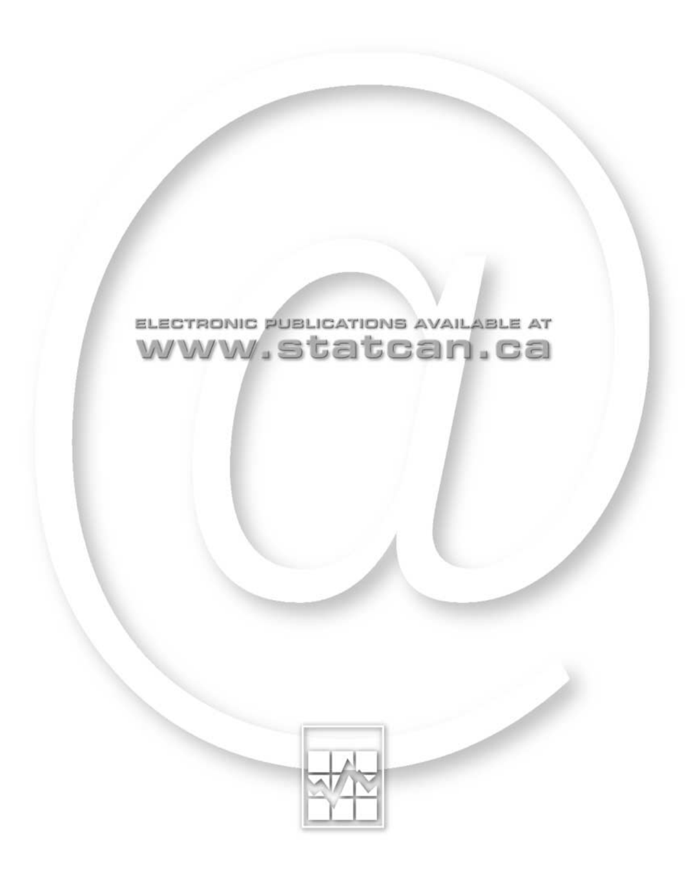

# ELECTRONIC PUBLICATIONS AVAILABLE AT www.statcan.ca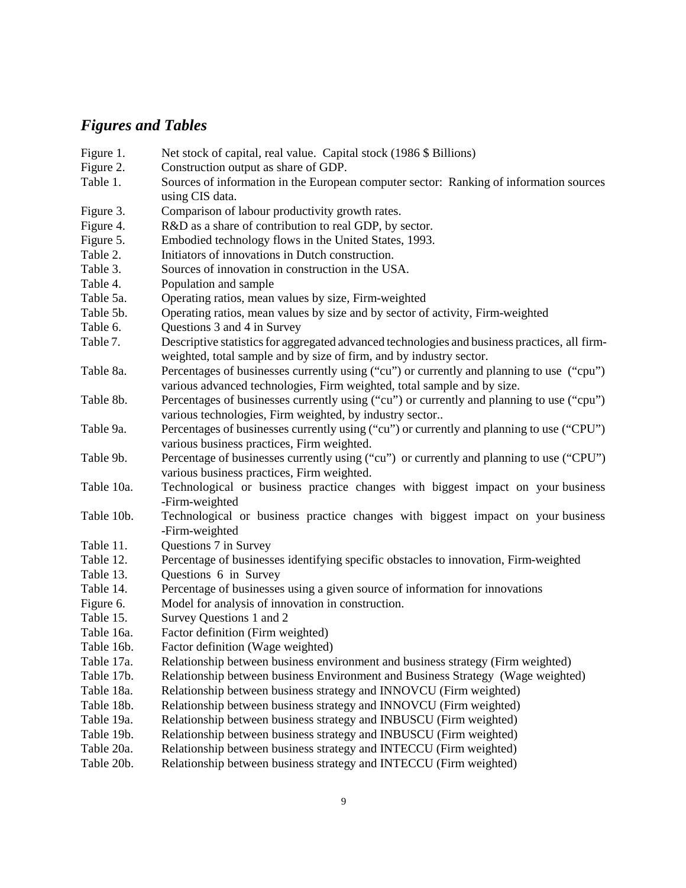## *Figures and Tables*

| Figure 1.  | Net stock of capital, real value. Capital stock (1986 \$ Billions)                                        |
|------------|-----------------------------------------------------------------------------------------------------------|
| Figure 2.  | Construction output as share of GDP.                                                                      |
| Table 1.   | Sources of information in the European computer sector: Ranking of information sources<br>using CIS data. |
| Figure 3.  | Comparison of labour productivity growth rates.                                                           |
| Figure 4.  | R&D as a share of contribution to real GDP, by sector.                                                    |
| Figure 5.  | Embodied technology flows in the United States, 1993.                                                     |
| Table 2.   | Initiators of innovations in Dutch construction.                                                          |
| Table 3.   | Sources of innovation in construction in the USA.                                                         |
| Table 4.   | Population and sample                                                                                     |
| Table 5a.  | Operating ratios, mean values by size, Firm-weighted                                                      |
| Table 5b.  | Operating ratios, mean values by size and by sector of activity, Firm-weighted                            |
| Table 6.   | Questions 3 and 4 in Survey                                                                               |
| Table 7.   | Descriptive statistics for aggregated advanced technologies and business practices, all firm-             |
|            | weighted, total sample and by size of firm, and by industry sector.                                       |
| Table 8a.  | Percentages of businesses currently using ("cu") or currently and planning to use ("cpu")                 |
|            | various advanced technologies, Firm weighted, total sample and by size.                                   |
| Table 8b.  | Percentages of businesses currently using ("cu") or currently and planning to use ("cpu")                 |
|            | various technologies, Firm weighted, by industry sector                                                   |
| Table 9a.  | Percentages of businesses currently using ("cu") or currently and planning to use ("CPU")                 |
|            | various business practices, Firm weighted.                                                                |
| Table 9b.  | Percentage of businesses currently using ("cu") or currently and planning to use ("CPU")                  |
|            | various business practices, Firm weighted.                                                                |
| Table 10a. | Technological or business practice changes with biggest impact on your business                           |
|            | -Firm-weighted                                                                                            |
| Table 10b. | Technological or business practice changes with biggest impact on your business                           |
|            | -Firm-weighted                                                                                            |
| Table 11.  | Questions 7 in Survey                                                                                     |
| Table 12.  | Percentage of businesses identifying specific obstacles to innovation, Firm-weighted                      |
| Table 13.  | Questions 6 in Survey                                                                                     |
| Table 14.  | Percentage of businesses using a given source of information for innovations                              |
| Figure 6.  | Model for analysis of innovation in construction.                                                         |
| Table 15.  | Survey Questions 1 and 2                                                                                  |
| Table 16a. | Factor definition (Firm weighted)                                                                         |
| Table 16b. | Factor definition (Wage weighted)                                                                         |
| Table 17a. | Relationship between business environment and business strategy (Firm weighted)                           |
| Table 17b. | Relationship between business Environment and Business Strategy (Wage weighted)                           |
| Table 18a. | Relationship between business strategy and INNOVCU (Firm weighted)                                        |
| Table 18b. | Relationship between business strategy and INNOVCU (Firm weighted)                                        |
| Table 19a. | Relationship between business strategy and INBUSCU (Firm weighted)                                        |
| Table 19b. | Relationship between business strategy and INBUSCU (Firm weighted)                                        |
| Table 20a. | Relationship between business strategy and INTECCU (Firm weighted)                                        |
| Table 20b. | Relationship between business strategy and INTECCU (Firm weighted)                                        |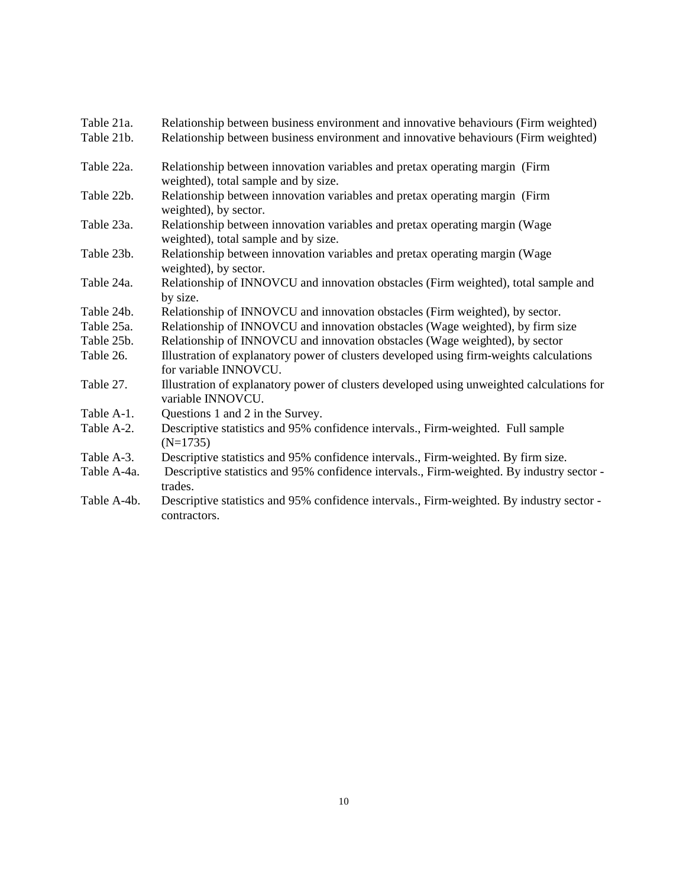| Table 21a.  | Relationship between business environment and innovative behaviours (Firm weighted)                                 |
|-------------|---------------------------------------------------------------------------------------------------------------------|
| Table 21b.  | Relationship between business environment and innovative behaviours (Firm weighted)                                 |
| Table 22a.  | Relationship between innovation variables and pretax operating margin (Firm<br>weighted), total sample and by size. |
| Table 22b.  | Relationship between innovation variables and pretax operating margin (Firm<br>weighted), by sector.                |
| Table 23a.  | Relationship between innovation variables and pretax operating margin (Wage<br>weighted), total sample and by size. |
| Table 23b.  | Relationship between innovation variables and pretax operating margin (Wage<br>weighted), by sector.                |
| Table 24a.  | Relationship of INNOVCU and innovation obstacles (Firm weighted), total sample and<br>by size.                      |
| Table 24b.  | Relationship of INNOVCU and innovation obstacles (Firm weighted), by sector.                                        |
| Table 25a.  | Relationship of INNOVCU and innovation obstacles (Wage weighted), by firm size                                      |
| Table 25b.  | Relationship of INNOVCU and innovation obstacles (Wage weighted), by sector                                         |
| Table 26.   | Illustration of explanatory power of clusters developed using firm-weights calculations<br>for variable INNOVCU.    |
| Table 27.   | Illustration of explanatory power of clusters developed using unweighted calculations for<br>variable INNOVCU.      |
| Table A-1.  | Questions 1 and 2 in the Survey.                                                                                    |
| Table A-2.  | Descriptive statistics and 95% confidence intervals., Firm-weighted. Full sample<br>$(N=1735)$                      |
| Table A-3.  | Descriptive statistics and 95% confidence intervals., Firm-weighted. By firm size.                                  |
| Table A-4a. | Descriptive statistics and 95% confidence intervals., Firm-weighted. By industry sector -<br>trades.                |
| Table A-4b. | Descriptive statistics and 95% confidence intervals., Firm-weighted. By industry sector -<br>contractors.           |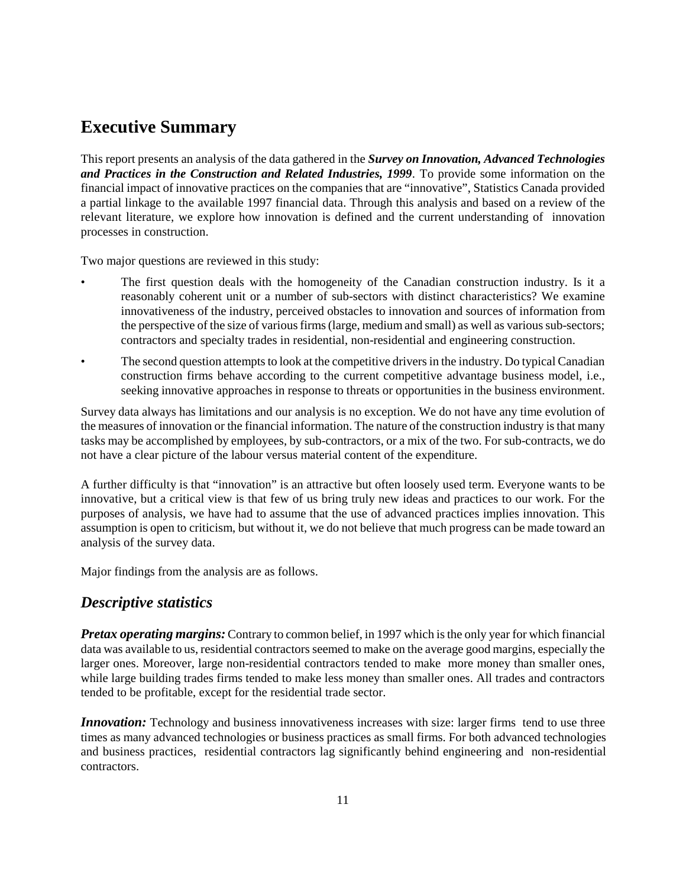### **Executive Summary**

This report presents an analysis of the data gathered in the *Survey on Innovation, Advanced Technologies and Practices in the Construction and Related Industries, 1999*. To provide some information on the financial impact of innovative practices on the companies that are "innovative", Statistics Canada provided a partial linkage to the available 1997 financial data. Through this analysis and based on a review of the relevant literature, we explore how innovation is defined and the current understanding of innovation processes in construction.

Two major questions are reviewed in this study:

- The first question deals with the homogeneity of the Canadian construction industry. Is it a reasonably coherent unit or a number of sub-sectors with distinct characteristics? We examine innovativeness of the industry, perceived obstacles to innovation and sources of information from the perspective of the size of various firms (large, medium and small) as well as various sub-sectors; contractors and specialty trades in residential, non-residential and engineering construction.
- The second question attempts to look at the competitive drivers in the industry. Do typical Canadian construction firms behave according to the current competitive advantage business model, i.e., seeking innovative approaches in response to threats or opportunities in the business environment.

Survey data always has limitations and our analysis is no exception. We do not have any time evolution of the measures of innovation or the financial information. The nature of the construction industry is that many tasks may be accomplished by employees, by sub-contractors, or a mix of the two. For sub-contracts, we do not have a clear picture of the labour versus material content of the expenditure.

A further difficulty is that "innovation" is an attractive but often loosely used term. Everyone wants to be innovative, but a critical view is that few of us bring truly new ideas and practices to our work. For the purposes of analysis, we have had to assume that the use of advanced practices implies innovation. This assumption is open to criticism, but without it, we do not believe that much progress can be made toward an analysis of the survey data.

Major findings from the analysis are as follows.

#### *Descriptive statistics*

*Pretax operating margins:* Contrary to common belief, in 1997 which is the only year for which financial data was available to us, residential contractors seemed to make on the average good margins, especially the larger ones. Moreover, large non-residential contractors tended to make more money than smaller ones, while large building trades firms tended to make less money than smaller ones. All trades and contractors tended to be profitable, except for the residential trade sector.

*Innovation:* Technology and business innovativeness increases with size: larger firms tend to use three times as many advanced technologies or business practices as small firms. For both advanced technologies and business practices, residential contractors lag significantly behind engineering and non-residential contractors.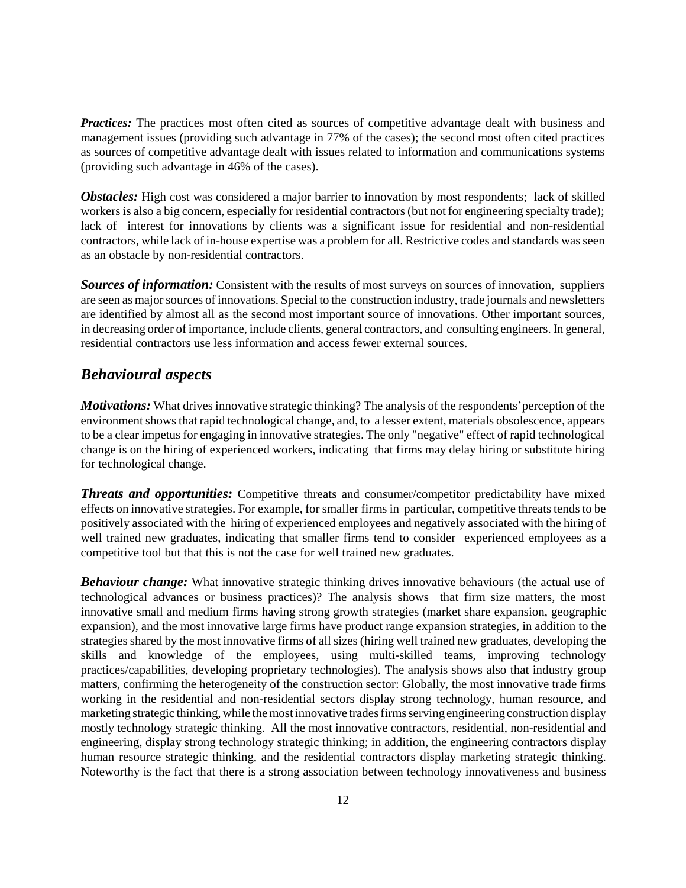**Practices:** The practices most often cited as sources of competitive advantage dealt with business and management issues (providing such advantage in 77% of the cases); the second most often cited practices as sources of competitive advantage dealt with issues related to information and communications systems (providing such advantage in 46% of the cases).

**Obstacles:** High cost was considered a major barrier to innovation by most respondents; lack of skilled workers is also a big concern, especially for residential contractors (but not for engineering specialty trade); lack of interest for innovations by clients was a significant issue for residential and non-residential contractors, while lack of in-house expertise was a problem for all. Restrictive codes and standards was seen as an obstacle by non-residential contractors.

*Sources of information:* Consistent with the results of most surveys on sources of innovation, suppliers are seen as major sources of innovations. Special to the construction industry, trade journals and newsletters are identified by almost all as the second most important source of innovations. Other important sources, in decreasing order of importance, include clients, general contractors, and consulting engineers. In general, residential contractors use less information and access fewer external sources.

#### *Behavioural aspects*

*Motivations:* What drives innovative strategic thinking? The analysis of the respondents' perception of the environment shows that rapid technological change, and, to a lesser extent, materials obsolescence, appears to be a clear impetus for engaging in innovative strategies. The only "negative" effect of rapid technological change is on the hiring of experienced workers, indicating that firms may delay hiring or substitute hiring for technological change.

**Threats and opportunities:** Competitive threats and consumer/competitor predictability have mixed effects on innovative strategies. For example, for smaller firms in particular, competitive threats tends to be positively associated with the hiring of experienced employees and negatively associated with the hiring of well trained new graduates, indicating that smaller firms tend to consider experienced employees as a competitive tool but that this is not the case for well trained new graduates.

**Behaviour change:** What innovative strategic thinking drives innovative behaviours (the actual use of technological advances or business practices)? The analysis shows that firm size matters, the most innovative small and medium firms having strong growth strategies (market share expansion, geographic expansion), and the most innovative large firms have product range expansion strategies, in addition to the strategies shared by the most innovative firms of all sizes (hiring well trained new graduates, developing the skills and knowledge of the employees, using multi-skilled teams, improving technology practices/capabilities, developing proprietary technologies). The analysis shows also that industry group matters, confirming the heterogeneity of the construction sector: Globally, the most innovative trade firms working in the residential and non-residential sectors display strong technology, human resource, and marketing strategic thinking, while the most innovative trades firms serving engineering construction display mostly technology strategic thinking. All the most innovative contractors, residential, non-residential and engineering, display strong technology strategic thinking; in addition, the engineering contractors display human resource strategic thinking, and the residential contractors display marketing strategic thinking. Noteworthy is the fact that there is a strong association between technology innovativeness and business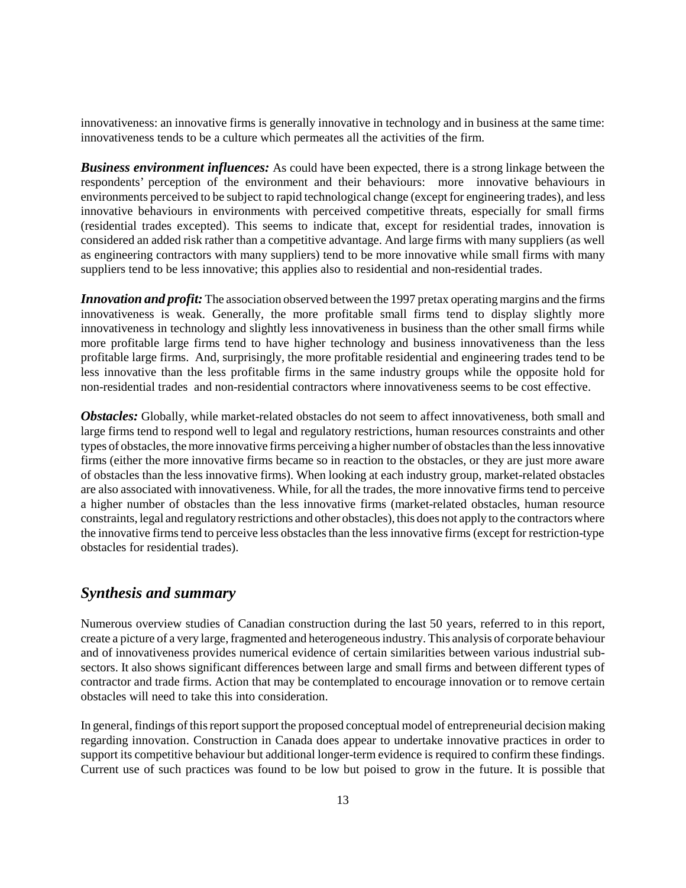innovativeness: an innovative firms is generally innovative in technology and in business at the same time: innovativeness tends to be a culture which permeates all the activities of the firm.

*Business environment influences:* As could have been expected, there is a strong linkage between the respondents' perception of the environment and their behaviours: more innovative behaviours in environments perceived to be subject to rapid technological change (except for engineering trades), and less innovative behaviours in environments with perceived competitive threats, especially for small firms (residential trades excepted). This seems to indicate that, except for residential trades, innovation is considered an added risk rather than a competitive advantage. And large firms with many suppliers (as well as engineering contractors with many suppliers) tend to be more innovative while small firms with many suppliers tend to be less innovative; this applies also to residential and non-residential trades.

*Innovation and profit:* The association observed between the 1997 pretax operating margins and the firms innovativeness is weak. Generally, the more profitable small firms tend to display slightly more innovativeness in technology and slightly less innovativeness in business than the other small firms while more profitable large firms tend to have higher technology and business innovativeness than the less profitable large firms. And, surprisingly, the more profitable residential and engineering trades tend to be less innovative than the less profitable firms in the same industry groups while the opposite hold for non-residential trades and non-residential contractors where innovativeness seems to be cost effective.

*Obstacles:* Globally, while market-related obstacles do not seem to affect innovativeness, both small and large firms tend to respond well to legal and regulatory restrictions, human resources constraints and other types of obstacles, the more innovative firms perceiving a higher number of obstacles than the less innovative firms (either the more innovative firms became so in reaction to the obstacles, or they are just more aware of obstacles than the less innovative firms). When looking at each industry group, market-related obstacles are also associated with innovativeness. While, for all the trades, the more innovative firms tend to perceive a higher number of obstacles than the less innovative firms (market-related obstacles, human resource constraints, legal and regulatory restrictions and other obstacles), this does not apply to the contractors where the innovative firms tend to perceive less obstacles than the less innovative firms (except for restriction-type obstacles for residential trades).

#### *Synthesis and summary*

Numerous overview studies of Canadian construction during the last 50 years, referred to in this report, create a picture of a very large, fragmented and heterogeneous industry. This analysis of corporate behaviour and of innovativeness provides numerical evidence of certain similarities between various industrial subsectors. It also shows significant differences between large and small firms and between different types of contractor and trade firms. Action that may be contemplated to encourage innovation or to remove certain obstacles will need to take this into consideration.

In general, findings of this report support the proposed conceptual model of entrepreneurial decision making regarding innovation. Construction in Canada does appear to undertake innovative practices in order to support its competitive behaviour but additional longer-term evidence is required to confirm these findings. Current use of such practices was found to be low but poised to grow in the future. It is possible that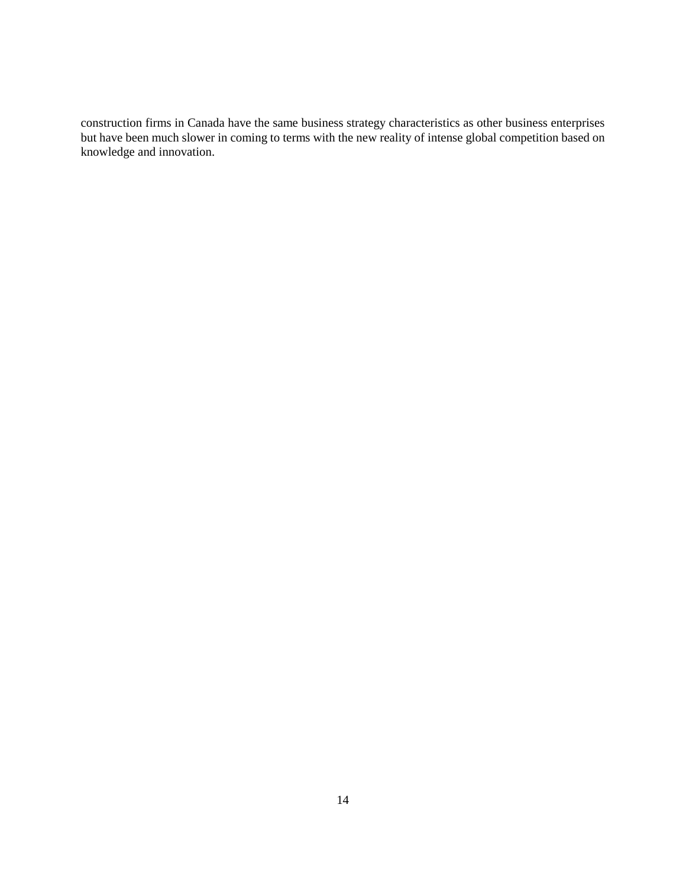construction firms in Canada have the same business strategy characteristics as other business enterprises but have been much slower in coming to terms with the new reality of intense global competition based on knowledge and innovation.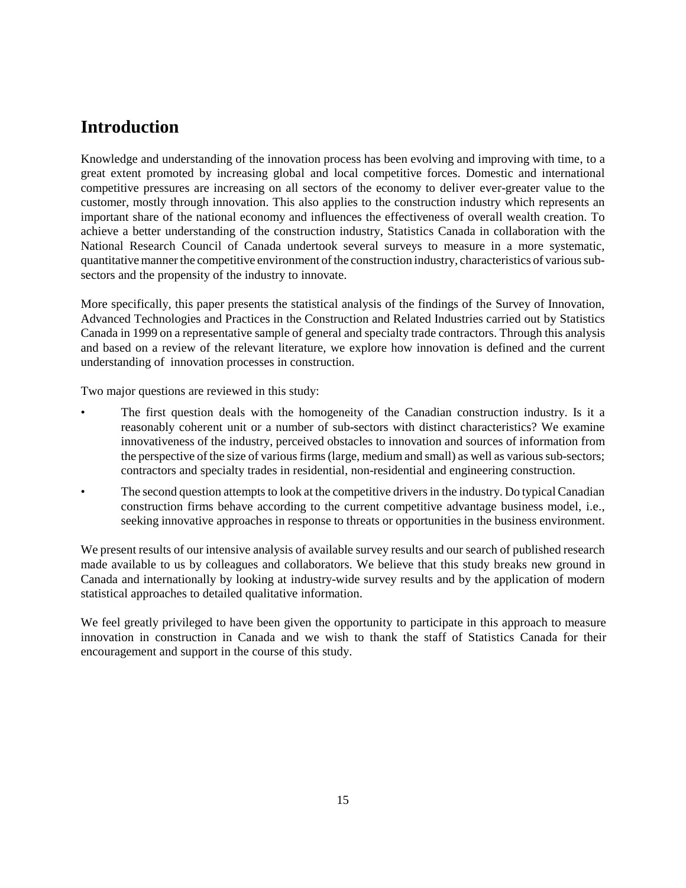### **Introduction**

Knowledge and understanding of the innovation process has been evolving and improving with time, to a great extent promoted by increasing global and local competitive forces. Domestic and international competitive pressures are increasing on all sectors of the economy to deliver ever-greater value to the customer, mostly through innovation. This also applies to the construction industry which represents an important share of the national economy and influences the effectiveness of overall wealth creation. To achieve a better understanding of the construction industry, Statistics Canada in collaboration with the National Research Council of Canada undertook several surveys to measure in a more systematic, quantitative manner the competitive environment of the construction industry, characteristics of various subsectors and the propensity of the industry to innovate.

More specifically, this paper presents the statistical analysis of the findings of the Survey of Innovation, Advanced Technologies and Practices in the Construction and Related Industries carried out by Statistics Canada in 1999 on a representative sample of general and specialty trade contractors. Through this analysis and based on a review of the relevant literature, we explore how innovation is defined and the current understanding of innovation processes in construction.

Two major questions are reviewed in this study:

- The first question deals with the homogeneity of the Canadian construction industry. Is it a reasonably coherent unit or a number of sub-sectors with distinct characteristics? We examine innovativeness of the industry, perceived obstacles to innovation and sources of information from the perspective of the size of various firms (large, medium and small) as well as various sub-sectors; contractors and specialty trades in residential, non-residential and engineering construction.
- The second question attempts to look at the competitive drivers in the industry. Do typical Canadian construction firms behave according to the current competitive advantage business model, i.e., seeking innovative approaches in response to threats or opportunities in the business environment.

We present results of our intensive analysis of available survey results and our search of published research made available to us by colleagues and collaborators. We believe that this study breaks new ground in Canada and internationally by looking at industry-wide survey results and by the application of modern statistical approaches to detailed qualitative information.

We feel greatly privileged to have been given the opportunity to participate in this approach to measure innovation in construction in Canada and we wish to thank the staff of Statistics Canada for their encouragement and support in the course of this study.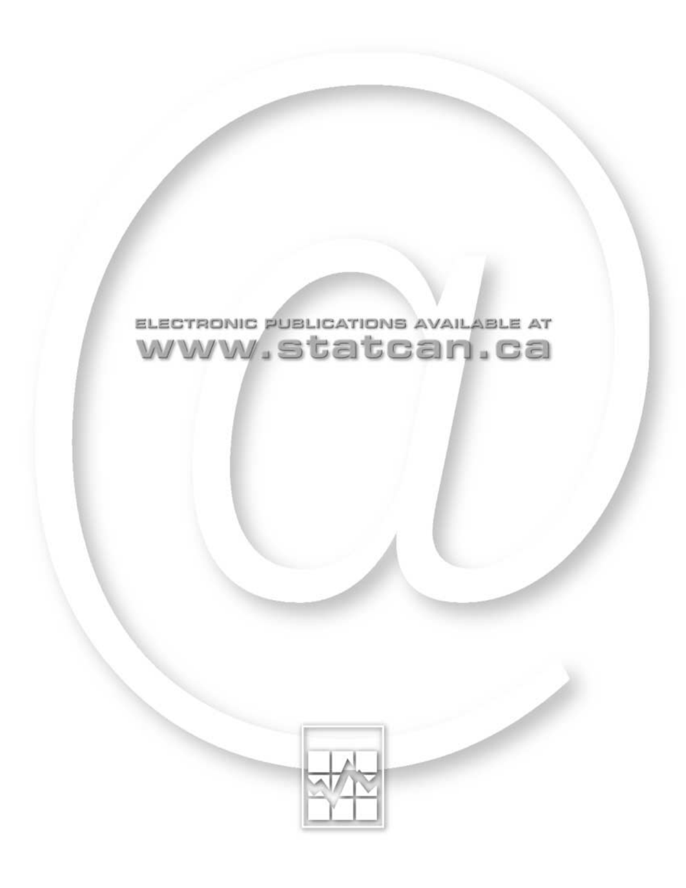

# ELECTRONIC PUBLICATIONS AVAILABLE AT www.statcan.ca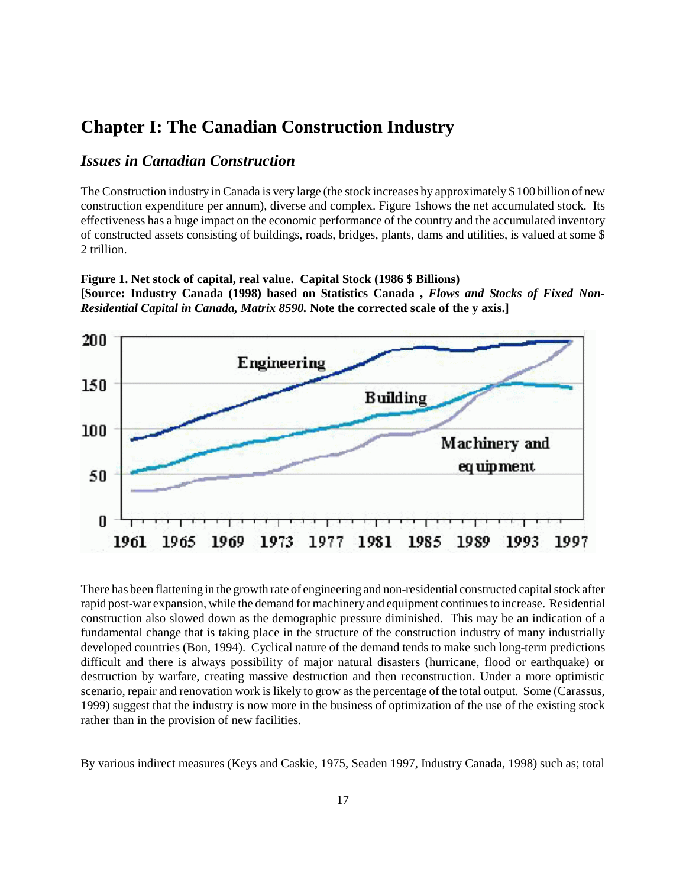#### **Chapter I: The Canadian Construction Industry**

**Figure 1. Net stock of capital, real value. Capital Stock (1986 \$ Billions)**

1973

1969

*Residential Capital in Canada, Matrix 8590.* **Note the corrected scale of the y axis.]**

#### *Issues in Canadian Construction*

1961

1965

The Construction industry in Canada is very large (the stock increases by approximately \$ 100 billion of new construction expenditure per annum), diverse and complex. Figure 1shows the net accumulated stock. Its effectiveness has a huge impact on the economic performance of the country and the accumulated inventory of constructed assets consisting of buildings, roads, bridges, plants, dams and utilities, is valued at some \$ 2 trillion.

**[Source: Industry Canada (1998) based on Statistics Canada ,** *Flows and Stocks of Fixed Non-*

## 200 Engineering 150 **Building** 100 Machinery and eq uipment 50 0

There has been flattening in the growth rate of engineering and non-residential constructed capital stock after rapid post-war expansion, while the demand for machinery and equipment continues to increase. Residential construction also slowed down as the demographic pressure diminished. This may be an indication of a fundamental change that is taking place in the structure of the construction industry of many industrially developed countries (Bon, 1994). Cyclical nature of the demand tends to make such long-term predictions difficult and there is always possibility of major natural disasters (hurricane, flood or earthquake) or destruction by warfare, creating massive destruction and then reconstruction. Under a more optimistic scenario, repair and renovation work is likely to grow as the percentage of the total output. Some (Carassus, 1999) suggest that the industry is now more in the business of optimization of the use of the existing stock rather than in the provision of new facilities.

1977 1981

1985

1989

1993

1997

By various indirect measures (Keys and Caskie, 1975, Seaden 1997, Industry Canada, 1998) such as; total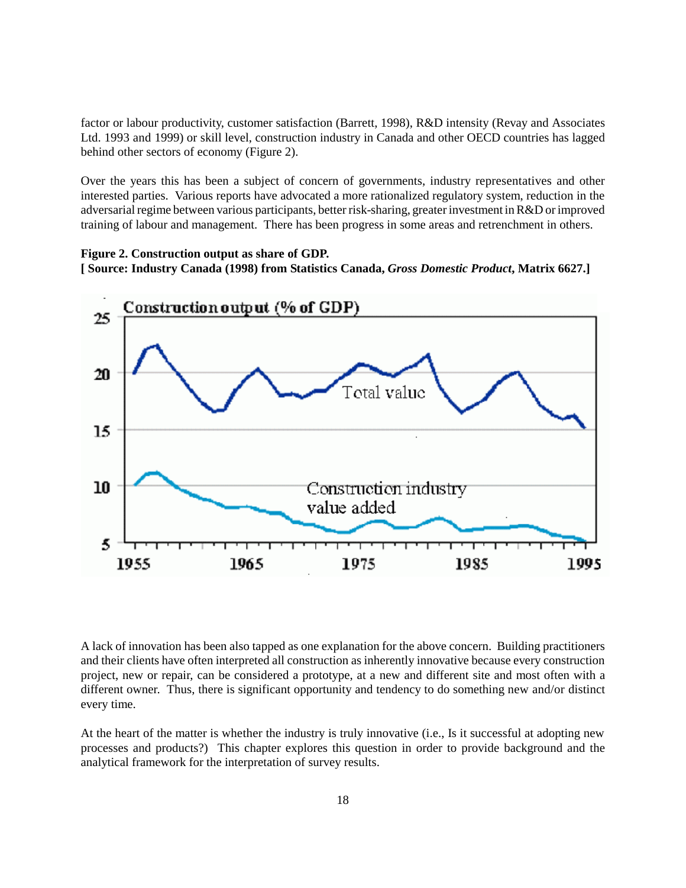factor or labour productivity, customer satisfaction (Barrett, 1998), R&D intensity (Revay and Associates Ltd. 1993 and 1999) or skill level, construction industry in Canada and other OECD countries has lagged behind other sectors of economy (Figure 2).

Over the years this has been a subject of concern of governments, industry representatives and other interested parties. Various reports have advocated a more rationalized regulatory system, reduction in the adversarial regime between various participants, better risk-sharing, greater investment in R&D or improved training of labour and management. There has been progress in some areas and retrenchment in others.

#### **Figure 2. Construction output as share of GDP. [ Source: Industry Canada (1998) from Statistics Canada,** *Gross Domestic Product***, Matrix 6627.]**



A lack of innovation has been also tapped as one explanation for the above concern. Building practitioners and their clients have often interpreted all construction as inherently innovative because every construction project, new or repair, can be considered a prototype, at a new and different site and most often with a different owner. Thus, there is significant opportunity and tendency to do something new and/or distinct every time.

At the heart of the matter is whether the industry is truly innovative (i.e., Is it successful at adopting new processes and products?) This chapter explores this question in order to provide background and the analytical framework for the interpretation of survey results.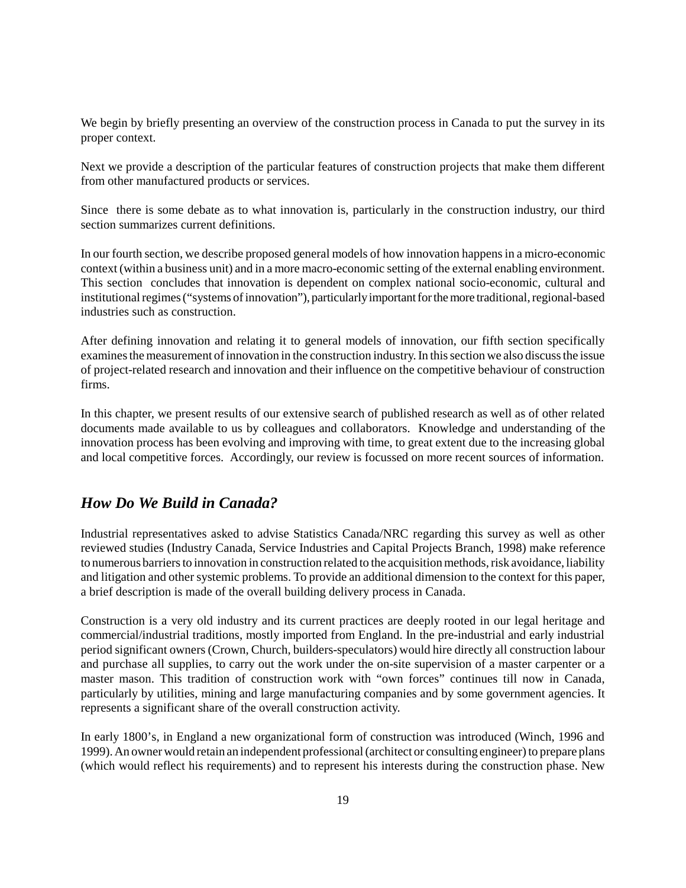We begin by briefly presenting an overview of the construction process in Canada to put the survey in its proper context.

Next we provide a description of the particular features of construction projects that make them different from other manufactured products or services.

Since there is some debate as to what innovation is, particularly in the construction industry, our third section summarizes current definitions.

In our fourth section, we describe proposed general models of how innovation happens in a micro-economic context (within a business unit) and in a more macro-economic setting of the external enabling environment. This section concludes that innovation is dependent on complex national socio-economic, cultural and institutional regimes ("systems of innovation"), particularly important for the more traditional, regional-based industries such as construction.

After defining innovation and relating it to general models of innovation, our fifth section specifically examines the measurement of innovation in the construction industry. In this section we also discuss the issue of project-related research and innovation and their influence on the competitive behaviour of construction firms.

In this chapter, we present results of our extensive search of published research as well as of other related documents made available to us by colleagues and collaborators. Knowledge and understanding of the innovation process has been evolving and improving with time, to great extent due to the increasing global and local competitive forces. Accordingly, our review is focussed on more recent sources of information.

#### *How Do We Build in Canada?*

Industrial representatives asked to advise Statistics Canada/NRC regarding this survey as well as other reviewed studies (Industry Canada, Service Industries and Capital Projects Branch, 1998) make reference to numerous barriers to innovation in construction related to the acquisition methods, risk avoidance, liability and litigation and other systemic problems. To provide an additional dimension to the context for this paper, a brief description is made of the overall building delivery process in Canada.

Construction is a very old industry and its current practices are deeply rooted in our legal heritage and commercial/industrial traditions, mostly imported from England. In the pre-industrial and early industrial period significant owners (Crown, Church, builders-speculators) would hire directly all construction labour and purchase all supplies, to carry out the work under the on-site supervision of a master carpenter or a master mason. This tradition of construction work with "own forces" continues till now in Canada, particularly by utilities, mining and large manufacturing companies and by some government agencies. It represents a significant share of the overall construction activity.

In early 1800's, in England a new organizational form of construction was introduced (Winch, 1996 and 1999). An owner would retain an independent professional (architect or consulting engineer) to prepare plans (which would reflect his requirements) and to represent his interests during the construction phase. New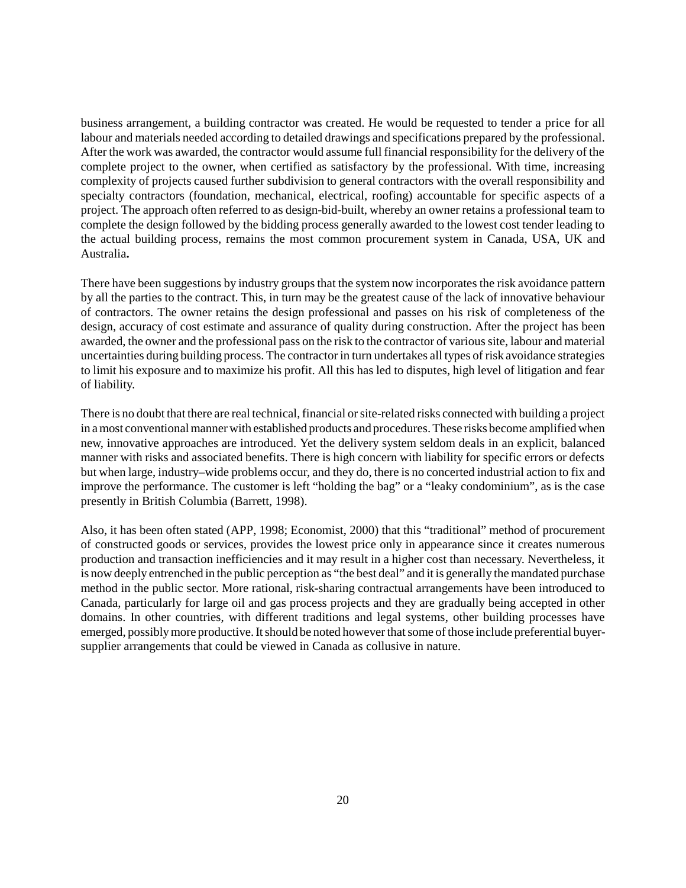business arrangement, a building contractor was created. He would be requested to tender a price for all labour and materials needed according to detailed drawings and specifications prepared by the professional. After the work was awarded, the contractor would assume full financial responsibility for the delivery of the complete project to the owner, when certified as satisfactory by the professional. With time, increasing complexity of projects caused further subdivision to general contractors with the overall responsibility and specialty contractors (foundation, mechanical, electrical, roofing) accountable for specific aspects of a project. The approach often referred to as design-bid-built, whereby an owner retains a professional team to complete the design followed by the bidding process generally awarded to the lowest cost tender leading to the actual building process, remains the most common procurement system in Canada, USA, UK and Australia**.**

There have been suggestions by industry groups that the system now incorporates the risk avoidance pattern by all the parties to the contract. This, in turn may be the greatest cause of the lack of innovative behaviour of contractors. The owner retains the design professional and passes on his risk of completeness of the design, accuracy of cost estimate and assurance of quality during construction. After the project has been awarded, the owner and the professional pass on the risk to the contractor of various site, labour and material uncertainties during building process. The contractor in turn undertakes all types of risk avoidance strategies to limit his exposure and to maximize his profit. All this has led to disputes, high level of litigation and fear of liability.

There is no doubt that there are real technical, financial or site-related risks connected with building a project in a most conventional manner with established products and procedures. These risks become amplified when new, innovative approaches are introduced. Yet the delivery system seldom deals in an explicit, balanced manner with risks and associated benefits. There is high concern with liability for specific errors or defects but when large, industry–wide problems occur, and they do, there is no concerted industrial action to fix and improve the performance. The customer is left "holding the bag" or a "leaky condominium", as is the case presently in British Columbia (Barrett, 1998).

Also, it has been often stated (APP, 1998; Economist, 2000) that this "traditional" method of procurement of constructed goods or services, provides the lowest price only in appearance since it creates numerous production and transaction inefficiencies and it may result in a higher cost than necessary. Nevertheless, it is now deeply entrenched in the public perception as "the best deal" and it is generally the mandated purchase method in the public sector. More rational, risk-sharing contractual arrangements have been introduced to Canada, particularly for large oil and gas process projects and they are gradually being accepted in other domains. In other countries, with different traditions and legal systems, other building processes have emerged, possibly more productive. It should be noted however that some of those include preferential buyersupplier arrangements that could be viewed in Canada as collusive in nature.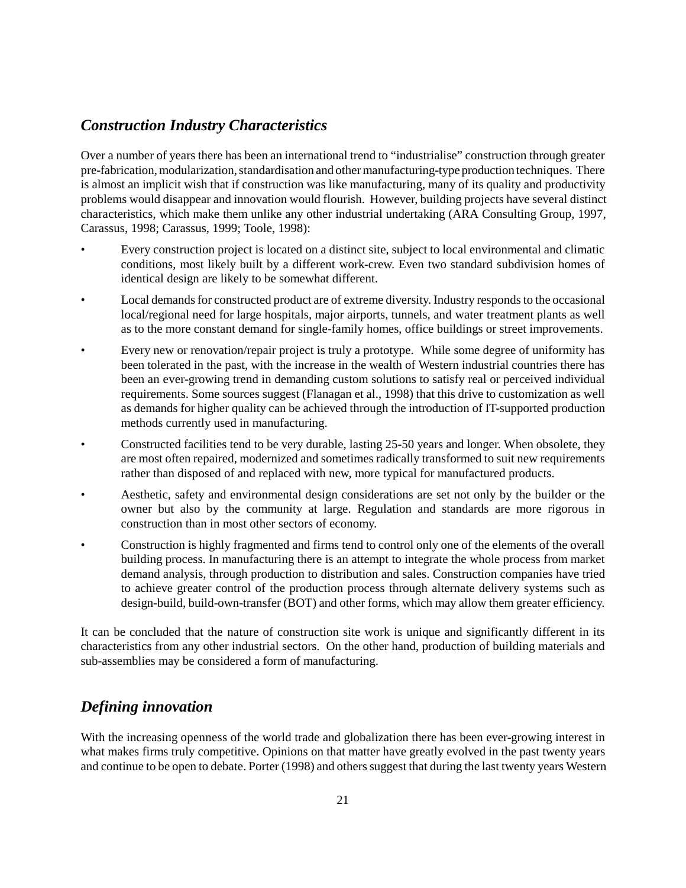#### *Construction Industry Characteristics*

Over a number of years there has been an international trend to "industrialise" construction through greater pre-fabrication, modularization, standardisation and other manufacturing-type production techniques. There is almost an implicit wish that if construction was like manufacturing, many of its quality and productivity problems would disappear and innovation would flourish. However, building projects have several distinct characteristics, which make them unlike any other industrial undertaking (ARA Consulting Group, 1997, Carassus, 1998; Carassus, 1999; Toole, 1998):

- Every construction project is located on a distinct site, subject to local environmental and climatic conditions, most likely built by a different work-crew. Even two standard subdivision homes of identical design are likely to be somewhat different.
- Local demands for constructed product are of extreme diversity. Industry responds to the occasional local/regional need for large hospitals, major airports, tunnels, and water treatment plants as well as to the more constant demand for single-family homes, office buildings or street improvements.
- Every new or renovation/repair project is truly a prototype. While some degree of uniformity has been tolerated in the past, with the increase in the wealth of Western industrial countries there has been an ever-growing trend in demanding custom solutions to satisfy real or perceived individual requirements. Some sources suggest (Flanagan et al., 1998) that this drive to customization as well as demands for higher quality can be achieved through the introduction of IT-supported production methods currently used in manufacturing.
- Constructed facilities tend to be very durable, lasting 25-50 years and longer. When obsolete, they are most often repaired, modernized and sometimes radically transformed to suit new requirements rather than disposed of and replaced with new, more typical for manufactured products.
- Aesthetic, safety and environmental design considerations are set not only by the builder or the owner but also by the community at large. Regulation and standards are more rigorous in construction than in most other sectors of economy.
- Construction is highly fragmented and firms tend to control only one of the elements of the overall building process. In manufacturing there is an attempt to integrate the whole process from market demand analysis, through production to distribution and sales. Construction companies have tried to achieve greater control of the production process through alternate delivery systems such as design-build, build-own-transfer (BOT) and other forms, which may allow them greater efficiency.

It can be concluded that the nature of construction site work is unique and significantly different in its characteristics from any other industrial sectors. On the other hand, production of building materials and sub-assemblies may be considered a form of manufacturing.

#### *Defining innovation*

With the increasing openness of the world trade and globalization there has been ever-growing interest in what makes firms truly competitive. Opinions on that matter have greatly evolved in the past twenty years and continue to be open to debate. Porter (1998) and others suggest that during the last twenty years Western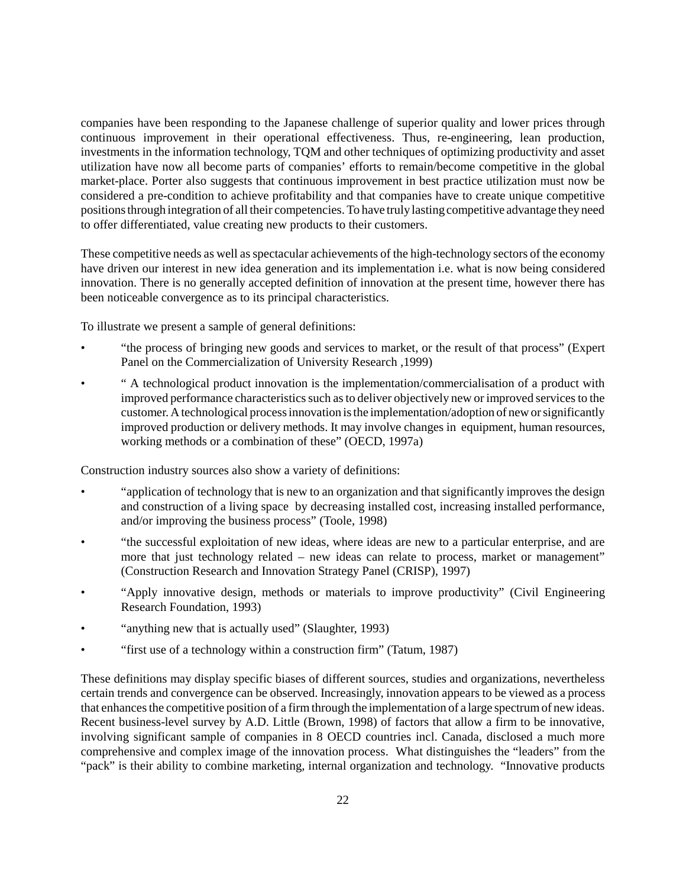companies have been responding to the Japanese challenge of superior quality and lower prices through continuous improvement in their operational effectiveness. Thus, re-engineering, lean production, investments in the information technology, TQM and other techniques of optimizing productivity and asset utilization have now all become parts of companies' efforts to remain/become competitive in the global market-place. Porter also suggests that continuous improvement in best practice utilization must now be considered a pre-condition to achieve profitability and that companies have to create unique competitive positions through integration of all their competencies. To have truly lasting competitive advantage they need to offer differentiated, value creating new products to their customers.

These competitive needs as well as spectacular achievements of the high-technology sectors of the economy have driven our interest in new idea generation and its implementation i.e. what is now being considered innovation. There is no generally accepted definition of innovation at the present time, however there has been noticeable convergence as to its principal characteristics.

To illustrate we present a sample of general definitions:

- "the process of bringing new goods and services to market, or the result of that process" (Expert Panel on the Commercialization of University Research ,1999)
- " A technological product innovation is the implementation/commercialisation of a product with improved performance characteristics such as to deliver objectively new or improved services to the customer. A technological process innovation is the implementation/adoption of new or significantly improved production or delivery methods. It may involve changes in equipment, human resources, working methods or a combination of these" (OECD, 1997a)

Construction industry sources also show a variety of definitions:

- "application of technology that is new to an organization and that significantly improves the design and construction of a living space by decreasing installed cost, increasing installed performance, and/or improving the business process" (Toole, 1998)
- "the successful exploitation of new ideas, where ideas are new to a particular enterprise, and are more that just technology related – new ideas can relate to process, market or management" (Construction Research and Innovation Strategy Panel (CRISP), 1997)
- "Apply innovative design, methods or materials to improve productivity" (Civil Engineering Research Foundation, 1993)
- "anything new that is actually used" (Slaughter, 1993)
- "first use of a technology within a construction firm" (Tatum, 1987)

These definitions may display specific biases of different sources, studies and organizations, nevertheless certain trends and convergence can be observed. Increasingly, innovation appears to be viewed as a process that enhances the competitive position of a firm through the implementation of a large spectrum of new ideas. Recent business-level survey by A.D. Little (Brown, 1998) of factors that allow a firm to be innovative, involving significant sample of companies in 8 OECD countries incl. Canada, disclosed a much more comprehensive and complex image of the innovation process. What distinguishes the "leaders" from the "pack" is their ability to combine marketing, internal organization and technology. "Innovative products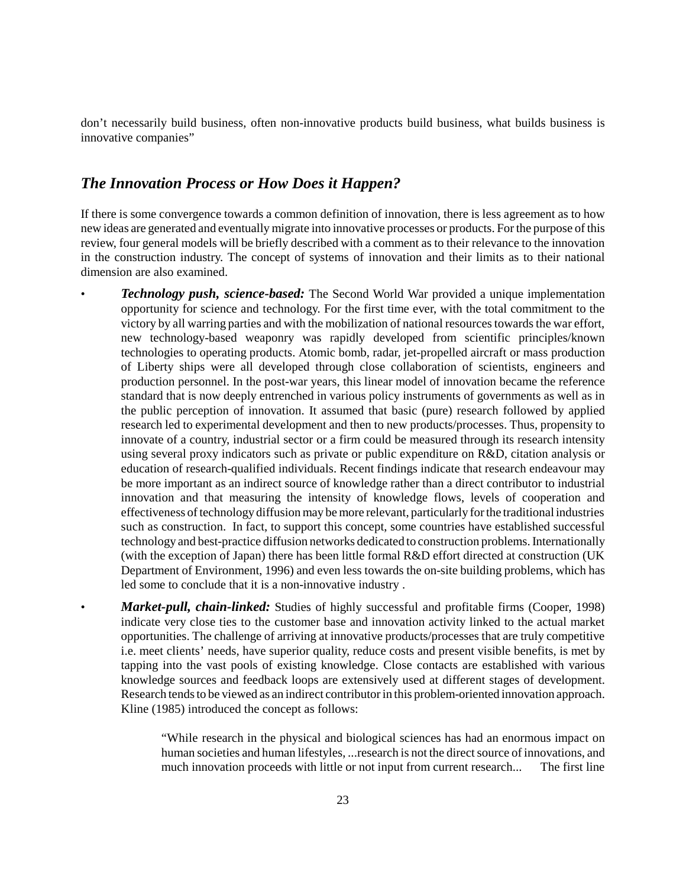don't necessarily build business, often non-innovative products build business, what builds business is innovative companies"

#### *The Innovation Process or How Does it Happen?*

If there is some convergence towards a common definition of innovation, there is less agreement as to how new ideas are generated and eventually migrate into innovative processes or products. For the purpose of this review, four general models will be briefly described with a comment as to their relevance to the innovation in the construction industry. The concept of systems of innovation and their limits as to their national dimension are also examined.

- *Technology push, science-based:* The Second World War provided a unique implementation opportunity for science and technology. For the first time ever, with the total commitment to the victory by all warring parties and with the mobilization of national resources towards the war effort, new technology-based weaponry was rapidly developed from scientific principles/known technologies to operating products. Atomic bomb, radar, jet-propelled aircraft or mass production of Liberty ships were all developed through close collaboration of scientists, engineers and production personnel. In the post-war years, this linear model of innovation became the reference standard that is now deeply entrenched in various policy instruments of governments as well as in the public perception of innovation. It assumed that basic (pure) research followed by applied research led to experimental development and then to new products/processes. Thus, propensity to innovate of a country, industrial sector or a firm could be measured through its research intensity using several proxy indicators such as private or public expenditure on R&D, citation analysis or education of research-qualified individuals. Recent findings indicate that research endeavour may be more important as an indirect source of knowledge rather than a direct contributor to industrial innovation and that measuring the intensity of knowledge flows, levels of cooperation and effectiveness of technology diffusion may be more relevant, particularly for the traditional industries such as construction. In fact, to support this concept, some countries have established successful technology and best-practice diffusion networks dedicated to construction problems. Internationally (with the exception of Japan) there has been little formal R&D effort directed at construction (UK Department of Environment, 1996) and even less towards the on-site building problems, which has led some to conclude that it is a non-innovative industry .
	- *Market-pull, chain-linked:* Studies of highly successful and profitable firms (Cooper, 1998) indicate very close ties to the customer base and innovation activity linked to the actual market opportunities. The challenge of arriving at innovative products/processes that are truly competitive i.e. meet clients' needs, have superior quality, reduce costs and present visible benefits, is met by tapping into the vast pools of existing knowledge. Close contacts are established with various knowledge sources and feedback loops are extensively used at different stages of development. Research tends to be viewed as an indirect contributor in this problem-oriented innovation approach. Kline (1985) introduced the concept as follows:

"While research in the physical and biological sciences has had an enormous impact on human societies and human lifestyles, ...research is not the direct source of innovations, and much innovation proceeds with little or not input from current research... The first line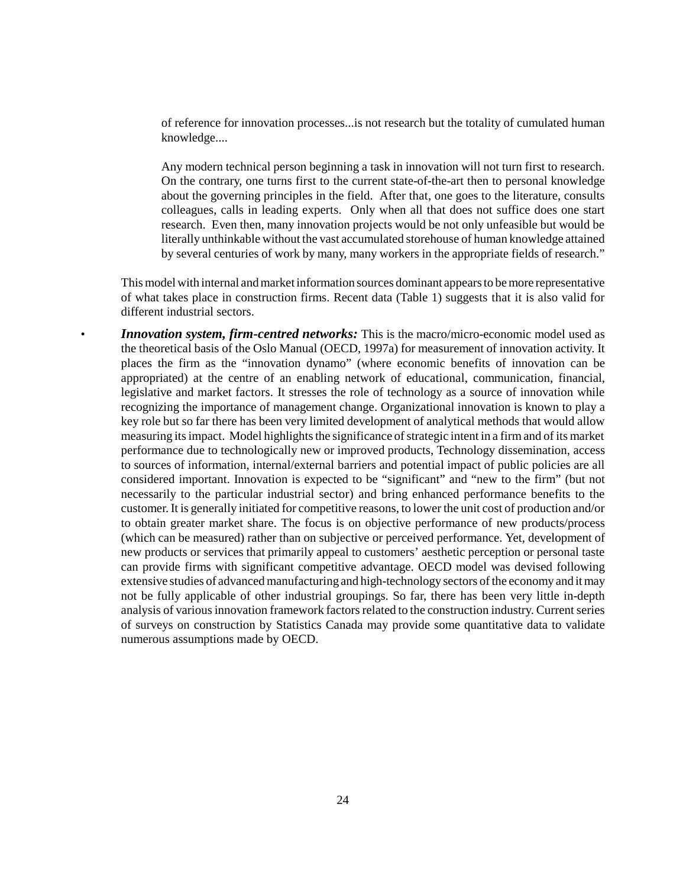of reference for innovation processes...is not research but the totality of cumulated human knowledge....

Any modern technical person beginning a task in innovation will not turn first to research. On the contrary, one turns first to the current state-of-the-art then to personal knowledge about the governing principles in the field. After that, one goes to the literature, consults colleagues, calls in leading experts. Only when all that does not suffice does one start research. Even then, many innovation projects would be not only unfeasible but would be literally unthinkable without the vast accumulated storehouse of human knowledge attained by several centuries of work by many, many workers in the appropriate fields of research."

This model with internal and market information sources dominant appears to be more representative of what takes place in construction firms. Recent data (Table 1) suggests that it is also valid for different industrial sectors.

• *Innovation system, firm-centred networks:* This is the macro/micro-economic model used as the theoretical basis of the Oslo Manual (OECD, 1997a) for measurement of innovation activity. It places the firm as the "innovation dynamo" (where economic benefits of innovation can be appropriated) at the centre of an enabling network of educational, communication, financial, legislative and market factors. It stresses the role of technology as a source of innovation while recognizing the importance of management change. Organizational innovation is known to play a key role but so far there has been very limited development of analytical methods that would allow measuring its impact. Model highlights the significance of strategic intent in a firm and of its market performance due to technologically new or improved products, Technology dissemination, access to sources of information, internal/external barriers and potential impact of public policies are all considered important. Innovation is expected to be "significant" and "new to the firm" (but not necessarily to the particular industrial sector) and bring enhanced performance benefits to the customer. It is generally initiated for competitive reasons, to lower the unit cost of production and/or to obtain greater market share. The focus is on objective performance of new products/process (which can be measured) rather than on subjective or perceived performance. Yet, development of new products or services that primarily appeal to customers' aesthetic perception or personal taste can provide firms with significant competitive advantage. OECD model was devised following extensive studies of advanced manufacturing and high-technology sectors of the economy and it may not be fully applicable of other industrial groupings. So far, there has been very little in-depth analysis of various innovation framework factors related to the construction industry. Current series of surveys on construction by Statistics Canada may provide some quantitative data to validate numerous assumptions made by OECD.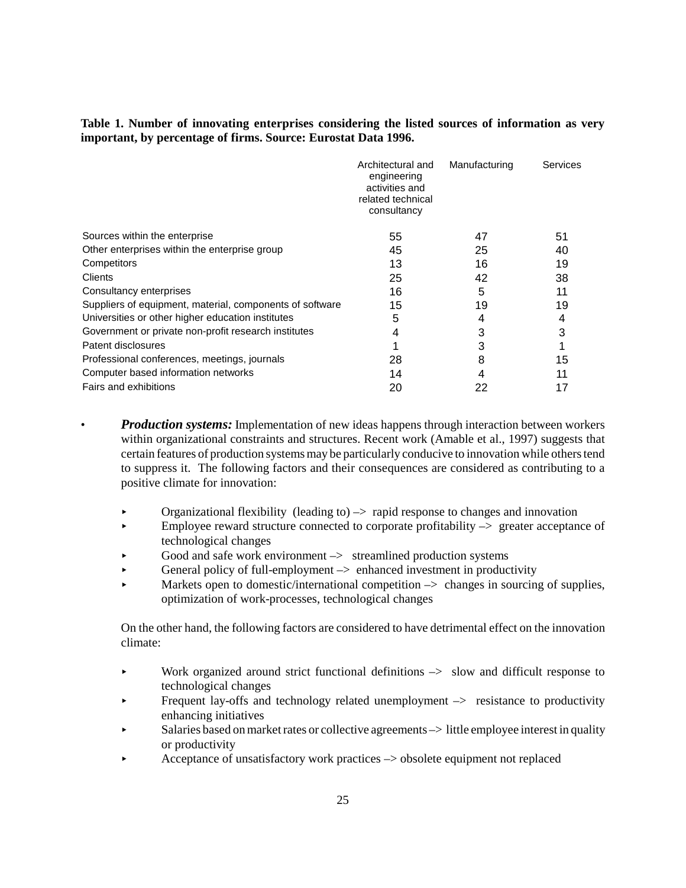#### **Table 1. Number of innovating enterprises considering the listed sources of information as very important, by percentage of firms. Source: Eurostat Data 1996.**

| Architectural and<br>engineering<br>activities and<br>related technical<br>consultancy | Manufacturing | Services |
|----------------------------------------------------------------------------------------|---------------|----------|
| 55                                                                                     | 47            | 51       |
| 45                                                                                     | 25            | 40       |
| 13                                                                                     | 16            | 19       |
| 25                                                                                     | 42            | 38       |
| 16                                                                                     | 5             | 11       |
| 15                                                                                     | 19            | 19       |
| 5                                                                                      | 4             |          |
| 4                                                                                      | 3             | 3        |
|                                                                                        | 3             |          |
| 28                                                                                     | 8             | 15       |
| 14                                                                                     | 4             | 11       |
| 20                                                                                     | 22            | 17       |
|                                                                                        |               |          |

- *Production systems:* Implementation of new ideas happens through interaction between workers within organizational constraints and structures. Recent work (Amable et al., 1997) suggests that certain features of production systems may be particularly conducive to innovation while others tend to suppress it. The following factors and their consequences are considered as contributing to a positive climate for innovation:
	- Organizational flexibility (leading to)  $\rightarrow$  rapid response to changes and innovation
	- Employee reward structure connected to corporate profitability  $\rightarrow$  greater acceptance of technological changes
	- Good and safe work environment  $\rightarrow$  streamlined production systems
	- $\triangleright$  General policy of full-employment  $\rightarrow$  enhanced investment in productivity
	- Markets open to domestic/international competition  $\rightarrow$  changes in sourcing of supplies, optimization of work-processes, technological changes

On the other hand, the following factors are considered to have detrimental effect on the innovation climate:

- $\blacktriangleright$  Work organized around strict functional definitions  $\blacktriangleright$  slow and difficult response to technological changes
- $\blacktriangleright$  Frequent lay-offs and technology related unemployment  $\blacktriangleright$  resistance to productivity enhancing initiatives
- $\triangleright$  Salaries based on market rates or collective agreements  $\rightarrow$  little employee interest in quality or productivity
- < Acceptance of unsatisfactory work practices –> obsolete equipment not replaced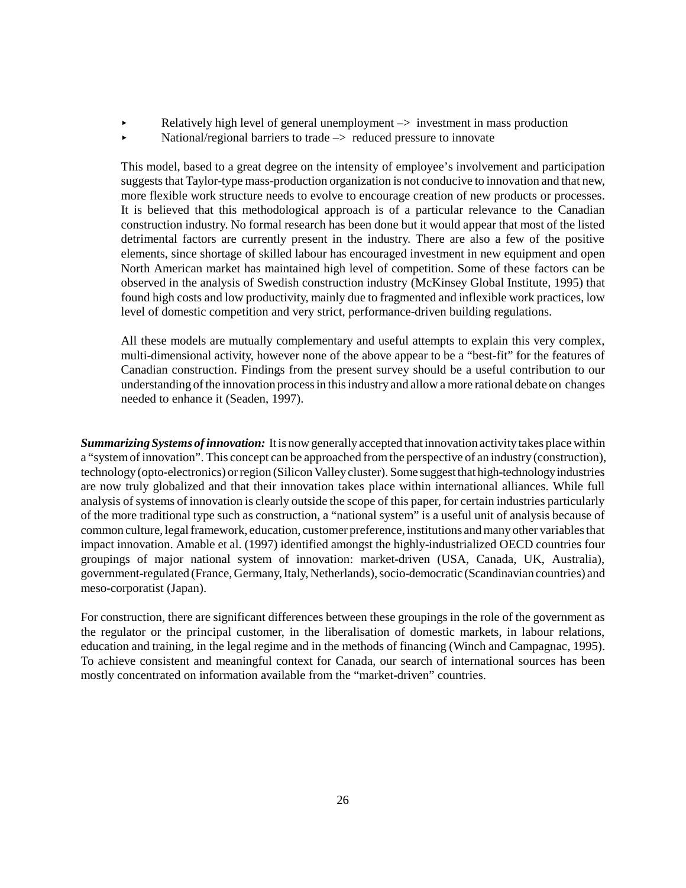- Relatively high level of general unemployment  $\rightarrow$  investment in mass production
- $\blacktriangleright$  National/regional barriers to trade  $\blacktriangleright$  reduced pressure to innovate

This model, based to a great degree on the intensity of employee's involvement and participation suggests that Taylor-type mass-production organization is not conducive to innovation and that new, more flexible work structure needs to evolve to encourage creation of new products or processes. It is believed that this methodological approach is of a particular relevance to the Canadian construction industry. No formal research has been done but it would appear that most of the listed detrimental factors are currently present in the industry. There are also a few of the positive elements, since shortage of skilled labour has encouraged investment in new equipment and open North American market has maintained high level of competition. Some of these factors can be observed in the analysis of Swedish construction industry (McKinsey Global Institute, 1995) that found high costs and low productivity, mainly due to fragmented and inflexible work practices, low level of domestic competition and very strict, performance-driven building regulations.

All these models are mutually complementary and useful attempts to explain this very complex, multi-dimensional activity, however none of the above appear to be a "best-fit" for the features of Canadian construction. Findings from the present survey should be a useful contribution to our understanding of the innovation process in this industry and allow a more rational debate on changes needed to enhance it (Seaden, 1997).

*Summarizing Systems of innovation:*It is now generally accepted that innovation activity takes place within a "system of innovation". This concept can be approached from the perspective of an industry (construction), technology (opto-electronics) or region (Silicon Valley cluster). Some suggest that high-technology industries are now truly globalized and that their innovation takes place within international alliances. While full analysis of systems of innovation is clearly outside the scope of this paper, for certain industries particularly of the more traditional type such as construction, a "national system" is a useful unit of analysis because of common culture, legal framework, education, customer preference, institutions and many other variables that impact innovation. Amable et al. (1997) identified amongst the highly-industrialized OECD countries four groupings of major national system of innovation: market-driven (USA, Canada, UK, Australia), government-regulated (France, Germany, Italy, Netherlands), socio-democratic (Scandinavian countries) and meso-corporatist (Japan).

For construction, there are significant differences between these groupings in the role of the government as the regulator or the principal customer, in the liberalisation of domestic markets, in labour relations, education and training, in the legal regime and in the methods of financing (Winch and Campagnac, 1995). To achieve consistent and meaningful context for Canada, our search of international sources has been mostly concentrated on information available from the "market-driven" countries.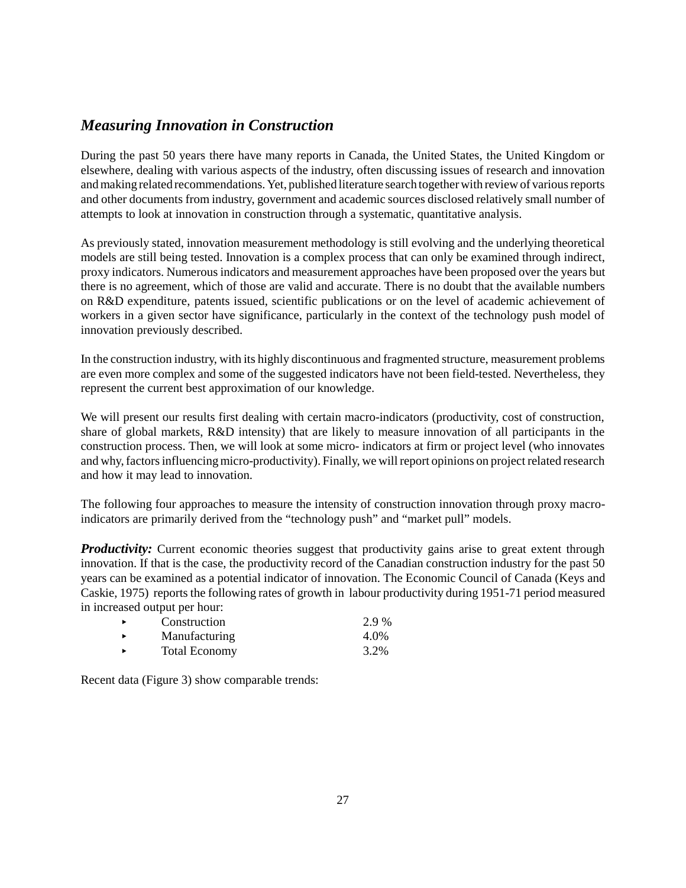#### *Measuring Innovation in Construction*

During the past 50 years there have many reports in Canada, the United States, the United Kingdom or elsewhere, dealing with various aspects of the industry, often discussing issues of research and innovation and making related recommendations. Yet, published literature search together with review of various reports and other documents from industry, government and academic sources disclosed relatively small number of attempts to look at innovation in construction through a systematic, quantitative analysis.

As previously stated, innovation measurement methodology is still evolving and the underlying theoretical models are still being tested. Innovation is a complex process that can only be examined through indirect, proxy indicators. Numerous indicators and measurement approaches have been proposed over the years but there is no agreement, which of those are valid and accurate. There is no doubt that the available numbers on R&D expenditure, patents issued, scientific publications or on the level of academic achievement of workers in a given sector have significance, particularly in the context of the technology push model of innovation previously described.

In the construction industry, with its highly discontinuous and fragmented structure, measurement problems are even more complex and some of the suggested indicators have not been field-tested. Nevertheless, they represent the current best approximation of our knowledge.

We will present our results first dealing with certain macro-indicators (productivity, cost of construction, share of global markets, R&D intensity) that are likely to measure innovation of all participants in the construction process. Then, we will look at some micro- indicators at firm or project level (who innovates and why, factors influencing micro-productivity). Finally, we will report opinions on project related research and how it may lead to innovation.

The following four approaches to measure the intensity of construction innovation through proxy macroindicators are primarily derived from the "technology push" and "market pull" models.

**Productivity:** Current economic theories suggest that productivity gains arise to great extent through innovation. If that is the case, the productivity record of the Canadian construction industry for the past 50 years can be examined as a potential indicator of innovation. The Economic Council of Canada (Keys and Caskie, 1975) reports the following rates of growth in labour productivity during 1951-71 period measured in increased output per hour:

| $\ddot{\phantom{1}}$ | Construction         | 2.9 % |
|----------------------|----------------------|-------|
| $\ddot{\phantom{1}}$ | Manufacturing        | 4.0%  |
| ٠                    | <b>Total Economy</b> | 3.2%  |

Recent data (Figure 3) show comparable trends: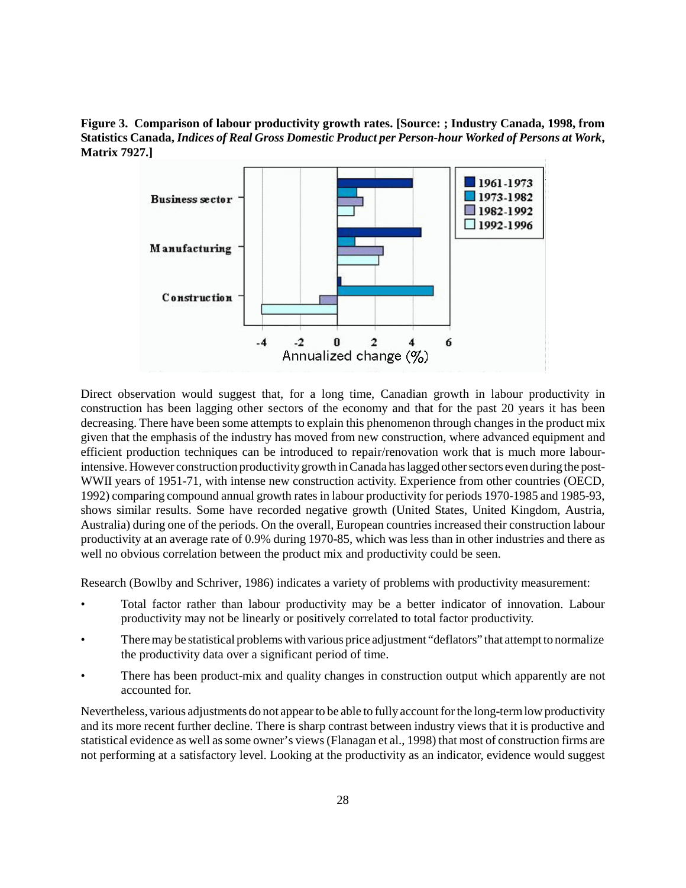**Figure 3. Comparison of labour productivity growth rates. [Source: ; Industry Canada, 1998, from Statistics Canada,** *Indices of Real Gross Domestic Product per Person-hour Worked of Persons at Work***, Matrix 7927.]**



Direct observation would suggest that, for a long time, Canadian growth in labour productivity in construction has been lagging other sectors of the economy and that for the past 20 years it has been decreasing. There have been some attempts to explain this phenomenon through changes in the product mix given that the emphasis of the industry has moved from new construction, where advanced equipment and efficient production techniques can be introduced to repair/renovation work that is much more labourintensive. However construction productivity growth in Canada has lagged other sectors even during the post-WWII years of 1951-71, with intense new construction activity. Experience from other countries (OECD, 1992) comparing compound annual growth rates in labour productivity for periods 1970-1985 and 1985-93, shows similar results. Some have recorded negative growth (United States, United Kingdom, Austria, Australia) during one of the periods. On the overall, European countries increased their construction labour productivity at an average rate of 0.9% during 1970-85, which was less than in other industries and there as well no obvious correlation between the product mix and productivity could be seen.

Research (Bowlby and Schriver, 1986) indicates a variety of problems with productivity measurement:

- Total factor rather than labour productivity may be a better indicator of innovation. Labour productivity may not be linearly or positively correlated to total factor productivity.
- There may be statistical problems with various price adjustment "deflators" that attempt to normalize the productivity data over a significant period of time.
- There has been product-mix and quality changes in construction output which apparently are not accounted for.

Nevertheless, various adjustments do not appear to be able to fully account for the long-term low productivity and its more recent further decline. There is sharp contrast between industry views that it is productive and statistical evidence as well as some owner's views (Flanagan et al., 1998) that most of construction firms are not performing at a satisfactory level. Looking at the productivity as an indicator, evidence would suggest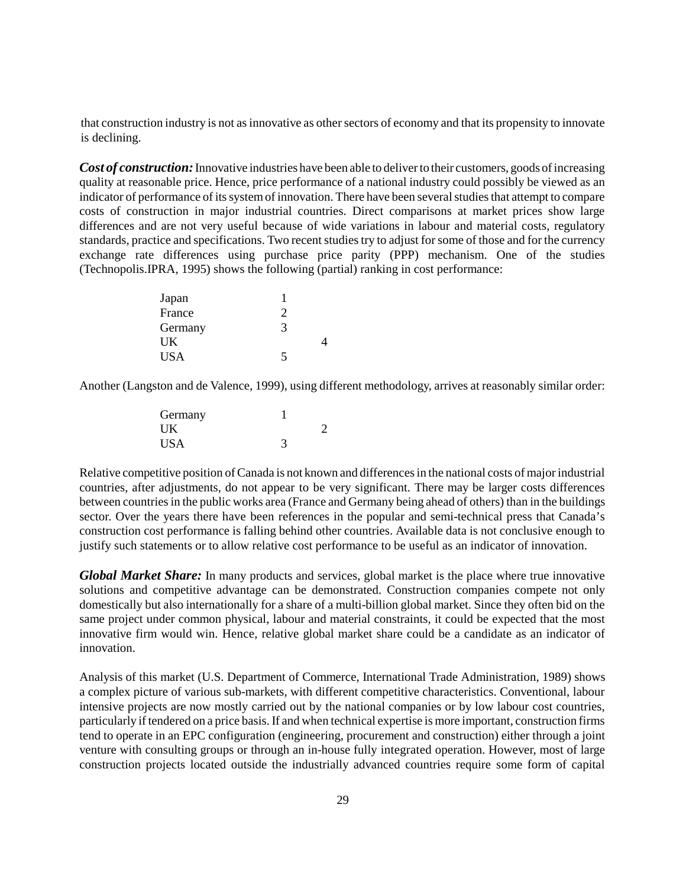that construction industry is not as innovative as other sectors of economy and that its propensity to innovate is declining.

*Cost of construction:* Innovative industries have been able to deliver to their customers, goods of increasing quality at reasonable price. Hence, price performance of a national industry could possibly be viewed as an indicator of performance of its system of innovation. There have been several studies that attempt to compare costs of construction in major industrial countries. Direct comparisons at market prices show large differences and are not very useful because of wide variations in labour and material costs, regulatory standards, practice and specifications. Two recent studies try to adjust for some of those and for the currency exchange rate differences using purchase price parity (PPP) mechanism. One of the studies (Technopolis.IPRA, 1995) shows the following (partial) ranking in cost performance:

| Japan      |                                                                                                                                                                 |  |
|------------|-----------------------------------------------------------------------------------------------------------------------------------------------------------------|--|
| France     | $\mathcal{D}_{\mathcal{A}}^{\mathcal{A}}(\mathcal{A})=\mathcal{D}_{\mathcal{A}}^{\mathcal{A}}(\mathcal{A})\mathcal{D}_{\mathcal{A}}^{\mathcal{A}}(\mathcal{A})$ |  |
| Germany    | 3                                                                                                                                                               |  |
| <b>UK</b>  |                                                                                                                                                                 |  |
| <b>USA</b> | 5                                                                                                                                                               |  |

Another (Langston and de Valence, 1999), using different methodology, arrives at reasonably similar order:

| Germany    |  |
|------------|--|
| UK         |  |
| <b>USA</b> |  |

Relative competitive position of Canada is not known and differences in the national costs of major industrial countries, after adjustments, do not appear to be very significant. There may be larger costs differences between countries in the public works area (France and Germany being ahead of others) than in the buildings sector. Over the years there have been references in the popular and semi-technical press that Canada's construction cost performance is falling behind other countries. Available data is not conclusive enough to justify such statements or to allow relative cost performance to be useful as an indicator of innovation.

*Global Market Share:* In many products and services, global market is the place where true innovative solutions and competitive advantage can be demonstrated. Construction companies compete not only domestically but also internationally for a share of a multi-billion global market. Since they often bid on the same project under common physical, labour and material constraints, it could be expected that the most innovative firm would win. Hence, relative global market share could be a candidate as an indicator of innovation.

Analysis of this market (U.S. Department of Commerce, International Trade Administration, 1989) shows a complex picture of various sub-markets, with different competitive characteristics. Conventional, labour intensive projects are now mostly carried out by the national companies or by low labour cost countries, particularly if tendered on a price basis. If and when technical expertise is more important, construction firms tend to operate in an EPC configuration (engineering, procurement and construction) either through a joint venture with consulting groups or through an in-house fully integrated operation. However, most of large construction projects located outside the industrially advanced countries require some form of capital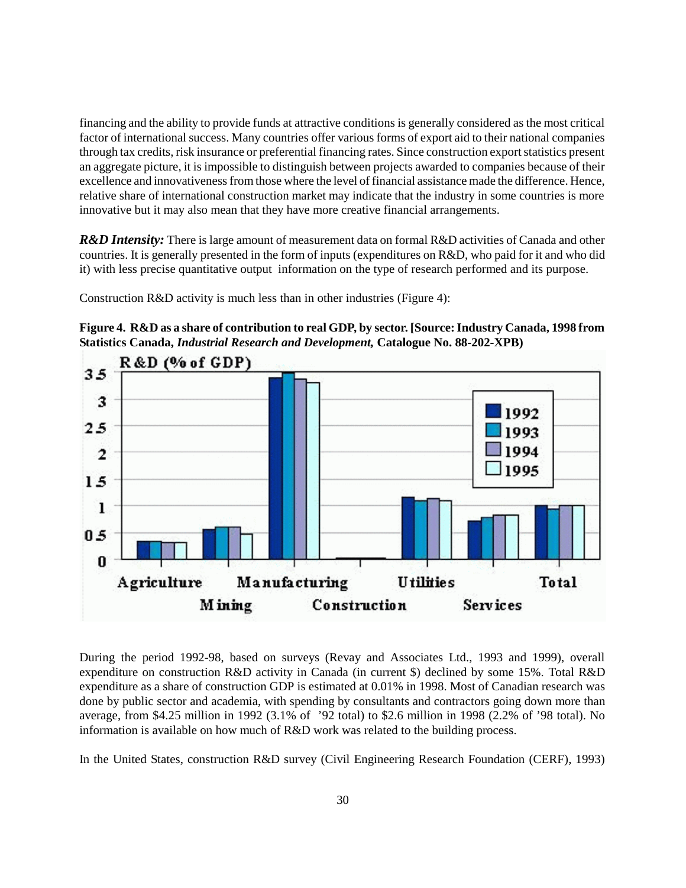financing and the ability to provide funds at attractive conditions is generally considered as the most critical factor of international success. Many countries offer various forms of export aid to their national companies through tax credits, risk insurance or preferential financing rates. Since construction export statistics present an aggregate picture, it is impossible to distinguish between projects awarded to companies because of their excellence and innovativeness from those where the level of financial assistance made the difference. Hence, relative share of international construction market may indicate that the industry in some countries is more innovative but it may also mean that they have more creative financial arrangements.

*R&D Intensity:* There is large amount of measurement data on formal R&D activities of Canada and other countries. It is generally presented in the form of inputs (expenditures on R&D, who paid for it and who did it) with less precise quantitative output information on the type of research performed and its purpose.

Construction R&D activity is much less than in other industries (Figure 4):

**Figure 4. R&D as a share of contribution to real GDP, by sector. [Source: Industry Canada, 1998 from Statistics Canada,** *Industrial Research and Development,* **Catalogue No. 88-202-XPB)**



During the period 1992-98, based on surveys (Revay and Associates Ltd., 1993 and 1999), overall expenditure on construction R&D activity in Canada (in current \$) declined by some 15%. Total R&D expenditure as a share of construction GDP is estimated at 0.01% in 1998. Most of Canadian research was done by public sector and academia, with spending by consultants and contractors going down more than average, from \$4.25 million in 1992 (3.1% of '92 total) to \$2.6 million in 1998 (2.2% of '98 total). No information is available on how much of R&D work was related to the building process.

In the United States, construction R&D survey (Civil Engineering Research Foundation (CERF), 1993)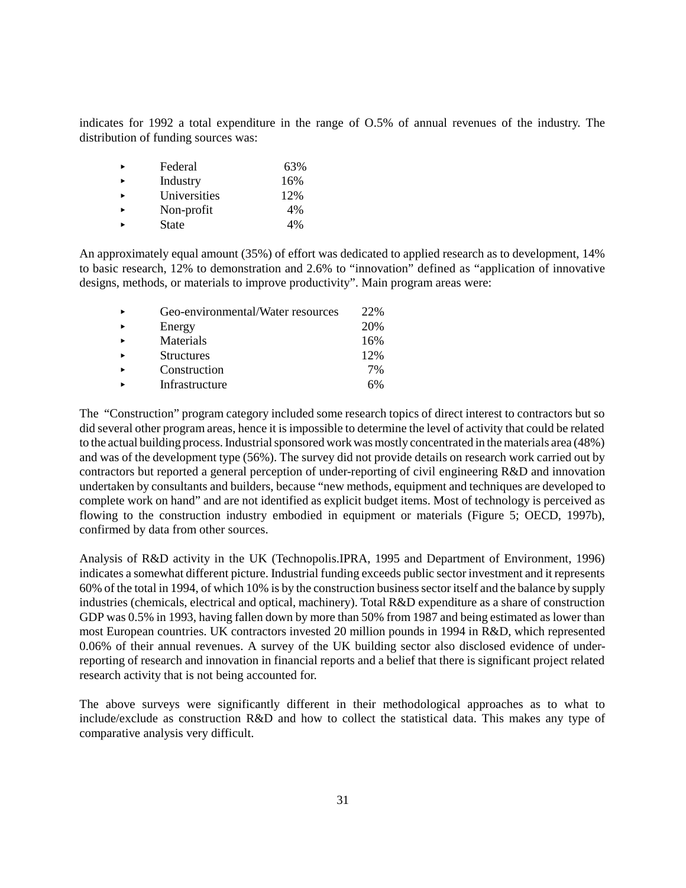indicates for 1992 a total expenditure in the range of O.5% of annual revenues of the industry. The distribution of funding sources was:

| Federal      | 63% |
|--------------|-----|
| Industry     | 16% |
| Universities | 12% |
| Non-profit   | 4%  |
| <b>State</b> | 4%  |

An approximately equal amount (35%) of effort was dedicated to applied research as to development, 14% to basic research, 12% to demonstration and 2.6% to "innovation" defined as "application of innovative designs, methods, or materials to improve productivity". Main program areas were:

| $\ddot{\phantom{1}}$  | Geo-environmental/Water resources | 22% |
|-----------------------|-----------------------------------|-----|
| $\blacktriangleright$ | Energy                            | 20% |
| $\blacksquare$        | Materials                         | 16% |
| $\ddot{\phantom{1}}$  | <b>Structures</b>                 | 12% |
| $\blacktriangleright$ | Construction                      | 7%  |
| ь                     | Infrastructure                    | 6%  |

The "Construction" program category included some research topics of direct interest to contractors but so did several other program areas, hence it is impossible to determine the level of activity that could be related to the actual building process. Industrial sponsored work was mostly concentrated in the materials area (48%) and was of the development type (56%). The survey did not provide details on research work carried out by contractors but reported a general perception of under-reporting of civil engineering R&D and innovation undertaken by consultants and builders, because "new methods, equipment and techniques are developed to complete work on hand" and are not identified as explicit budget items. Most of technology is perceived as flowing to the construction industry embodied in equipment or materials (Figure 5; OECD, 1997b), confirmed by data from other sources.

Analysis of R&D activity in the UK (Technopolis.IPRA, 1995 and Department of Environment, 1996) indicates a somewhat different picture. Industrial funding exceeds public sector investment and it represents 60% of the total in 1994, of which 10% is by the construction business sector itself and the balance by supply industries (chemicals, electrical and optical, machinery). Total R&D expenditure as a share of construction GDP was 0.5% in 1993, having fallen down by more than 50% from 1987 and being estimated as lower than most European countries. UK contractors invested 20 million pounds in 1994 in R&D, which represented 0.06% of their annual revenues. A survey of the UK building sector also disclosed evidence of underreporting of research and innovation in financial reports and a belief that there is significant project related research activity that is not being accounted for.

The above surveys were significantly different in their methodological approaches as to what to include/exclude as construction R&D and how to collect the statistical data. This makes any type of comparative analysis very difficult.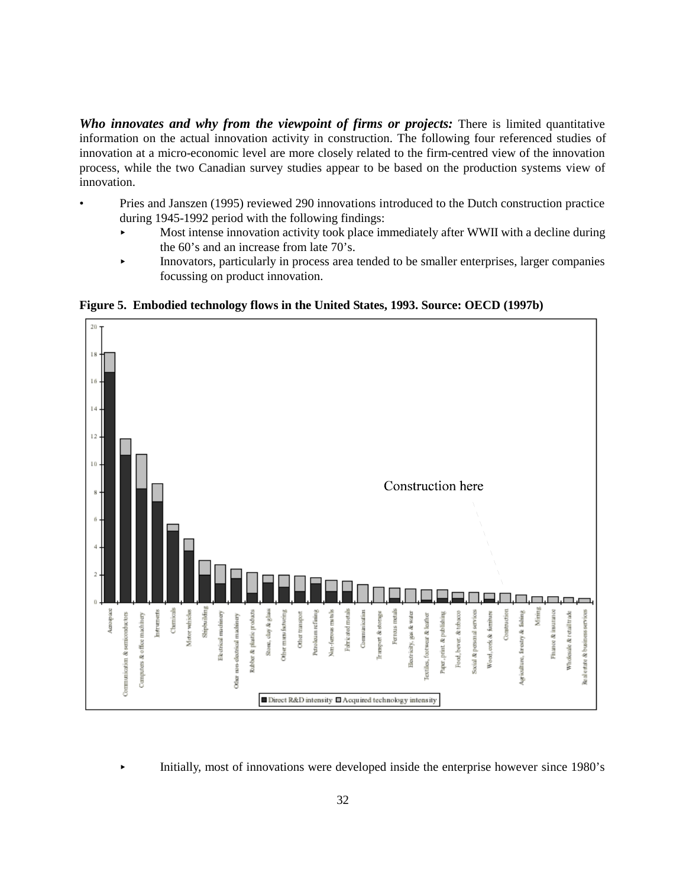*Who innovates and why from the viewpoint of firms or projects:* There is limited quantitative information on the actual innovation activity in construction. The following four referenced studies of innovation at a micro-economic level are more closely related to the firm-centred view of the innovation process, while the two Canadian survey studies appear to be based on the production systems view of innovation.

- Pries and Janszen (1995) reviewed 290 innovations introduced to the Dutch construction practice during 1945-1992 period with the following findings:
	- < Most intense innovation activity took place immediately after WWII with a decline during the 60's and an increase from late 70's.
	- < Innovators, particularly in process area tended to be smaller enterprises, larger companies focussing on product innovation.

**Figure 5. Embodied technology flows in the United States, 1993. Source: OECD (1997b)**



< Initially, most of innovations were developed inside the enterprise however since 1980's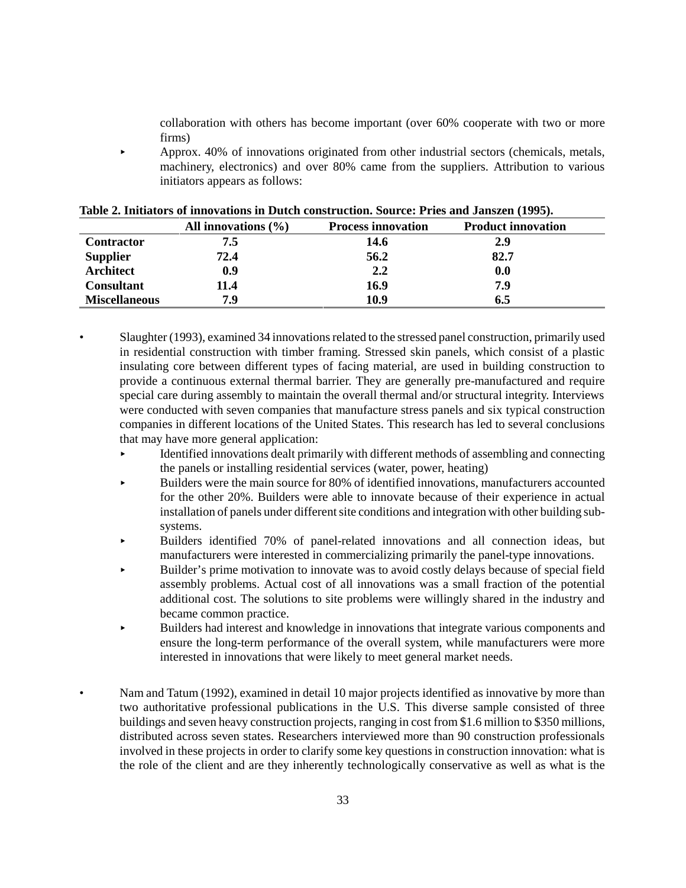collaboration with others has become important (over 60% cooperate with two or more firms)

< Approx. 40% of innovations originated from other industrial sectors (chemicals, metals, machinery, electronics) and over 80% came from the suppliers. Attribution to various initiators appears as follows:

|                      | All innovations $(\% )$ | <b>Process innovation</b> | <b>Product innovation</b> |
|----------------------|-------------------------|---------------------------|---------------------------|
| <b>Contractor</b>    | 7.5                     | 14.6                      | 2.9                       |
| <b>Supplier</b>      | 72.4                    | 56.2                      | 82.7                      |
| <b>Architect</b>     | 0.9                     | 2,2                       | 0.0                       |
| <b>Consultant</b>    | 11.4                    | 16.9                      | 7.9                       |
| <b>Miscellaneous</b> | 7.9                     | 10.9                      | 6.5                       |

|  |  |  |  | Table 2. Initiators of innovations in Dutch construction. Source: Pries and Janszen (1995). |  |  |  |  |
|--|--|--|--|---------------------------------------------------------------------------------------------|--|--|--|--|
|--|--|--|--|---------------------------------------------------------------------------------------------|--|--|--|--|

- Slaughter (1993), examined 34 innovations related to the stressed panel construction, primarily used in residential construction with timber framing. Stressed skin panels, which consist of a plastic insulating core between different types of facing material, are used in building construction to provide a continuous external thermal barrier. They are generally pre-manufactured and require special care during assembly to maintain the overall thermal and/or structural integrity. Interviews were conducted with seven companies that manufacture stress panels and six typical construction companies in different locations of the United States. This research has led to several conclusions that may have more general application:
	- < Identified innovations dealt primarily with different methods of assembling and connecting the panels or installing residential services (water, power, heating)
	- < Builders were the main source for 80% of identified innovations, manufacturers accounted for the other 20%. Builders were able to innovate because of their experience in actual installation of panels under different site conditions and integration with other building subsystems.
	- < Builders identified 70% of panel-related innovations and all connection ideas, but manufacturers were interested in commercializing primarily the panel-type innovations.
	- < Builder's prime motivation to innovate was to avoid costly delays because of special field assembly problems. Actual cost of all innovations was a small fraction of the potential additional cost. The solutions to site problems were willingly shared in the industry and became common practice.
	- < Builders had interest and knowledge in innovations that integrate various components and ensure the long-term performance of the overall system, while manufacturers were more interested in innovations that were likely to meet general market needs.
	- Nam and Tatum (1992), examined in detail 10 major projects identified as innovative by more than two authoritative professional publications in the U.S. This diverse sample consisted of three buildings and seven heavy construction projects, ranging in cost from \$1.6 million to \$350 millions, distributed across seven states. Researchers interviewed more than 90 construction professionals involved in these projects in order to clarify some key questions in construction innovation: what is the role of the client and are they inherently technologically conservative as well as what is the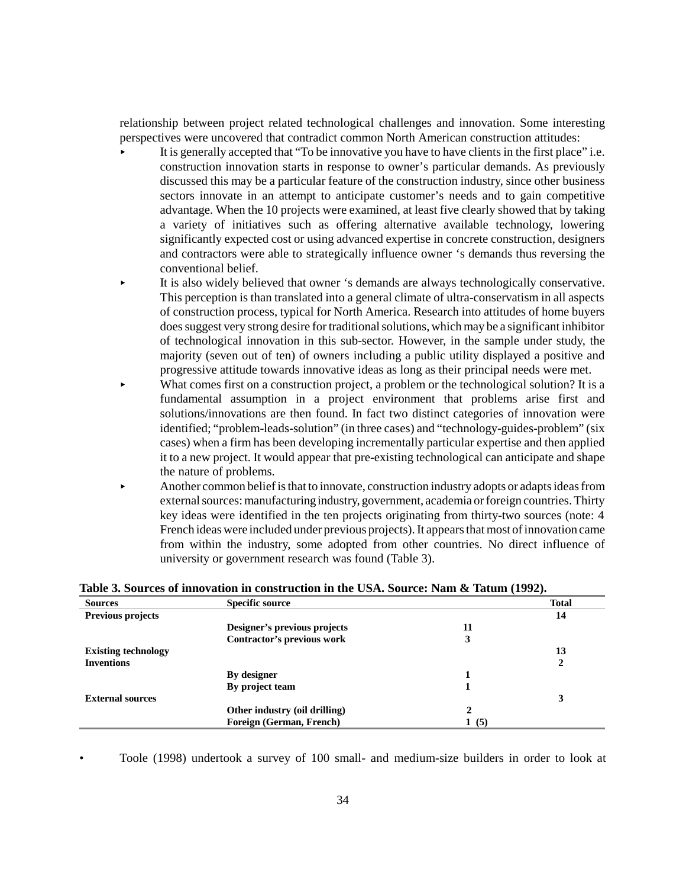relationship between project related technological challenges and innovation. Some interesting perspectives were uncovered that contradict common North American construction attitudes:

- < It is generally accepted that "To be innovative you have to have clients in the first place" i.e. construction innovation starts in response to owner's particular demands. As previously discussed this may be a particular feature of the construction industry, since other business sectors innovate in an attempt to anticipate customer's needs and to gain competitive advantage. When the 10 projects were examined, at least five clearly showed that by taking a variety of initiatives such as offering alternative available technology, lowering significantly expected cost or using advanced expertise in concrete construction, designers and contractors were able to strategically influence owner 's demands thus reversing the conventional belief.
- < It is also widely believed that owner 's demands are always technologically conservative. This perception is than translated into a general climate of ultra-conservatism in all aspects of construction process, typical for North America. Research into attitudes of home buyers does suggest very strong desire for traditional solutions, which may be a significant inhibitor of technological innovation in this sub-sector. However, in the sample under study, the majority (seven out of ten) of owners including a public utility displayed a positive and progressive attitude towards innovative ideas as long as their principal needs were met.
- What comes first on a construction project, a problem or the technological solution? It is a fundamental assumption in a project environment that problems arise first and solutions/innovations are then found. In fact two distinct categories of innovation were identified; "problem-leads-solution" (in three cases) and "technology-guides-problem" (six cases) when a firm has been developing incrementally particular expertise and then applied it to a new project. It would appear that pre-existing technological can anticipate and shape the nature of problems.
- < Another common belief is that to innovate, construction industry adopts or adapts ideas from external sources: manufacturing industry, government, academia or foreign countries. Thirty key ideas were identified in the ten projects originating from thirty-two sources (note: 4 French ideas were included under previous projects). It appears that most of innovation came from within the industry, some adopted from other countries. No direct influence of university or government research was found (Table 3).

| <b>Sources</b>             | <b>Specific source</b>        |              | <b>Total</b> |
|----------------------------|-------------------------------|--------------|--------------|
| Previous projects          |                               |              | 14           |
|                            | Designer's previous projects  | 11           |              |
|                            | Contractor's previous work    | 3            |              |
| <b>Existing technology</b> |                               |              | 13           |
| <b>Inventions</b>          |                               |              | 2            |
|                            | By designer                   |              |              |
|                            | By project team               |              |              |
| <b>External sources</b>    |                               |              | 3            |
|                            | Other industry (oil drilling) | $\mathbf{2}$ |              |
|                            | Foreign (German, French)      | (5)<br>ı.    |              |
|                            |                               |              |              |

**Table 3. Sources of innovation in construction in the USA. Source: Nam & Tatum (1992).**

• Toole (1998) undertook a survey of 100 small- and medium-size builders in order to look at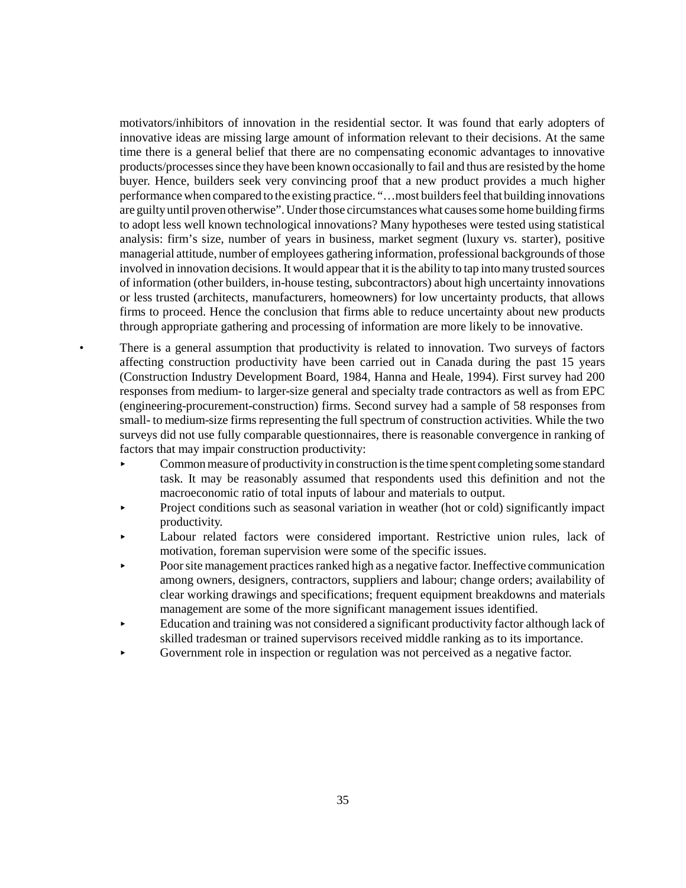motivators/inhibitors of innovation in the residential sector. It was found that early adopters of innovative ideas are missing large amount of information relevant to their decisions. At the same time there is a general belief that there are no compensating economic advantages to innovative products/processes since they have been known occasionally to fail and thus are resisted by the home buyer. Hence, builders seek very convincing proof that a new product provides a much higher performance when compared to the existing practice. "…most builders feel that building innovations are guilty until proven otherwise". Under those circumstances what causes some home building firms to adopt less well known technological innovations? Many hypotheses were tested using statistical analysis: firm's size, number of years in business, market segment (luxury vs. starter), positive managerial attitude, number of employees gathering information, professional backgrounds of those involved in innovation decisions. It would appear that it is the ability to tap into many trusted sources of information (other builders, in-house testing, subcontractors) about high uncertainty innovations or less trusted (architects, manufacturers, homeowners) for low uncertainty products, that allows firms to proceed. Hence the conclusion that firms able to reduce uncertainty about new products through appropriate gathering and processing of information are more likely to be innovative.

- There is a general assumption that productivity is related to innovation. Two surveys of factors affecting construction productivity have been carried out in Canada during the past 15 years (Construction Industry Development Board, 1984, Hanna and Heale, 1994). First survey had 200 responses from medium- to larger-size general and specialty trade contractors as well as from EPC (engineering-procurement-construction) firms. Second survey had a sample of 58 responses from small- to medium-size firms representing the full spectrum of construction activities. While the two surveys did not use fully comparable questionnaires, there is reasonable convergence in ranking of factors that may impair construction productivity:
	- $\triangleright$  Common measure of productivity in construction is the time spent completing some standard task. It may be reasonably assumed that respondents used this definition and not the macroeconomic ratio of total inputs of labour and materials to output.
	- < Project conditions such as seasonal variation in weather (hot or cold) significantly impact productivity.
	- Labour related factors were considered important. Restrictive union rules, lack of motivation, foreman supervision were some of the specific issues.
	- < Poor site management practices ranked high as a negative factor. Ineffective communication among owners, designers, contractors, suppliers and labour; change orders; availability of clear working drawings and specifications; frequent equipment breakdowns and materials management are some of the more significant management issues identified.
	- < Education and training was not considered a significant productivity factor although lack of skilled tradesman or trained supervisors received middle ranking as to its importance.
	- Government role in inspection or regulation was not perceived as a negative factor.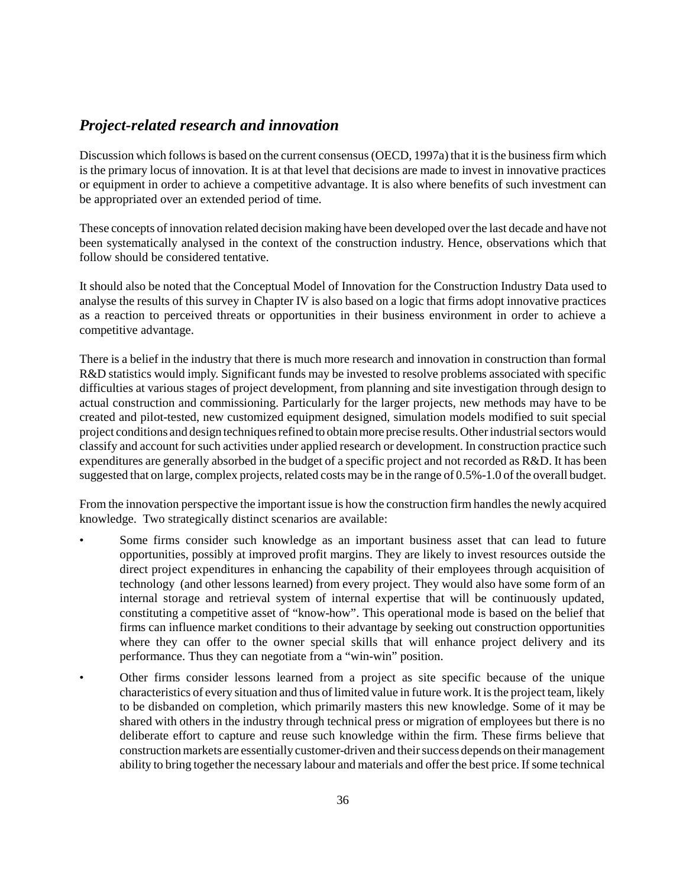# *Project-related research and innovation*

Discussion which follows is based on the current consensus (OECD, 1997a) that it is the business firm which is the primary locus of innovation. It is at that level that decisions are made to invest in innovative practices or equipment in order to achieve a competitive advantage. It is also where benefits of such investment can be appropriated over an extended period of time.

These concepts of innovation related decision making have been developed over the last decade and have not been systematically analysed in the context of the construction industry. Hence, observations which that follow should be considered tentative.

It should also be noted that the Conceptual Model of Innovation for the Construction Industry Data used to analyse the results of this survey in Chapter IV is also based on a logic that firms adopt innovative practices as a reaction to perceived threats or opportunities in their business environment in order to achieve a competitive advantage.

There is a belief in the industry that there is much more research and innovation in construction than formal R&D statistics would imply. Significant funds may be invested to resolve problems associated with specific difficulties at various stages of project development, from planning and site investigation through design to actual construction and commissioning. Particularly for the larger projects, new methods may have to be created and pilot-tested, new customized equipment designed, simulation models modified to suit special project conditions and design techniques refined to obtain more precise results. Other industrial sectors would classify and account for such activities under applied research or development. In construction practice such expenditures are generally absorbed in the budget of a specific project and not recorded as R&D. It has been suggested that on large, complex projects, related costs may be in the range of 0.5%-1.0 of the overall budget.

From the innovation perspective the important issue is how the construction firm handles the newly acquired knowledge. Two strategically distinct scenarios are available:

- Some firms consider such knowledge as an important business asset that can lead to future opportunities, possibly at improved profit margins. They are likely to invest resources outside the direct project expenditures in enhancing the capability of their employees through acquisition of technology (and other lessons learned) from every project. They would also have some form of an internal storage and retrieval system of internal expertise that will be continuously updated, constituting a competitive asset of "know-how". This operational mode is based on the belief that firms can influence market conditions to their advantage by seeking out construction opportunities where they can offer to the owner special skills that will enhance project delivery and its performance. Thus they can negotiate from a "win-win" position.
- Other firms consider lessons learned from a project as site specific because of the unique characteristics of every situation and thus of limited value in future work. It is the project team, likely to be disbanded on completion, which primarily masters this new knowledge. Some of it may be shared with others in the industry through technical press or migration of employees but there is no deliberate effort to capture and reuse such knowledge within the firm. These firms believe that construction markets are essentially customer-driven and their success depends on their management ability to bring together the necessary labour and materials and offer the best price. If some technical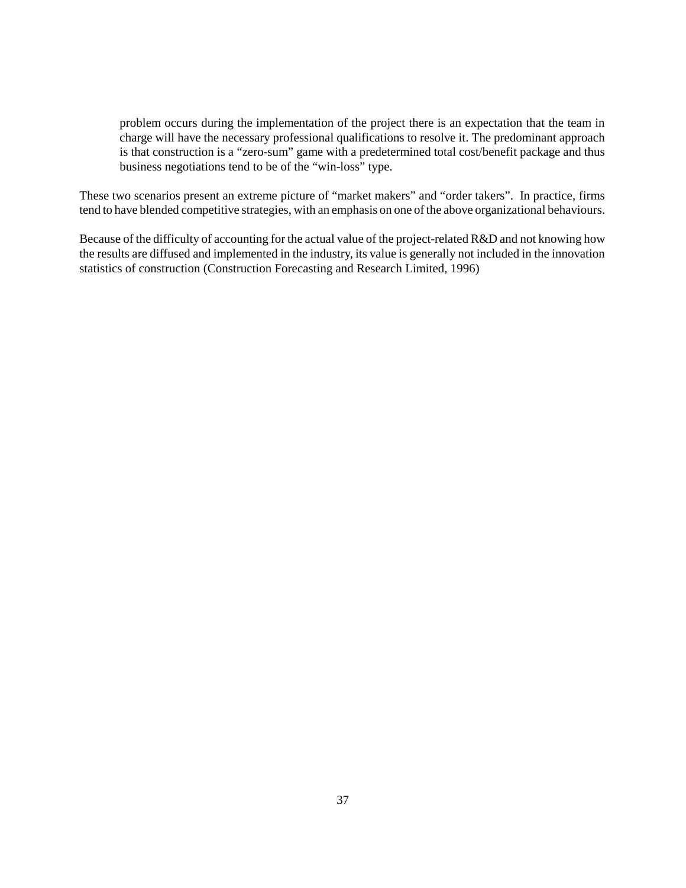problem occurs during the implementation of the project there is an expectation that the team in charge will have the necessary professional qualifications to resolve it. The predominant approach is that construction is a "zero-sum" game with a predetermined total cost/benefit package and thus business negotiations tend to be of the "win-loss" type.

These two scenarios present an extreme picture of "market makers" and "order takers". In practice, firms tend to have blended competitive strategies, with an emphasis on one of the above organizational behaviours.

Because of the difficulty of accounting for the actual value of the project-related R&D and not knowing how the results are diffused and implemented in the industry, its value is generally not included in the innovation statistics of construction (Construction Forecasting and Research Limited, 1996)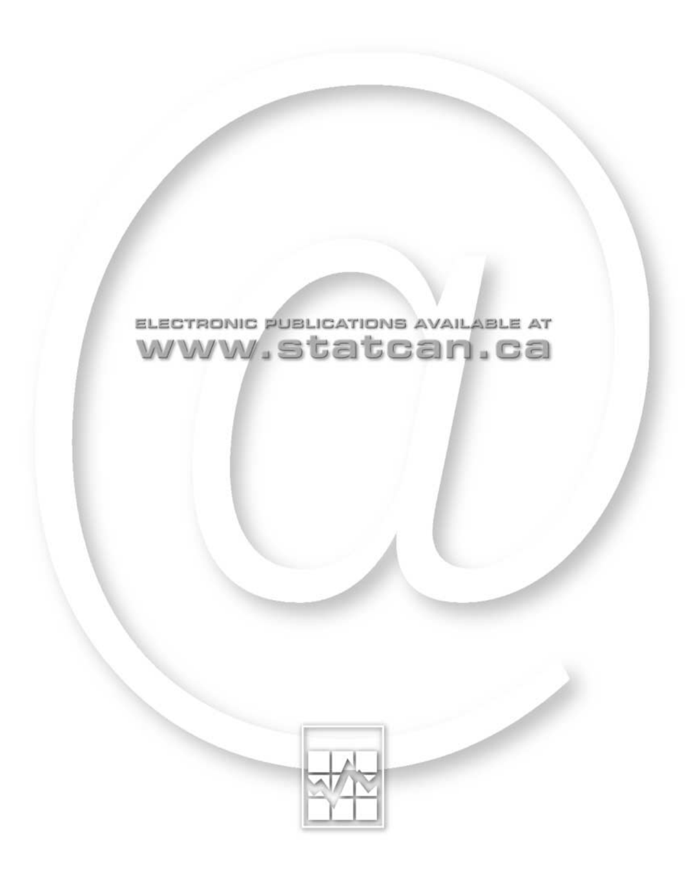

# ELECTRONIC PUBLICATIONS AVAILABLE AT www.statcan.ca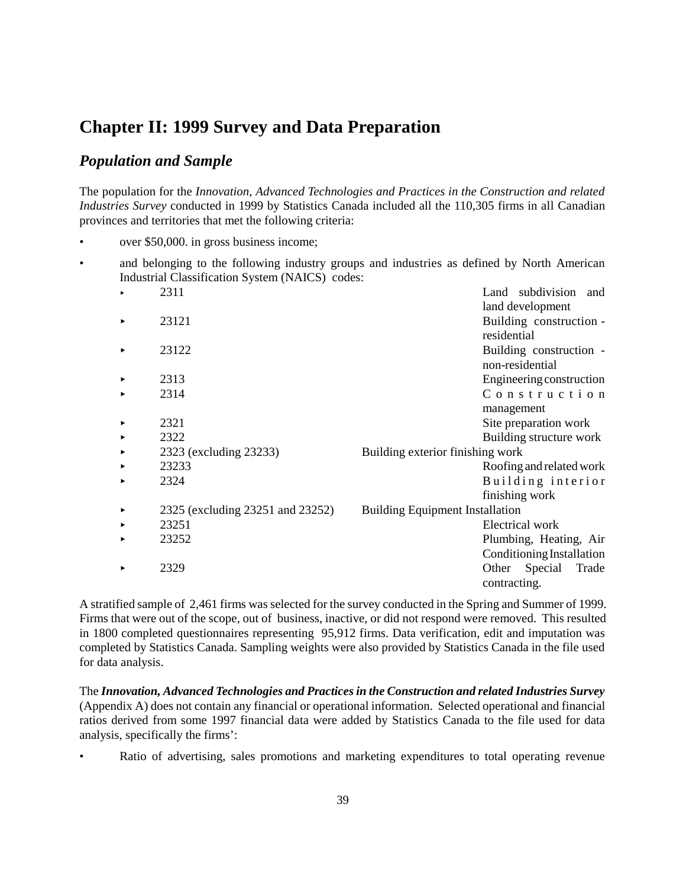# **Chapter II: 1999 Survey and Data Preparation**

## *Population and Sample*

The population for the *Innovation, Advanced Technologies and Practices in the Construction and related Industries Survey* conducted in 1999 by Statistics Canada included all the 110,305 firms in all Canadian provinces and territories that met the following criteria:

- over \$50,000. in gross business income;
- and belonging to the following industry groups and industries as defined by North American Industrial Classification System (NAICS) codes:

|   | 2311                             | Land subdivision<br>and                |
|---|----------------------------------|----------------------------------------|
|   |                                  | land development                       |
|   | 23121                            | Building construction -                |
|   |                                  | residential                            |
|   | 23122                            | Building construction -                |
|   |                                  | non-residential                        |
|   | 2313                             | Engineering construction               |
|   | 2314                             | Construction                           |
|   |                                  | management                             |
|   | 2321                             | Site preparation work                  |
|   | 2322                             | Building structure work                |
| ▶ | 2323 (excluding 23233)           | Building exterior finishing work       |
|   | 23233                            | Roofing and related work               |
|   | 2324                             | Building interior                      |
|   |                                  | finishing work                         |
|   | 2325 (excluding 23251 and 23252) | <b>Building Equipment Installation</b> |
|   | 23251                            | Electrical work                        |
|   | 23252                            | Plumbing, Heating, Air                 |
|   |                                  | Conditioning Installation              |
|   | 2329                             | Other<br>Special<br>Trade              |
|   |                                  | contracting.                           |

A stratified sample of 2,461 firms was selected for the survey conducted in the Spring and Summer of 1999. Firms that were out of the scope, out of business, inactive, or did not respond were removed. This resulted in 1800 completed questionnaires representing 95,912 firms. Data verification, edit and imputation was completed by Statistics Canada. Sampling weights were also provided by Statistics Canada in the file used for data analysis.

The *Innovation, Advanced Technologies and Practices in the Construction and related Industries Survey* (Appendix A) does not contain any financial or operational information. Selected operational and financial ratios derived from some 1997 financial data were added by Statistics Canada to the file used for data analysis, specifically the firms':

• Ratio of advertising, sales promotions and marketing expenditures to total operating revenue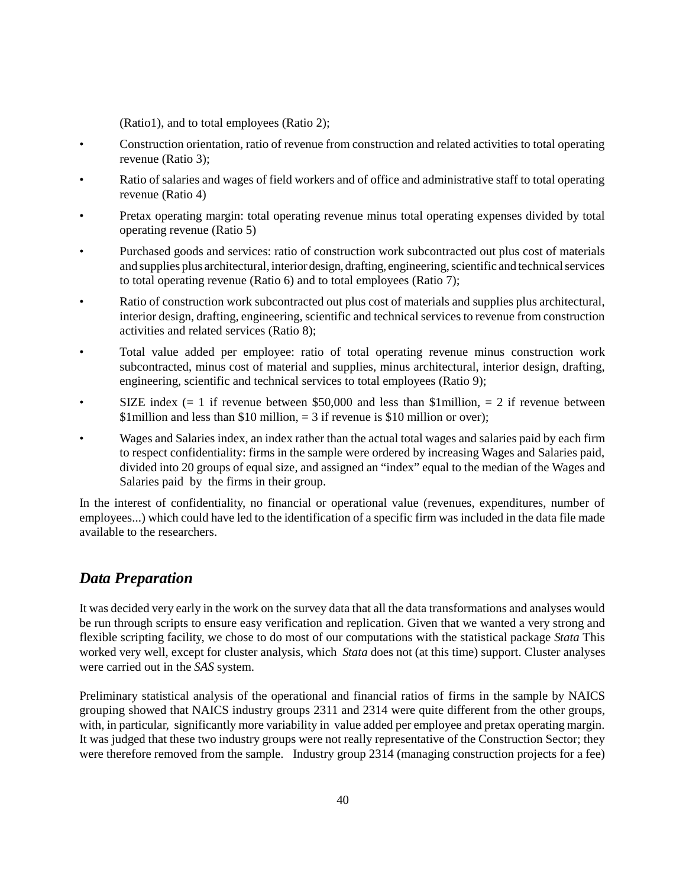(Ratio1), and to total employees (Ratio 2);

- Construction orientation, ratio of revenue from construction and related activities to total operating revenue (Ratio 3);
- Ratio of salaries and wages of field workers and of office and administrative staff to total operating revenue (Ratio 4)
- Pretax operating margin: total operating revenue minus total operating expenses divided by total operating revenue (Ratio 5)
- Purchased goods and services: ratio of construction work subcontracted out plus cost of materials and supplies plus architectural, interior design, drafting, engineering, scientific and technical services to total operating revenue (Ratio 6) and to total employees (Ratio 7);
- Ratio of construction work subcontracted out plus cost of materials and supplies plus architectural, interior design, drafting, engineering, scientific and technical services to revenue from construction activities and related services (Ratio 8);
- Total value added per employee: ratio of total operating revenue minus construction work subcontracted, minus cost of material and supplies, minus architectural, interior design, drafting, engineering, scientific and technical services to total employees (Ratio 9);
- SIZE index (= 1 if revenue between \$50,000 and less than \$1 million, = 2 if revenue between \$1 million and less than \$10 million,  $=$  3 if revenue is \$10 million or over);
- Wages and Salaries index, an index rather than the actual total wages and salaries paid by each firm to respect confidentiality: firms in the sample were ordered by increasing Wages and Salaries paid, divided into 20 groups of equal size, and assigned an "index" equal to the median of the Wages and Salaries paid by the firms in their group.

In the interest of confidentiality, no financial or operational value (revenues, expenditures, number of employees...) which could have led to the identification of a specific firm was included in the data file made available to the researchers.

# *Data Preparation*

It was decided very early in the work on the survey data that all the data transformations and analyses would be run through scripts to ensure easy verification and replication. Given that we wanted a very strong and flexible scripting facility, we chose to do most of our computations with the statistical package *Stata* This worked very well, except for cluster analysis, which *Stata* does not (at this time) support. Cluster analyses were carried out in the *SAS* system.

Preliminary statistical analysis of the operational and financial ratios of firms in the sample by NAICS grouping showed that NAICS industry groups 2311 and 2314 were quite different from the other groups, with, in particular, significantly more variability in value added per employee and pretax operating margin. It was judged that these two industry groups were not really representative of the Construction Sector; they were therefore removed from the sample. Industry group 2314 (managing construction projects for a fee)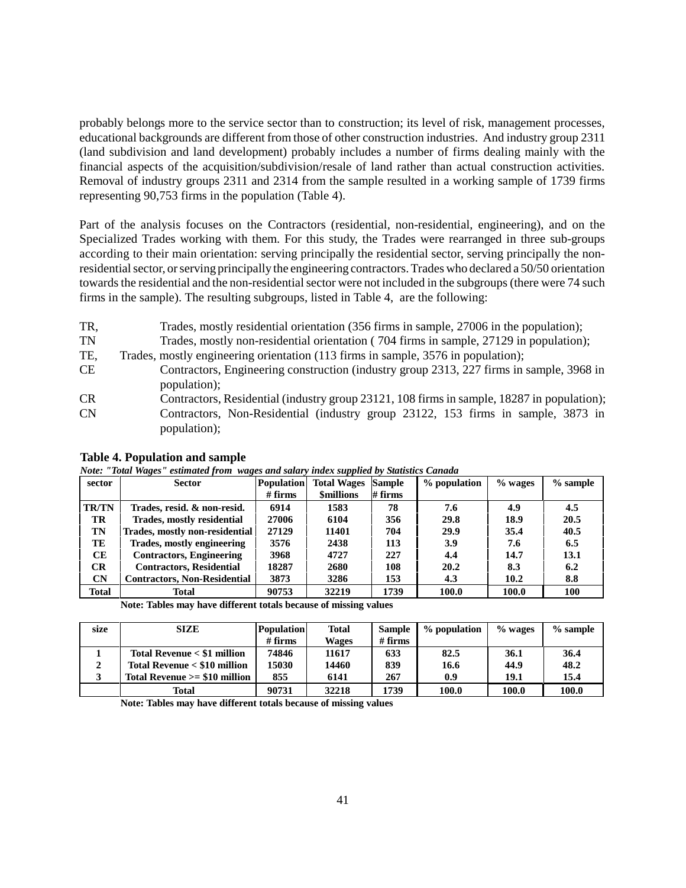probably belongs more to the service sector than to construction; its level of risk, management processes, educational backgrounds are different from those of other construction industries. And industry group 2311 (land subdivision and land development) probably includes a number of firms dealing mainly with the financial aspects of the acquisition/subdivision/resale of land rather than actual construction activities. Removal of industry groups 2311 and 2314 from the sample resulted in a working sample of 1739 firms representing 90,753 firms in the population (Table 4).

Part of the analysis focuses on the Contractors (residential, non-residential, engineering), and on the Specialized Trades working with them. For this study, the Trades were rearranged in three sub-groups according to their main orientation: serving principally the residential sector, serving principally the nonresidential sector, or serving principally the engineering contractors. Trades who declared a 50/50 orientation towards the residential and the non-residential sector were not included in the subgroups (there were 74 such firms in the sample). The resulting subgroups, listed in Table 4, are the following:

- TR, Trades, mostly residential orientation (356 firms in sample, 27006 in the population);
- TN Trades, mostly non-residential orientation ( 704 firms in sample, 27129 in population);
- TE, Trades, mostly engineering orientation (113 firms in sample, 3576 in population);
- CE Contractors, Engineering construction (industry group 2313, 227 firms in sample, 3968 in population);
- CR Contractors, Residential (industry group 23121, 108 firms in sample, 18287 in population);
- CN Contractors, Non-Residential (industry group 23122, 153 firms in sample, 3873 in population);

| <i>ivole.</i> | Tome mages                          | esumated from wages and salary thae x supplied by Salastics Candida |                               |               |              |         |            |  |
|---------------|-------------------------------------|---------------------------------------------------------------------|-------------------------------|---------------|--------------|---------|------------|--|
| sector        | <b>Sector</b>                       | <b>Population</b>                                                   | <b>Total Wages</b>            | <b>Sample</b> | % population | % wages | $%$ sample |  |
|               |                                     | $#$ firms                                                           | $#$ firms<br><b>Smillions</b> |               |              |         |            |  |
| <b>TR/TN</b>  | Trades, resid. & non-resid.         | 6914                                                                | 1583                          | 78            | 7.6          | 4.9     | 4.5        |  |
| TR            | Trades, mostly residential          | 27006                                                               | 6104                          | 356           | 29.8         | 18.9    | 20.5       |  |
| TN            | Trades, mostly non-residential      | 27129                                                               | 11401                         | 704           | 29.9         | 35.4    | 40.5       |  |
| TE            | <b>Trades, mostly engineering</b>   | 3576                                                                | 2438                          | 113           | 3.9          | 7.6     | 6.5        |  |
| <b>CE</b>     | <b>Contractors, Engineering</b>     | 3968                                                                | 4727                          | 227           | 4.4          | 14.7    | 13.1       |  |
| CR            | <b>Contractors, Residential</b>     | 18287                                                               | 2680                          | 108           | 20.2         | 8.3     | 6.2        |  |
| CN            | <b>Contractors, Non-Residential</b> | 3873                                                                | 3286                          | 153           | 4.3          | 10.2    | 8.8        |  |
| Total         | Total                               | 90753                                                               | 32219                         | 1739          | 100.0        | 100.0   | 100        |  |

**Table 4. Population and sample**

*Note: "Total Wages" estimated from wages and salary index supplied by Statistics Canada*

**Note: Tables may have different totals because of missing values**

| size | <b>SIZE</b>                    | <b>Population</b> | Total        |           | % population | $%$ wages | $%$ sample |
|------|--------------------------------|-------------------|--------------|-----------|--------------|-----------|------------|
|      |                                | $#$ firms         | <b>Wages</b> | $#$ firms |              |           |            |
|      | Total Revenue $<$ \$1 million  | 74846             | 11617        | 633       | 82.5         | 36.1      | 36.4       |
|      | Total Revenue < \$10 million   | 15030             | 14460        | 839       | 16.6         | 44.9      | 48.2       |
| - 2  | Total Revenue $>= $10$ million | 855               | 6141         | 267       | 0.9          | 19.1      | 15.4       |
|      | Total                          | 90731             | 32218        | 1739      | 100.0        | 100.0     | 100.0      |

**Note: Tables may have different totals because of missing values**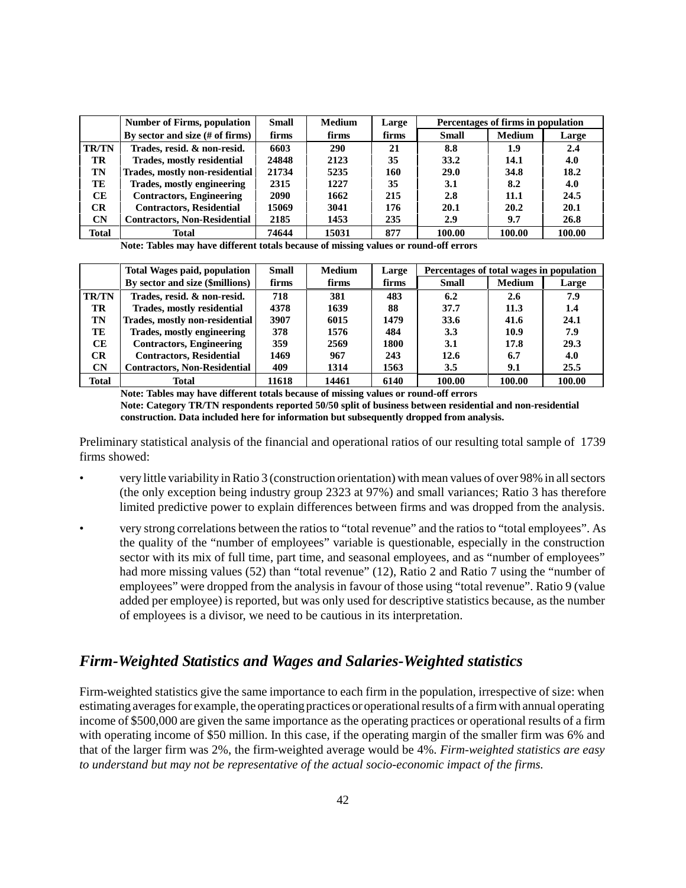|              | <b>Number of Firms, population</b>  | <b>Small</b>   | <b>Medium</b> | Large |              | Percentages of firms in population |        |  |
|--------------|-------------------------------------|----------------|---------------|-------|--------------|------------------------------------|--------|--|
|              | By sector and size (# of firms)     | firms<br>firms |               | firms | <b>Small</b> | <b>Medium</b>                      | Large  |  |
| <b>TR/TN</b> | Trades, resid. & non-resid.         | 6603           | 290           | 21    | 8.8          | 1.9                                | 2.4    |  |
| TR           | <b>Trades, mostly residential</b>   | 24848          | 2123          | 35    | 33.2         | 14.1                               | 4.0    |  |
| TN           | Trades, mostly non-residential      | 21734          | 5235          | 160   | <b>29.0</b>  | 34.8                               | 18.2   |  |
| TE           | Trades, mostly engineering          | 2315           | 1227          | 35    | 3.1          | 8.2                                | 4.0    |  |
| CЕ           | <b>Contractors, Engineering</b>     | 2090           | 1662          | 215   | 2.8          | 11.1                               | 24.5   |  |
| <b>CR</b>    | <b>Contractors, Residential</b>     | 15069          | 3041          | 176   | 20.1         | 20.2                               | 20.1   |  |
| <b>CN</b>    | <b>Contractors, Non-Residential</b> | 2185           | 1453          | 235   | 2.9          | 9.7                                | 26.8   |  |
| Total        | Total                               | 74644          | 15031         | 877   | 100.00       | 100.00                             | 100.00 |  |

**Note: Tables may have different totals because of missing values or round-off errors**

|              | <b>Total Wages paid, population</b> | <b>Small</b> | <b>Medium</b> | Large | Percentages of total wages in population |               |        |
|--------------|-------------------------------------|--------------|---------------|-------|------------------------------------------|---------------|--------|
|              | By sector and size (\$millions)     | firms        | firms         | firms | <b>Small</b>                             | <b>Medium</b> | Large  |
| <b>TR/TN</b> | Trades, resid. & non-resid.         | 718          | 381           | 483   | 6.2                                      | 2.6           | 7.9    |
| <b>TR</b>    | Trades, mostly residential          | 4378         | 1639          | 88    | 37.7                                     | 11.3          | 1.4    |
| TN           | Trades, mostly non-residential      | 3907         | 6015          | 1479  | 33.6                                     | 41.6          | 24.1   |
| TE           | Trades, mostly engineering          | 378          | 1576          | 484   | 3.3                                      | 10.9          | 7.9    |
| CЕ           | <b>Contractors, Engineering</b>     | 359          | 2569          | 1800  | 3.1                                      | 17.8          | 29.3   |
| <b>CR</b>    | <b>Contractors, Residential</b>     | 1469         | 967           | 243   | 12.6                                     | 6.7           | 4.0    |
| <b>CN</b>    | <b>Contractors, Non-Residential</b> | 409          | 1314          | 1563  | 3.5                                      | 9.1           | 25.5   |
| <b>Total</b> | Total                               | 11618        | 14461         | 6140  | 100.00                                   | 100.00        | 100.00 |

**Note: Tables may have different totals because of missing values or round-off errors**

**Note: Category TR/TN respondents reported 50/50 split of business between residential and non-residential construction. Data included here for information but subsequently dropped from analysis.**

Preliminary statistical analysis of the financial and operational ratios of our resulting total sample of 1739 firms showed:

- very little variability in Ratio 3 (construction orientation) with mean values of over 98% in all sectors (the only exception being industry group 2323 at 97%) and small variances; Ratio 3 has therefore limited predictive power to explain differences between firms and was dropped from the analysis.
- very strong correlations between the ratios to "total revenue" and the ratios to "total employees". As the quality of the "number of employees" variable is questionable, especially in the construction sector with its mix of full time, part time, and seasonal employees, and as "number of employees" had more missing values (52) than "total revenue" (12), Ratio 2 and Ratio 7 using the "number of employees" were dropped from the analysis in favour of those using "total revenue". Ratio 9 (value added per employee) is reported, but was only used for descriptive statistics because, as the number of employees is a divisor, we need to be cautious in its interpretation.

#### *Firm-Weighted Statistics and Wages and Salaries-Weighted statistics*

Firm-weighted statistics give the same importance to each firm in the population, irrespective of size: when estimating averages for example, the operating practices or operational results of a firm with annual operating income of \$500,000 are given the same importance as the operating practices or operational results of a firm with operating income of \$50 million. In this case, if the operating margin of the smaller firm was 6% and that of the larger firm was 2%, the firm-weighted average would be 4%. *Firm-weighted statistics are easy to understand but may not be representative of the actual socio-economic impact of the firms.*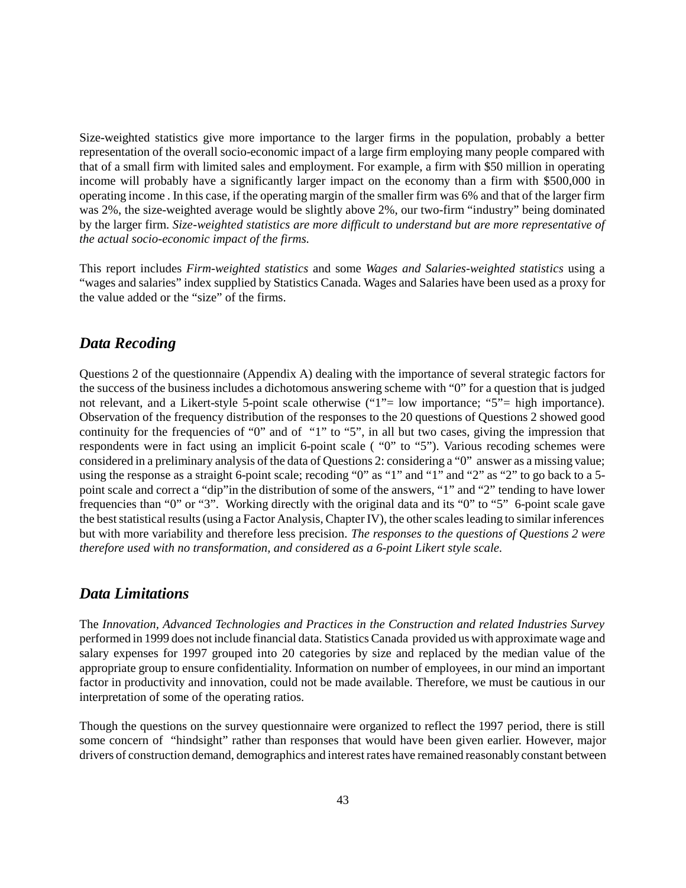Size-weighted statistics give more importance to the larger firms in the population, probably a better representation of the overall socio-economic impact of a large firm employing many people compared with that of a small firm with limited sales and employment. For example, a firm with \$50 million in operating income will probably have a significantly larger impact on the economy than a firm with \$500,000 in operating income . In this case, if the operating margin of the smaller firm was 6% and that of the larger firm was 2%, the size-weighted average would be slightly above 2%, our two-firm "industry" being dominated by the larger firm. *Size-weighted statistics are more difficult to understand but are more representative of the actual socio-economic impact of the firms.*

This report includes *Firm-weighted statistics* and some *Wages and Salaries-weighted statistics* using a "wages and salaries" index supplied by Statistics Canada. Wages and Salaries have been used as a proxy for the value added or the "size" of the firms.

#### *Data Recoding*

Questions 2 of the questionnaire (Appendix A) dealing with the importance of several strategic factors for the success of the business includes a dichotomous answering scheme with "0" for a question that is judged not relevant, and a Likert-style 5-point scale otherwise ("1"= low importance; "5"= high importance). Observation of the frequency distribution of the responses to the 20 questions of Questions 2 showed good continuity for the frequencies of "0" and of "1" to "5", in all but two cases, giving the impression that respondents were in fact using an implicit 6-point scale ( "0" to "5"). Various recoding schemes were considered in a preliminary analysis of the data of Questions 2: considering a "0" answer as a missing value; using the response as a straight 6-point scale; recoding "0" as "1" and "1" and "2" as "2" to go back to a 5point scale and correct a "dip"in the distribution of some of the answers, "1" and "2" tending to have lower frequencies than "0" or "3". Working directly with the original data and its "0" to "5" 6-point scale gave the best statistical results (using a Factor Analysis, Chapter IV), the other scales leading to similar inferences but with more variability and therefore less precision. *The responses to the questions of Questions 2 were therefore used with no transformation, and considered as a 6-point Likert style scale.*

#### *Data Limitations*

The *Innovation, Advanced Technologies and Practices in the Construction and related Industries Survey* performed in 1999 does not include financial data. Statistics Canada provided us with approximate wage and salary expenses for 1997 grouped into 20 categories by size and replaced by the median value of the appropriate group to ensure confidentiality. Information on number of employees, in our mind an important factor in productivity and innovation, could not be made available. Therefore, we must be cautious in our interpretation of some of the operating ratios.

Though the questions on the survey questionnaire were organized to reflect the 1997 period, there is still some concern of "hindsight" rather than responses that would have been given earlier. However, major drivers of construction demand, demographics and interest rates have remained reasonably constant between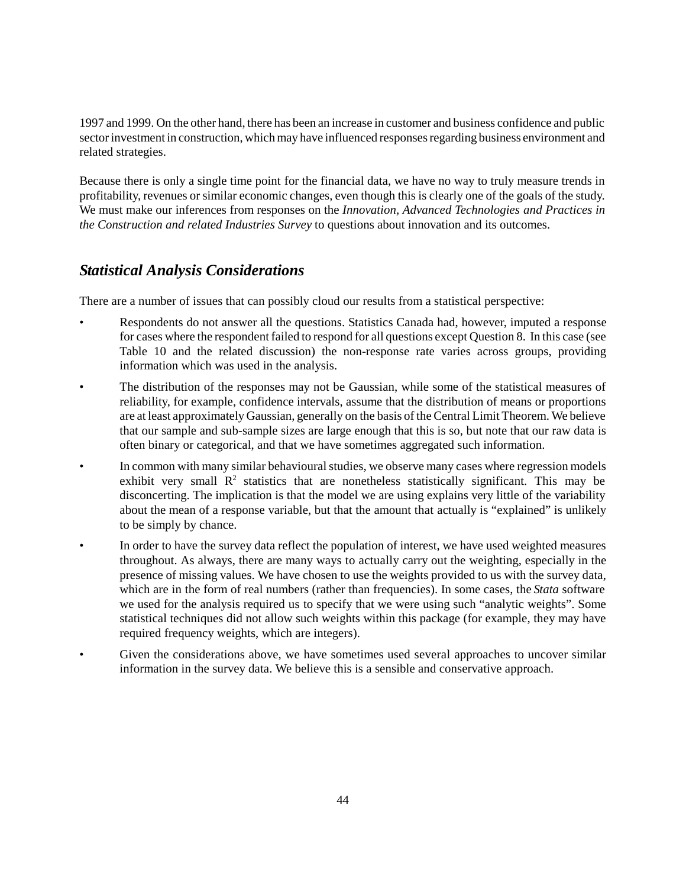1997 and 1999. On the other hand, there has been an increase in customer and business confidence and public sector investment in construction, which may have influenced responses regarding business environment and related strategies.

Because there is only a single time point for the financial data, we have no way to truly measure trends in profitability, revenues or similar economic changes, even though this is clearly one of the goals of the study. We must make our inferences from responses on the *Innovation, Advanced Technologies and Practices in the Construction and related Industries Survey* to questions about innovation and its outcomes.

# *Statistical Analysis Considerations*

There are a number of issues that can possibly cloud our results from a statistical perspective:

- Respondents do not answer all the questions. Statistics Canada had, however, imputed a response for cases where the respondent failed to respond for all questions except Question 8. In this case (see Table 10 and the related discussion) the non-response rate varies across groups, providing information which was used in the analysis.
- The distribution of the responses may not be Gaussian, while some of the statistical measures of reliability, for example, confidence intervals, assume that the distribution of means or proportions are at least approximately Gaussian, generally on the basis of the Central Limit Theorem. We believe that our sample and sub-sample sizes are large enough that this is so, but note that our raw data is often binary or categorical, and that we have sometimes aggregated such information.
- In common with many similar behavioural studies, we observe many cases where regression models exhibit very small  $R<sup>2</sup>$  statistics that are nonetheless statistically significant. This may be disconcerting. The implication is that the model we are using explains very little of the variability about the mean of a response variable, but that the amount that actually is "explained" is unlikely to be simply by chance.
- In order to have the survey data reflect the population of interest, we have used weighted measures throughout. As always, there are many ways to actually carry out the weighting, especially in the presence of missing values. We have chosen to use the weights provided to us with the survey data, which are in the form of real numbers (rather than frequencies). In some cases, the *Stata* software we used for the analysis required us to specify that we were using such "analytic weights". Some statistical techniques did not allow such weights within this package (for example, they may have required frequency weights, which are integers).
- Given the considerations above, we have sometimes used several approaches to uncover similar information in the survey data. We believe this is a sensible and conservative approach.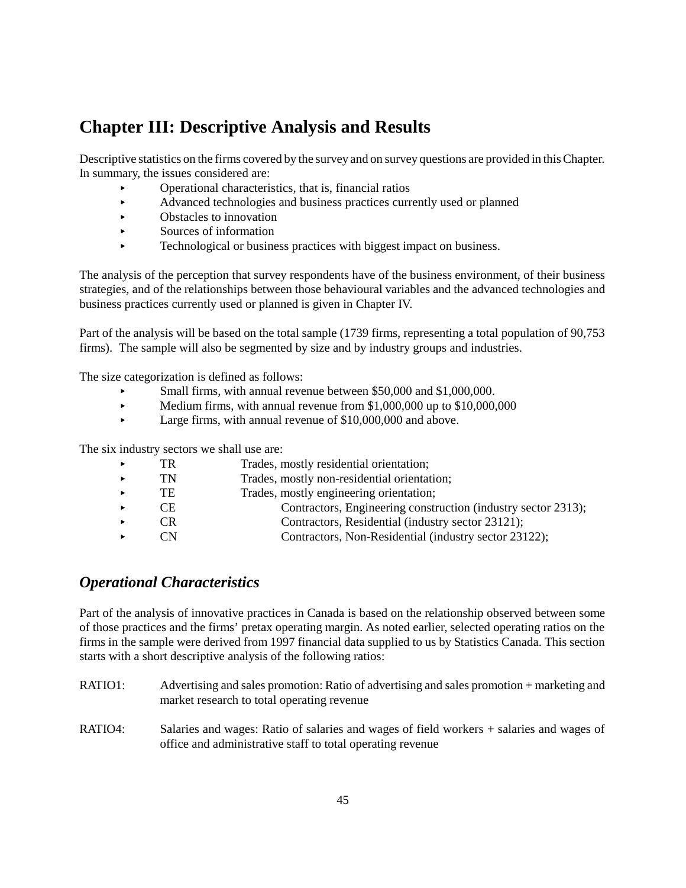# **Chapter III: Descriptive Analysis and Results**

Descriptive statistics on the firms covered by the survey and on survey questions are provided in this Chapter. In summary, the issues considered are:

- $\triangleright$  Operational characteristics, that is, financial ratios
- Advanced technologies and business practices currently used or planned
- $\triangleright$  Obstacles to innovation
- < Sources of information
- < Technological or business practices with biggest impact on business.

The analysis of the perception that survey respondents have of the business environment, of their business strategies, and of the relationships between those behavioural variables and the advanced technologies and business practices currently used or planned is given in Chapter IV.

Part of the analysis will be based on the total sample (1739 firms, representing a total population of 90,753 firms). The sample will also be segmented by size and by industry groups and industries.

The size categorization is defined as follows:

- Small firms, with annual revenue between \$50,000 and \$1,000,000.
- $\blacktriangleright$  Medium firms, with annual revenue from \$1,000,000 up to \$10,000,000
- $\blacktriangleright$  Large firms, with annual revenue of \$10,000,000 and above.

The six industry sectors we shall use are:

| TR  | Trades, mostly residential orientation;                       |
|-----|---------------------------------------------------------------|
| TN  | Trades, mostly non-residential orientation;                   |
| TE  | Trades, mostly engineering orientation;                       |
| CE. | Contractors, Engineering construction (industry sector 2313); |
| ⊞R. | Contractors, Residential (industry sector 23121);             |
|     | Contractors, Non-Residential (industry sector 23122);         |
|     |                                                               |

## *Operational Characteristics*

Part of the analysis of innovative practices in Canada is based on the relationship observed between some of those practices and the firms' pretax operating margin. As noted earlier, selected operating ratios on the firms in the sample were derived from 1997 financial data supplied to us by Statistics Canada. This section starts with a short descriptive analysis of the following ratios:

- RATIO1: Advertising and sales promotion: Ratio of advertising and sales promotion + marketing and market research to total operating revenue
- RATIO4: Salaries and wages: Ratio of salaries and wages of field workers + salaries and wages of office and administrative staff to total operating revenue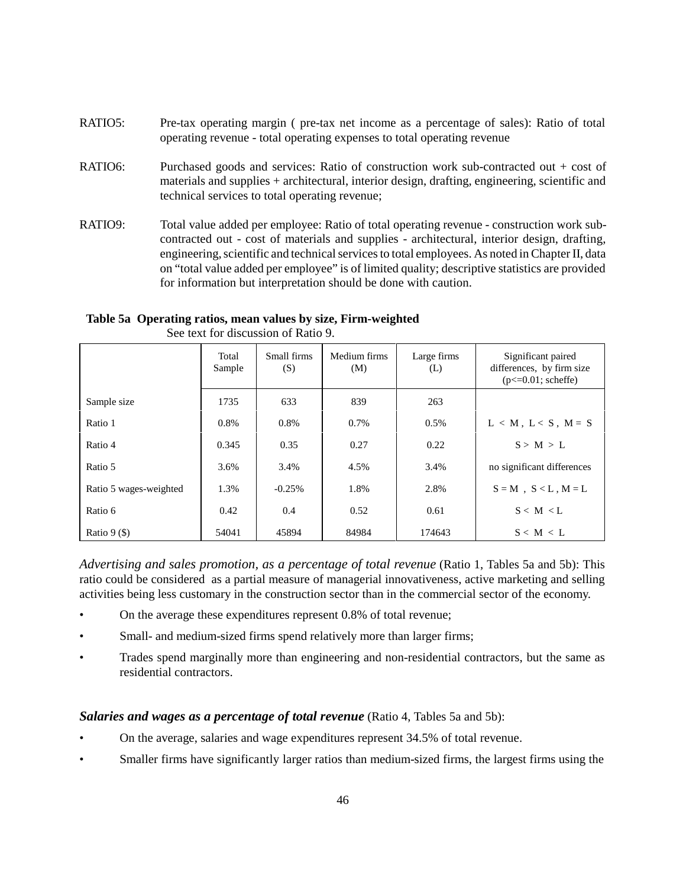- RATIO5: Pre-tax operating margin ( pre-tax net income as a percentage of sales): Ratio of total operating revenue - total operating expenses to total operating revenue
- RATIO6: Purchased goods and services: Ratio of construction work sub-contracted out + cost of materials and supplies + architectural, interior design, drafting, engineering, scientific and technical services to total operating revenue;
- RATIO9: Total value added per employee: Ratio of total operating revenue construction work subcontracted out - cost of materials and supplies - architectural, interior design, drafting, engineering, scientific and technical services to total employees. As noted in Chapter II, data on "total value added per employee" is of limited quality; descriptive statistics are provided for information but interpretation should be done with caution.

|             | Total<br>Sample | Small firms<br>(S) | Medium firms<br>(M) | Large firms<br>(L) | Significant paired<br>differences, by firm size<br>$(p \le 0.01;$ scheffe) |
|-------------|-----------------|--------------------|---------------------|--------------------|----------------------------------------------------------------------------|
| Sample size | 1735            | 633                | 839                 | 263                |                                                                            |
| Ratio 1     | 0.8%            | 0.8%               | 0.7%                | $0.5\%$            | $L < M$ , $L < S$ , $M = S$                                                |
| Ratio 4     | 0.345           | 0.35               | 0.27                | 0.22               | S > M > L                                                                  |

#### **Table 5a Operating ratios, mean values by size, Firm-weighted**

Ratio 9 (\$) 54041 45894 84984 174643 S < M < L *Advertising and sales promotion, as a percentage of total revenue* (Ratio 1, Tables 5a and 5b): This

Ratio 6 0.42 0.4 0.52 0.61 S < M < L

Ratio 5 3.6% 3.4% 4.5% 3.4% no significant differences Ratio 5 wages-weighted  $\begin{array}{|c|c|c|c|c|c|c|c|c|} \hline \end{array}$  1.3% 1.8% 2.8%  $\begin{array}{|c|c|c|c|c|c|c|c|c|} \hline \end{array}$  S = M , S < L , M = L

See text for discussion of Ratio 9.

ratio could be considered as a partial measure of managerial innovativeness, active marketing and selling activities being less customary in the construction sector than in the commercial sector of the economy.

- On the average these expenditures represent 0.8% of total revenue;
- Small- and medium-sized firms spend relatively more than larger firms;
- Trades spend marginally more than engineering and non-residential contractors, but the same as residential contractors.

#### *Salaries and wages as a percentage of total revenue* (Ratio 4, Tables 5a and 5b):

- On the average, salaries and wage expenditures represent 34.5% of total revenue.
- Smaller firms have significantly larger ratios than medium-sized firms, the largest firms using the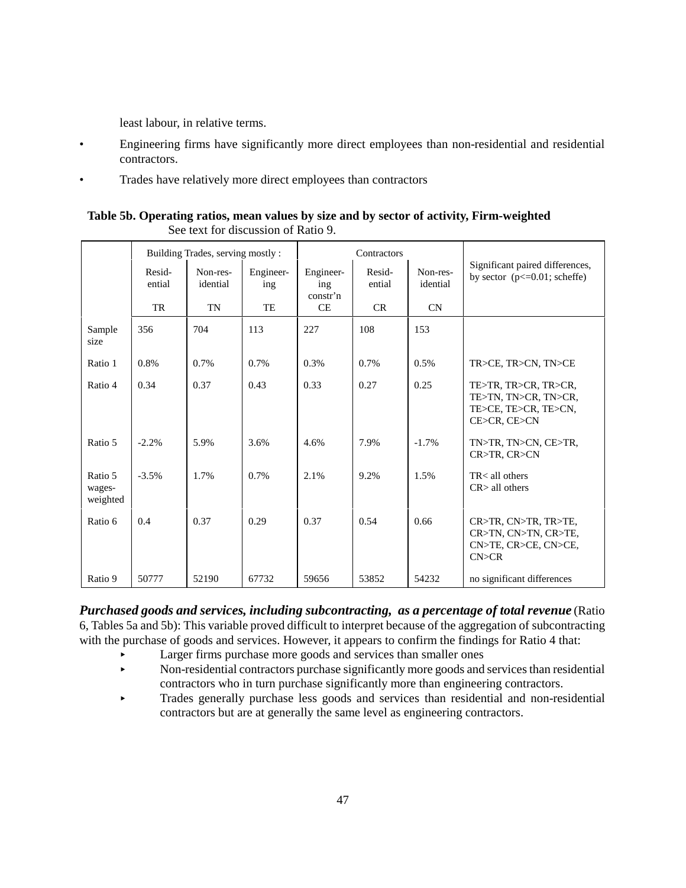least labour, in relative terms.

- Engineering firms have significantly more direct employees than non-residential and residential contractors.
- Trades have relatively more direct employees than contractors

#### **Table 5b. Operating ratios, mean values by size and by sector of activity, Firm-weighted**  See text for discussion of Ratio 9.

|                               |                  | Building Trades, serving mostly: |                  |                              | Contractors      |                      |                                                                                      |  |
|-------------------------------|------------------|----------------------------------|------------------|------------------------------|------------------|----------------------|--------------------------------------------------------------------------------------|--|
|                               | Resid-<br>ential | Non-res-<br>idential             | Engineer-<br>ing | Engineer-<br>ing<br>constr'n | Resid-<br>ential | Non-res-<br>idential | Significant paired differences,<br>by sector $(p \le 0.01$ ; scheffe)                |  |
|                               | TR               | <b>TN</b>                        | TE               | CE                           | CR               | CN                   |                                                                                      |  |
| Sample<br>size                | 356              | 704                              | 113              | 227                          | 108              | 153                  |                                                                                      |  |
| Ratio 1                       | 0.8%             | 0.7%                             | 0.7%             | 0.3%                         | 0.7%             | 0.5%                 | TR>CE, TR>CN, TN>CE                                                                  |  |
| Ratio 4                       | 0.34             | 0.37                             | 0.43             | 0.33                         | 0.27             | 0.25                 | TE>TR, TR>CR, TR>CR,<br>TE>TN, TN>CR, TN>CR,<br>TE>CE, TE>CR, TE>CN,<br>CE>CR, CE>CN |  |
| Ratio 5                       | $-2.2%$          | 5.9%                             | 3.6%             | 4.6%                         | 7.9%             | $-1.7\%$             | TN>TR, TN>CN, CE>TR,<br>CR>TR, CR>CN                                                 |  |
| Ratio 5<br>wages-<br>weighted | $-3.5%$          | 1.7%                             | 0.7%             | 2.1%                         | 9.2%             | 1.5%                 | $TR <$ all others<br>$CR$ all others                                                 |  |
| Ratio 6                       | 0.4              | 0.37                             | 0.29             | 0.37                         | 0.54             | 0.66                 | CR>TR, CN>TR, TR>TE,<br>CR>TN, CN>TN, CR>TE,<br>CN>TE, CR>CE, CN>CE,<br>CN > CR      |  |
| Ratio 9                       | 50777            | 52190                            | 67732            | 59656                        | 53852            | 54232                | no significant differences                                                           |  |

*Purchased goods and services, including subcontracting, as a percentage of total revenue* (Ratio 6, Tables 5a and 5b): This variable proved difficult to interpret because of the aggregation of subcontracting with the purchase of goods and services. However, it appears to confirm the findings for Ratio 4 that:

- < Larger firms purchase more goods and services than smaller ones
- < Non-residential contractors purchase significantly more goods and services than residential contractors who in turn purchase significantly more than engineering contractors.
- < Trades generally purchase less goods and services than residential and non-residential contractors but are at generally the same level as engineering contractors.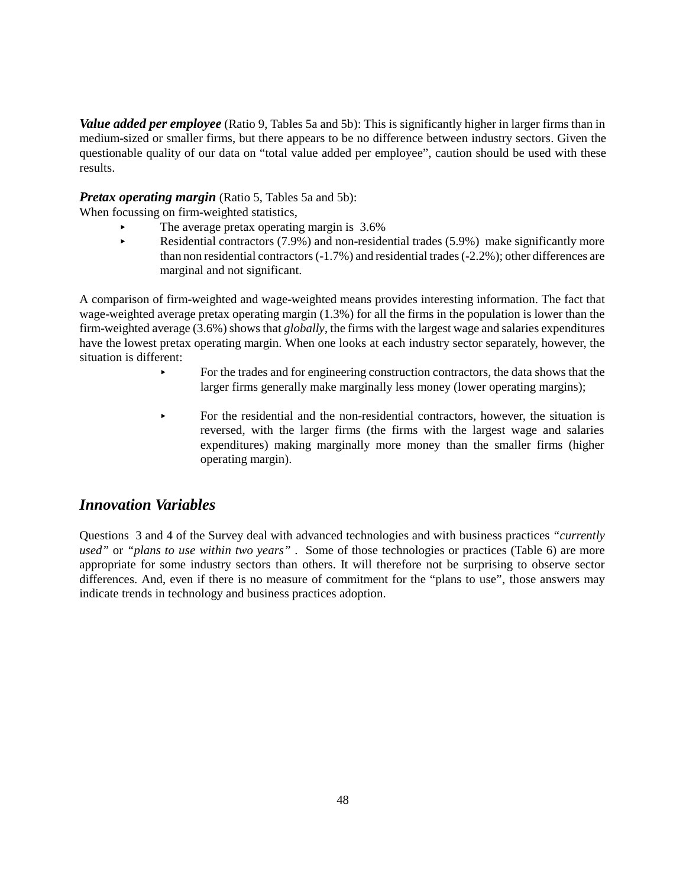*Value added per employee* (Ratio 9, Tables 5a and 5b): This is significantly higher in larger firms than in medium-sized or smaller firms, but there appears to be no difference between industry sectors. Given the questionable quality of our data on "total value added per employee", caution should be used with these results.

#### *Pretax operating margin* (Ratio 5, Tables 5a and 5b):

When focussing on firm-weighted statistics,

- The average pretax operating margin is  $3.6\%$
- Residential contractors  $(7.9%)$  and non-residential trades  $(5.9%)$  make significantly more than non residential contractors (-1.7%) and residential trades (-2.2%); other differences are marginal and not significant.

A comparison of firm-weighted and wage-weighted means provides interesting information. The fact that wage-weighted average pretax operating margin (1.3%) for all the firms in the population is lower than the firm-weighted average (3.6%) shows that *globally*, the firms with the largest wage and salaries expenditures have the lowest pretax operating margin. When one looks at each industry sector separately, however, the situation is different:

- < For the trades and for engineering construction contractors, the data shows that the larger firms generally make marginally less money (lower operating margins);
- $\triangleright$  For the residential and the non-residential contractors, however, the situation is reversed, with the larger firms (the firms with the largest wage and salaries expenditures) making marginally more money than the smaller firms (higher operating margin).

# *Innovation Variables*

Questions 3 and 4 of the Survey deal with advanced technologies and with business practices *"currently used"* or *"plans to use within two years"* . Some of those technologies or practices (Table 6) are more appropriate for some industry sectors than others. It will therefore not be surprising to observe sector differences. And, even if there is no measure of commitment for the "plans to use", those answers may indicate trends in technology and business practices adoption.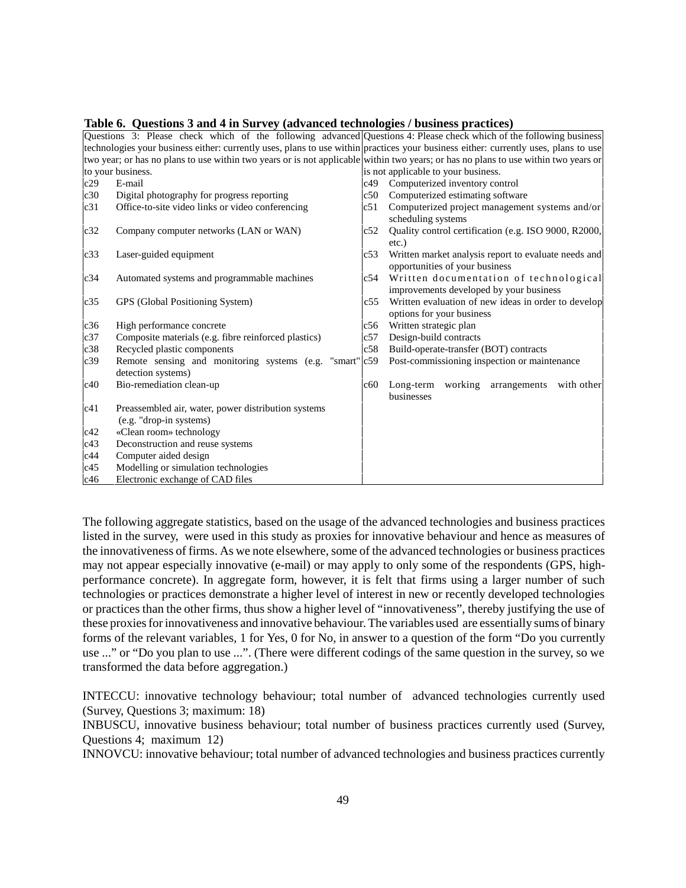|     | Questions 3: Please check which of the following advanced Questions 4: Please check which of the following business                 |     |                                                                                        |  |  |  |  |  |
|-----|-------------------------------------------------------------------------------------------------------------------------------------|-----|----------------------------------------------------------------------------------------|--|--|--|--|--|
|     | technologies your business either: currently uses, plans to use within practices your business either: currently uses, plans to use |     |                                                                                        |  |  |  |  |  |
|     | two year; or has no plans to use within two years or is not applicable within two years; or has no plans to use within two years or |     |                                                                                        |  |  |  |  |  |
|     | to your business.                                                                                                                   |     | is not applicable to your business.                                                    |  |  |  |  |  |
| c29 | E-mail                                                                                                                              | c49 | Computerized inventory control                                                         |  |  |  |  |  |
| c30 | Digital photography for progress reporting                                                                                          | c50 | Computerized estimating software                                                       |  |  |  |  |  |
| c31 | Office-to-site video links or video conferencing                                                                                    | c51 | Computerized project management systems and/or                                         |  |  |  |  |  |
|     |                                                                                                                                     |     | scheduling systems                                                                     |  |  |  |  |  |
| c32 | Company computer networks (LAN or WAN)                                                                                              | c52 | Quality control certification (e.g. ISO 9000, R2000,                                   |  |  |  |  |  |
|     |                                                                                                                                     |     | $etc.$ )                                                                               |  |  |  |  |  |
| c33 | Laser-guided equipment                                                                                                              | c53 | Written market analysis report to evaluate needs and<br>opportunities of your business |  |  |  |  |  |
| c34 | Automated systems and programmable machines                                                                                         | c54 | Written documentation of technological                                                 |  |  |  |  |  |
|     |                                                                                                                                     |     | improvements developed by your business                                                |  |  |  |  |  |
| c35 | GPS (Global Positioning System)                                                                                                     | c55 | Written evaluation of new ideas in order to develop                                    |  |  |  |  |  |
|     |                                                                                                                                     |     | options for your business                                                              |  |  |  |  |  |
| c36 | High performance concrete                                                                                                           | c56 | Written strategic plan                                                                 |  |  |  |  |  |
| c37 | Composite materials (e.g. fibre reinforced plastics)                                                                                | c57 | Design-build contracts                                                                 |  |  |  |  |  |
| c38 | Recycled plastic components                                                                                                         | c58 | Build-operate-transfer (BOT) contracts                                                 |  |  |  |  |  |
| c39 | Remote sensing and monitoring systems (e.g. "smart" c59                                                                             |     | Post-commissioning inspection or maintenance                                           |  |  |  |  |  |
|     | detection systems)                                                                                                                  |     |                                                                                        |  |  |  |  |  |
| c40 | Bio-remediation clean-up                                                                                                            | c60 | working arrangements<br>Long-term<br>with other<br>businesses                          |  |  |  |  |  |
| c41 | Preassembled air, water, power distribution systems                                                                                 |     |                                                                                        |  |  |  |  |  |
|     | (e.g. "drop-in systems)                                                                                                             |     |                                                                                        |  |  |  |  |  |
| c42 | «Clean room» technology                                                                                                             |     |                                                                                        |  |  |  |  |  |
| c43 | Deconstruction and reuse systems                                                                                                    |     |                                                                                        |  |  |  |  |  |
| c44 | Computer aided design                                                                                                               |     |                                                                                        |  |  |  |  |  |
| c45 | Modelling or simulation technologies                                                                                                |     |                                                                                        |  |  |  |  |  |
| c46 | Electronic exchange of CAD files                                                                                                    |     |                                                                                        |  |  |  |  |  |

**Table 6. Questions 3 and 4 in Survey (advanced technologies / business practices)**

The following aggregate statistics, based on the usage of the advanced technologies and business practices listed in the survey, were used in this study as proxies for innovative behaviour and hence as measures of the innovativeness of firms. As we note elsewhere, some of the advanced technologies or business practices may not appear especially innovative (e-mail) or may apply to only some of the respondents (GPS, highperformance concrete). In aggregate form, however, it is felt that firms using a larger number of such technologies or practices demonstrate a higher level of interest in new or recently developed technologies or practices than the other firms, thus show a higher level of "innovativeness", thereby justifying the use of these proxies for innovativeness and innovative behaviour. The variables used are essentially sums of binary forms of the relevant variables, 1 for Yes, 0 for No, in answer to a question of the form "Do you currently use ..." or "Do you plan to use ...". (There were different codings of the same question in the survey, so we transformed the data before aggregation.)

INTECCU: innovative technology behaviour; total number of advanced technologies currently used (Survey, Questions 3; maximum: 18)

INBUSCU, innovative business behaviour; total number of business practices currently used (Survey, Questions 4; maximum 12)

INNOVCU: innovative behaviour; total number of advanced technologies and business practices currently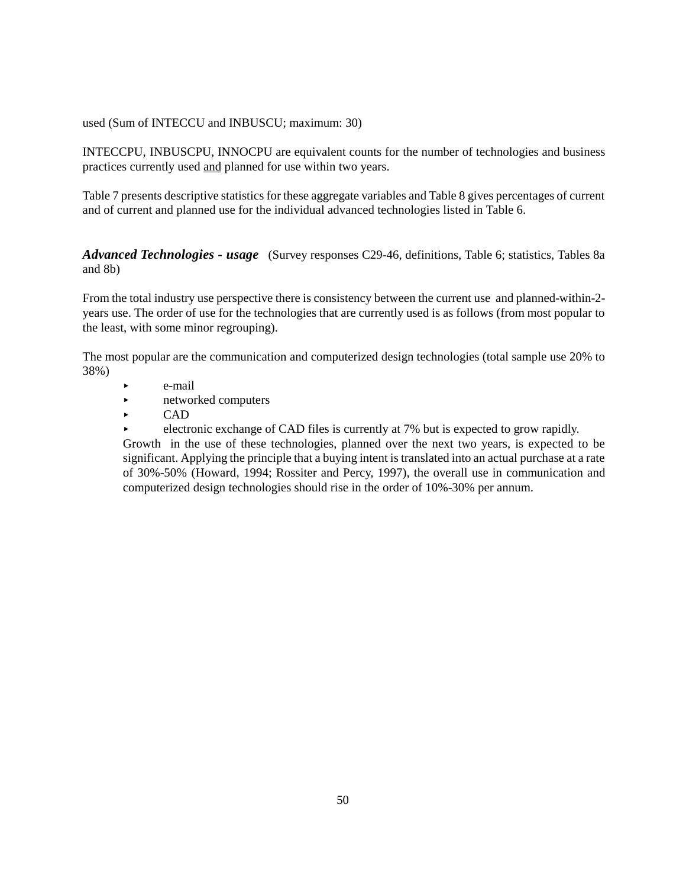used (Sum of INTECCU and INBUSCU; maximum: 30)

INTECCPU, INBUSCPU, INNOCPU are equivalent counts for the number of technologies and business practices currently used and planned for use within two years.

Table 7 presents descriptive statistics for these aggregate variables and Table 8 gives percentages of current and of current and planned use for the individual advanced technologies listed in Table 6.

*Advanced Technologies - usage* (Survey responses C29-46, definitions, Table 6; statistics, Tables 8a and 8b)

From the total industry use perspective there is consistency between the current use and planned-within-2 years use. The order of use for the technologies that are currently used is as follows (from most popular to the least, with some minor regrouping).

The most popular are the communication and computerized design technologies (total sample use 20% to 38%)

- e-mail
- **Exercise** extends the networked computers
- < CAD
- electronic exchange of CAD files is currently at 7% but is expected to grow rapidly.

Growth in the use of these technologies, planned over the next two years, is expected to be significant. Applying the principle that a buying intent is translated into an actual purchase at a rate of 30%-50% (Howard, 1994; Rossiter and Percy, 1997), the overall use in communication and computerized design technologies should rise in the order of 10%-30% per annum.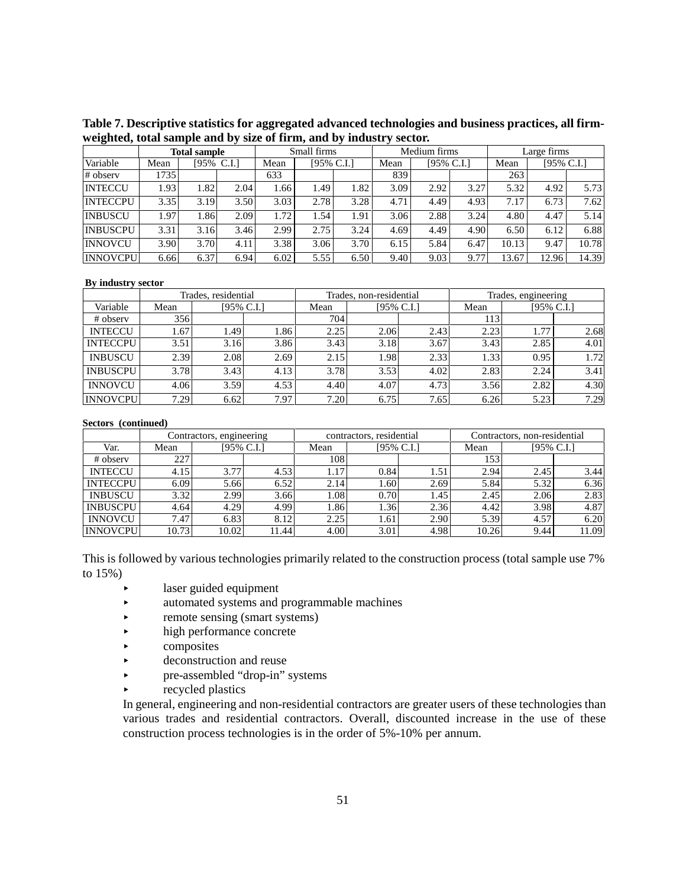**Table 7. Descriptive statistics for aggregated advanced technologies and business practices, all firmweighted, total sample and by size of firm, and by industry sector.**

|                 |      | <b>Total sample</b> |            | Small firms |                       |      | Medium firms |            |      | Large firms |       |            |  |
|-----------------|------|---------------------|------------|-------------|-----------------------|------|--------------|------------|------|-------------|-------|------------|--|
| Variable        | Mean |                     | [95% C.I.] | Mean        | $[95\% \text{ C.I.}]$ |      | Mean         | [95% C.I.] |      | Mean        |       | [95% C.I.] |  |
| # observ        | 1735 |                     |            | 633         |                       |      | 839          |            |      | 263         |       |            |  |
| <b>INTECCU</b>  | 1.93 | 1.82                | 2.04       | 1.66        | 1.49                  | 1.82 | 3.09         | 2.92       | 3.27 | 5.32        | 4.92  | 5.73       |  |
| <b>INTECCPU</b> | 3.35 | 3.19                | 3.50       | 3.03        | 2.78                  | 3.28 | 4.71         | 4.49       | 4.93 | 7.17        | 6.73  | 7.62       |  |
| <b>INBUSCU</b>  | 1.97 | 1.86                | 2.09       | 1.72        | 1.54                  | 1.91 | 3.06         | 2.88       | 3.24 | 4.80        | 4.47  | 5.14       |  |
| <b>INBUSCPU</b> | 3.31 | 3.16                | 3.46       | 2.99        | 2.75                  | 3.24 | 4.69         | 4.49       | 4.90 | 6.50        | 6.12  | 6.88       |  |
| <b>INNOVCU</b>  | 3.90 | 3.70                | 4.11       | 3.38        | 3.06                  | 3.70 | 6.15         | 5.84       | 6.47 | 10.13       | 9.47  | 10.78      |  |
| <b>INNOVCPU</b> | 6.66 | 6.37                | 6.94       | 6.02        | 5.55                  | 6.50 | 9.40         | 9.03       | 9.77 | 13.67       | 12.96 | 14.39      |  |

#### **By industry sector**

|                 |      | Trades, residential |            |      | Trades, non-residential |            | Trades, engineering |      |            |  |
|-----------------|------|---------------------|------------|------|-------------------------|------------|---------------------|------|------------|--|
| Variable        | Mean |                     | [95% C.I.] | Mean |                         | [95% C.I.] |                     |      | [95% C.I.] |  |
| # observ        | 356  |                     |            | 704. |                         |            | 113                 |      |            |  |
| <b>INTECCU</b>  | l.67 | .491                | 1.86       | 2.25 | 2.06                    | 2.43       | 2.23                | 1.77 | 2.68       |  |
| <b>INTECCPU</b> | 3.51 | 3.16                | 3.86       | 3.43 | 3.18                    | 3.67       | 3.43                | 2.85 | 4.01       |  |
| <b>INBUSCU</b>  | 2.39 | 2.08                | 2.69       | 2.15 | 1.98                    | 2.33       | 1.33                | 0.95 | 1.72       |  |
| <b>INBUSCPU</b> | 3.78 | 3.43                | 4.13       | 3.78 | 3.53                    | 4.02       | 2.83                | 2.24 | 3.41       |  |
| <b>INNOVCU</b>  | 4.06 | 3.59                | 4.53       | 4.40 | 4.07                    | 4.73       | 3.56                | 2.82 | 4.30       |  |
| <b>INNOVCPU</b> | 7.29 | 6.62                | 7.97       | 7.20 | 6.75                    | 7.65       | 6.26                | 5.23 | 7.29       |  |

#### **Sectors (continued)**

|                 |       | Contractors, engineering |       |      | contractors, residential |      | Contractors, non-residential |      |       |  |
|-----------------|-------|--------------------------|-------|------|--------------------------|------|------------------------------|------|-------|--|
| Var.            | Mean  | [95% C.I.]               |       | Mean | [95% C.I.]               |      | Mean<br>[95% C.I.]           |      |       |  |
| # observ        | 227   |                          |       | 108  |                          |      | 153                          |      |       |  |
| <b>INTECCU</b>  | 4.15  | 3.77                     | 4.53  | 1.17 | 0.84                     | 1.51 | 2.94                         | 2.45 | 3.44  |  |
| <b>INTECCPU</b> | 6.09  | 5.66                     | 6.52  | 2.14 | .60                      | 2.69 | 5.84                         | 5.32 | 6.36  |  |
| <b>INBUSCU</b>  | 3.32  | 2.99                     | 3.66  | 1.08 | 0.70                     | 1.45 | 2.45                         | 2.06 | 2.83  |  |
| <b>INBUSCPU</b> | 4.64  | 4.29                     | 4.99  | 1.86 | ا36.                     | 2.36 | 4.42                         | 3.98 | 4.87  |  |
| <b>INNOVCU</b>  | 7.47  | 6.83                     | 8.12  | 2.25 | $.61^{\circ}$            | 2.90 | 5.39                         | 4.57 | 6.20  |  |
| <b>INNOVCPU</b> | 10.73 | 10.02                    | 11.44 | 4.00 | 3.01                     | 4.98 | 10.26                        | 9.44 | 11.09 |  |

This is followed by various technologies primarily related to the construction process (total sample use 7% to 15%)

- $\blacktriangleright$  laser guided equipment
- < automated systems and programmable machines
- $\blacktriangleright$  remote sensing (smart systems)
- high performance concrete
- $\triangleright$  composites
- $\rightarrow$  deconstruction and reuse
- < pre-assembled "drop-in" systems
- recycled plastics

In general, engineering and non-residential contractors are greater users of these technologies than various trades and residential contractors. Overall, discounted increase in the use of these construction process technologies is in the order of 5%-10% per annum.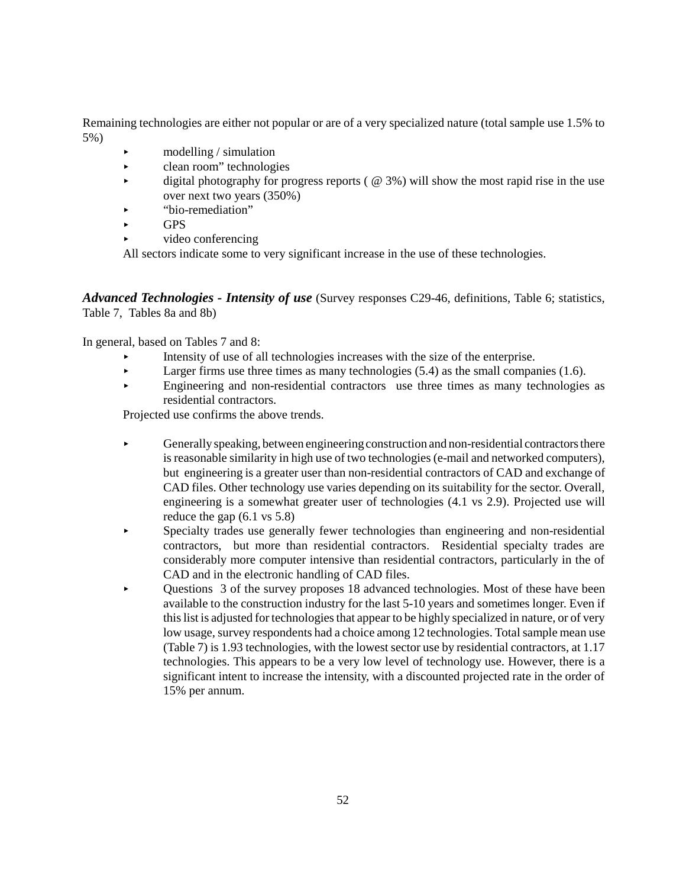Remaining technologies are either not popular or are of a very specialized nature (total sample use 1.5% to 5%)

- $\blacktriangleright$  modelling / simulation
- clean room" technologies
- digital photography for progress reports ( $\omega$  3%) will show the most rapid rise in the use over next two years (350%)
- < "bio-remediation"
- **GPS**
- < video conferencing

All sectors indicate some to very significant increase in the use of these technologies.

*Advanced Technologies - Intensity of use* (Survey responses C29-46, definitions, Table 6; statistics, Table 7, Tables 8a and 8b)

In general, based on Tables 7 and 8:

- < Intensity of use of all technologies increases with the size of the enterprise.
- Exerger firms use three times as many technologies  $(5.4)$  as the small companies  $(1.6)$ .
- < Engineering and non-residential contractors use three times as many technologies as residential contractors.

Projected use confirms the above trends.

- < Generally speaking, between engineering construction and non-residential contractors there is reasonable similarity in high use of two technologies (e-mail and networked computers), but engineering is a greater user than non-residential contractors of CAD and exchange of CAD files. Other technology use varies depending on its suitability for the sector. Overall, engineering is a somewhat greater user of technologies (4.1 vs 2.9). Projected use will reduce the gap (6.1 vs 5.8)
- < Specialty trades use generally fewer technologies than engineering and non-residential contractors, but more than residential contractors. Residential specialty trades are considerably more computer intensive than residential contractors, particularly in the of CAD and in the electronic handling of CAD files.
- < Questions 3 of the survey proposes 18 advanced technologies. Most of these have been available to the construction industry for the last 5-10 years and sometimes longer. Even if this list is adjusted for technologies that appear to be highly specialized in nature, or of very low usage, survey respondents had a choice among 12 technologies. Total sample mean use (Table 7) is 1.93 technologies, with the lowest sector use by residential contractors, at 1.17 technologies. This appears to be a very low level of technology use. However, there is a significant intent to increase the intensity, with a discounted projected rate in the order of 15% per annum.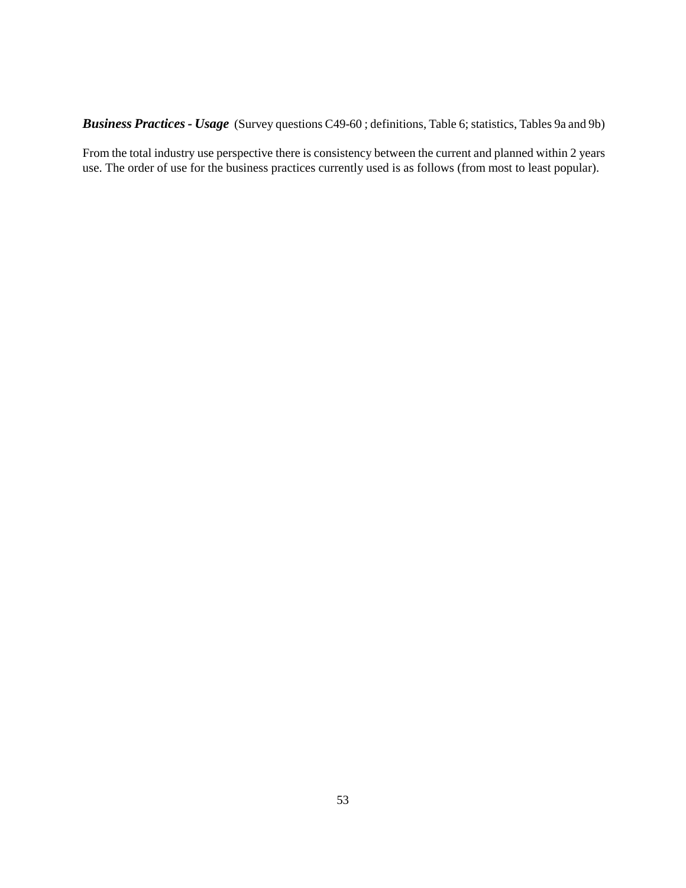*Business Practices - Usage* (Survey questions C49-60 ; definitions, Table 6; statistics, Tables 9a and 9b)

From the total industry use perspective there is consistency between the current and planned within 2 years use. The order of use for the business practices currently used is as follows (from most to least popular).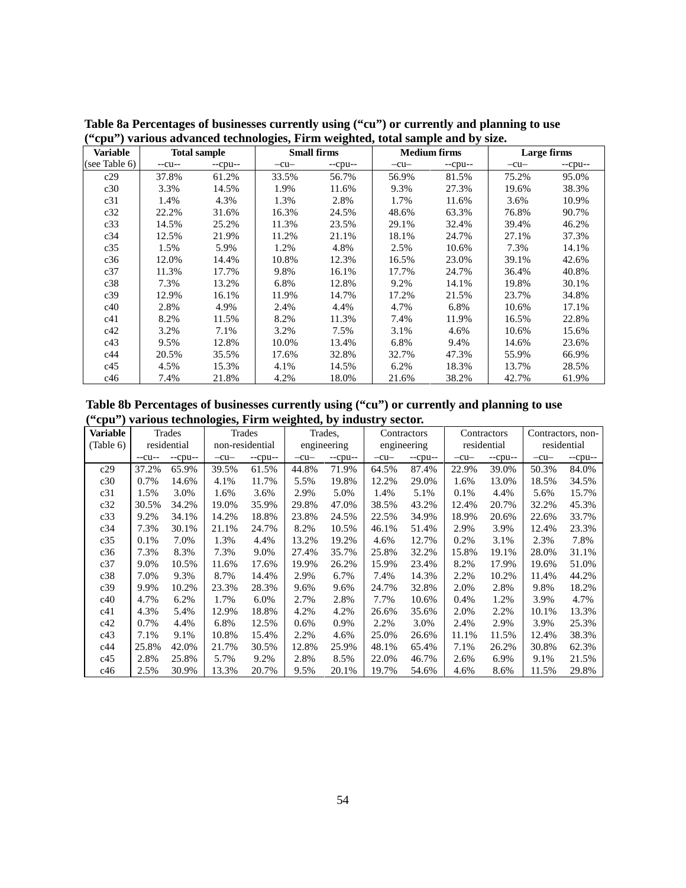| epa ) various auvanceu tecnnologies, i n'hi weighteu; total sample and by size. |        |                     |        |                    |        |                     |        |             |  |  |  |
|---------------------------------------------------------------------------------|--------|---------------------|--------|--------------------|--------|---------------------|--------|-------------|--|--|--|
| <b>Variable</b>                                                                 |        | <b>Total sample</b> |        | <b>Small firms</b> |        | <b>Medium firms</b> |        | Large firms |  |  |  |
| (see Table 6)                                                                   | $-cu-$ | $-cpu-$             | $-cu-$ | $-cpu-$            | $-cu-$ | $-cpu-$             | $-cu-$ | $-cpu-$     |  |  |  |
| c29                                                                             | 37.8%  | 61.2%               | 33.5%  | 56.7%              | 56.9%  | 81.5%               | 75.2%  | 95.0%       |  |  |  |
| c30                                                                             | 3.3%   | 14.5%               | 1.9%   | 11.6%              | 9.3%   | 27.3%               | 19.6%  | 38.3%       |  |  |  |
| c31                                                                             | 1.4%   | 4.3%                | 1.3%   | 2.8%               | 1.7%   | 11.6%               | 3.6%   | 10.9%       |  |  |  |
| c32                                                                             | 22.2%  | 31.6%               | 16.3%  | 24.5%              | 48.6%  | 63.3%               | 76.8%  | 90.7%       |  |  |  |
| c33                                                                             | 14.5%  | 25.2%               | 11.3%  | 23.5%              | 29.1%  | 32.4%               | 39.4%  | 46.2%       |  |  |  |
| c34                                                                             | 12.5%  | 21.9%               | 11.2%  | 21.1%              | 18.1%  | 24.7%               | 27.1%  | 37.3%       |  |  |  |
| c35                                                                             | 1.5%   | 5.9%                | 1.2%   | 4.8%               | 2.5%   | 10.6%               | 7.3%   | 14.1%       |  |  |  |
| c36                                                                             | 12.0%  | 14.4%               | 10.8%  | 12.3%              | 16.5%  | 23.0%               | 39.1%  | 42.6%       |  |  |  |
| c37                                                                             | 11.3%  | 17.7%               | 9.8%   | 16.1%              | 17.7%  | 24.7%               | 36.4%  | 40.8%       |  |  |  |
| c38                                                                             | 7.3%   | 13.2%               | 6.8%   | 12.8%              | 9.2%   | 14.1%               | 19.8%  | 30.1%       |  |  |  |
| c39                                                                             | 12.9%  | 16.1%               | 11.9%  | 14.7%              | 17.2%  | 21.5%               | 23.7%  | 34.8%       |  |  |  |
| c40                                                                             | 2.8%   | 4.9%                | 2.4%   | 4.4%               | 4.7%   | 6.8%                | 10.6%  | 17.1%       |  |  |  |
| c41                                                                             | 8.2%   | 11.5%               | 8.2%   | 11.3%              | 7.4%   | 11.9%               | 16.5%  | 22.8%       |  |  |  |
| c42                                                                             | 3.2%   | 7.1%                | 3.2%   | 7.5%               | 3.1%   | 4.6%                | 10.6%  | 15.6%       |  |  |  |
| c43                                                                             | 9.5%   | 12.8%               | 10.0%  | 13.4%              | 6.8%   | 9.4%                | 14.6%  | 23.6%       |  |  |  |
| c44                                                                             | 20.5%  | 35.5%               | 17.6%  | 32.8%              | 32.7%  | 47.3%               | 55.9%  | 66.9%       |  |  |  |
| c45                                                                             | 4.5%   | 15.3%               | 4.1%   | 14.5%              | 6.2%   | 18.3%               | 13.7%  | 28.5%       |  |  |  |
| c46                                                                             | 7.4%   | 21.8%               | 4.2%   | 18.0%              | 21.6%  | 38.2%               | 42.7%  | 61.9%       |  |  |  |

**Table 8a Percentages of businesses currently using ("cu") or currently and planning to use ("cpu") various advanced technologies, Firm weighted, total sample and by size.**

**Table 8b Percentages of businesses currently using ("cu") or currently and planning to use ("cpu") various technologies, Firm weighted, by industry sector.**

| <b>Variable</b> |        | Trades      |        | Trades          | Trades, |             | Contractors |             | Contractors |             | Contractors, non- |             |
|-----------------|--------|-------------|--------|-----------------|---------|-------------|-------------|-------------|-------------|-------------|-------------------|-------------|
| (Table 6)       |        | residential |        | non-residential |         | engineering |             | engineering |             | residential |                   | residential |
|                 | $-cu-$ | $-cpu-$     | $-cu-$ | $-cpu-$         | $-cu-$  | $-cpu-$     | $-cu-$      | $-cpu-$     | $-cu-$      | $-cpu-$     | $-cu-$            | $-cpu-$     |
| c29             | 37.2%  | 65.9%       | 39.5%  | 61.5%           | 44.8%   | 71.9%       | 64.5%       | 87.4%       | 22.9%       | 39.0%       | 50.3%             | 84.0%       |
| c30             | 0.7%   | 14.6%       | 4.1%   | 11.7%           | 5.5%    | 19.8%       | 12.2%       | 29.0%       | 1.6%        | 13.0%       | 18.5%             | 34.5%       |
| c31             | 1.5%   | 3.0%        | 1.6%   | 3.6%            | 2.9%    | 5.0%        | 1.4%        | 5.1%        | 0.1%        | 4.4%        | 5.6%              | 15.7%       |
| c32             | 30.5%  | 34.2%       | 19.0%  | 35.9%           | 29.8%   | 47.0%       | 38.5%       | 43.2%       | 12.4%       | 20.7%       | 32.2%             | 45.3%       |
| c33             | 9.2%   | 34.1%       | 14.2%  | 18.8%           | 23.8%   | 24.5%       | 22.5%       | 34.9%       | 18.9%       | 20.6%       | 22.6%             | 33.7%       |
| c34             | 7.3%   | 30.1%       | 21.1%  | 24.7%           | 8.2%    | 10.5%       | 46.1%       | 51.4%       | 2.9%        | 3.9%        | 12.4%             | 23.3%       |
| c35             | 0.1%   | 7.0%        | 1.3%   | 4.4%            | 13.2%   | 19.2%       | 4.6%        | 12.7%       | 0.2%        | 3.1%        | 2.3%              | 7.8%        |
| c36             | 7.3%   | 8.3%        | 7.3%   | 9.0%            | 27.4%   | 35.7%       | 25.8%       | 32.2%       | 15.8%       | 19.1%       | 28.0%             | 31.1%       |
| c37             | 9.0%   | 10.5%       | 11.6%  | 17.6%           | 19.9%   | 26.2%       | 15.9%       | 23.4%       | 8.2%        | 17.9%       | 19.6%             | 51.0%       |
| c38             | 7.0%   | 9.3%        | 8.7%   | 14.4%           | 2.9%    | 6.7%        | 7.4%        | 14.3%       | 2.2%        | 10.2%       | 11.4%             | 44.2%       |
| c39             | 9.9%   | 10.2%       | 23.3%  | 28.3%           | 9.6%    | 9.6%        | 24.7%       | 32.8%       | 2.0%        | 2.8%        | 9.8%              | 18.2%       |
| c40             | 4.7%   | 6.2%        | 1.7%   | 6.0%            | 2.7%    | 2.8%        | 7.7%        | 10.6%       | 0.4%        | 1.2%        | 3.9%              | 4.7%        |
| c41             | 4.3%   | 5.4%        | 12.9%  | 18.8%           | 4.2%    | 4.2%        | 26.6%       | 35.6%       | 2.0%        | 2.2%        | 10.1%             | 13.3%       |
| c42             | 0.7%   | 4.4%        | 6.8%   | 12.5%           | $0.6\%$ | 0.9%        | 2.2%        | 3.0%        | 2.4%        | 2.9%        | 3.9%              | 25.3%       |
| c43             | 7.1%   | 9.1%        | 10.8%  | 15.4%           | 2.2%    | 4.6%        | 25.0%       | 26.6%       | 11.1%       | 11.5%       | 12.4%             | 38.3%       |
| c44             | 25.8%  | 42.0%       | 21.7%  | 30.5%           | 12.8%   | 25.9%       | 48.1%       | 65.4%       | 7.1%        | 26.2%       | 30.8%             | 62.3%       |
| c45             | 2.8%   | 25.8%       | 5.7%   | 9.2%            | 2.8%    | 8.5%        | 22.0%       | 46.7%       | 2.6%        | 6.9%        | 9.1%              | 21.5%       |
| c46             | 2.5%   | 30.9%       | 13.3%  | 20.7%           | 9.5%    | 20.1%       | 19.7%       | 54.6%       | 4.6%        | 8.6%        | 11.5%             | 29.8%       |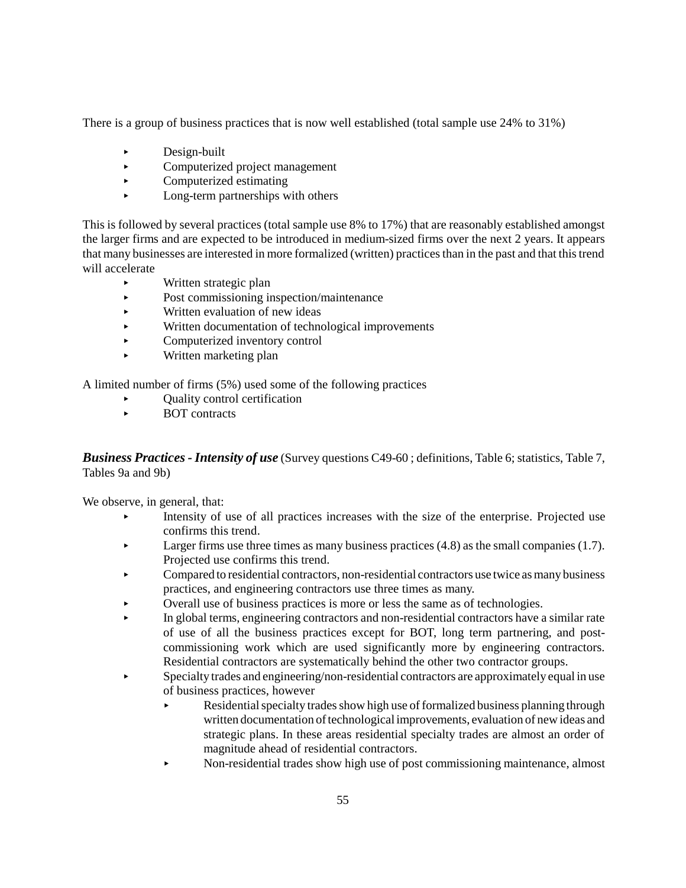There is a group of business practices that is now well established (total sample use 24% to 31%)

- $\triangleright$  Design-built
- < Computerized project management
- $\blacktriangleright$  Computerized estimating
- $\blacktriangleright$  Long-term partnerships with others

This is followed by several practices (total sample use 8% to 17%) that are reasonably established amongst the larger firms and are expected to be introduced in medium-sized firms over the next 2 years. It appears that many businesses are interested in more formalized (written) practices than in the past and that this trend will accelerate

- < Written strategic plan
- Post commissioning inspection/maintenance
- $\blacktriangleright$  Written evaluation of new ideas
- < Written documentation of technological improvements
- Computerized inventory control
- < Written marketing plan

A limited number of firms (5%) used some of the following practices

- < Quality control certification
- < BOT contracts

*Business Practices - Intensity of use* (Survey questions C49-60 ; definitions, Table 6; statistics, Table 7, Tables 9a and 9b)

We observe, in general, that:

- < Intensity of use of all practices increases with the size of the enterprise. Projected use confirms this trend.
- **Example 1.4** Larger firms use three times as many business practices  $(4.8)$  as the small companies  $(1.7)$ . Projected use confirms this trend.
- < Compared to residential contractors, non-residential contractors use twice as many business practices, and engineering contractors use three times as many.
- < Overall use of business practices is more or less the same as of technologies.
- < In global terms, engineering contractors and non-residential contractors have a similar rate of use of all the business practices except for BOT, long term partnering, and postcommissioning work which are used significantly more by engineering contractors. Residential contractors are systematically behind the other two contractor groups.
- < Specialty trades and engineering/non-residential contractors are approximately equal in use of business practices, however
	- < Residential specialty trades show high use of formalized business planning through written documentation of technological improvements, evaluation of new ideas and strategic plans. In these areas residential specialty trades are almost an order of magnitude ahead of residential contractors.
	- < Non-residential trades show high use of post commissioning maintenance, almost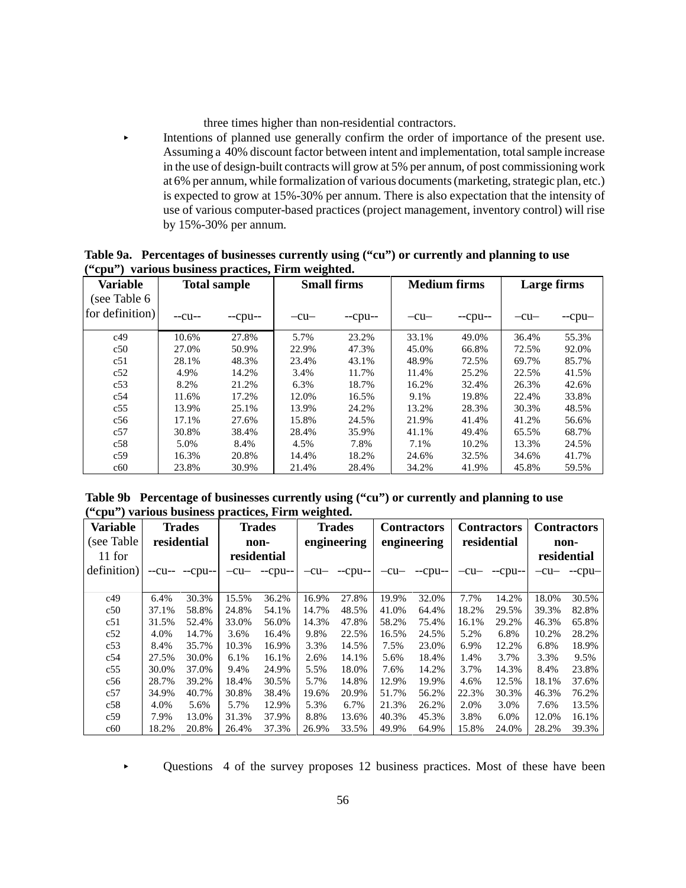three times higher than non-residential contractors.

< Intentions of planned use generally confirm the order of importance of the present use. Assuming a 40% discount factor between intent and implementation, total sample increase in the use of design-built contracts will grow at 5% per annum, of post commissioning work at 6% per annum, while formalization of various documents (marketing, strategic plan, etc.) is expected to grow at 15%-30% per annum. There is also expectation that the intensity of use of various computer-based practices (project management, inventory control) will rise by 15%-30% per annum.

|              |                                                    | Table 9a. Percentages of businesses currently using ("cu") or currently and planning to use |                |  |
|--------------|----------------------------------------------------|---------------------------------------------------------------------------------------------|----------------|--|
|              | ("cpu") various business practices, Firm weighted. |                                                                                             |                |  |
| $\mathbf{v}$ | $\mathbf{m}$ and $\mathbf{m}$                      |                                                                                             | $\blacksquare$ |  |

| <b>Variable</b>                 |        | <b>Total sample</b> |        | <b>Small firms</b> |        | <b>Medium firms</b> | Large firms |         |  |
|---------------------------------|--------|---------------------|--------|--------------------|--------|---------------------|-------------|---------|--|
| (see Table 6<br>for definition) | $-cu-$ | $-cpu-$             | $-cu-$ | $-cpu-$            | $-cu-$ | $-cpu-$             | $-cu-$      | $-cpu-$ |  |
| c49                             | 10.6%  | 27.8%               | 5.7%   | 23.2%              | 33.1%  | 49.0%               | 36.4%       | 55.3%   |  |
| c50                             | 27.0%  | 50.9%               | 22.9%  | 47.3%              | 45.0%  | 66.8%               | 72.5%       | 92.0%   |  |
| c51                             | 28.1%  | 48.3%               | 23.4%  | 43.1%              | 48.9%  | 72.5%               | 69.7%       | 85.7%   |  |
| c52                             | 4.9%   | 14.2%               | 3.4%   | 11.7%              | 11.4%  | 25.2%               | 22.5%       | 41.5%   |  |
| c53                             | 8.2%   | 21.2%               | 6.3%   | 18.7%              | 16.2%  | 32.4%               | 26.3%       | 42.6%   |  |
| c54                             | 11.6%  | 17.2%               | 12.0%  | 16.5%              | 9.1%   | 19.8%               | 22.4%       | 33.8%   |  |
| c55                             | 13.9%  | 25.1%               | 13.9%  | 24.2%              | 13.2%  | 28.3%               | 30.3%       | 48.5%   |  |
| c56                             | 17.1%  | 27.6%               | 15.8%  | 24.5%              | 21.9%  | 41.4%               | 41.2%       | 56.6%   |  |
| c57                             | 30.8%  | 38.4%               | 28.4%  | 35.9%              | 41.1%  | 49.4%               | 65.5%       | 68.7%   |  |
| c58                             | 5.0%   | 8.4%                | 4.5%   | 7.8%               | 7.1%   | 10.2%               | 13.3%       | 24.5%   |  |
| c59                             | 16.3%  | 20.8%               | 14.4%  | 18.2%              | 24.6%  | 32.5%               | 34.6%       | 41.7%   |  |
| c60                             | 23.8%  | 30.9%               | 21.4%  | 28.4%              | 34.2%  | 41.9%               | 45.8%       | 59.5%   |  |

**Table 9b Percentage of businesses currently using ("cu") or currently and planning to use ("cpu") various business practices, Firm weighted.**

| <b>Variable</b><br>(see Table | <b>Trades</b><br>residential |              | <b>Trades</b><br>non- |                         | <b>Trades</b><br>engineering |                | <b>Contractors</b><br>engineering |         | <b>Contractors</b><br>residential |                | <b>Contractors</b><br>non- |               |
|-------------------------------|------------------------------|--------------|-----------------------|-------------------------|------------------------------|----------------|-----------------------------------|---------|-----------------------------------|----------------|----------------------------|---------------|
| 11 for                        |                              |              |                       | residential             |                              |                |                                   |         |                                   |                |                            | residential   |
| definition)                   |                              | $-cu---cpu-$ |                       | $-cu$ - $-cpu$ - $-cpu$ |                              | $-cu-$ --cpu-- | $-cu-$                            | $-cpu-$ |                                   | $-cu-$ --cpu-- |                            | $-cu-$ --cpu- |
|                               |                              |              |                       |                         |                              |                |                                   |         |                                   |                |                            |               |
| c49                           | 6.4%                         | 30.3%        | 15.5%                 | 36.2%                   | 16.9%                        | 27.8%          | 19.9%                             | 32.0%   | 7.7%                              | 14.2%          | 18.0%                      | 30.5%         |
| c50                           | 37.1%                        | 58.8%        | 24.8%                 | 54.1%                   | 14.7%                        | 48.5%          | 41.0%                             | 64.4%   | 18.2%                             | 29.5%          | 39.3%                      | 82.8%         |
| c51                           | 31.5%                        | 52.4%        | 33.0%                 | 56.0%                   | 14.3%                        | 47.8%          | 58.2%                             | 75.4%   | 16.1%                             | 29.2%          | 46.3%                      | 65.8%         |
| c52                           | 4.0%                         | 14.7%        | 3.6%                  | 16.4%                   | 9.8%                         | 22.5%          | 16.5%                             | 24.5%   | 5.2%                              | 6.8%           | 10.2%                      | 28.2%         |
| c53                           | 8.4%                         | 35.7%        | 10.3%                 | 16.9%                   | 3.3%                         | 14.5%          | 7.5%                              | 23.0%   | 6.9%                              | 12.2%          | 6.8%                       | 18.9%         |
| c54                           | 27.5%                        | 30.0%        | 6.1%                  | 16.1%                   | 2.6%                         | 14.1%          | 5.6%                              | 18.4%   | 1.4%                              | 3.7%           | 3.3%                       | 9.5%          |
| c55                           | 30.0%                        | 37.0%        | 9.4%                  | 24.9%                   | 5.5%                         | 18.0%          | 7.6%                              | 14.2%   | 3.7%                              | 14.3%          | 8.4%                       | 23.8%         |
| c56                           | 28.7%                        | 39.2%        | 18.4%                 | 30.5%                   | 5.7%                         | 14.8%          | 12.9%                             | 19.9%   | 4.6%                              | 12.5%          | 18.1%                      | 37.6%         |
| c57                           | 34.9%                        | 40.7%        | 30.8%                 | 38.4%                   | 19.6%                        | 20.9%          | 51.7%                             | 56.2%   | 22.3%                             | 30.3%          | 46.3%                      | 76.2%         |
| c58                           | 4.0%                         | 5.6%         | 5.7%                  | 12.9%                   | 5.3%                         | 6.7%           | 21.3%                             | 26.2%   | 2.0%                              | 3.0%           | 7.6%                       | 13.5%         |
| c59                           | 7.9%                         | 13.0%        | 31.3%                 | 37.9%                   | 8.8%                         | 13.6%          | 40.3%                             | 45.3%   | 3.8%                              | 6.0%           | 12.0%                      | 16.1%         |
| c60                           | 18.2%                        | 20.8%        | 26.4%                 | 37.3%                   | 26.9%                        | 33.5%          | 49.9%                             | 64.9%   | 15.8%                             | 24.0%          | 28.2%                      | 39.3%         |

< Questions 4 of the survey proposes 12 business practices. Most of these have been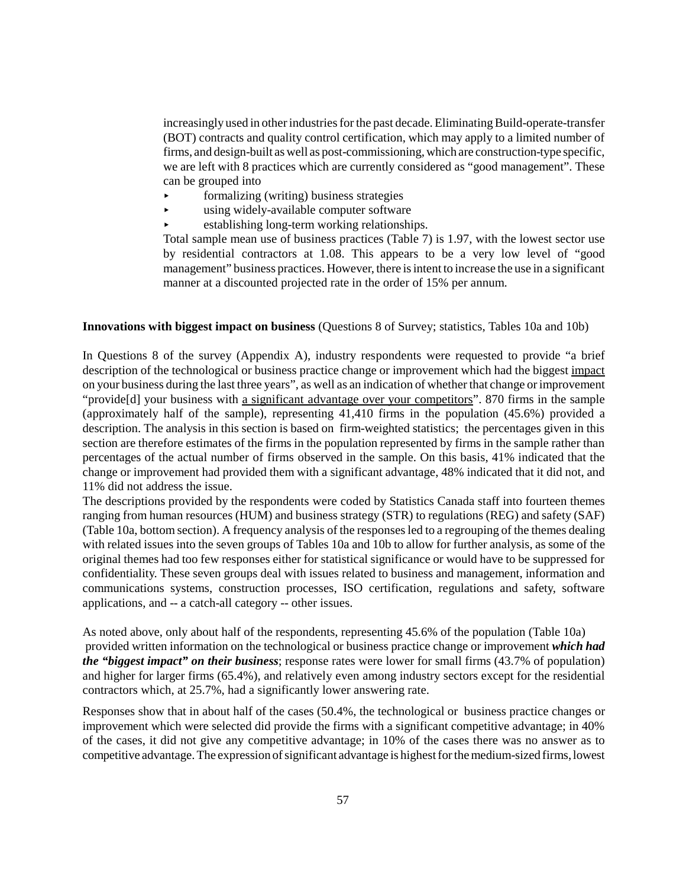increasingly used in other industries for the past decade. Eliminating Build-operate-transfer (BOT) contracts and quality control certification, which may apply to a limited number of firms, and design-built as well as post-commissioning, which are construction-type specific, we are left with 8 practices which are currently considered as "good management". These can be grouped into

- formalizing (writing) business strategies
- $\blacktriangleright$  using widely-available computer software
- < establishing long-term working relationships.

Total sample mean use of business practices (Table 7) is 1.97, with the lowest sector use by residential contractors at 1.08. This appears to be a very low level of "good management" business practices. However, there is intent to increase the use in a significant manner at a discounted projected rate in the order of 15% per annum.

#### **Innovations with biggest impact on business** (Questions 8 of Survey; statistics, Tables 10a and 10b)

In Questions 8 of the survey (Appendix A), industry respondents were requested to provide "a brief description of the technological or business practice change or improvement which had the biggest impact on your business during the last three years", as well as an indication of whether that change or improvement "provide[d] your business with a significant advantage over your competitors". 870 firms in the sample (approximately half of the sample), representing 41,410 firms in the population (45.6%) provided a description. The analysis in this section is based on firm-weighted statistics; the percentages given in this section are therefore estimates of the firms in the population represented by firms in the sample rather than percentages of the actual number of firms observed in the sample. On this basis, 41% indicated that the change or improvement had provided them with a significant advantage, 48% indicated that it did not, and 11% did not address the issue.

The descriptions provided by the respondents were coded by Statistics Canada staff into fourteen themes ranging from human resources (HUM) and business strategy (STR) to regulations (REG) and safety (SAF) (Table 10a, bottom section). A frequency analysis of the responses led to a regrouping of the themes dealing with related issues into the seven groups of Tables 10a and 10b to allow for further analysis, as some of the original themes had too few responses either for statistical significance or would have to be suppressed for confidentiality. These seven groups deal with issues related to business and management, information and communications systems, construction processes, ISO certification, regulations and safety, software applications, and -- a catch-all category -- other issues.

As noted above, only about half of the respondents, representing 45.6% of the population (Table 10a) provided written information on the technological or business practice change or improvement *which had the "biggest impact" on their business*; response rates were lower for small firms (43.7% of population) and higher for larger firms (65.4%), and relatively even among industry sectors except for the residential contractors which, at 25.7%, had a significantly lower answering rate.

Responses show that in about half of the cases (50.4%, the technological or business practice changes or improvement which were selected did provide the firms with a significant competitive advantage; in 40% of the cases, it did not give any competitive advantage; in 10% of the cases there was no answer as to competitive advantage. The expression of significant advantage is highest for the medium-sized firms, lowest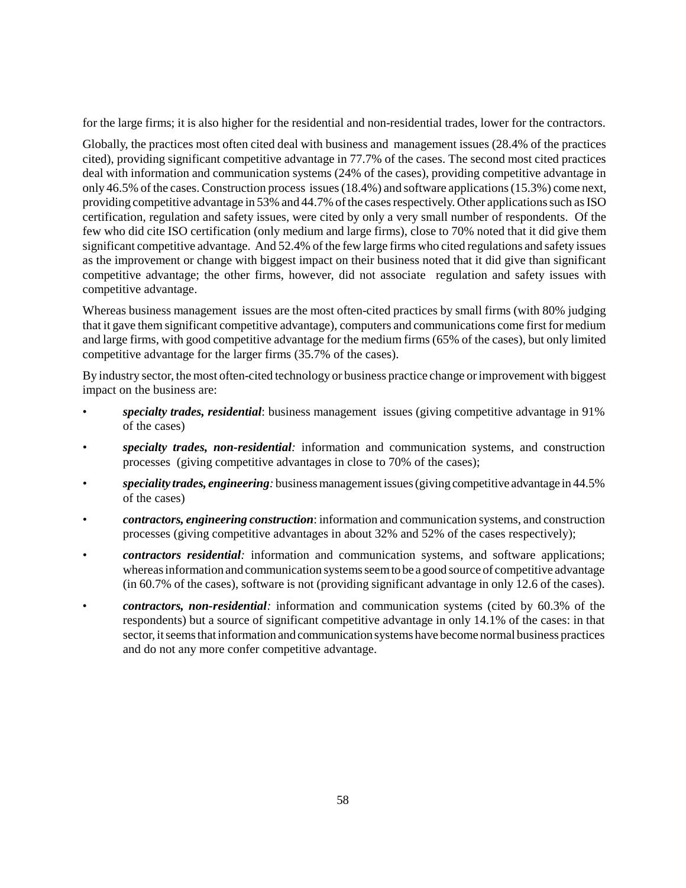for the large firms; it is also higher for the residential and non-residential trades, lower for the contractors.

Globally, the practices most often cited deal with business and management issues (28.4% of the practices cited), providing significant competitive advantage in 77.7% of the cases. The second most cited practices deal with information and communication systems (24% of the cases), providing competitive advantage in only 46.5% of the cases. Construction process issues (18.4%) and software applications (15.3%) come next, providing competitive advantage in 53% and 44.7% of the cases respectively. Other applications such as ISO certification, regulation and safety issues, were cited by only a very small number of respondents. Of the few who did cite ISO certification (only medium and large firms), close to 70% noted that it did give them significant competitive advantage. And 52.4% of the few large firms who cited regulations and safety issues as the improvement or change with biggest impact on their business noted that it did give than significant competitive advantage; the other firms, however, did not associate regulation and safety issues with competitive advantage.

Whereas business management issues are the most often-cited practices by small firms (with 80% judging that it gave them significant competitive advantage), computers and communications come first for medium and large firms, with good competitive advantage for the medium firms (65% of the cases), but only limited competitive advantage for the larger firms (35.7% of the cases).

By industry sector, the most often-cited technology or business practice change or improvement with biggest impact on the business are:

- *specialty trades, residential*: business management issues (giving competitive advantage in 91% of the cases)
- *• specialty trades, non-residential:* information and communication systems, and construction processes (giving competitive advantages in close to 70% of the cases);
- *• speciality trades, engineering:* business management issues (giving competitive advantage in 44.5% of the cases)
- *• contractors, engineering construction*: information and communication systems, and construction processes (giving competitive advantages in about 32% and 52% of the cases respectively);
- *• contractors residential:* information and communication systems, and software applications; whereas information and communication systems seem to be a good source of competitive advantage (in 60.7% of the cases), software is not (providing significant advantage in only 12.6 of the cases).
- *contractors, non-residential:* information and communication systems (cited by 60.3% of the respondents) but a source of significant competitive advantage in only 14.1% of the cases: in that sector, it seems that information and communication systems have become normal business practices and do not any more confer competitive advantage.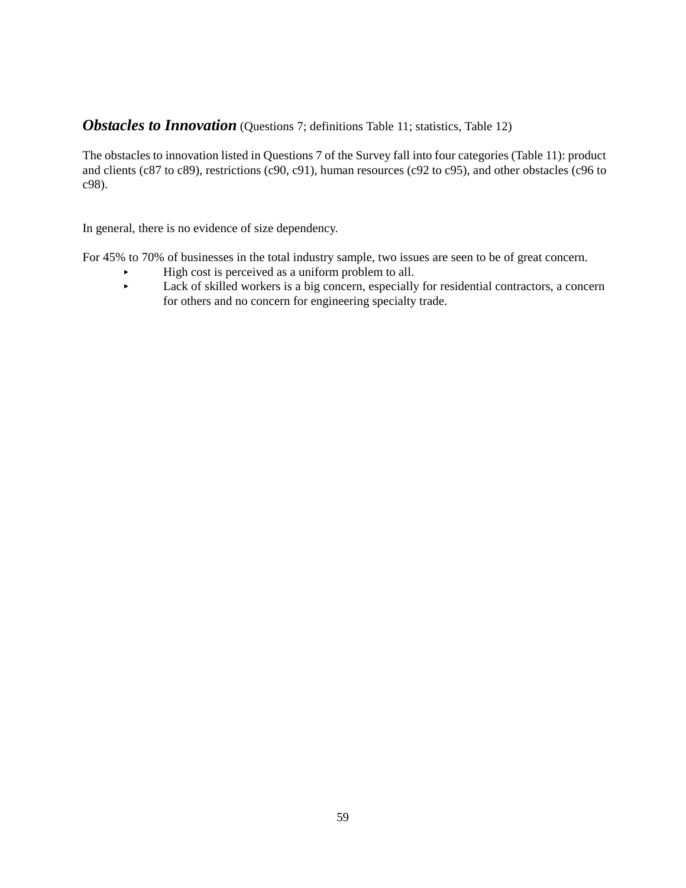# **Obstacles to Innovation** (Questions 7; definitions Table 11; statistics, Table 12)

The obstacles to innovation listed in Questions 7 of the Survey fall into four categories (Table 11): product and clients (c87 to c89), restrictions (c90, c91), human resources (c92 to c95), and other obstacles (c96 to c98).

In general, there is no evidence of size dependency.

For 45% to 70% of businesses in the total industry sample, two issues are seen to be of great concern.

- $\blacktriangleright$  High cost is perceived as a uniform problem to all.<br>Lack of skilled workers is a big concern especially
	- Lack of skilled workers is a big concern, especially for residential contractors, a concern for others and no concern for engineering specialty trade.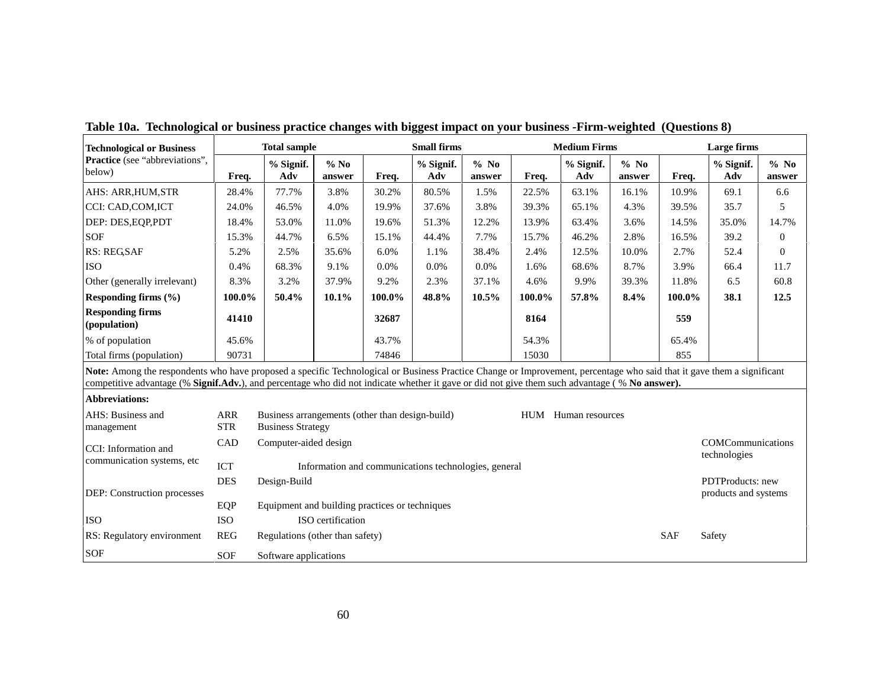| <b>Technological or Business</b>                                                                                                                                                                                                                                                                                        |                                                                               |                                                                             | <b>Total sample</b> |        |                                                      | <b>Small firms</b> |        |                     | <b>Medium Firms</b> | Large firms |                   |                  |
|-------------------------------------------------------------------------------------------------------------------------------------------------------------------------------------------------------------------------------------------------------------------------------------------------------------------------|-------------------------------------------------------------------------------|-----------------------------------------------------------------------------|---------------------|--------|------------------------------------------------------|--------------------|--------|---------------------|---------------------|-------------|-------------------|------------------|
| Practice (see "abbreviations",<br>below)                                                                                                                                                                                                                                                                                | Freq.                                                                         | % Signif.<br>Adv                                                            | $%$ No<br>answer    | Freq.  | % Signif.<br>Adv                                     | $%$ No<br>answer   | Freq.  | % Signif.<br>Adv    | $%$ No<br>answer    | Freq.       | % Signif.<br>Adv  | $%$ No<br>answer |
| AHS: ARR, HUM, STR                                                                                                                                                                                                                                                                                                      | 28.4%                                                                         | 77.7%                                                                       | 3.8%                | 30.2%  | 80.5%                                                | 1.5%               | 22.5%  | 63.1%               | 16.1%               | 10.9%       | 69.1              | 6.6              |
| CCI: CAD, COM, ICT                                                                                                                                                                                                                                                                                                      | 24.0%                                                                         | 46.5%                                                                       | 4.0%                | 19.9%  | 37.6%                                                | 3.8%               | 39.3%  | 65.1%               | 4.3%                | 39.5%       | 35.7              | 5                |
| DEP: DES, EQP, PDT                                                                                                                                                                                                                                                                                                      | 18.4%                                                                         | 53.0%                                                                       | 11.0%               | 19.6%  | 51.3%                                                | 12.2%              | 13.9%  | 63.4%               | 3.6%                | 14.5%       | 35.0%             | 14.7%            |
| <b>SOF</b>                                                                                                                                                                                                                                                                                                              | 15.3%                                                                         | 44.7%                                                                       | 6.5%                | 15.1%  | 44.4%                                                | 7.7%               | 15.7%  | 46.2%               | 2.8%                | 16.5%       | 39.2              | $\overline{0}$   |
| <b>RS: REGSAF</b>                                                                                                                                                                                                                                                                                                       | 5.2%                                                                          | 2.5%                                                                        | 35.6%               | 6.0%   | 1.1%                                                 | 38.4%              | 2.4%   | 12.5%               | 10.0%               | 2.7%        | 52.4              | $\overline{0}$   |
| <b>ISO</b>                                                                                                                                                                                                                                                                                                              | 0.4%                                                                          | 68.3%                                                                       | 9.1%                | 0.0%   | 0.0%                                                 | 0.0%               | 1.6%   | 68.6%               | 8.7%                | 3.9%        | 66.4              | 11.7             |
| Other (generally irrelevant)                                                                                                                                                                                                                                                                                            | 8.3%                                                                          | 3.2%                                                                        | 37.9%               | 9.2%   | 2.3%                                                 | 37.1%              | 4.6%   | 9.9%                | 39.3%               | 11.8%       | 6.5               | 60.8             |
| Responding firms $(\% )$                                                                                                                                                                                                                                                                                                | 100.0%                                                                        | 50.4%                                                                       | 10.1%               | 100.0% | 48.8%                                                | 10.5%              | 100.0% | 57.8%               | 8.4%                | 100.0%      | 38.1              | 12.5             |
| <b>Responding firms</b><br>(population)                                                                                                                                                                                                                                                                                 | 41410                                                                         |                                                                             |                     | 32687  |                                                      |                    | 8164   |                     |                     | 559         |                   |                  |
| % of population                                                                                                                                                                                                                                                                                                         | 45.6%                                                                         |                                                                             |                     | 43.7%  |                                                      |                    | 54.3%  |                     |                     | 65.4%       |                   |                  |
| Total firms (population)                                                                                                                                                                                                                                                                                                | 90731                                                                         |                                                                             |                     | 74846  |                                                      |                    | 15030  |                     |                     | 855         |                   |                  |
| Note: Among the respondents who have proposed a specific Technological or Business Practice Change or Improvement, percentage who said that it gave them a significant<br>competitive advantage (% Signif.Adv.), and percentage who did not indicate whether it gave or did not give them such advantage (% No answer). |                                                                               |                                                                             |                     |        |                                                      |                    |        |                     |                     |             |                   |                  |
| <b>Abbreviations:</b>                                                                                                                                                                                                                                                                                                   |                                                                               |                                                                             |                     |        |                                                      |                    |        |                     |                     |             |                   |                  |
| AHS: Business and<br>management                                                                                                                                                                                                                                                                                         | <b>ARR</b><br><b>STR</b>                                                      | Business arrangements (other than design-build)<br><b>Business Strategy</b> |                     |        |                                                      |                    |        | HUM Human resources |                     |             |                   |                  |
| CCI: Information and                                                                                                                                                                                                                                                                                                    | CAD                                                                           | Computer-aided design                                                       |                     |        |                                                      |                    |        |                     |                     |             | COMCommunications |                  |
| communication systems, etc.                                                                                                                                                                                                                                                                                             | <b>ICT</b>                                                                    |                                                                             |                     |        | Information and communications technologies, general |                    |        |                     |                     |             | technologies      |                  |
|                                                                                                                                                                                                                                                                                                                         | <b>DES</b>                                                                    | Design-Build                                                                |                     |        |                                                      |                    |        |                     |                     |             | PDTProducts: new  |                  |
| DEP: Construction processes                                                                                                                                                                                                                                                                                             | products and systems<br>EQP<br>Equipment and building practices or techniques |                                                                             |                     |        |                                                      |                    |        |                     |                     |             |                   |                  |
|                                                                                                                                                                                                                                                                                                                         |                                                                               |                                                                             | ISO certification   |        |                                                      |                    |        |                     |                     |             |                   |                  |
| <b>ISO</b>                                                                                                                                                                                                                                                                                                              | <b>ISO</b>                                                                    |                                                                             |                     |        |                                                      |                    |        |                     |                     |             |                   |                  |
| RS: Regulatory environment                                                                                                                                                                                                                                                                                              | <b>REG</b>                                                                    | Regulations (other than safety)                                             |                     |        |                                                      |                    |        |                     |                     | <b>SAF</b>  | Safety            |                  |
| SOF                                                                                                                                                                                                                                                                                                                     | <b>SOF</b>                                                                    | Software applications                                                       |                     |        |                                                      |                    |        |                     |                     |             |                   |                  |

**Table 10a. Technological or business practice changes with biggest impact on your business -Firm-weighted (Questions 8)**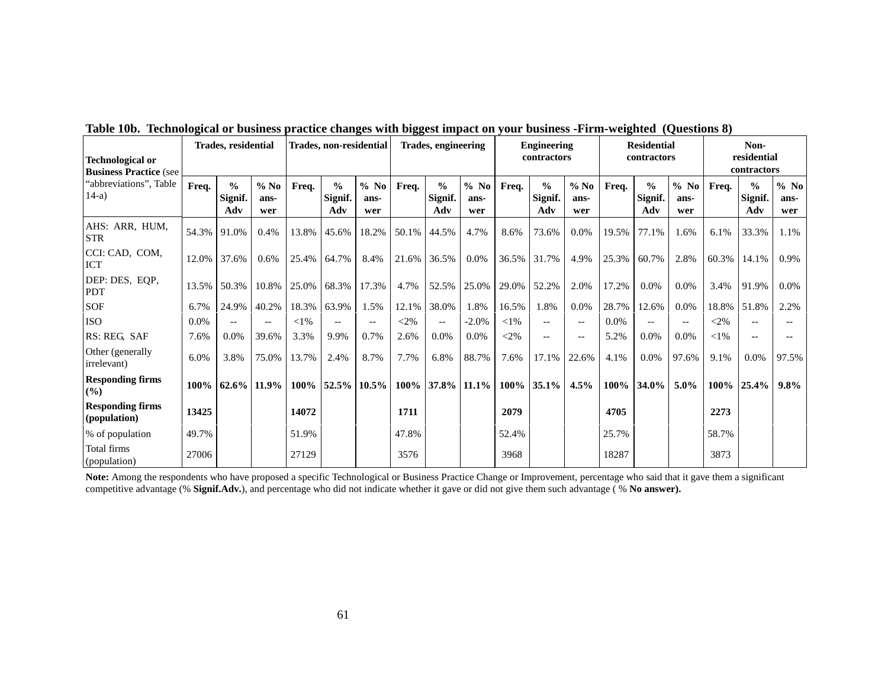| <b>Technological or</b><br><b>Business Practice (see</b> | <b>Trades, residential</b> |                                 | Trades, non-residential |        |                                 | <b>Trades, engineering</b> |        |                                 | <b>Engineering</b><br>contractors |        | <b>Residential</b><br>contractors |                       |       | Non-<br>residential<br>contractors |                          |        |                                 |                       |
|----------------------------------------------------------|----------------------------|---------------------------------|-------------------------|--------|---------------------------------|----------------------------|--------|---------------------------------|-----------------------------------|--------|-----------------------------------|-----------------------|-------|------------------------------------|--------------------------|--------|---------------------------------|-----------------------|
| "abbreviations", Table<br>$14-a$                         | Freq.                      | $\frac{0}{0}$<br>Signif.<br>Adv | $%$ No<br>ans-<br>wer   | Freq.  | $\frac{0}{0}$<br>Signif.<br>Adv | $%$ No<br>ans-<br>wer      | Freq.  | $\frac{0}{0}$<br>Signif.<br>Adv | $%$ No<br>ans-<br>wer             | Freq.  | $\frac{0}{0}$<br>Signif.<br>Adv   | $%$ No<br>ans-<br>wer | Freq. | $\frac{0}{0}$<br>Signif.<br>Adv    | $%$ No<br>ans-<br>wer    | Freq.  | $\frac{0}{0}$<br>Signif.<br>Adv | $%$ No<br>ans-<br>wer |
| AHS: ARR, HUM,<br><b>STR</b>                             | 54.3%                      | 91.0%                           | 0.4%                    | 13.8%  | 45.6%                           | 18.2%                      | 50.1%  | 44.5%                           | 4.7%                              | 8.6%   | 73.6%                             | 0.0%                  | 19.5% | 77.1%                              | 1.6%                     | 6.1%   | 33.3%                           | 1.1%                  |
| CCI: CAD, COM,<br><b>ICT</b>                             | 12.0%                      | 37.6%                           | 0.6%                    | 25.4%  | 64.7%                           | 8.4%                       | 21.6%  | 36.5%                           | $0.0\%$                           | 36.5%  | 31.7%                             | 4.9%                  | 25.3% | 60.7%                              | 2.8%                     | 60.3%  | 14.1%                           | 0.9%                  |
| DEP: DES, EQP,<br><b>PDT</b>                             | 13.5%                      | 50.3%                           | 10.8%                   | 25.0%  | 68.3%                           | 17.3%                      | 4.7%   | 52.5%                           | 25.0%                             | 29.0%  | 52.2%                             | 2.0%                  | 17.2% | 0.0%                               | $0.0\%$                  | 3.4%   | 91.9%                           | 0.0%                  |
| <b>SOF</b>                                               | 6.7%                       | 24.9%                           | 40.2%                   | 18.3%  | 63.9%                           | 1.5%                       | 12.1%  | 38.0%                           | 1.8%                              | 16.5%  | 1.8%                              | 0.0%                  | 28.7% | 12.6%                              | 0.0%                     | 18.8%  | 51.8%                           | 2.2%                  |
| <b>ISO</b>                                               | 0.0%                       | $- -$                           | $\qquad \qquad -$       | $<$ 1% | $\overline{\phantom{m}}$        | $- -$                      | $<$ 2% | $\overline{\phantom{a}}$        | $-2.0%$                           | $<$ 1% | $--$                              | $--$                  | 0.0%  | $\overline{\phantom{a}}$           | $\overline{\phantom{m}}$ | $<$ 2% | $-$                             |                       |
| RS: REG, SAF                                             | 7.6%                       | $0.0\%$                         | 39.6%                   | 3.3%   | 9.9%                            | 0.7%                       | 2.6%   | 0.0%                            | 0.0%                              | $<$ 2% | $\overline{\phantom{a}}$          | $--$                  | 5.2%  | 0.0%                               | 0.0%                     | $<$ 1% | $-$                             |                       |
| Other (generally<br>irrelevant)                          | 6.0%                       | 3.8%                            | 75.0%                   | 13.7%  | 2.4%                            | 8.7%                       | 7.7%   | 6.8%                            | 88.7%                             | 7.6%   | 17.1%                             | 22.6%                 | 4.1%  | 0.0%                               | 97.6%                    | 9.1%   | 0.0%                            | 97.5%                 |
| <b>Responding firms</b><br>(%)                           | 100%                       | 62.6%                           | 11.9%                   | 100%   | 52.5%                           | $10.5\%$                   | 100%   |                                 | 37.8% 11.1%                       | 100%   | 35.1%                             | 4.5%                  | 100%  | 34.0%                              | $5.0\%$                  | 100%   | 25.4%                           | 9.8%                  |
| <b>Responding firms</b><br>(population)                  | 13425                      |                                 |                         | 14072  |                                 |                            | 1711   |                                 |                                   | 2079   |                                   |                       | 4705  |                                    |                          | 2273   |                                 |                       |
| % of population                                          | 49.7%                      |                                 |                         | 51.9%  |                                 |                            | 47.8%  |                                 |                                   | 52.4%  |                                   |                       | 25.7% |                                    |                          | 58.7%  |                                 |                       |
| Total firms<br>(population)                              | 27006                      |                                 |                         | 27129  |                                 |                            | 3576   |                                 |                                   | 3968   |                                   |                       | 18287 |                                    |                          | 3873   |                                 |                       |

**Table 10b. Technological or business practice changes with biggest impact on your business -Firm-weighted (Questions 8)** 

**Note:** Among the respondents who have proposed a specific Technological or Business Practice Change or Improvement, percentage who said that it gave them a significant competitive advantage (% **Signif.Adv.**), and percentage who did not indicate whether it gave or did not give them such advantage ( % **No answer).**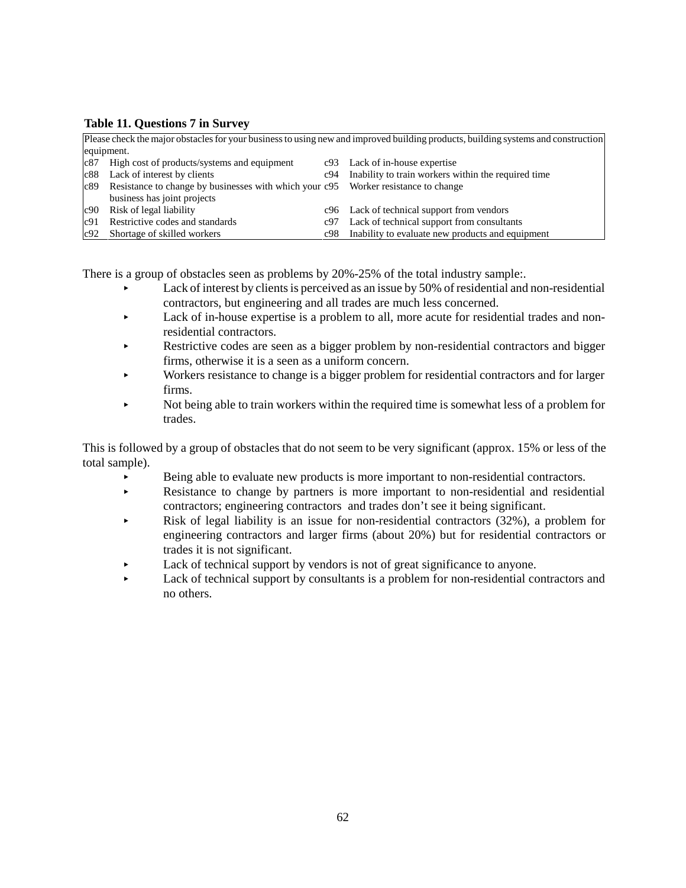#### **Table 11. Questions 7 in Survey**

|                                                                                        |     | Please check the major obstacles for your business to using new and improved building products, building systems and construction |
|----------------------------------------------------------------------------------------|-----|-----------------------------------------------------------------------------------------------------------------------------------|
| equipment.                                                                             |     |                                                                                                                                   |
| $c87$ High cost of products/systems and equipment                                      |     | c93 Lack of in-house expertise                                                                                                    |
| Lack of interest by clients<br>c88                                                     | c94 | Inability to train workers within the required time                                                                               |
| c89 Resistance to change by businesses with which your c95 Worker resistance to change |     |                                                                                                                                   |
| business has joint projects                                                            |     |                                                                                                                                   |
| Risk of legal liability<br>c90                                                         |     | c96 Lack of technical support from vendors                                                                                        |
| Restrictive codes and standards<br>c91                                                 | c97 | Lack of technical support from consultants                                                                                        |
| c92 Shortage of skilled workers                                                        |     | c98 Inability to evaluate new products and equipment                                                                              |

There is a group of obstacles seen as problems by 20%-25% of the total industry sample:.

- < Lack of interest by clients is perceived as an issue by 50% of residential and non-residential contractors, but engineering and all trades are much less concerned.
- < Lack of in-house expertise is a problem to all, more acute for residential trades and nonresidential contractors.
- Restrictive codes are seen as a bigger problem by non-residential contractors and bigger firms, otherwise it is a seen as a uniform concern.
- < Workers resistance to change is a bigger problem for residential contractors and for larger firms.
- < Not being able to train workers within the required time is somewhat less of a problem for trades.

This is followed by a group of obstacles that do not seem to be very significant (approx. 15% or less of the total sample).

- < Being able to evaluate new products is more important to non-residential contractors.
- Resistance to change by partners is more important to non-residential and residential contractors; engineering contractors and trades don't see it being significant.
- Risk of legal liability is an issue for non-residential contractors (32%), a problem for engineering contractors and larger firms (about 20%) but for residential contractors or trades it is not significant.
- Lack of technical support by vendors is not of great significance to anyone.
- Lack of technical support by consultants is a problem for non-residential contractors and no others.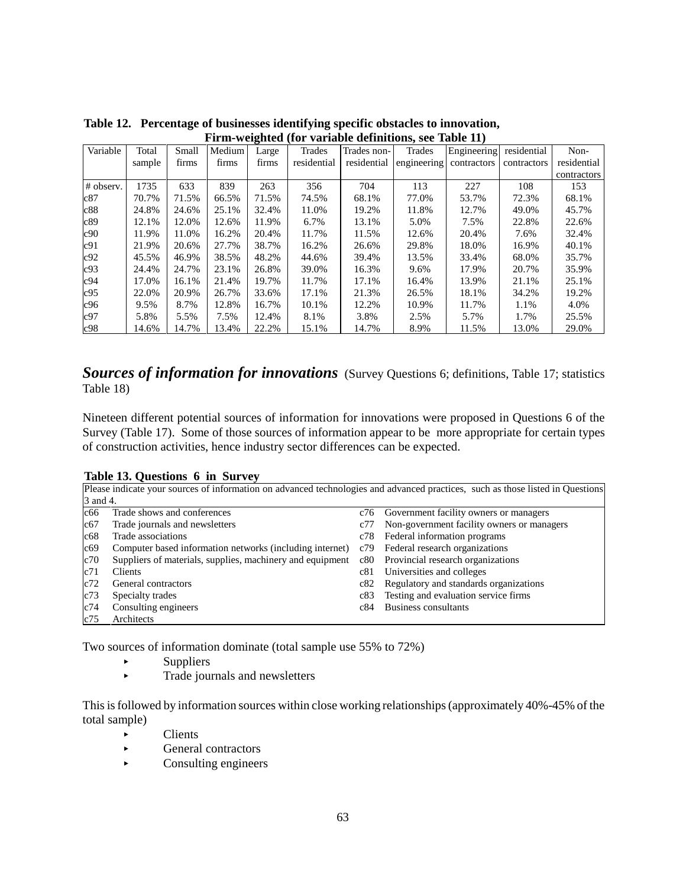| THIII-WEIGHEU (TOT VALIADIC UCHIIIIUOIIS, SCC TADIC IT) |        |       |        |       |             |             |                         |             |             |             |
|---------------------------------------------------------|--------|-------|--------|-------|-------------|-------------|-------------------------|-------------|-------------|-------------|
| Variable                                                | Total  | Small | Medium | Large | Trades      | Trades non- | Trades                  | Engineering | residential | Non-        |
|                                                         | sample | firms | firms  | firms | residential | residential | engineering contractors |             | contractors | residential |
|                                                         |        |       |        |       |             |             |                         |             |             | contractors |
| # observ.                                               | 1735   | 633   | 839    | 263   | 356         | 704         | 113                     | 227         | 108         | 153         |
| c87                                                     | 70.7%  | 71.5% | 66.5%  | 71.5% | 74.5%       | 68.1%       | 77.0%                   | 53.7%       | 72.3%       | 68.1%       |
| c88                                                     | 24.8%  | 24.6% | 25.1%  | 32.4% | 11.0%       | 19.2%       | 11.8%                   | 12.7%       | 49.0%       | 45.7%       |
| c89                                                     | 12.1%  | 12.0% | 12.6%  | 11.9% | 6.7%        | 13.1%       | 5.0%                    | 7.5%        | 22.8%       | 22.6%       |
| c90                                                     | 11.9%  | 11.0% | 16.2%  | 20.4% | 11.7%       | 11.5%       | 12.6%                   | 20.4%       | 7.6%        | 32.4%       |
| c91                                                     | 21.9%  | 20.6% | 27.7%  | 38.7% | 16.2%       | 26.6%       | 29.8%                   | 18.0%       | 16.9%       | 40.1%       |
| c92                                                     | 45.5%  | 46.9% | 38.5%  | 48.2% | 44.6%       | 39.4%       | 13.5%                   | 33.4%       | 68.0%       | 35.7%       |
| c93                                                     | 24.4%  | 24.7% | 23.1%  | 26.8% | 39.0%       | 16.3%       | 9.6%                    | 17.9%       | 20.7%       | 35.9%       |
| c94                                                     | 17.0%  | 16.1% | 21.4%  | 19.7% | 11.7%       | 17.1%       | 16.4%                   | 13.9%       | 21.1%       | 25.1%       |
| c95                                                     | 22.0%  | 20.9% | 26.7%  | 33.6% | 17.1%       | 21.3%       | 26.5%                   | 18.1%       | 34.2%       | 19.2%       |
| c96                                                     | 9.5%   | 8.7%  | 12.8%  | 16.7% | 10.1%       | 12.2%       | 10.9%                   | 11.7%       | 1.1%        | 4.0%        |
| c97                                                     | 5.8%   | 5.5%  | 7.5%   | 12.4% | 8.1%        | 3.8%        | 2.5%                    | 5.7%        | 1.7%        | 25.5%       |
| c98                                                     | 14.6%  | 14.7% | 13.4%  | 22.2% | 15.1%       | 14.7%       | 8.9%                    | 11.5%       | 13.0%       | 29.0%       |

**Table 12. Percentage of businesses identifying specific obstacles to innovation, Firm-weighted (for variable definitions, see Table 11)**

### **Sources of information for innovations** (Survey Questions 6; definitions, Table 17; statistics Table 18)

Nineteen different potential sources of information for innovations were proposed in Questions 6 of the Survey (Table 17). Some of those sources of information appear to be more appropriate for certain types of construction activities, hence industry sector differences can be expected.

#### **Table 13. Questions 6 in Survey**

|          | Please indicate your sources of information on advanced technologies and advanced practices, such as those listed in Questions |     |                                            |  |  |  |  |  |  |
|----------|--------------------------------------------------------------------------------------------------------------------------------|-----|--------------------------------------------|--|--|--|--|--|--|
| 3 and 4. |                                                                                                                                |     |                                            |  |  |  |  |  |  |
| c66      | Trade shows and conferences                                                                                                    | c76 | Government facility owners or managers     |  |  |  |  |  |  |
| c67      | Trade journals and newsletters                                                                                                 | c77 | Non-government facility owners or managers |  |  |  |  |  |  |
| c68      | Trade associations                                                                                                             | c78 | Federal information programs               |  |  |  |  |  |  |
| c69      | Computer based information networks (including internet)                                                                       | c79 | Federal research organizations             |  |  |  |  |  |  |
| c70      | Suppliers of materials, supplies, machinery and equipment                                                                      | c80 | Provincial research organizations          |  |  |  |  |  |  |
| c71      | Clients                                                                                                                        | c81 | Universities and colleges                  |  |  |  |  |  |  |
| c72      | General contractors                                                                                                            | c82 | Regulatory and standards organizations     |  |  |  |  |  |  |
| c73      | Specialty trades                                                                                                               | c83 | Testing and evaluation service firms       |  |  |  |  |  |  |
| c74      | Consulting engineers                                                                                                           | c84 | Business consultants                       |  |  |  |  |  |  |
| c75      | Architects                                                                                                                     |     |                                            |  |  |  |  |  |  |

Two sources of information dominate (total sample use 55% to 72%)

- $\blacktriangleright$  Suppliers
- $\blacktriangleright$  Trade journals and newsletters

This is followed by information sources within close working relationships (approximately 40%-45% of the total sample)

- $\blacktriangleright$  Clients
- $\blacktriangleright$  General contractors
- $\blacktriangleright$  Consulting engineers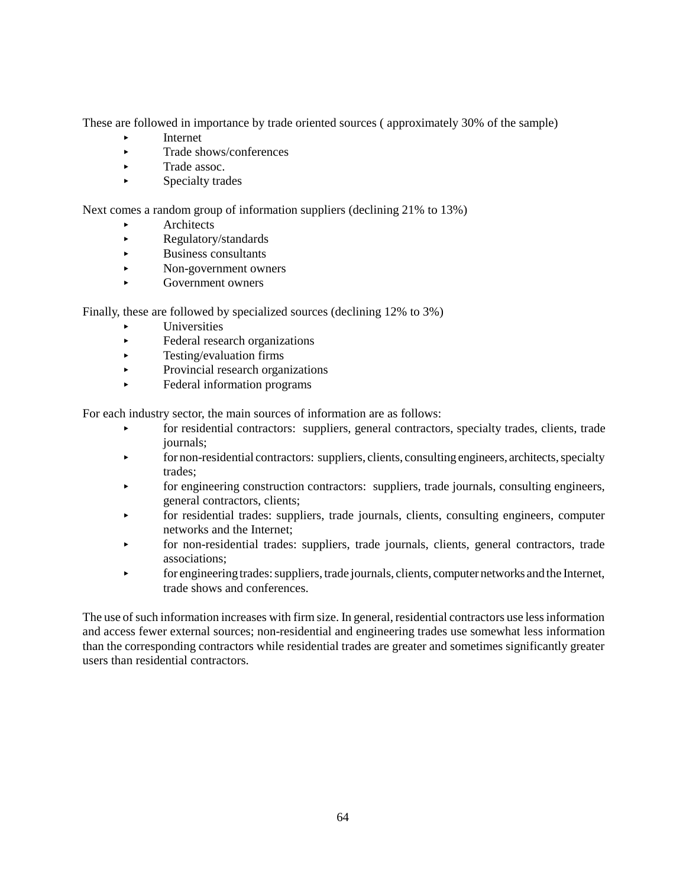These are followed in importance by trade oriented sources ( approximately 30% of the sample)

- < Internet
- $\blacktriangleright$  Trade shows/conferences
- $\blacktriangleright$  Trade assoc.
- $\blacktriangleright$  Specialty trades

Next comes a random group of information suppliers (declining 21% to 13%)

- **Architects**
- **EXECUTE:** Regulatory/standards
- < Business consultants
- < Non-government owners
- < Government owners

Finally, these are followed by specialized sources (declining 12% to 3%)

- < Universities
- Eederal research organizations
- $\blacktriangleright$  Testing/evaluation firms
- Provincial research organizations
- < Federal information programs

For each industry sector, the main sources of information are as follows:

- **For residential contractors:** suppliers, general contractors, specialty trades, clients, trade journals;
- **Example 1** for non-residential contractors: suppliers, clients, consulting engineers, architects, specialty trades;
- for engineering construction contractors: suppliers, trade journals, consulting engineers, general contractors, clients;
- for residential trades: suppliers, trade journals, clients, consulting engineers, computer networks and the Internet;
- < for non-residential trades: suppliers, trade journals, clients, general contractors, trade associations;
- **Example 1** for engineering trades: suppliers, trade journals, clients, computer networks and the Internet, trade shows and conferences.

The use of such information increases with firm size. In general, residential contractors use less information and access fewer external sources; non-residential and engineering trades use somewhat less information than the corresponding contractors while residential trades are greater and sometimes significantly greater users than residential contractors.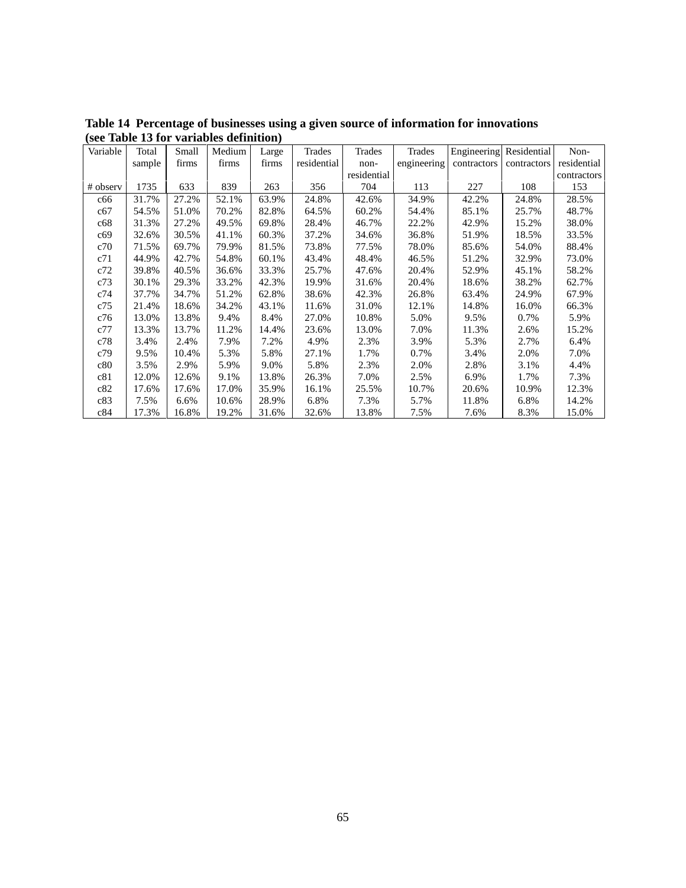| Variable | Total  | Small | Medium | Large | Trades      | Trades      | Trades      | Engineering | Residential | Non-        |
|----------|--------|-------|--------|-------|-------------|-------------|-------------|-------------|-------------|-------------|
|          | sample | firms | firms  | firms | residential | non-        | engineering | contractors | contractors | residential |
|          |        |       |        |       |             | residential |             |             |             | contractors |
| # observ | 1735   | 633   | 839    | 263   | 356         | 704         | 113         | 227         | 108         | 153         |
| c66      | 31.7%  | 27.2% | 52.1%  | 63.9% | 24.8%       | 42.6%       | 34.9%       | 42.2%       | 24.8%       | 28.5%       |
| c67      | 54.5%  | 51.0% | 70.2%  | 82.8% | 64.5%       | 60.2%       | 54.4%       | 85.1%       | 25.7%       | 48.7%       |
| c68      | 31.3%  | 27.2% | 49.5%  | 69.8% | 28.4%       | 46.7%       | 22.2%       | 42.9%       | 15.2%       | 38.0%       |
| c69      | 32.6%  | 30.5% | 41.1%  | 60.3% | 37.2%       | 34.6%       | 36.8%       | 51.9%       | 18.5%       | 33.5%       |
| c70      | 71.5%  | 69.7% | 79.9%  | 81.5% | 73.8%       | 77.5%       | 78.0%       | 85.6%       | 54.0%       | 88.4%       |
| c71      | 44.9%  | 42.7% | 54.8%  | 60.1% | 43.4%       | 48.4%       | 46.5%       | 51.2%       | 32.9%       | 73.0%       |
| c72      | 39.8%  | 40.5% | 36.6%  | 33.3% | 25.7%       | 47.6%       | 20.4%       | 52.9%       | 45.1%       | 58.2%       |
| c73      | 30.1%  | 29.3% | 33.2%  | 42.3% | 19.9%       | 31.6%       | 20.4%       | 18.6%       | 38.2%       | 62.7%       |
| c74      | 37.7%  | 34.7% | 51.2%  | 62.8% | 38.6%       | 42.3%       | 26.8%       | 63.4%       | 24.9%       | 67.9%       |
| c75      | 21.4%  | 18.6% | 34.2%  | 43.1% | 11.6%       | 31.0%       | 12.1%       | 14.8%       | 16.0%       | 66.3%       |
| c76      | 13.0%  | 13.8% | 9.4%   | 8.4%  | 27.0%       | 10.8%       | 5.0%        | 9.5%        | 0.7%        | 5.9%        |
| c77      | 13.3%  | 13.7% | 11.2%  | 14.4% | 23.6%       | 13.0%       | 7.0%        | 11.3%       | 2.6%        | 15.2%       |
| c78      | 3.4%   | 2.4%  | 7.9%   | 7.2%  | 4.9%        | 2.3%        | 3.9%        | 5.3%        | 2.7%        | 6.4%        |
| c79      | 9.5%   | 10.4% | 5.3%   | 5.8%  | 27.1%       | 1.7%        | 0.7%        | 3.4%        | 2.0%        | 7.0%        |
| c80      | 3.5%   | 2.9%  | 5.9%   | 9.0%  | 5.8%        | 2.3%        | 2.0%        | 2.8%        | 3.1%        | 4.4%        |
| c81      | 12.0%  | 12.6% | 9.1%   | 13.8% | 26.3%       | 7.0%        | 2.5%        | 6.9%        | 1.7%        | 7.3%        |
| c82      | 17.6%  | 17.6% | 17.0%  | 35.9% | 16.1%       | 25.5%       | 10.7%       | 20.6%       | 10.9%       | 12.3%       |
| c83      | 7.5%   | 6.6%  | 10.6%  | 28.9% | 6.8%        | 7.3%        | 5.7%        | 11.8%       | 6.8%        | 14.2%       |
| c84      | 17.3%  | 16.8% | 19.2%  | 31.6% | 32.6%       | 13.8%       | 7.5%        | 7.6%        | 8.3%        | 15.0%       |

**Table 14 Percentage of businesses using a given source of information for innovations (see Table 13 for variables definition)**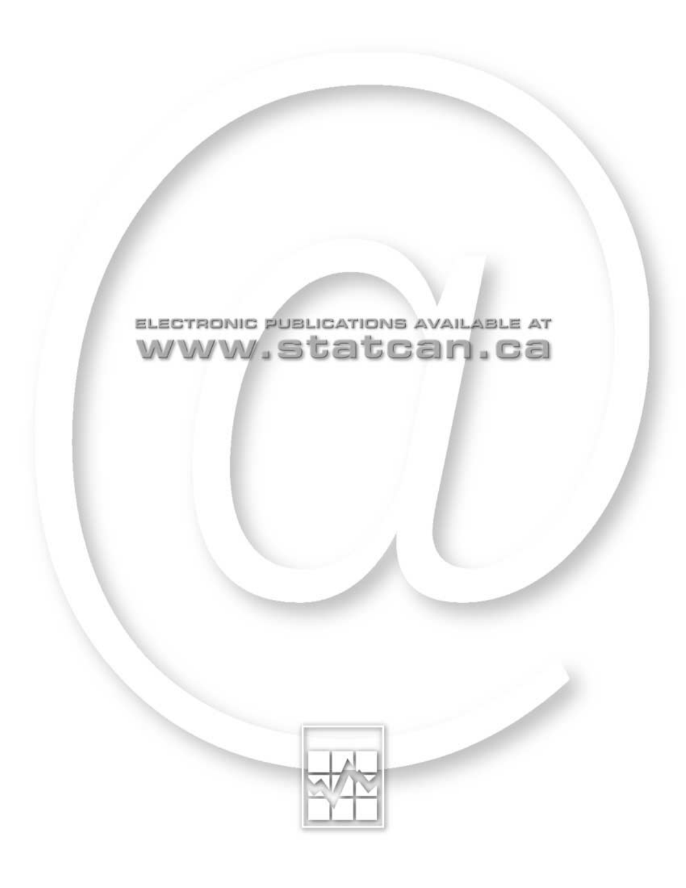

# ELECTRONIC PUBLICATIONS AVAILABLE AT www.statcan.ca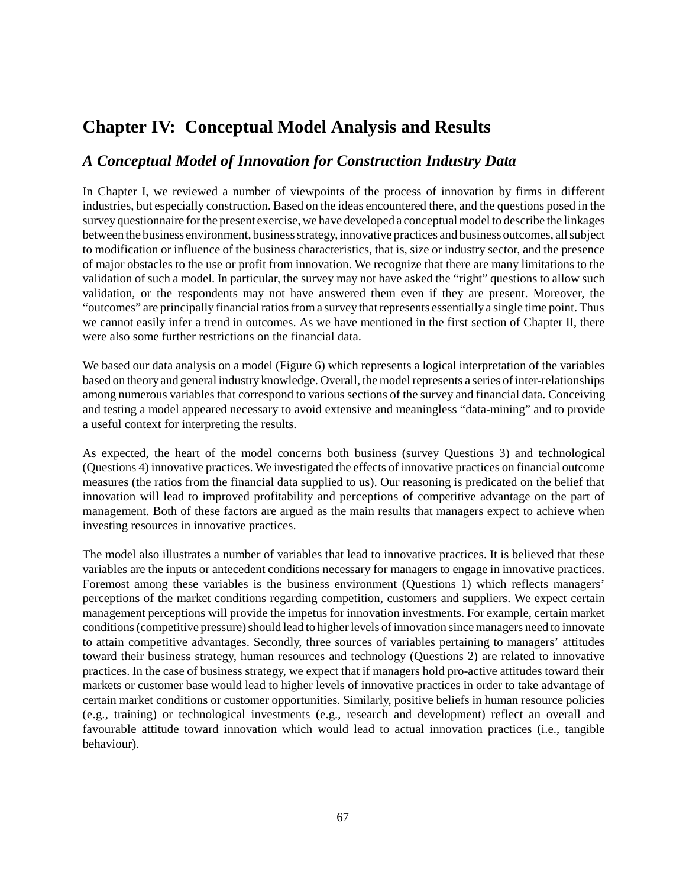# **Chapter IV: Conceptual Model Analysis and Results**

### *A Conceptual Model of Innovation for Construction Industry Data*

In Chapter I, we reviewed a number of viewpoints of the process of innovation by firms in different industries, but especially construction. Based on the ideas encountered there, and the questions posed in the survey questionnaire for the present exercise, we have developed a conceptual model to describe the linkages between the business environment, business strategy, innovative practices and business outcomes, all subject to modification or influence of the business characteristics, that is, size or industry sector, and the presence of major obstacles to the use or profit from innovation. We recognize that there are many limitations to the validation of such a model. In particular, the survey may not have asked the "right" questions to allow such validation, or the respondents may not have answered them even if they are present. Moreover, the "outcomes" are principally financial ratios from a survey that represents essentially a single time point. Thus we cannot easily infer a trend in outcomes. As we have mentioned in the first section of Chapter II, there were also some further restrictions on the financial data.

We based our data analysis on a model (Figure 6) which represents a logical interpretation of the variables based on theory and general industry knowledge. Overall, the model represents a series of inter-relationships among numerous variables that correspond to various sections of the survey and financial data. Conceiving and testing a model appeared necessary to avoid extensive and meaningless "data-mining" and to provide a useful context for interpreting the results.

As expected, the heart of the model concerns both business (survey Questions 3) and technological (Questions 4) innovative practices. We investigated the effects of innovative practices on financial outcome measures (the ratios from the financial data supplied to us). Our reasoning is predicated on the belief that innovation will lead to improved profitability and perceptions of competitive advantage on the part of management. Both of these factors are argued as the main results that managers expect to achieve when investing resources in innovative practices.

The model also illustrates a number of variables that lead to innovative practices. It is believed that these variables are the inputs or antecedent conditions necessary for managers to engage in innovative practices. Foremost among these variables is the business environment (Questions 1) which reflects managers' perceptions of the market conditions regarding competition, customers and suppliers. We expect certain management perceptions will provide the impetus for innovation investments. For example, certain market conditions (competitive pressure) should lead to higher levels of innovation since managers need to innovate to attain competitive advantages. Secondly, three sources of variables pertaining to managers' attitudes toward their business strategy, human resources and technology (Questions 2) are related to innovative practices. In the case of business strategy, we expect that if managers hold pro-active attitudes toward their markets or customer base would lead to higher levels of innovative practices in order to take advantage of certain market conditions or customer opportunities. Similarly, positive beliefs in human resource policies (e.g., training) or technological investments (e.g., research and development) reflect an overall and favourable attitude toward innovation which would lead to actual innovation practices (i.e., tangible behaviour).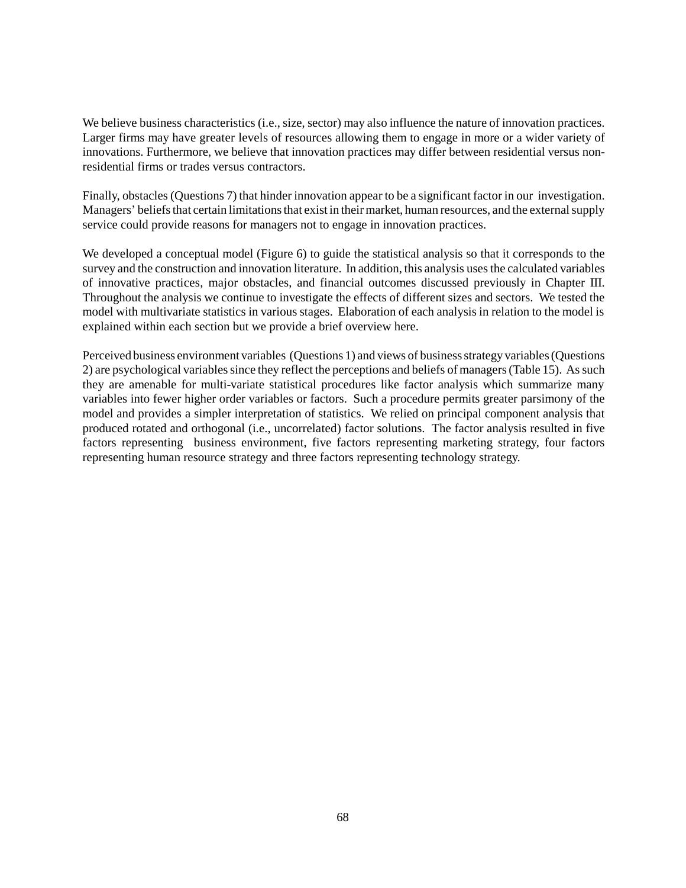We believe business characteristics (i.e., size, sector) may also influence the nature of innovation practices. Larger firms may have greater levels of resources allowing them to engage in more or a wider variety of innovations. Furthermore, we believe that innovation practices may differ between residential versus nonresidential firms or trades versus contractors.

Finally, obstacles (Questions 7) that hinder innovation appear to be a significant factor in our investigation. Managers' beliefs that certain limitations that exist in their market, human resources, and the external supply service could provide reasons for managers not to engage in innovation practices.

We developed a conceptual model (Figure 6) to guide the statistical analysis so that it corresponds to the survey and the construction and innovation literature. In addition, this analysis uses the calculated variables of innovative practices, major obstacles, and financial outcomes discussed previously in Chapter III. Throughout the analysis we continue to investigate the effects of different sizes and sectors. We tested the model with multivariate statistics in various stages. Elaboration of each analysis in relation to the model is explained within each section but we provide a brief overview here.

Perceived business environment variables (Questions 1) and views of business strategy variables (Questions 2) are psychological variables since they reflect the perceptions and beliefs of managers (Table 15). As such they are amenable for multi-variate statistical procedures like factor analysis which summarize many variables into fewer higher order variables or factors. Such a procedure permits greater parsimony of the model and provides a simpler interpretation of statistics. We relied on principal component analysis that produced rotated and orthogonal (i.e., uncorrelated) factor solutions. The factor analysis resulted in five factors representing business environment, five factors representing marketing strategy, four factors representing human resource strategy and three factors representing technology strategy.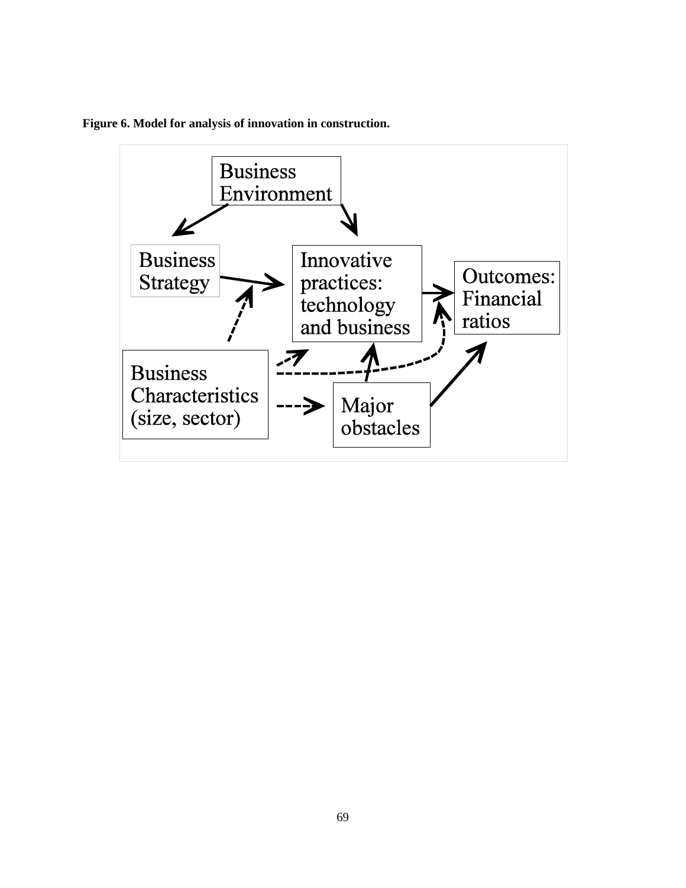

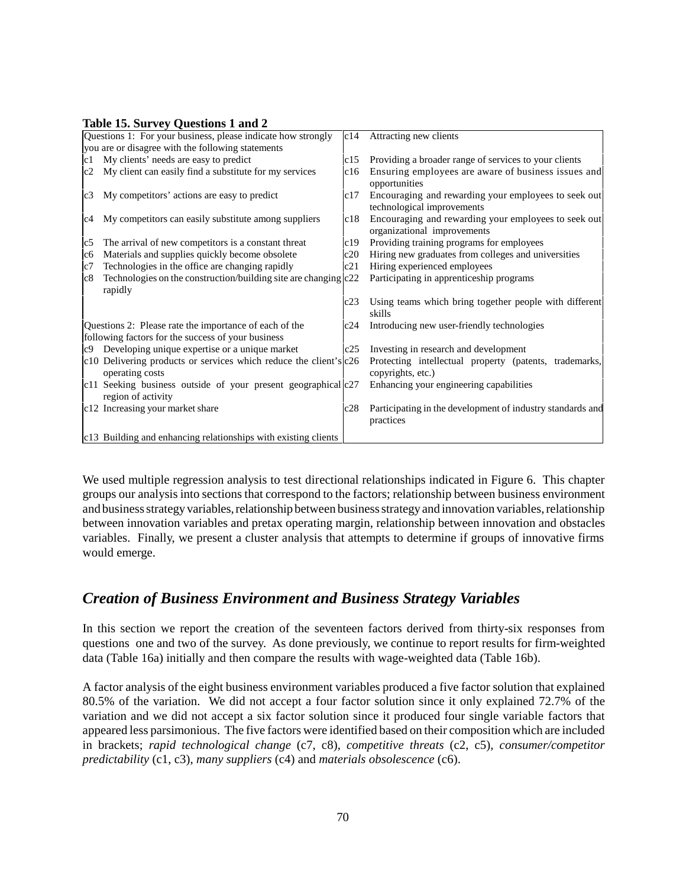#### **Table 15. Survey Questions 1 and 2**

|    | Questions 1: For your business, please indicate how strongly                             |     | c14 Attracting new clients                                                          |
|----|------------------------------------------------------------------------------------------|-----|-------------------------------------------------------------------------------------|
|    | you are or disagree with the following statements                                        |     |                                                                                     |
| c1 | My clients' needs are easy to predict                                                    | c15 | Providing a broader range of services to your clients                               |
| c2 | My client can easily find a substitute for my services                                   | c16 | Ensuring employees are aware of business issues and<br>opportunities                |
|    | c3 My competitors' actions are easy to predict                                           | c17 | Encouraging and rewarding your employees to seek out<br>technological improvements  |
| c4 | My competitors can easily substitute among suppliers                                     | c18 | Encouraging and rewarding your employees to seek out<br>organizational improvements |
| c5 | The arrival of new competitors is a constant threat                                      | c19 | Providing training programs for employees                                           |
| c6 | Materials and supplies quickly become obsolete                                           | c20 | Hiring new graduates from colleges and universities                                 |
| c7 | Technologies in the office are changing rapidly                                          | c21 | Hiring experienced employees                                                        |
| c8 | Technologies on the construction/building site are changing $ c22\rangle$<br>rapidly     |     | Participating in apprenticeship programs                                            |
|    |                                                                                          | c23 | Using teams which bring together people with different<br>skills                    |
|    | Questions 2: Please rate the importance of each of the                                   | c24 | Introducing new user-friendly technologies                                          |
|    | following factors for the success of your business                                       |     |                                                                                     |
|    | c9 Developing unique expertise or a unique market                                        | c25 | Investing in research and development                                               |
|    | c10 Delivering products or services which reduce the client's $ c26 $<br>operating costs |     | Protecting intellectual property (patents, trademarks,<br>copyrights, etc.)         |
|    | c11 Seeking business outside of your present geographical $ c27 $<br>region of activity  |     | Enhancing your engineering capabilities                                             |
|    | c12 Increasing your market share                                                         | c28 | Participating in the development of industry standards and<br>practices             |
|    | c13 Building and enhancing relationships with existing clients                           |     |                                                                                     |

We used multiple regression analysis to test directional relationships indicated in Figure 6. This chapter groups our analysis into sections that correspond to the factors; relationship between business environment and business strategy variables, relationship between business strategy and innovation variables, relationship between innovation variables and pretax operating margin, relationship between innovation and obstacles variables. Finally, we present a cluster analysis that attempts to determine if groups of innovative firms would emerge.

# *Creation of Business Environment and Business Strategy Variables*

In this section we report the creation of the seventeen factors derived from thirty-six responses from questions one and two of the survey. As done previously, we continue to report results for firm-weighted data (Table 16a) initially and then compare the results with wage-weighted data (Table 16b).

A factor analysis of the eight business environment variables produced a five factor solution that explained 80.5% of the variation. We did not accept a four factor solution since it only explained 72.7% of the variation and we did not accept a six factor solution since it produced four single variable factors that appeared less parsimonious. The five factors were identified based on their composition which are included in brackets; *rapid technological change* (c7, c8), *competitive threats* (c2, c5), *consumer/competitor predictability* (c1, c3), *many suppliers* (c4) and *materials obsolescence* (c6).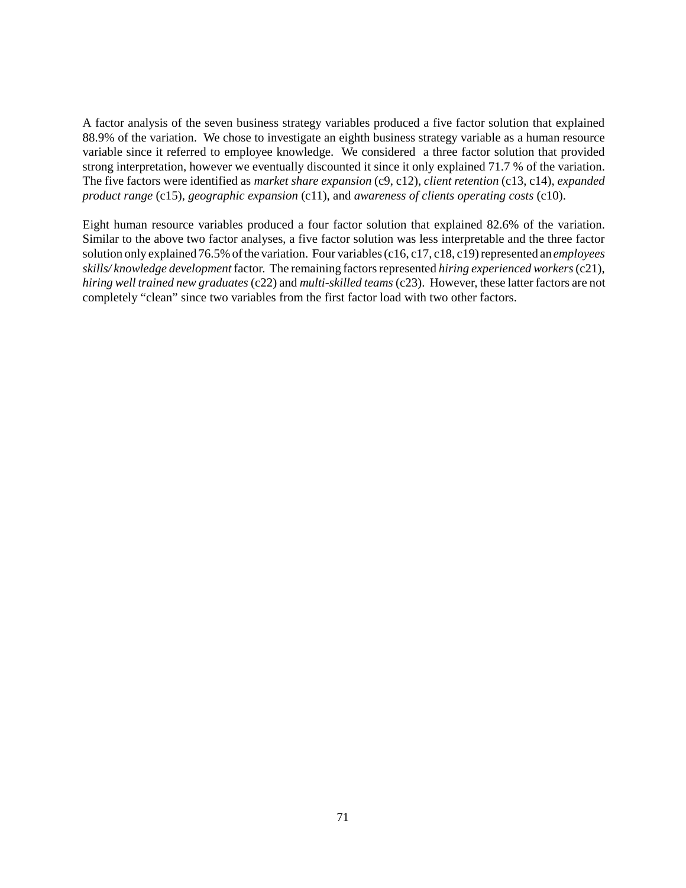A factor analysis of the seven business strategy variables produced a five factor solution that explained 88.9% of the variation. We chose to investigate an eighth business strategy variable as a human resource variable since it referred to employee knowledge. We considered a three factor solution that provided strong interpretation, however we eventually discounted it since it only explained 71.7 % of the variation. The five factors were identified as *market share expansion* (c9, c12), *client retention* (c13, c14), *expanded product range* (c15), *geographic expansion* (c11), and *awareness of clients operating costs* (c10).

Eight human resource variables produced a four factor solution that explained 82.6% of the variation. Similar to the above two factor analyses, a five factor solution was less interpretable and the three factor solution only explained 76.5% of the variation. Four variables (c16, c17, c18, c19) represented an *employees skills/ knowledge development* factor. The remaining factors represented *hiring experienced workers* (c21), *hiring well trained new graduates* (c22) and *multi-skilled teams* (c23). However, these latter factors are not completely "clean" since two variables from the first factor load with two other factors.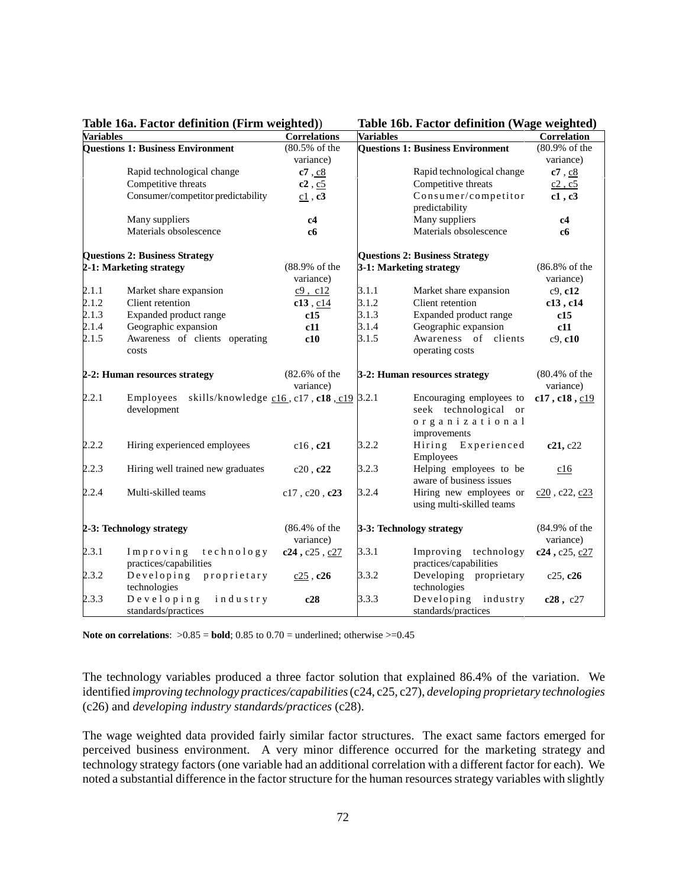**Table 16b. Factor definition (Wage weighted)** 

| <b>Variables</b> |                                                                   | <b>Correlations</b>       | <b>Variables</b> |                                          | <b>Correlation</b>       |
|------------------|-------------------------------------------------------------------|---------------------------|------------------|------------------------------------------|--------------------------|
|                  | <b>Questions 1: Business Environment</b>                          | (80.5% of the             |                  | <b>Questions 1: Business Environment</b> | (80.9% of the            |
|                  |                                                                   | variance)                 |                  |                                          | variance)                |
|                  | Rapid technological change                                        | c7, c8                    |                  | Rapid technological change               | c7, c8                   |
|                  | Competitive threats                                               | $c2$ , $c5$               |                  | Competitive threats                      | c2, c5                   |
|                  | Consumer/competitor predictability                                | $c1$ , $c3$               |                  | Consumer/competitor                      | c1, c3                   |
|                  |                                                                   |                           |                  | predictability                           |                          |
|                  | Many suppliers                                                    | c4                        |                  | Many suppliers                           | c4                       |
|                  | Materials obsolescence                                            | c6                        |                  | Materials obsolescence                   | cб                       |
|                  | <b>Questions 2: Business Strategy</b>                             |                           |                  | <b>Questions 2: Business Strategy</b>    |                          |
|                  | 2-1: Marketing strategy                                           | (88.9% of the             |                  | 3-1: Marketing strategy                  | (86.8% of the            |
|                  |                                                                   | variance)                 |                  |                                          | variance)                |
| 2.1.1            | Market share expansion                                            | $c9$ , $c12$              | 3.1.1            | Market share expansion                   | $c9$ , $c12$             |
| 2.1.2            | Client retention                                                  | $c13$ , $c14$             | 3.1.2            | Client retention                         | c13, c14                 |
| 2.1.3            | Expanded product range                                            | c15                       | 3.1.3            | Expanded product range                   | c15                      |
| 2.1.4            | Geographic expansion                                              | c11                       | 3.1.4            | Geographic expansion                     | c11                      |
| 2.1.5            | Awareness of clients operating                                    | c10                       | 3.1.5            | Awareness of clients                     | c9, c10                  |
|                  | costs                                                             |                           |                  | operating costs                          |                          |
|                  | 2-2: Human resources strategy                                     | $(82.6\% \text{ of the})$ |                  | 3-2: Human resources strategy            | $(80.4\% \text{ of the}$ |
|                  |                                                                   | variance)                 |                  |                                          | variance)                |
| 2.2.1            | Employees<br>skills/knowledge $c16$ , $c17$ , $c18$ , $c19$ 3.2.1 |                           |                  | Encouraging employees to                 | c17, c18, c19            |
|                  | development                                                       |                           |                  | seek technological or                    |                          |
|                  |                                                                   |                           |                  | organizational                           |                          |
|                  |                                                                   |                           |                  | improvements                             |                          |
| 2.2.2            | Hiring experienced employees                                      | $c16$ , $c21$             | 3.2.2            | Hiring Experienced                       | c21, c22                 |
|                  |                                                                   |                           |                  | Employees                                |                          |
| 2.2.3            | Hiring well trained new graduates                                 | c20, c22                  | 3.2.3            | Helping employees to be                  | c16                      |
|                  |                                                                   |                           |                  | aware of business issues                 |                          |
| 2.2.4            | Multi-skilled teams                                               | $c17$ , $c20$ , $c23$     | 3.2.4            | Hiring new employees or                  | $c20$ , $c22$ , $c23$    |
|                  |                                                                   |                           |                  | using multi-skilled teams                |                          |
|                  | 2-3: Technology strategy                                          | $(86.4\% \text{ of the})$ |                  | 3-3: Technology strategy                 | (84.9% of the            |
|                  |                                                                   | variance)                 |                  |                                          | variance)                |
| 2.3.1            | technology<br>Improving                                           | c24, c25, c27             | 3.3.1            | Improving technology                     | $c24$ , $c25$ , $c27$    |
|                  | practices/capabilities                                            |                           |                  | practices/capabilities                   |                          |
| 2.3.2            | Developing<br>proprietary                                         | $c25$ , $c26$             | 3.3.2            | Developing proprietary                   | c25, c26                 |
|                  | technologies                                                      |                           |                  | technologies                             |                          |
| 2.3.3            | Developing<br>industry                                            | c28                       | 3.3.3            | Developing<br>industry                   | c28, c27                 |
|                  | standards/practices                                               |                           |                  | standards/practices                      |                          |

**Note on correlations:**  $>0.85$  = **bold**; 0.85 to 0.70 = underlined; otherwise  $>=0.45$ 

The technology variables produced a three factor solution that explained 86.4% of the variation. We identified *improving technology practices/capabilities* (c24, c25, c27), *developing proprietary technologies* (c26) and *developing industry standards/practices* (c28).

The wage weighted data provided fairly similar factor structures. The exact same factors emerged for perceived business environment. A very minor difference occurred for the marketing strategy and technology strategy factors (one variable had an additional correlation with a different factor for each). We noted a substantial difference in the factor structure for the human resources strategy variables with slightly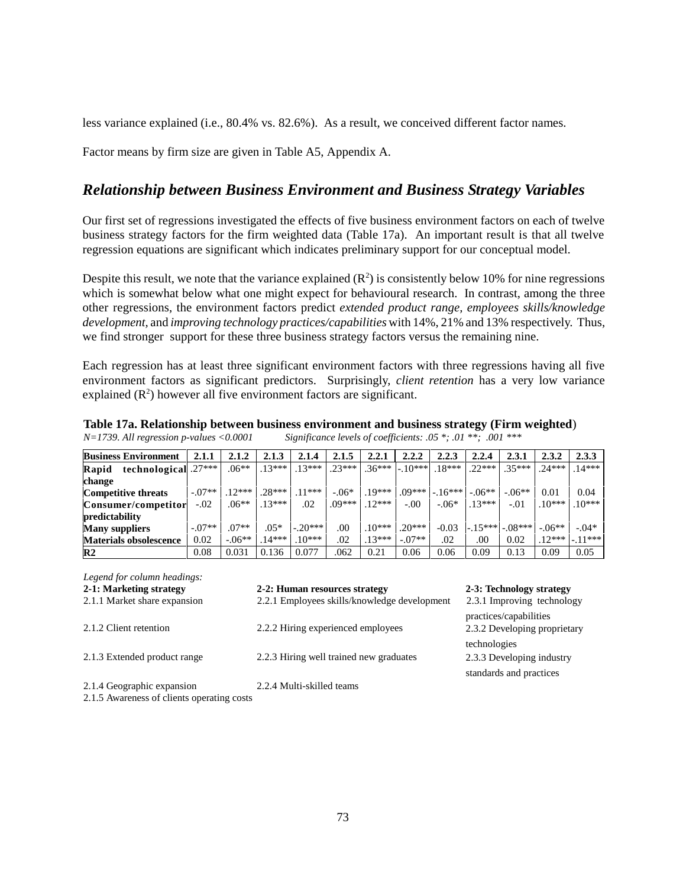less variance explained (i.e., 80.4% vs. 82.6%). As a result, we conceived different factor names.

Factor means by firm size are given in Table A5, Appendix A.

## *Relationship between Business Environment and Business Strategy Variables*

Our first set of regressions investigated the effects of five business environment factors on each of twelve business strategy factors for the firm weighted data (Table 17a). An important result is that all twelve regression equations are significant which indicates preliminary support for our conceptual model.

Despite this result, we note that the variance explained  $(R^2)$  is consistently below 10% for nine regressions which is somewhat below what one might expect for behavioural research. In contrast, among the three other regressions, the environment factors predict *extended product range, employees skills/knowledge development,* and *improving technology practices/capabilities* with 14%, 21% and 13% respectively. Thus, we find stronger support for these three business strategy factors versus the remaining nine.

Each regression has at least three significant environment factors with three regressions having all five environment factors as significant predictors. Surprisingly, *client retention* has a very low variance explained  $(R^2)$  however all five environment factors are significant.

|                                            | Table 17a. Relationship between business environment and business strategy (Firm weighted) |
|--------------------------------------------|--------------------------------------------------------------------------------------------|
| $N=1739$ . All regression p-values <0.0001 | Significance levels of coefficients: $.05$ *; $.01$ **; $.001$ ***                         |

| <b>Business Environment</b>   | 2.1.1    | 2.1.2   | 2.1.3    | 2.1.4     | 2.1.5    | 2.2.1    | 2.2.2     | 2.2.3    | 2.2.4    | 2.3.1             | 2.3.2    | 2.3.3     |
|-------------------------------|----------|---------|----------|-----------|----------|----------|-----------|----------|----------|-------------------|----------|-----------|
| technological .27***<br>Rapid |          | $.06**$ | $.13***$ | $.13***$  | $.23***$ | $.36***$ | $-.10***$ | $18***$  | $.22***$ | $.35***$          | $.24***$ | $.14***$  |
| change                        |          |         |          |           |          |          |           |          |          |                   |          |           |
| <b>Competitive threats</b>    | $-07**$  | $12***$ | $.28***$ | $.11***$  | $-.06*$  | $.19***$ | $.09***$  | $-16***$ | $-.06**$ | $-.06**$          | 0.01     | 0.04      |
| Consumer/competitor           | $-.02$   | $.06**$ | $.13***$ | .02       | .09***   | $.12***$ | $-0.0$    | $-.06*$  | $.13***$ | $-.01$            | $.10***$ | $.10***$  |
| predictability                |          |         |          |           |          |          |           |          |          |                   |          |           |
| <b>Many suppliers</b>         | $-.07**$ | $.07**$ | $.05*$   | $-.20***$ | .00      | $10***$  | $.20***$  | $-0.03$  |          | $-15***$ $-08***$ | $-.06**$ | $-.04*$   |
| <b>Materials obsolescence</b> | 0.02     | $-06**$ | $.14***$ | $.10***$  | .02      | $13***$  | $-.07**$  | .02      | .00.     | 0.02              | $.12***$ | $-.11***$ |
| $\mathbb{R}^2$                | 0.08     | 0.031   | 0.136    | 0.077     | .062     | 0.21     | 0.06      | 0.06     | 0.09     | 0.13              | 0.09     | 0.05      |

| Legend for column headings:                                                                                                                                                                                                                                                                                                                     |                                              |                                                        |
|-------------------------------------------------------------------------------------------------------------------------------------------------------------------------------------------------------------------------------------------------------------------------------------------------------------------------------------------------|----------------------------------------------|--------------------------------------------------------|
| 2-1: Marketing strategy                                                                                                                                                                                                                                                                                                                         | 2-2: Human resources strategy                | 2-3: Technology strategy                               |
| 2.1.1 Market share expansion                                                                                                                                                                                                                                                                                                                    | 2.2.1 Employees skills/knowledge development | 2.3.1 Improving technology                             |
| 2.1.2 Client retention                                                                                                                                                                                                                                                                                                                          | 2.2.2 Hiring experienced employees           | practices/capabilities<br>2.3.2 Developing proprietary |
|                                                                                                                                                                                                                                                                                                                                                 |                                              | technologies                                           |
| 2.1.3 Extended product range                                                                                                                                                                                                                                                                                                                    | 2.2.3 Hiring well trained new graduates      | 2.3.3 Developing industry                              |
|                                                                                                                                                                                                                                                                                                                                                 |                                              | standards and practices                                |
| 2.1.4 Geographic expansion<br>$\bigcap_{i=1}^n$ $\bigcap_{i=1}^n$ $\bigcap_{i=1}^n$ $\bigcap_{i=1}^n$ $\bigcap_{i=1}^n$ $\bigcap_{i=1}^n$ $\bigcap_{i=1}^n$ $\bigcap_{i=1}^n$ $\bigcap_{i=1}^n$ $\bigcap_{i=1}^n$ $\bigcap_{i=1}^n$ $\bigcap_{i=1}^n$ $\bigcap_{i=1}^n$ $\bigcap_{i=1}^n$ $\bigcap_{i=1}^n$ $\bigcap_{i=1}^n$ $\bigcap_{i=1}^n$ | 2.2.4 Multi-skilled teams                    |                                                        |

2.1.5 Awareness of clients operating costs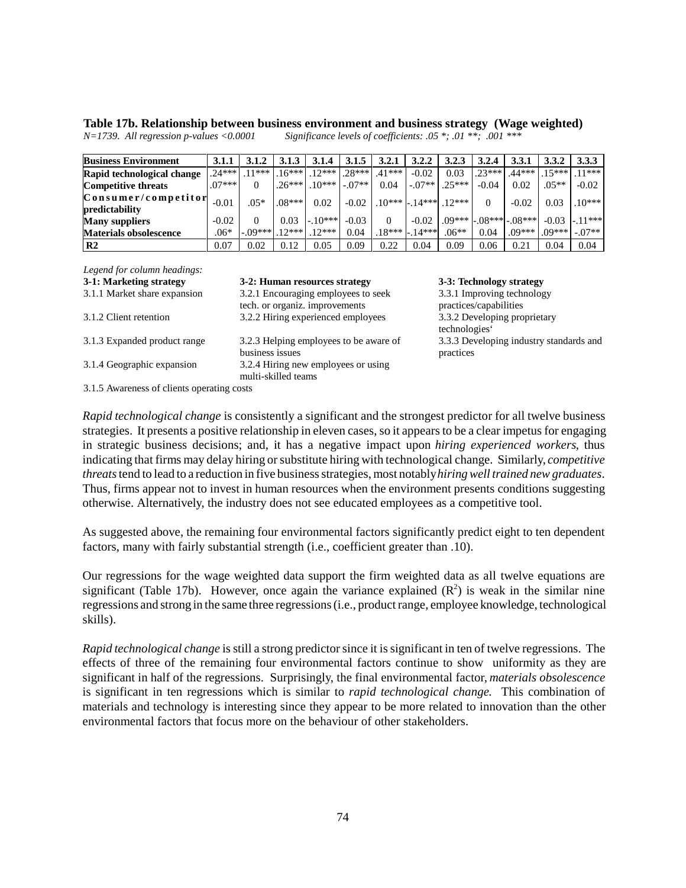|                                            | Table 17b. Relationship between business environment and business strategy (Wage weighted) |  |
|--------------------------------------------|--------------------------------------------------------------------------------------------|--|
| $N=1739$ . All regression p-values <0.0001 | Significance levels of coefficients: $.05$ *; $.01$ **; $.001$ ***                         |  |

| $N=1739$ . All regression p-values <0.0001 | Significance leve |
|--------------------------------------------|-------------------|
|                                            |                   |

| <b>Business Environment</b>   | 3.1.1    | 3.1.2     | 3.1.3    | 3.1.4    | 3.1.5         | 3.2.1    | 3.2.2    | 3.2.3    | 3.2.4    | 3.3.1                        | 3.3.2    | 3.3.3               |
|-------------------------------|----------|-----------|----------|----------|---------------|----------|----------|----------|----------|------------------------------|----------|---------------------|
| Rapid technological change    | 24***    | $11***$   | $16***$  | $12***$  | $.28***$      | $.41***$ | $-0.02$  | 0.03     | $.23***$ | $.44***$                     | $15***$  | $11***$             |
| <b>Competitive threats</b>    | $.07***$ |           | $.26***$ | $.10***$ | $\sim 1-07**$ | 0.04     | $-.07**$ | $.25***$ | $-0.04$  | 0.02                         | $.05**$  | $-0.02$             |
| Consumer/competitor           | $-0.01$  | $.05*$    | $.08***$ | 0.02     | $-0.02$       | $.10***$ | $-14***$ | $12***$  | $\Omega$ | $-0.02$                      | 0.03     | $.10***$            |
| predictability                |          |           |          |          |               |          |          |          |          |                              |          |                     |
| <b>Many suppliers</b>         | $-0.02$  |           | 0.03     | $-10***$ | $-0.03$       |          | $-0.02$  |          |          | $.09***$ $-.08***$ $-.08***$ | $-0.03$  | $\frac{1}{2}$ 11*** |
| <b>Materials obsolescence</b> | $.06*$   | $-.09***$ | $12***$  | $12***$  | 0.04          | $.18***$ | $-14***$ | $.06**$  | 0.04     | $.09***$                     | $.09***$ | $-.07**$            |
| R <sub>2</sub>                | 0.07     | 0.02      | 0.12     | 0.05     | 0.09          | 0.22     | 0.04     | 0.09     | 0.06     | 0.21                         | 0.04     | 0.04                |

*Legend for column headings:*

# **3-1: Marketing strategy 3-2: Human resources strategy 3-3: Technology strategy**

3.1.1 Market share expansion 3.2.1 Encouraging employees to seek tech. or organiz. improvements 3.1.2 Client retention 3.2.2 Hiring experienced employees 3.3.2 Developing proprietary 3.1.3 Expanded product range 3.2.3 Helping employees to be aware of business issues 3.1.4 Geographic expansion 3.2.4 Hiring new employees or using multi-skilled teams

3.3.1 Improving technology practices/capabilities technologies' 3.3.3 Developing industry standards and practices

3.1.5 Awareness of clients operating costs

*Rapid technological change* is consistently a significant and the strongest predictor for all twelve business strategies. It presents a positive relationship in eleven cases, so it appears to be a clear impetus for engaging in strategic business decisions; and, it has a negative impact upon *hiring experienced workers*, thus indicating that firms may delay hiring or substitute hiring with technological change. Similarly, *competitive threats* tend to lead to a reduction in five business strategies, most notably *hiring well trained new graduates*. Thus, firms appear not to invest in human resources when the environment presents conditions suggesting otherwise. Alternatively, the industry does not see educated employees as a competitive tool.

As suggested above, the remaining four environmental factors significantly predict eight to ten dependent factors, many with fairly substantial strength (i.e., coefficient greater than .10).

Our regressions for the wage weighted data support the firm weighted data as all twelve equations are significant (Table 17b). However, once again the variance explained  $(R^2)$  is weak in the similar nine regressions and strong in the same three regressions (i.e., product range, employee knowledge, technological skills).

*Rapid technological change* is still a strong predictor since it is significant in ten of twelve regressions. The effects of three of the remaining four environmental factors continue to show uniformity as they are significant in half of the regressions. Surprisingly, the final environmental factor, *materials obsolescence* is significant in ten regressions which is similar to *rapid technological change*. This combination of materials and technology is interesting since they appear to be more related to innovation than the other environmental factors that focus more on the behaviour of other stakeholders.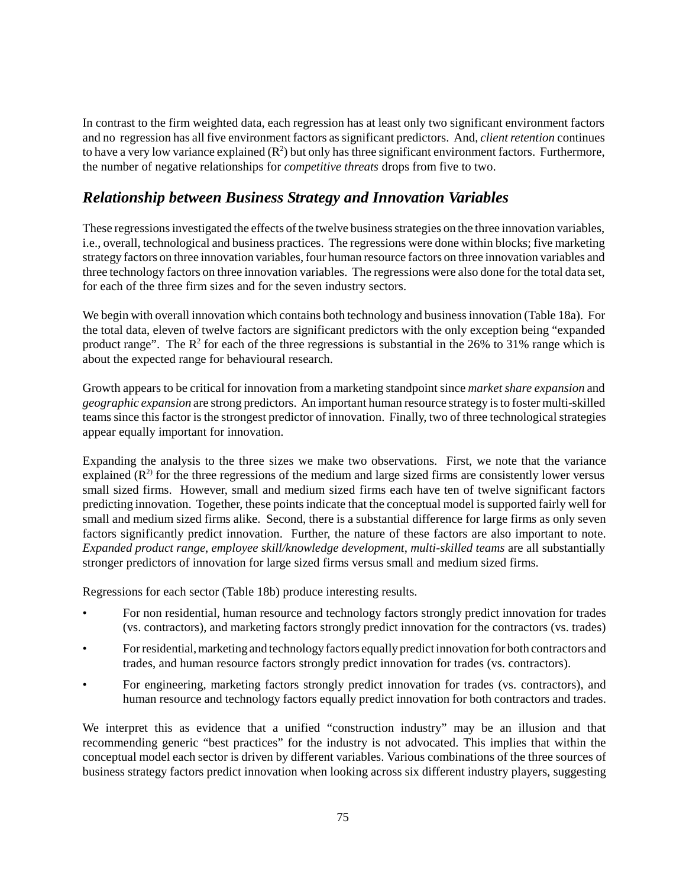In contrast to the firm weighted data, each regression has at least only two significant environment factors and no regression has all five environment factors as significant predictors. And, *client retention* continues to have a very low variance explained  $(R^2)$  but only has three significant environment factors. Furthermore, the number of negative relationships for *competitive threats* drops from five to two.

# *Relationship between Business Strategy and Innovation Variables*

These regressions investigated the effects of the twelve business strategies on the three innovation variables, i.e., overall, technological and business practices. The regressions were done within blocks; five marketing strategy factors on three innovation variables, four human resource factors on three innovation variables and three technology factors on three innovation variables. The regressions were also done for the total data set, for each of the three firm sizes and for the seven industry sectors.

We begin with overall innovation which contains both technology and business innovation (Table 18a). For the total data, eleven of twelve factors are significant predictors with the only exception being "expanded product range". The  $\mathbb{R}^2$  for each of the three regressions is substantial in the 26% to 31% range which is about the expected range for behavioural research.

Growth appears to be critical for innovation from a marketing standpoint since *market share expansion* and *geographic expansion* are strong predictors. An important human resource strategy is to foster multi-skilled teams since this factor is the strongest predictor of innovation. Finally, two of three technological strategies appear equally important for innovation.

Expanding the analysis to the three sizes we make two observations. First, we note that the variance explained  $(R^2)$  for the three regressions of the medium and large sized firms are consistently lower versus small sized firms. However, small and medium sized firms each have ten of twelve significant factors predicting innovation. Together, these points indicate that the conceptual model is supported fairly well for small and medium sized firms alike. Second, there is a substantial difference for large firms as only seven factors significantly predict innovation. Further, the nature of these factors are also important to note. *Expanded product range*, *employee skill/knowledge development*, *multi-skilled teams* are all substantially stronger predictors of innovation for large sized firms versus small and medium sized firms.

Regressions for each sector (Table 18b) produce interesting results.

- For non residential, human resource and technology factors strongly predict innovation for trades (vs. contractors), and marketing factors strongly predict innovation for the contractors (vs. trades)
- For residential, marketing and technology factors equally predict innovation for both contractors and trades, and human resource factors strongly predict innovation for trades (vs. contractors).
- For engineering, marketing factors strongly predict innovation for trades (vs. contractors), and human resource and technology factors equally predict innovation for both contractors and trades.

We interpret this as evidence that a unified "construction industry" may be an illusion and that recommending generic "best practices" for the industry is not advocated. This implies that within the conceptual model each sector is driven by different variables. Various combinations of the three sources of business strategy factors predict innovation when looking across six different industry players, suggesting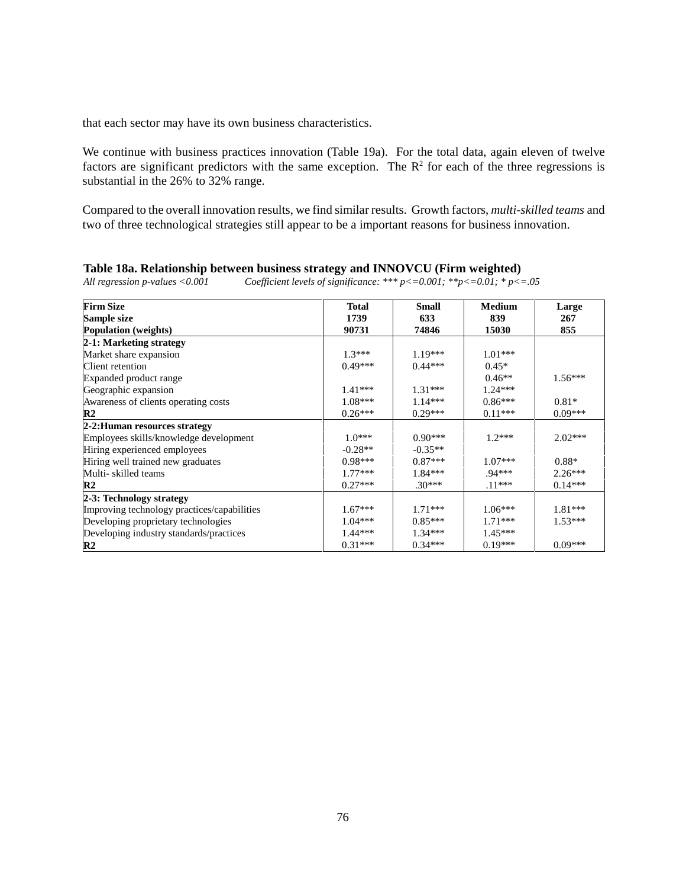that each sector may have its own business characteristics.

We continue with business practices innovation (Table 19a). For the total data, again eleven of twelve factors are significant predictors with the same exception. The  $\mathbb{R}^2$  for each of the three regressions is substantial in the 26% to 32% range.

Compared to the overall innovation results, we find similar results. Growth factors, *multi-skilled teams* and two of three technological strategies still appear to be a important reasons for business innovation.

| <b>Firm Size</b>                            | <b>Total</b> | Small     | <b>Medium</b> | Large     |
|---------------------------------------------|--------------|-----------|---------------|-----------|
| Sample size                                 | 1739         | 633       | 839           | 267       |
| <b>Population</b> (weights)                 | 90731        | 74846     | 15030         | 855       |
| 2-1: Marketing strategy                     |              |           |               |           |
| Market share expansion                      | $1.3***$     | $1.19***$ | $1.01***$     |           |
| Client retention                            | $0.49***$    | $0.44***$ | $0.45*$       |           |
| Expanded product range                      |              |           | $0.46**$      | $1.56***$ |
| Geographic expansion                        | $1.41***$    | $1.31***$ | $1.24***$     |           |
| Awareness of clients operating costs        | $1.08***$    | $1.14***$ | $0.86***$     | $0.81*$   |
| $\mathbf{R}2$                               | $0.26***$    | $0.29***$ | $0.11***$     | $0.09***$ |
| 2-2: Human resources strategy               |              |           |               |           |
| Employees skills/knowledge development      | $1.0***$     | $0.90***$ | $1.2***$      | $2.02***$ |
| Hiring experienced employees                | $-0.28**$    | $-0.35**$ |               |           |
| Hiring well trained new graduates           | $0.98***$    | $0.87***$ | $1.07***$     | $0.88*$   |
| Multi-skilled teams                         | $1.77***$    | $1.84***$ | $.94***$      | $2.26***$ |
| $\mathbf{R}2$                               | $0.27***$    | $.30***$  | $.11***$      | $0.14***$ |
| 2-3: Technology strategy                    |              |           |               |           |
| Improving technology practices/capabilities | $1.67***$    | $1.71***$ | $1.06***$     | $1.81***$ |
| Developing proprietary technologies         | $1.04***$    | $0.85***$ | $1.71***$     | $1.53***$ |
| Developing industry standards/practices     | 1.44 ***     | $1.34***$ | $1.45***$     |           |
| R <sub>2</sub>                              | $0.31***$    | $0.34***$ | $0.19***$     | $0.09***$ |

|  |  |  | Table 18a. Relationship between business strategy and INNOVCU (Firm weighted) |
|--|--|--|-------------------------------------------------------------------------------|
|--|--|--|-------------------------------------------------------------------------------|

*All regression p-values <0.001 Coefficient levels of significance: \*\*\* p<=0.001; \*\*p<=0.01; \* p<=.05*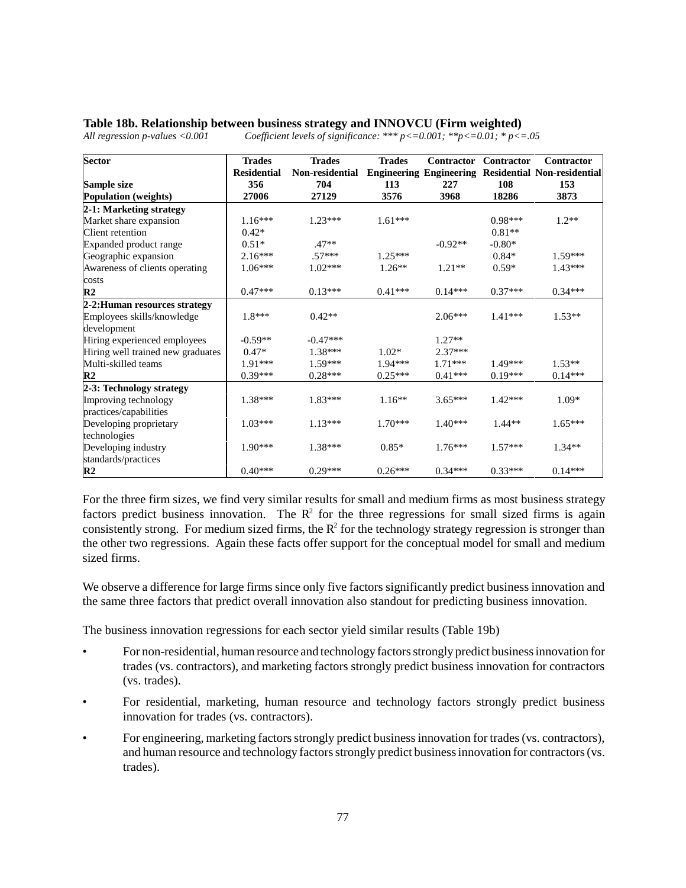### **Table 18b. Relationship between business strategy and INNOVCU (Firm weighted)**

**Sector** Trades **Residential Trades Non-residential Engineering Engineering Residential Non-residential Trades Contractor Contractor Contractor Sample size 356 704 113 227 108 153 Population (weights) 27006 27129 3576 3968 18286 3873 2-1: Marketing strategy** Market share expansion 1.16\*\*\* 1.23\*\*\* 1.23\*\*\* 1.61\*\*\* 0.98\*\*\* 1.2\*\* Client retention  $0.42^*$  0.81<sup>\*\*</sup> 0.81<sup>\*\*</sup> Expanded product range  $0.51^*$  .47<sup>\*\*</sup>  $0.92^{**}$  -0.92<sup>\*\*</sup> -0.80<sup>\*</sup> .680\* Geographic expansion  $2.16***$   $57***$   $1.25***$   $0.84*$   $1.59***$ Awareness of clients operating costs<br>R2 1.06\*\*\* 1.02\*\*\* 1.26\*\* 1.21\*\* 0.59\* 1.43\*\*\* **R2 b** 0.47\*\*\* **0.13\*\*\* 0.13\*\*\* 0.41\*\*\* 0.14\*\*\* 0.37\*\*\* 0.34\*\*\* 2-2:Human resources strategy** Employees skills/knowledge development 1.8\*\*\* 0.42\*\* 2.06\*\*\* 1.41\*\*\* 1.53\*\* Hiring experienced employees  $\begin{vmatrix} -0.59^{**} & -0.47^{***} \end{vmatrix}$  -0.47<sup>\*\*\*</sup> 1.27<sup>\*\*</sup> Hiring well trained new graduates  $\begin{array}{ccc} 0.47^* & 1.38^{***} & 1.02^* & 2.37^{***} \end{array}$ Multi-skilled teams  $1.91***$   $1.59***$   $1.94***$   $1.71***$   $1.49***$   $1.53**$ **R2** 0.39\*\*\* 0.28\*\*\* 0.25\*\*\* 0.41\*\*\* 0.19\*\*\* 0.14\*\*\* **2-3: Technology strategy** Improving technology practices/capabilities 1.38\*\*\* 1.83\*\*\* 1.16\*\* 3.65\*\*\* 1.42\*\*\* 1.09\* Developing proprietary technologies 1.03\*\*\* 1.13\*\*\* 1.70\*\*\* 1.40\*\*\* 1.44\*\* 1.65\*\*\* Developing industry standards/practices 1.90\*\*\* 1.38\*\*\* 0.85\* 1.76\*\*\* 1.57\*\*\* 1.34\*\* **R2** 0.40\*\*\* 0.29\*\*\* 0.26\*\*\* 0.34\*\*\* 0.33\*\*\* 0.14\*\*\*

*All regression p-values <0.001 Coefficient levels of significance: \*\*\* p<=0.001; \*\*p<=0.01; \* p<=.05*

For the three firm sizes, we find very similar results for small and medium firms as most business strategy factors predict business innovation. The  $\mathbb{R}^2$  for the three regressions for small sized firms is again consistently strong. For medium sized firms, the  $R^2$  for the technology strategy regression is stronger than the other two regressions. Again these facts offer support for the conceptual model for small and medium sized firms.

We observe a difference for large firms since only five factors significantly predict business innovation and the same three factors that predict overall innovation also standout for predicting business innovation.

The business innovation regressions for each sector yield similar results (Table 19b)

- For non-residential, human resource and technology factors strongly predict business innovation for trades (vs. contractors), and marketing factors strongly predict business innovation for contractors (vs. trades).
- For residential, marketing, human resource and technology factors strongly predict business innovation for trades (vs. contractors).
- For engineering, marketing factors strongly predict business innovation for trades (vs. contractors), and human resource and technology factors strongly predict business innovation for contractors (vs. trades).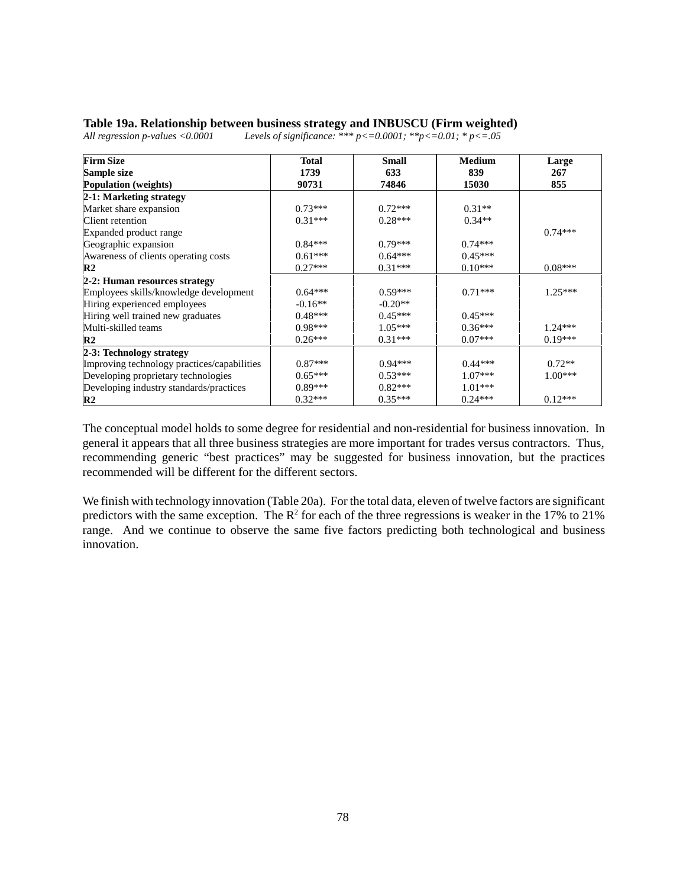### **Table 19a. Relationship between business strategy and INBUSCU (Firm weighted)**

| <b>Firm Size</b>                            | Total     | <b>Small</b> | <b>Medium</b> | Large     |
|---------------------------------------------|-----------|--------------|---------------|-----------|
| Sample size                                 | 1739      | 633          | 839           | 267       |
| <b>Population</b> (weights)                 | 90731     | 74846        | 15030         | 855       |
| 2-1: Marketing strategy                     |           |              |               |           |
| Market share expansion                      | $0.73***$ | $0.72***$    | $0.31**$      |           |
| Client retention                            | $0.31***$ | $0.28***$    | $0.34**$      |           |
| Expanded product range                      |           |              |               | $0.74***$ |
| Geographic expansion                        | $0.84***$ | $0.79***$    | $0.74***$     |           |
| Awareness of clients operating costs        | $0.61***$ | $0.64***$    | $0.45***$     |           |
| $\mathbf{R}2$                               | $0.27***$ | $0.31***$    | $0.10***$     | $0.08***$ |
| 2-2: Human resources strategy               |           |              |               |           |
| Employees skills/knowledge development      | $0.64***$ | $0.59***$    | $0.71***$     | $1.25***$ |
| Hiring experienced employees                | $-0.16**$ | $-0.20**$    |               |           |
| Hiring well trained new graduates           | $0.48***$ | $0.45***$    | $0.45***$     |           |
| Multi-skilled teams                         | $0.98***$ | $1.05***$    | $0.36***$     | $1.24***$ |
| $\mathbb{R}^2$                              | $0.26***$ | $0.31***$    | $0.07***$     | $0.19***$ |
| 2-3: Technology strategy                    |           |              |               |           |
| Improving technology practices/capabilities | $0.87***$ | $0.94***$    | $0.44***$     | $0.72**$  |
| Developing proprietary technologies         | $0.65***$ | $0.53***$    | $1.07***$     | $1.00***$ |
| Developing industry standards/practices     | $0.89***$ | $0.82***$    | $1.01***$     |           |
| $\mathbb{R}^2$                              | $0.32***$ | $0.35***$    | $0.24***$     | $0.12***$ |

*All regression p-values <0.0001 Levels of significance: \*\*\* p<=0.0001; \*\*p<=0.01; \* p<=.05*

The conceptual model holds to some degree for residential and non-residential for business innovation. In general it appears that all three business strategies are more important for trades versus contractors. Thus, recommending generic "best practices" may be suggested for business innovation, but the practices recommended will be different for the different sectors.

We finish with technology innovation (Table 20a). For the total data, eleven of twelve factors are significant predictors with the same exception. The  $\mathbb{R}^2$  for each of the three regressions is weaker in the 17% to 21% range. And we continue to observe the same five factors predicting both technological and business innovation.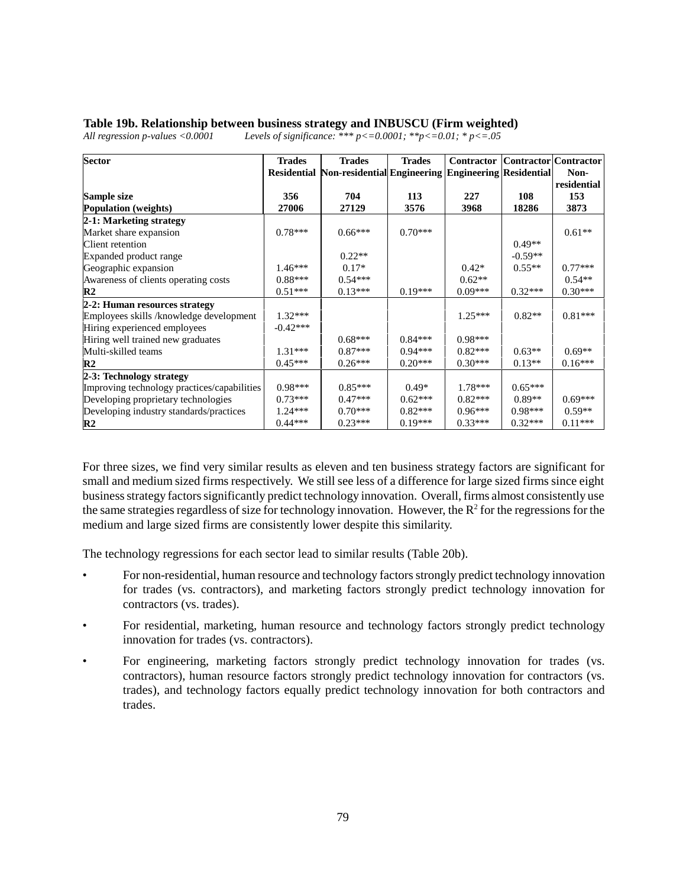## **Table 19b. Relationship between business strategy and INBUSCU (Firm weighted)**

| <b>Sector</b>                               | <b>Trades</b> | <b>Trades</b>                                                       | <b>Trades</b> | Contractor   Contractor   Contractor |           |             |
|---------------------------------------------|---------------|---------------------------------------------------------------------|---------------|--------------------------------------|-----------|-------------|
|                                             |               | Residential Non-residential Engineering   Engineering   Residential |               |                                      |           | Non-        |
|                                             |               |                                                                     |               |                                      |           | residential |
| Sample size                                 | 356           | 704                                                                 | 113           | 227                                  | 108       | 153         |
| <b>Population</b> (weights)                 | 27006         | 27129                                                               | 3576          | 3968                                 | 18286     | 3873        |
| 2-1: Marketing strategy                     |               |                                                                     |               |                                      |           |             |
| Market share expansion                      | $0.78***$     | $0.66***$                                                           | $0.70***$     |                                      |           | $0.61**$    |
| Client retention                            |               |                                                                     |               |                                      | $0.49**$  |             |
| Expanded product range                      |               | $0.22**$                                                            |               |                                      | $-0.59**$ |             |
| Geographic expansion                        | $1.46***$     | $0.17*$                                                             |               | $0.42*$                              | $0.55**$  | $0.77***$   |
| Awareness of clients operating costs        | $0.88***$     | $0.54***$                                                           |               | $0.62**$                             |           | $0.54**$    |
| $\mathbb{R}^2$                              | $0.51***$     | $0.13***$                                                           | $0.19***$     | $0.09***$                            | $0.32***$ | $0.30***$   |
| 2-2: Human resources strategy               |               |                                                                     |               |                                      |           |             |
| Employees skills /knowledge development     | $1.32***$     |                                                                     |               | $1.25***$                            | $0.82**$  | $0.81***$   |
| Hiring experienced employees                | $-0.42***$    |                                                                     |               |                                      |           |             |
| Hiring well trained new graduates           |               | $0.68***$                                                           | $0.84***$     | $0.98***$                            |           |             |
| Multi-skilled teams                         | $1.31***$     | $0.87***$                                                           | $0.94***$     | $0.82***$                            | $0.63**$  | $0.69**$    |
| $\mathbf{R}2$                               | $0.45***$     | $0.26***$                                                           | $0.20***$     | $0.30***$                            | $0.13**$  | $0.16***$   |
| 2-3: Technology strategy                    |               |                                                                     |               |                                      |           |             |
| Improving technology practices/capabilities | $0.98***$     | $0.85***$                                                           | $0.49*$       | $1.78***$                            | $0.65***$ |             |
| Developing proprietary technologies         | $0.73***$     | $0.47***$                                                           | $0.62***$     | $0.82***$                            | $0.89**$  | $0.69***$   |
| Developing industry standards/practices     | $1.24***$     | $0.70***$                                                           | $0.82***$     | $0.96***$                            | $0.98***$ | $0.59**$    |
| R2                                          | $0.44***$     | $0.23***$                                                           | $0.19***$     | $0.33***$                            | $0.32***$ | $0.11***$   |

*All regression p-values <0.0001 Levels of significance: \*\*\* p<=0.0001; \*\*p<=0.01; \* p<=.05*

For three sizes, we find very similar results as eleven and ten business strategy factors are significant for small and medium sized firms respectively. We still see less of a difference for large sized firms since eight business strategy factors significantly predict technology innovation. Overall, firms almost consistently use the same strategies regardless of size for technology innovation. However, the  $R^2$  for the regressions for the medium and large sized firms are consistently lower despite this similarity.

The technology regressions for each sector lead to similar results (Table 20b).

- For non-residential, human resource and technology factors strongly predict technology innovation for trades (vs. contractors), and marketing factors strongly predict technology innovation for contractors (vs. trades).
- For residential, marketing, human resource and technology factors strongly predict technology innovation for trades (vs. contractors).
- For engineering, marketing factors strongly predict technology innovation for trades (vs. contractors), human resource factors strongly predict technology innovation for contractors (vs. trades), and technology factors equally predict technology innovation for both contractors and trades.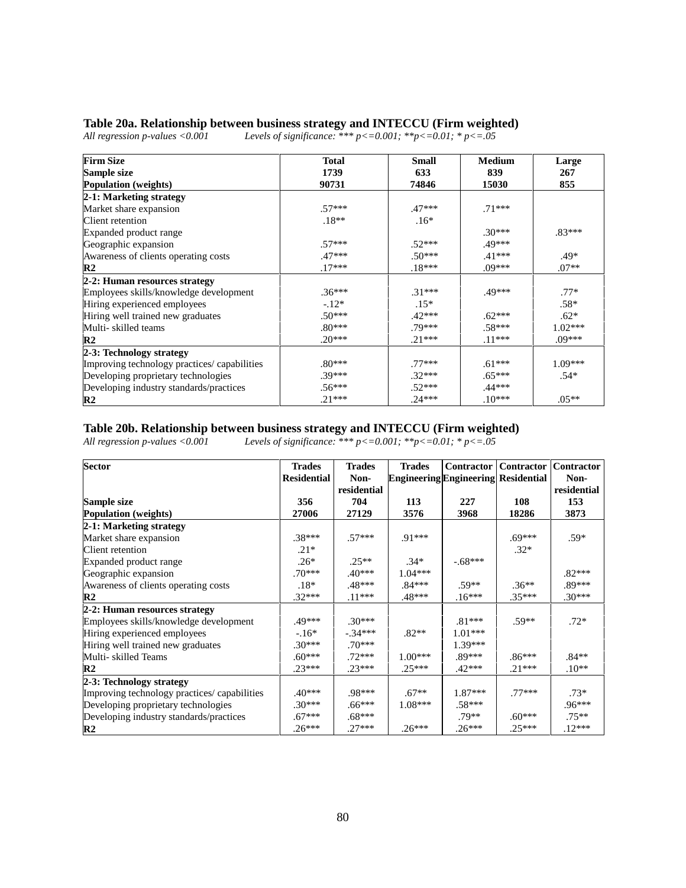# **Table 20a. Relationship between business strategy and INTECCU (Firm weighted)**<br>All regression p-values <0.001 Levels of significance: \*\*\* p<=0.001; \*\*p<=0.01; \* p<=.05

*All registers are values of significance: \*\*\* p <= 0.001; \*\*p <= 0.01; \* p <= .05* 

| <b>Firm Size</b>                             | <b>Total</b> | <b>Small</b> | <b>Medium</b> | Large     |
|----------------------------------------------|--------------|--------------|---------------|-----------|
| Sample size                                  | 1739         | 633          | 839           | 267       |
| <b>Population</b> (weights)                  | 90731        | 74846        | 15030         | 855       |
| 2-1: Marketing strategy                      |              |              |               |           |
| Market share expansion                       | $.57***$     | $.47***$     | $.71***$      |           |
| Client retention                             | $.18**$      | $.16*$       |               |           |
| Expanded product range                       |              |              | $.30***$      | $.83***$  |
| Geographic expansion                         | $.57***$     | $.52***$     | .49***        |           |
| Awareness of clients operating costs         | $.47***$     | $.50***$     | $.41***$      | $.49*$    |
| R <sub>2</sub>                               | $.17***$     | $.18***$     | $.09***$      | $.07**$   |
| 2-2: Human resources strategy                |              |              |               |           |
| Employees skills/knowledge development       | $.36***$     | $.31***$     | .49***        | $.77*$    |
| Hiring experienced employees                 | $-.12*$      | $.15*$       |               | $.58*$    |
| Hiring well trained new graduates            | $.50***$     | $.42***$     | $.62***$      | $.62*$    |
| Multi-skilled teams                          | $.80***$     | .79***       | $.58***$      | $1.02***$ |
| R <sub>2</sub>                               | $.20***$     | $.21***$     | $.11***$      | $.09***$  |
| 2-3: Technology strategy                     |              |              |               |           |
| Improving technology practices/ capabilities | $.80***$     | $.77***$     | $.61***$      | $1.09***$ |
| Developing proprietary technologies          | $.39***$     | $.32***$     | $.65***$      | $.54*$    |
| Developing industry standards/practices      | $.56***$     | $.52***$     | $.44***$      |           |
| R <sub>2</sub>                               | $.21***$     | $.24***$     | $.10***$      | $.05**$   |

#### **Table 20b. Relationship between business strategy and INTECCU (Firm weighted)**

*All regression p-values <0.001 Levels of significance: \*\*\* p<=0.001; \*\*p<=0.01; \* p<=.05*

| <b>Sector</b>                                | <b>Trades</b><br><b>Residential</b> | <b>Trades</b><br>Non- | <b>Trades</b><br><b>Engineering Engineering Residential</b> | Contractor | Contractor | <b>Contractor</b><br>Non- |
|----------------------------------------------|-------------------------------------|-----------------------|-------------------------------------------------------------|------------|------------|---------------------------|
|                                              |                                     | residential           |                                                             |            |            | residential               |
| Sample size                                  | 356                                 | 704                   | 113                                                         | 227        | 108        | 153                       |
| <b>Population</b> (weights)                  | 27006                               | 27129                 | 3576                                                        | 3968       | 18286      | 3873                      |
| 2-1: Marketing strategy                      |                                     |                       |                                                             |            |            |                           |
| Market share expansion                       | $.38***$                            | $.57***$              | $.91***$                                                    |            | $.69***$   | $.59*$                    |
| Client retention                             | $.21*$                              |                       |                                                             |            | $.32*$     |                           |
| Expanded product range                       | $.26*$                              | $.25**$               | $.34*$                                                      | $-.68***$  |            |                           |
| Geographic expansion                         | $.70***$                            | $.40***$              | $1.04***$                                                   |            |            | $.82***$                  |
| Awareness of clients operating costs         | $.18*$                              | $.48***$              | $.84***$                                                    | $.59**$    | $.36**$    | .89***                    |
| $\mathbf{R}2$                                | $.32***$                            | $.11***$              | .48***                                                      | $.16***$   | $.35***$   | $.30***$                  |
| 2-2: Human resources strategy                |                                     |                       |                                                             |            |            |                           |
| Employees skills/knowledge development       | .49***                              | $.30***$              |                                                             | $.81***$   | $.59**$    | $.72*$                    |
| Hiring experienced employees                 | $-16*$                              | $-.34***$             | $.82**$                                                     | $1.01***$  |            |                           |
| Hiring well trained new graduates            | $.30***$                            | $.70***$              |                                                             | $1.39***$  |            |                           |
| Multi- skilled Teams                         | $.60***$                            | $.72***$              | $1.00***$                                                   | .89***     | $.86***$   | $.84**$                   |
| $\mathbf{R}2$                                | $.23***$                            | $.23***$              | $.25***$                                                    | $.42***$   | $.21***$   | $.10**$                   |
| 2-3: Technology strategy                     |                                     |                       |                                                             |            |            |                           |
| Improving technology practices/ capabilities | $.40***$                            | .98***                | $.67**$                                                     | $1.87***$  | $.77***$   | $.73*$                    |
| Developing proprietary technologies          | $.30***$                            | $.66***$              | $1.08***$                                                   | $.58***$   |            | $.96***$                  |
| Developing industry standards/practices      | $.67***$                            | $.68***$              |                                                             | $.79**$    | $.60***$   | $.75**$                   |
| $\mathbb{R}^2$                               | $.26***$                            | $.27***$              | $.26***$                                                    | $.26***$   | $.25***$   | $.12***$                  |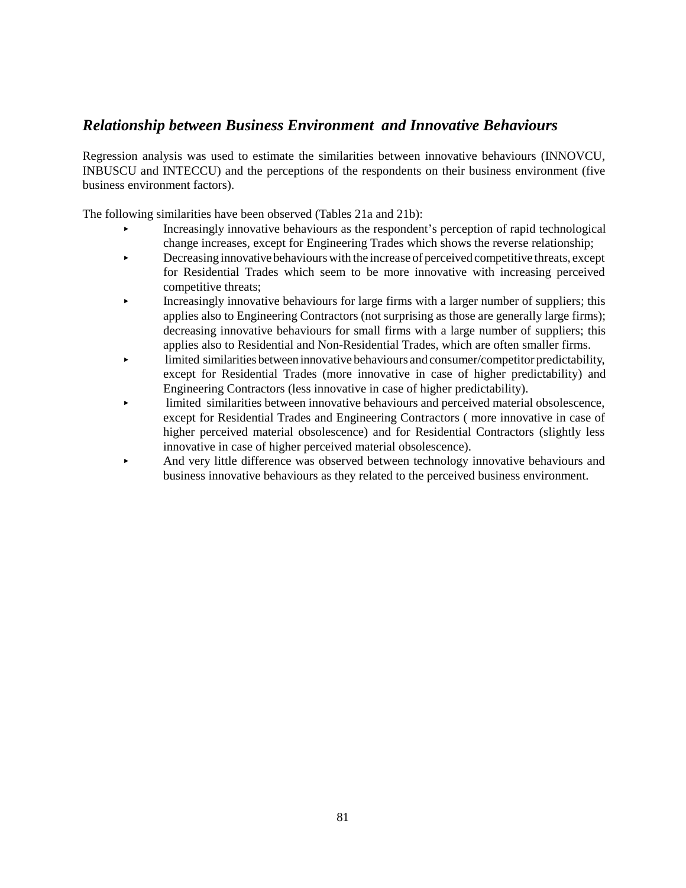# *Relationship between Business Environment and Innovative Behaviours*

Regression analysis was used to estimate the similarities between innovative behaviours (INNOVCU, INBUSCU and INTECCU) and the perceptions of the respondents on their business environment (five business environment factors).

The following similarities have been observed (Tables 21a and 21b):

- < Increasingly innovative behaviours as the respondent's perception of rapid technological change increases, except for Engineering Trades which shows the reverse relationship;
- **EXECUTE:** Decreasing innovative behaviours with the increase of perceived competitive threats, except for Residential Trades which seem to be more innovative with increasing perceived competitive threats;
- < Increasingly innovative behaviours for large firms with a larger number of suppliers; this applies also to Engineering Contractors (not surprising as those are generally large firms); decreasing innovative behaviours for small firms with a large number of suppliers; this applies also to Residential and Non-Residential Trades, which are often smaller firms.
- < limited similarities between innovative behaviours and consumer/competitor predictability, except for Residential Trades (more innovative in case of higher predictability) and Engineering Contractors (less innovative in case of higher predictability).
- < limited similarities between innovative behaviours and perceived material obsolescence, except for Residential Trades and Engineering Contractors ( more innovative in case of higher perceived material obsolescence) and for Residential Contractors (slightly less innovative in case of higher perceived material obsolescence).
- And very little difference was observed between technology innovative behaviours and business innovative behaviours as they related to the perceived business environment.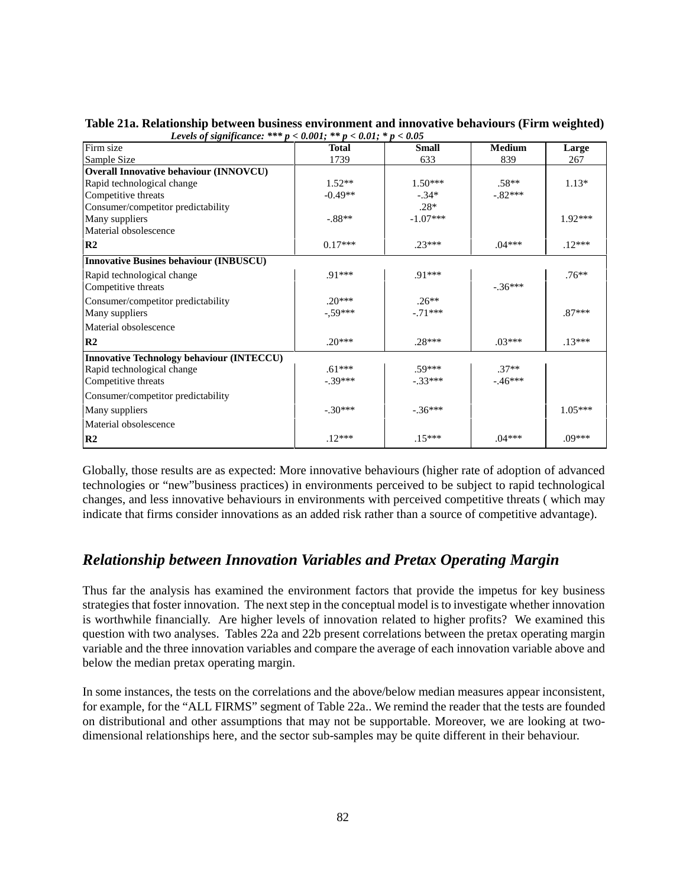| Levels of significance.                          | $\mu \sim v \cdot v \cdot u$<br>$\mu \sim 0.01$ | $\nu \sim v \cdot v \cdot v$ |               |           |
|--------------------------------------------------|-------------------------------------------------|------------------------------|---------------|-----------|
| Firm size                                        | <b>Total</b>                                    | <b>Small</b>                 | <b>Medium</b> | Large     |
| Sample Size                                      | 1739                                            | 633                          | 839           | 267       |
| <b>Overall Innovative behaviour (INNOVCU)</b>    |                                                 |                              |               |           |
| Rapid technological change                       | $1.52**$                                        | $1.50***$                    | $.58**$       | $1.13*$   |
| Competitive threats                              | $-0.49**$                                       | $-.34*$                      | $-.82***$     |           |
| Consumer/competitor predictability               |                                                 | $.28*$                       |               |           |
| Many suppliers                                   | $-.88**$                                        | $-1.07***$                   |               | $1.92***$ |
| Material obsolescence                            |                                                 |                              |               |           |
| R <sub>2</sub>                                   | $0.17***$                                       | $.23***$                     | $.04***$      | $.12***$  |
| <b>Innovative Busines behaviour (INBUSCU)</b>    |                                                 |                              |               |           |
| Rapid technological change                       | .91***                                          | .91***                       |               | $.76**$   |
| Competitive threats                              |                                                 |                              | $-.36***$     |           |
| Consumer/competitor predictability               | $.20***$                                        | $.26**$                      |               |           |
| Many suppliers                                   | $-0.59***$                                      | $-.71***$                    |               | $.87***$  |
| Material obsolescence                            |                                                 |                              |               |           |
| R <sub>2</sub>                                   | $.20***$                                        | $.28***$                     | $.03***$      | $.13***$  |
| <b>Innovative Technology behaviour (INTECCU)</b> |                                                 |                              |               |           |
| Rapid technological change                       | $.61***$                                        | $.59***$                     | $.37**$       |           |
| Competitive threats                              | $-.39***$                                       | $-.33***$                    | $-.46***$     |           |
| Consumer/competitor predictability               |                                                 |                              |               |           |
| Many suppliers                                   | $-.30***$                                       | $-.36***$                    |               | $1.05***$ |
| Material obsolescence                            |                                                 |                              |               |           |
| R <sub>2</sub>                                   | $.12***$                                        | $.15***$                     | $.04***$      | .09***    |

**Table 21a. Relationship between business environment and innovative behaviours (Firm weighted)**  *Levels of significance: \*\*\* p < 0.001; \*\* p < 0.01; \* p < 0.05*

Globally, those results are as expected: More innovative behaviours (higher rate of adoption of advanced technologies or "new"business practices) in environments perceived to be subject to rapid technological changes, and less innovative behaviours in environments with perceived competitive threats ( which may indicate that firms consider innovations as an added risk rather than a source of competitive advantage).

# *Relationship between Innovation Variables and Pretax Operating Margin*

Thus far the analysis has examined the environment factors that provide the impetus for key business strategies that foster innovation. The next step in the conceptual model is to investigate whether innovation is worthwhile financially. Are higher levels of innovation related to higher profits? We examined this question with two analyses. Tables 22a and 22b present correlations between the pretax operating margin variable and the three innovation variables and compare the average of each innovation variable above and below the median pretax operating margin.

In some instances, the tests on the correlations and the above/below median measures appear inconsistent, for example, for the "ALL FIRMS" segment of Table 22a.. We remind the reader that the tests are founded on distributional and other assumptions that may not be supportable. Moreover, we are looking at twodimensional relationships here, and the sector sub-samples may be quite different in their behaviour.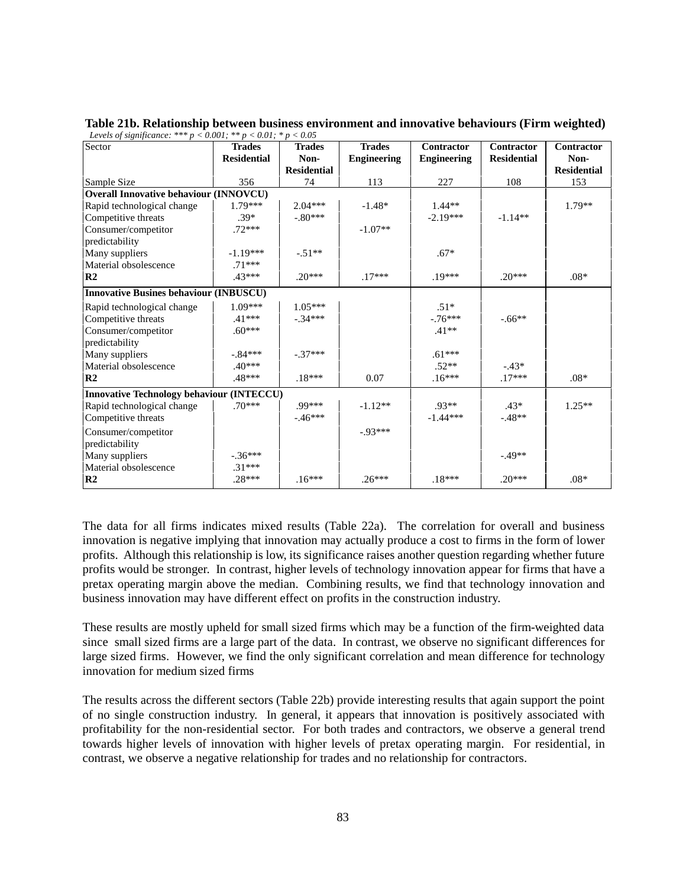| Levels of significance: *** $p < 0.001$ ; ** $p < 0.01$ ; * $p < 0.05$ |                    |                    |               |                    |                    |                    |
|------------------------------------------------------------------------|--------------------|--------------------|---------------|--------------------|--------------------|--------------------|
| Sector                                                                 | <b>Trades</b>      | <b>Trades</b>      | <b>Trades</b> | <b>Contractor</b>  | <b>Contractor</b>  | <b>Contractor</b>  |
|                                                                        | <b>Residential</b> | Non-               | Engineering   | <b>Engineering</b> | <b>Residential</b> | Non-               |
|                                                                        |                    | <b>Residential</b> |               |                    |                    | <b>Residential</b> |
| Sample Size                                                            | 356                | 74                 | 113           | 227                | 108                | 153                |
| <b>Overall Innovative behaviour (INNOVCU)</b>                          |                    |                    |               |                    |                    |                    |
| Rapid technological change                                             | $1.79***$          | $2.04***$          | $-1.48*$      | $1.44**$           |                    | $1.79**$           |
| Competitive threats                                                    | $.39*$             | $-.80***$          |               | $-2.19***$         | $-1.14**$          |                    |
| Consumer/competitor                                                    | $.72***$           |                    | $-1.07**$     |                    |                    |                    |
| predictability                                                         |                    |                    |               |                    |                    |                    |
| Many suppliers                                                         | $-1.19***$         | $-.51**$           |               | $.67*$             |                    |                    |
| Material obsolescence                                                  | $.71***$           |                    |               |                    |                    |                    |
| R <sub>2</sub>                                                         | $.43***$           | $.20***$           | $.17***$      | $.19***$           | $20***$            | $.08*$             |
| <b>Innovative Busines behaviour (INBUSCU)</b>                          |                    |                    |               |                    |                    |                    |
| Rapid technological change                                             | $1.09***$          | $1.05***$          |               | $.51*$             |                    |                    |
| Competitive threats                                                    | $.41***$           | $-.34***$          |               | $-76***$           | $-0.66**$          |                    |
| Consumer/competitor                                                    | $.60***$           |                    |               | $.41**$            |                    |                    |
| predictability                                                         |                    |                    |               |                    |                    |                    |
| Many suppliers                                                         | $-.84***$          | $-.37***$          |               | $.61***$           |                    |                    |
| Material obsolescence                                                  | $.40***$           |                    |               | $.52**$            | $-43*$             |                    |
| R <sub>2</sub>                                                         | .48***             | $.18***$           | 0.07          | $.16***$           | $.17***$           | $.08*$             |
| Innovative Technology behaviour (INTECCU)                              |                    |                    |               |                    |                    |                    |
| Rapid technological change                                             | $.70***$           | .99***             | $-1.12**$     | $.93**$            | $.43*$             | $1.25**$           |
| Competitive threats                                                    |                    | $-.46***$          |               | $-1.44***$         | $-.48**$           |                    |
| Consumer/competitor                                                    |                    |                    | $-93***$      |                    |                    |                    |
| predictability                                                         |                    |                    |               |                    |                    |                    |
| Many suppliers                                                         | $-.36***$          |                    |               |                    | $-49**$            |                    |
| Material obsolescence                                                  | $.31***$           |                    |               |                    |                    |                    |
| R <sub>2</sub>                                                         | $.28***$           | $.16***$           | $.26***$      | $.18***$           | $.20***$           | $.08*$             |

**Table 21b. Relationship between business environment and innovative behaviours (Firm weighted)**

The data for all firms indicates mixed results (Table 22a). The correlation for overall and business innovation is negative implying that innovation may actually produce a cost to firms in the form of lower profits. Although this relationship is low, its significance raises another question regarding whether future profits would be stronger. In contrast, higher levels of technology innovation appear for firms that have a pretax operating margin above the median. Combining results, we find that technology innovation and business innovation may have different effect on profits in the construction industry.

These results are mostly upheld for small sized firms which may be a function of the firm-weighted data since small sized firms are a large part of the data. In contrast, we observe no significant differences for large sized firms. However, we find the only significant correlation and mean difference for technology innovation for medium sized firms

The results across the different sectors (Table 22b) provide interesting results that again support the point of no single construction industry. In general, it appears that innovation is positively associated with profitability for the non-residential sector. For both trades and contractors, we observe a general trend towards higher levels of innovation with higher levels of pretax operating margin. For residential, in contrast, we observe a negative relationship for trades and no relationship for contractors.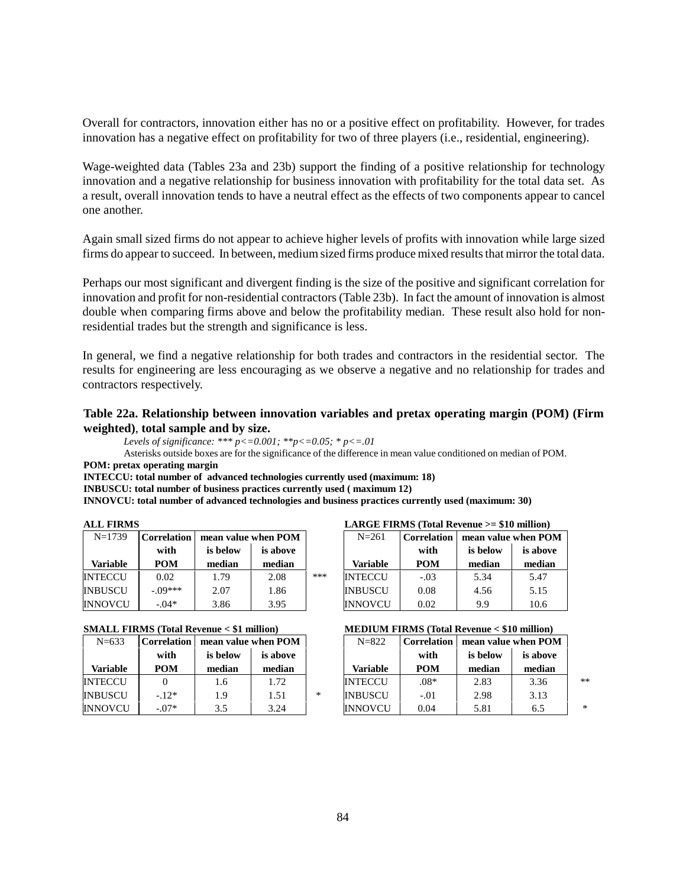Overall for contractors, innovation either has no or a positive effect on profitability. However, for trades innovation has a negative effect on profitability for two of three players (i.e., residential, engineering).

Wage-weighted data (Tables 23a and 23b) support the finding of a positive relationship for technology innovation and a negative relationship for business innovation with profitability for the total data set. As a result, overall innovation tends to have a neutral effect as the effects of two components appear to cancel one another.

Again small sized firms do not appear to achieve higher levels of profits with innovation while large sized firms do appear to succeed. In between, medium sized firms produce mixed results that mirror the total data.

Perhaps our most significant and divergent finding is the size of the positive and significant correlation for innovation and profit for non-residential contractors (Table 23b). In fact the amount of innovation is almost double when comparing firms above and below the profitability median. These result also hold for nonresidential trades but the strength and significance is less.

In general, we find a negative relationship for both trades and contractors in the residential sector. The results for engineering are less encouraging as we observe a negative and no relationship for trades and contractors respectively.

### **Table 22a. Relationship between innovation variables and pretax operating margin (POM) (Firm weighted)**, **total sample and by size.**

*Levels of significance: \*\*\* p<=0.001; \*\*p<=0.05; \* p<=.01*

Asterisks outside boxes are for the significance of the difference in mean value conditioned on median of POM. **POM: pretax operating margin**

**INTECCU: total number of advanced technologies currently used (maximum: 18)**

**INBUSCU: total number of business practices currently used ( maximum 12)**

**INNOVCU: total number of advanced technologies and business practices currently used (maximum: 30)**

| $N=1739$       | Correlation | mean value when POM |          |     | $N = 261$       | <b>Correlation</b> | mean value when POM |          |
|----------------|-------------|---------------------|----------|-----|-----------------|--------------------|---------------------|----------|
|                | with        | is below            | is above |     |                 | with               | is below            | is above |
| Variable       | <b>POM</b>  | median              | median   |     | <b>Variable</b> | <b>POM</b>         | median              | median   |
| <b>INTECCU</b> | 0.02        | 1.79                | 2.08     | *** | <b>INTECCU</b>  | $-.03$             | 5.34                | 5.47     |
| <b>INBUSCU</b> | $-09***$    | 2.07                | 1.86     |     | <b>INBUSCU</b>  | 0.08               | 4.56                | 5.15     |
| <b>INNOVCU</b> | $-.04*$     | 3.86                | 3.95     |     | <b>INNOVCU</b>  | 0.02               | 9.9                 | 10.6     |

| $N = 633$      | <b>Correlation</b> | mean value when POM |          |   | $N = 822$       | Correlation | mean value when POI |          |
|----------------|--------------------|---------------------|----------|---|-----------------|-------------|---------------------|----------|
|                | with               | is below            | is above |   |                 | with        | is below            | is above |
| Variable       | POM                | median              | median   |   | <b>Variable</b> | <b>POM</b>  | median              | median   |
| <b>INTECCU</b> |                    | 1.6                 | 1.72     |   | <b>INTECCU</b>  | $.08*$      | 2.83                | 3.36     |
| <b>INBUSCU</b> | $-12*$             | 1.9                 | 1.51     | * | <b>INBUSCU</b>  | $-.01$      | 2.98                | 3.13     |
| <b>INNOVCU</b> | $-.07*$            | 3.5                 | 3.24     |   | <b>INNOVCU</b>  | 0.04        | 5.81                | 6.5      |

#### **ALL FIRMS LARGE FIRMS (Total Revenue >= \$10 million)**

| relation | mean value when POM |          |     | $N = 261$       | Correlation   mean value when POM |          |          |
|----------|---------------------|----------|-----|-----------------|-----------------------------------|----------|----------|
| with     | is below            | is above |     |                 | with                              | is below | is above |
| POM      | median              | median   |     | <b>Variable</b> | <b>POM</b>                        | median   | median   |
| 0.02     | 1.79                | 2.08     | *** | <b>INTECCU</b>  | $-.03$                            | 5.34     | 5.47     |
| 09***    | 2.07                | 1.86     |     | <b>INBUSCU</b>  | 0.08                              | 4.56     | 5.15     |
| $-04*$   | 3.86                | 3.95     |     | <b>INNOVCU</b>  | 0.02                              | 9.9      | 10.6     |

### **SMALL FIRMS (Total Revenue < \$1 million) MEDIUM FIRMS (Total Revenue < \$10 million)**

| $N = 633$       | Correlation | mean value when POM |          |   | $N = 822$       | <b>Correlation</b> | mean value when POM |          |        |
|-----------------|-------------|---------------------|----------|---|-----------------|--------------------|---------------------|----------|--------|
|                 | with        | is below            | is above |   |                 | with               | is below            | is above |        |
| <b>Variable</b> | POM         | median              | median   |   | <b>Variable</b> | <b>POM</b>         | median              | median   |        |
| INTECCU         |             | 1.6                 | 1.72     |   | <b>INTECCU</b>  | $.08*$             | 2.83                | 3.36     | $**$   |
| INBUSCU         | $-12*$      | 1.9                 | 1.51     | ∗ | <b>INBUSCU</b>  | $-.01$             | 2.98                | 3.13     |        |
| INNOVCU         | $-.07*$     | 3.5                 | 3.24     |   | <b>INNOVCU</b>  | 0.04               | 5.81                | 6.5      | $\ast$ |

84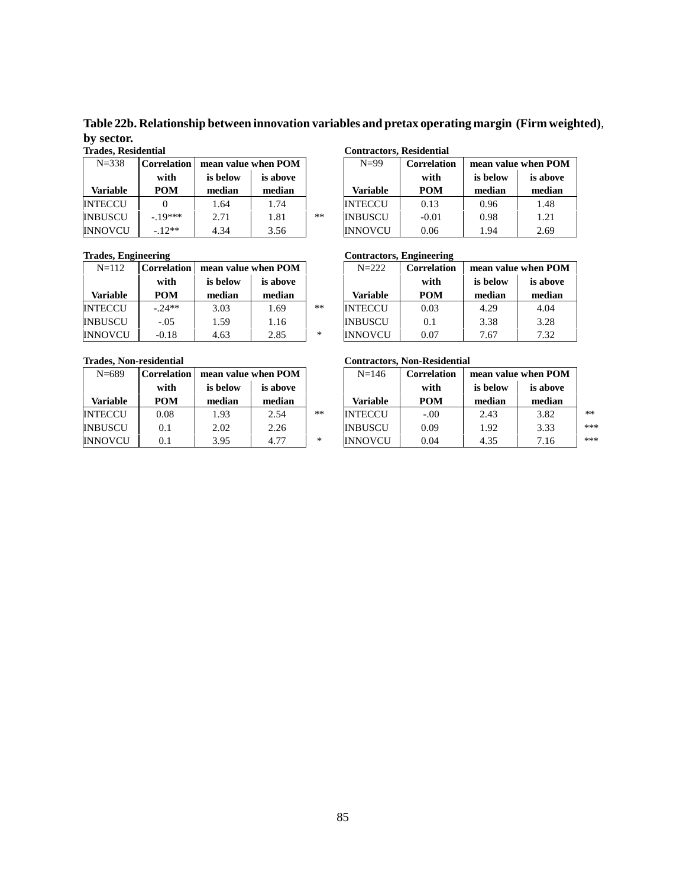**Table 22b. Relationship between innovation variables and pretax operating margin (Firm weighted)**, **by sector.**

| $N = 338$      | Correlation | mean value when POM |          |      | $N=99$         | Correlation | mean value when POI |          |
|----------------|-------------|---------------------|----------|------|----------------|-------------|---------------------|----------|
|                | with        | is below            | is above |      |                | with        | is below            | is above |
| Variable       | POM         | median              | median   |      | Variable       | <b>POM</b>  | median              | median   |
| <b>INTECCU</b> |             | 1.64                | 1.74     |      | <b>INTECCU</b> | 0.13        | 0.96                | 1.48     |
| <b>INBUSCU</b> | $-10***$    | 2.71                | 1.81     | $**$ | <b>INBUSCU</b> | $-0.01$     | 0.98                | 1.21     |
| <b>INNOVCU</b> | $-12**$     | 4.34                | 3.56     |      | <b>INNOVCU</b> | 0.06        | 1.94                | 2.69     |

| $N = 112$       | <b>Correlation</b> | mean value when POM |          |      | $N = 222$       | <b>Correlation</b> | mean value when POI |          |
|-----------------|--------------------|---------------------|----------|------|-----------------|--------------------|---------------------|----------|
|                 | with               | is below            | is above |      |                 | with               | is below            | is above |
| <b>Variable</b> | <b>POM</b>         | median              | median   |      | <b>Variable</b> | <b>POM</b>         | median              | median   |
| <b>INTECCU</b>  | $-24**$            | 3.03                | 1.69     | $**$ | <b>INTECCU</b>  | 0.03               | 4.29                | 4.04     |
| <b>INBUSCU</b>  | $-.05$             | 1.59                | 1.16     |      | <b>INBUSCU</b>  | 0.1                | 3.38                | 3.28     |
| INNOVCU         | $-0.18$            | 4.63                | 2.85     | $*$  | <b>INNOVCU</b>  | 0.07               | 7.67                | 7.32     |

| $N = 689$      | <b>Correlation</b> | mean value when POM |          |      | $N = 146$      | <b>Correlation</b> | mean value when POI |          |
|----------------|--------------------|---------------------|----------|------|----------------|--------------------|---------------------|----------|
|                | with               | is below            | is above |      |                | with               | is below            | is above |
| Variable       | <b>POM</b>         | median              | median   |      | Variable       | <b>POM</b>         | median              | median   |
| <b>INTECCU</b> | 0.08               | 1.93                | 2.54     | $**$ | <b>INTECCU</b> | $-.00$             | 2.43                | 3.82     |
| <b>INBUSCU</b> | 0.1                | 2.02                | 2.26     |      | <b>INBUSCU</b> | 0.09               | 1.92                | 3.33     |
| <b>INNOVCU</b> | 0.1                | 3.95                | 4.77     | ∗    | <b>INNOVCU</b> | 0.04               | 4.35                | 7.16     |

#### **Trades, Residential Contractors, Residential**

| N=338    | <b>Correlation</b> | mean value when POM |          |      | $N=99$          | <b>Correlation</b> |          | mean value when POM |
|----------|--------------------|---------------------|----------|------|-----------------|--------------------|----------|---------------------|
|          | with               | is below            | is above |      |                 | with               | is below | is above            |
| 'ariable | <b>POM</b>         | median              | median   |      | <b>Variable</b> | <b>POM</b>         | median   | median              |
| TECCU    |                    | 1.64                | 1.74     |      | <b>INTECCU</b>  | 0.13               | 0.96     | 1.48                |
| 3USCU    | $-10***$           | 2.71                | 1.81     | $**$ | <b>INBUSCU</b>  | $-0.01$            | 0.98     | 1.21                |
| NOVCU    | $-12**$            | 4.34                | 3.56     |      | <b>INNOVCU</b>  | 0.06               | 1.94     | 2.69                |

#### **Trades, Engineering Contractors, Engineering Contractors, Engineering**

| N=112    | <b>Correlation</b> | mean value when POM |          |    | $N = 222$       | Correlation |          | mean value when POM |  |
|----------|--------------------|---------------------|----------|----|-----------------|-------------|----------|---------------------|--|
|          | with               | is below            | is above |    |                 | with        | is below | is above            |  |
| 'ariable | <b>POM</b>         | median              | median   |    | <b>Variable</b> | <b>POM</b>  | median   | median              |  |
| TECCU    | $-24**$            | 3.03                | 1.69     | ** | <b>INTECCU</b>  | 0.03        | 4.29     | 4.04                |  |
| 3USCU    | $-.05$             | 1.59                | 1.16     |    | <b>INBUSCU</b>  | 0.1         | 3.38     | 3.28                |  |
| NOVCU    | $-0.18$            | 4.63                | 2.85     | *  | <b>INNOVCU</b>  | 0.07        | 7.67     | 7.32                |  |

### **Trades, Non-residential Contractors, Non-Residential**

| $N = 689$       | <b>Correlation</b> | mean value when POM  |        |       | $N = 146$       | Correlation |          | mean value when POM |      |
|-----------------|--------------------|----------------------|--------|-------|-----------------|-------------|----------|---------------------|------|
|                 | with               | is below<br>is above |        |       |                 | with        | is below | is above            |      |
| <b>Variable</b> | <b>POM</b>         | median               | median |       | <b>Variable</b> | <b>POM</b>  | median   | median              |      |
| INTECCU         | 0.08               | 1.93                 | 2.54   | $***$ | <b>INTECCU</b>  | $-.00$      | 2.43     | 3.82                | $**$ |
| INBUSCU         | 0.1                | 2.02                 | 2.26   |       | <b>INBUSCU</b>  | 0.09        | 1.92     | 3.33                | ***  |
| INNOVCU         | 0.1                | 3.95                 | 4.77   | *     | <b>INNOVCU</b>  | 0.04        | 4.35     | 7.16                | ***  |

85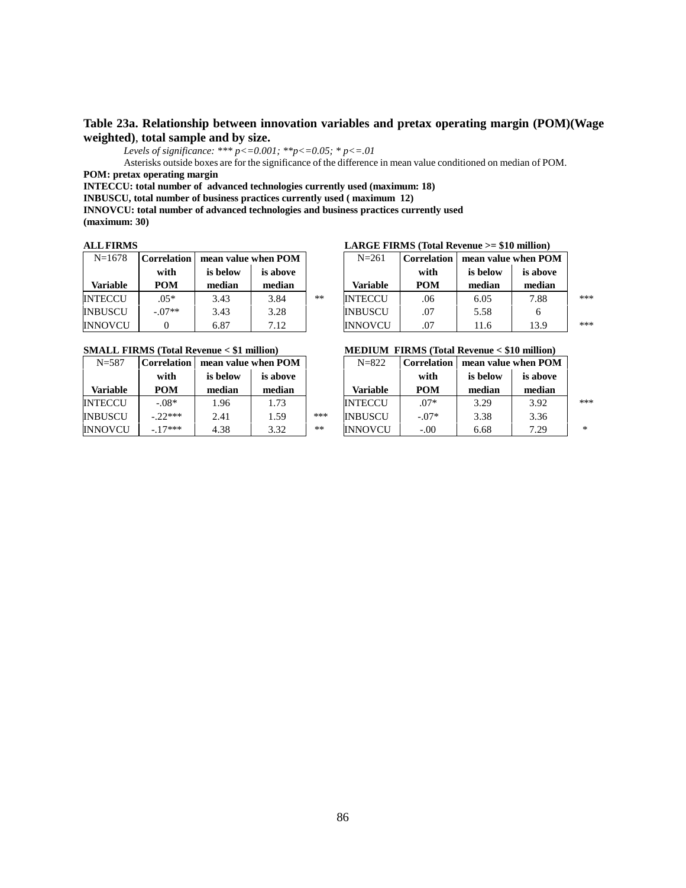## **Table 23a. Relationship between innovation variables and pretax operating margin (POM)(Wage weighted)**, **total sample and by size.**

*Levels of significance: \*\*\* p<=0.001; \*\*p<=0.05; \* p<=.01*

Asterisks outside boxes are for the significance of the difference in mean value conditioned on median of POM. **POM: pretax operating margin**

**INTECCU: total number of advanced technologies currently used (maximum: 18)**

**INBUSCU, total number of business practices currently used ( maximum 12)**

**INNOVCU: total number of advanced technologies and business practices currently used**

**(maximum: 30)**

| $N=1678$       | Correlation | mean value when POM |          |      | $N = 261$       | <b>Correlation</b> | mean value when POM |          |
|----------------|-------------|---------------------|----------|------|-----------------|--------------------|---------------------|----------|
|                | with        | is below            | is above |      |                 | with               | is below            | is above |
| Variable       | <b>POM</b>  | median              | median   |      | <b>Variable</b> | <b>POM</b>         | median              | median   |
| <b>INTECCU</b> | $.05*$      | 3.43                | 3.84     | $**$ | <b>INTECCU</b>  | .06                | 6.05                | 7.88     |
| <b>INBUSCU</b> | $-.07**$    | 3.43                | 3.28     |      | <b>INBUSCU</b>  | .07                | 5.58                |          |
| <b>INNOVCU</b> |             | 6.87                | 7.12     |      | <b>INNOVCU</b>  | .07                | 11.6                | 13.9     |

| $N = 587$      | <b>Correlation</b> |          | mean value when POM |       | $N = 822$       | Correlation | mean value when POM |          |
|----------------|--------------------|----------|---------------------|-------|-----------------|-------------|---------------------|----------|
|                | with               | is below | is above            |       |                 | with        | is below            | is above |
| Variable       | <b>POM</b>         | median   | median              |       | <b>Variable</b> | <b>POM</b>  | median              | median   |
| <b>INTECCU</b> | $-.08*$            | 1.96     | 1.73                |       | <b>INTECCU</b>  | $.07*$      | 3.29                | 3.92     |
| <b>INBUSCU</b> | $-22***$           | 2.41     | 1.59                | ***   | <b>INBUSCU</b>  | $-.07*$     | 3.38                | 3.36     |
| <b>INNOVCU</b> | $-17***$           | 4.38     | 3.32                | $***$ | <b>INNOVCU</b>  | $-.00$      | 6.68                | 7.29     |

#### **ALL FIRMS LARGE FIRMS (Total Revenue >= \$10 million)**

| $N = 1678$      | <b>Correlation</b> | mean value when POM |          |    | $N = 261$      | Correlation | mean value when POM |          |     |
|-----------------|--------------------|---------------------|----------|----|----------------|-------------|---------------------|----------|-----|
|                 | with               | is below            | is above |    |                | with        | is below            | is above |     |
| <b>Variable</b> | POM                | median              | median   |    | Variable       | <b>POM</b>  | median              | median   |     |
| INTECCU         | $.05*$             | 3.43                | 3.84     | ** | <b>INTECCU</b> | .06         | 6.05                | 7.88     | *** |
| INBUSCU         | $-.07**$           | 3.43                | 3.28     |    | <b>INBUSCU</b> | .07         | 5.58                |          |     |
| INNOVCU         |                    | 6.87                | 7.12     |    | <b>INNOVCU</b> | .07         | 11.6                | 13.9     | *** |

#### **SMALL FIRMS (Total Revenue < \$1 million) MEDIUM FIRMS (Total Revenue < \$10 million)**

| $N = 587$ | <b>Correlation</b> | mean value when POM |          |      | $N = 822$      | <b>Correlation</b> | mean value when POM |          |        |
|-----------|--------------------|---------------------|----------|------|----------------|--------------------|---------------------|----------|--------|
|           | with               | is below            | is above |      |                | with               | is below            | is above |        |
| Variable  | POM                | median              | median   |      | Variable       | <b>POM</b>         | median              | median   |        |
| INTECCU   | $-.08*$            | 1.96                | 1.73     |      | <b>INTECCU</b> | $.07*$             | 3.29                | 3.92     | ***    |
| INBUSCU   | $-22***$           | 2.41                | 1.59     | ***  | <b>INBUSCU</b> | $-.07*$            | 3.38                | 3.36     |        |
| INNOVCU   | $-17***$           | 4.38                | 3.32     | $**$ | <b>INNOVCU</b> | $-.00$             | 6.68                | 7.29     | $\ast$ |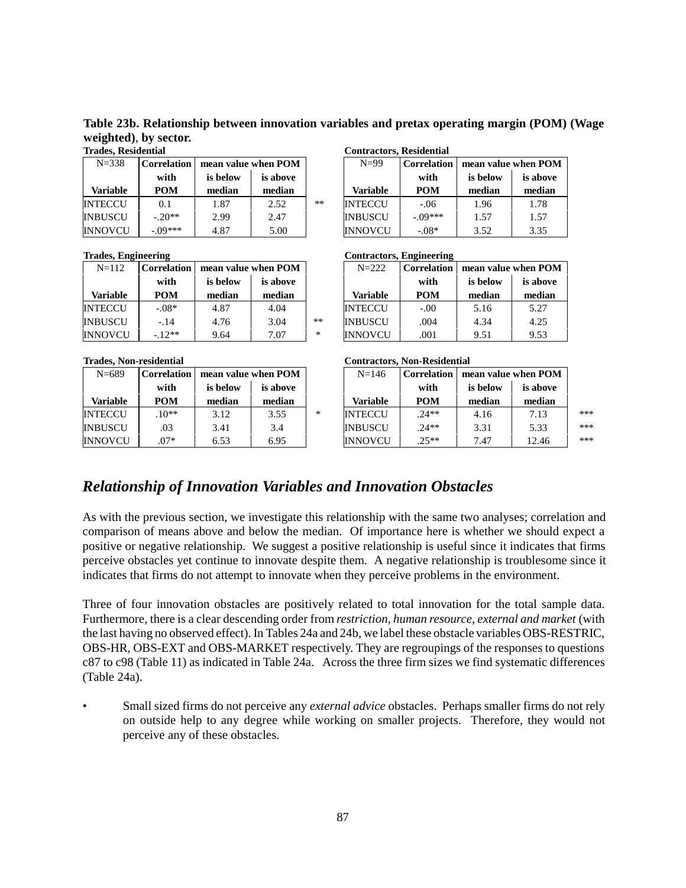**Table 23b. Relationship between innovation variables and pretax operating margin (POM) (Wage weighted)**, **by sector.**

| $N = 338$       | <b>Correlation</b> |          | mean value when POM |       | $N=99$          | <b>Correlation</b> | mean value when PON |          |  |
|-----------------|--------------------|----------|---------------------|-------|-----------------|--------------------|---------------------|----------|--|
|                 | with               | is below | is above            |       |                 | with               | is below            | is above |  |
| <b>Variable</b> | POM                | median   | median              |       | <b>Variable</b> | <b>POM</b>         | median              | median   |  |
| <b>INTECCU</b>  | 0.1                | 1.87     | 2.52                | $***$ | <b>INTECCU</b>  | $-.06$             | 1.96                | 1.78     |  |
| <b>INBUSCU</b>  | $-20**$            | 2.99     | 2.47                |       | <b>INBUSCU</b>  | $-09***$           | 1.57                | 1.57     |  |
| INNOVCU         | $-.09***$          | 4.87     | 5.00                |       | <b>INNOVCU</b>  | $-.08*$            | 3.52                | 3.35     |  |

| $N = 112$       | <b>Correlation</b> |          | mean value when POM |    | $N = 222$       | Correlation | mean value when POI |          |  |
|-----------------|--------------------|----------|---------------------|----|-----------------|-------------|---------------------|----------|--|
|                 | with               | is below | is above            |    |                 | with        | is below            | is above |  |
| <b>Variable</b> | <b>POM</b>         | median   | median              |    | <b>Variable</b> | <b>POM</b>  | median              | median   |  |
| <b>INTECCU</b>  | $-.08*$            | 4.87     | 4.04                |    | <b>INTECCU</b>  | $-.00$      | 5.16                | 5.27     |  |
| <b>INBUSCU</b>  | $-14$              | 4.76     | 3.04                | ** | <b>INBUSCU</b>  | .004        | 4.34                | 4.25     |  |
| INNOVCU         | $-12**$            | 9.64     | 7.07                | *  | <b>INNOVCU</b>  | .001        | 9.51                | 9.53     |  |

| $N = 689$      | Correlation |          | mean value when POM |        | $N = 146$       | <b>Correlation</b> | mean value when POI |          |  |
|----------------|-------------|----------|---------------------|--------|-----------------|--------------------|---------------------|----------|--|
|                | with        | is below | is above            |        |                 | with               | is below            | is above |  |
| Variable       | <b>POM</b>  | median   | median              |        | <b>Variable</b> | <b>POM</b>         | median              | median   |  |
| <b>INTECCU</b> | $.10**$     | 3.12     | 3.55                | $\ast$ | <b>INTECCU</b>  | $.24**$            | 4.16                | 7.13     |  |
| <b>INBUSCU</b> | .03         | 3.41     | 3.4                 |        | <b>INBUSCU</b>  | $.24**$            | 3.31                | 5.33     |  |
| <b>INNOVCU</b> | $.07*$      | 6.53     | 6.95                |        | <b>INNOVCU</b>  | $.25**$            | 7.47                | 12.46    |  |

| Trades, Residential |                    |                     |          |    | <b>Contractors, Residential</b> |                    |                     |          |
|---------------------|--------------------|---------------------|----------|----|---------------------------------|--------------------|---------------------|----------|
| $N = 338$           | <b>Correlation</b> | mean value when POM |          |    | $N=99$                          | <b>Correlation</b> | mean value when POM |          |
|                     | with               | is below            | is above |    |                                 | with               | is below            | is above |
| <b>Variable</b>     | <b>POM</b>         | median              | median   |    | <b>Variable</b>                 | <b>POM</b>         | median              | median   |
| INTECCU             | 0.1                | 1.87                | 2.52     | ** | <b>INTECCU</b>                  | $-.06$             | 1.96                | 1.78     |
| INBUSCU             | $-.20**$           | 2.99                | 2.47     |    | <b>INBUSCU</b>                  | $-09***$           | 1.57                | 1.57     |
| INNOVCU             | $-.09***$          | 4.87                | 5.00     |    | <b>INNOVCU</b>                  | $-.08*$            | 3.52                | 3.35     |

#### **Trades, Engineering Contractors, Engineering**

|           |             |          |                     |        | ---------------------------- |             |          |                     |  |
|-----------|-------------|----------|---------------------|--------|------------------------------|-------------|----------|---------------------|--|
| $N = 112$ | Correlation |          | mean value when POM |        | $N = 222$                    | Correlation |          | mean value when POM |  |
|           | with        | is below | is above            |        |                              | with        | is below | is above            |  |
| 'ariable  | <b>POM</b>  | median   | median              |        | <b>Variable</b>              | <b>POM</b>  | median   | median              |  |
| FECCU     | $-.08*$     | 4.87     | 4.04                |        | <b>INTECCU</b>               | $-.00$      | 5.16     | 5.27                |  |
| 3USCU     | $-.14$      | 4.76     | 3.04                | $**$   | <b>INBUSCU</b>               | .004        | 4.34     | 4.25                |  |
| NOVCU     | $-12**$     | 9.64     | 7.07                | $\ast$ | <b>INNOVCU</b>               | .001        | 9.51     | 9.53                |  |

#### **Trades, Non-residential Contractors, Non-Residential**

| $N = 689$       | <b>Correlation</b> | mean value when POM |          |   | $N = 146$      | Correlation | mean value when POM |          |     |
|-----------------|--------------------|---------------------|----------|---|----------------|-------------|---------------------|----------|-----|
|                 | with               | is below            | is above |   |                | with        | is below            | is above |     |
| <b>Variable</b> | POM                | median              | median   |   | Variable       | <b>POM</b>  | median              | median   |     |
| INTECCU         | $10**$             | 3.12                | 3.55     | * | <b>INTECCU</b> | $.24**$     | 4.16                | 7.13     | *** |
| INBUSCU         | .03                | 3.41                | 3.4      |   | <b>INBUSCU</b> | $.24**$     | 3.31                | 5.33     | *** |
| INNOVCU         | $.07*$             | 6.53                | 6.95     |   | <b>INNOVCU</b> | $.25**$     | 7.47                | 12.46    | *** |

# *Relationship of Innovation Variables and Innovation Obstacles*

As with the previous section, we investigate this relationship with the same two analyses; correlation and comparison of means above and below the median. Of importance here is whether we should expect a positive or negative relationship. We suggest a positive relationship is useful since it indicates that firms perceive obstacles yet continue to innovate despite them. A negative relationship is troublesome since it indicates that firms do not attempt to innovate when they perceive problems in the environment.

Three of four innovation obstacles are positively related to total innovation for the total sample data. Furthermore, there is a clear descending order from *restriction, human resource, external and market* (with the last having no observed effect). In Tables 24a and 24b, we label these obstacle variables OBS-RESTRIC, OBS-HR, OBS-EXT and OBS-MARKET respectively. They are regroupings of the responses to questions c87 to c98 (Table 11) as indicated in Table 24a. Across the three firm sizes we find systematic differences (Table 24a).

• Small sized firms do not perceive any *external advice* obstacles. Perhaps smaller firms do not rely on outside help to any degree while working on smaller projects. Therefore, they would not perceive any of these obstacles.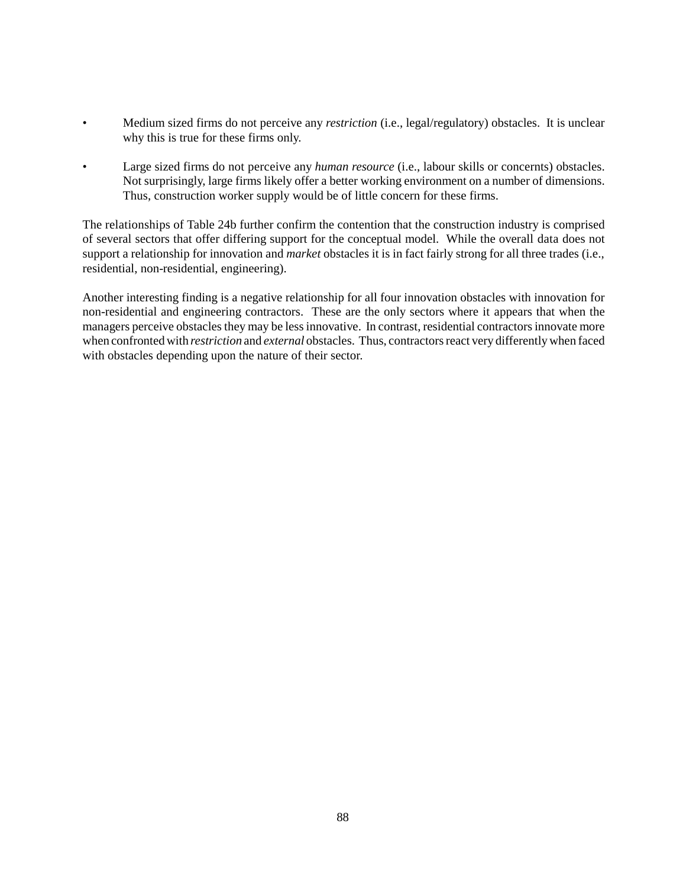- Medium sized firms do not perceive any *restriction* (i.e., legal/regulatory) obstacles. It is unclear why this is true for these firms only.
- Large sized firms do not perceive any *human resource* (i.e., labour skills or concernts) obstacles. Not surprisingly, large firms likely offer a better working environment on a number of dimensions. Thus, construction worker supply would be of little concern for these firms.

The relationships of Table 24b further confirm the contention that the construction industry is comprised of several sectors that offer differing support for the conceptual model. While the overall data does not support a relationship for innovation and *market* obstacles it is in fact fairly strong for all three trades (i.e., residential, non-residential, engineering).

Another interesting finding is a negative relationship for all four innovation obstacles with innovation for non-residential and engineering contractors. These are the only sectors where it appears that when the managers perceive obstacles they may be less innovative. In contrast, residential contractors innovate more when confronted with *restriction* and *external* obstacles. Thus, contractors react very differently when faced with obstacles depending upon the nature of their sector.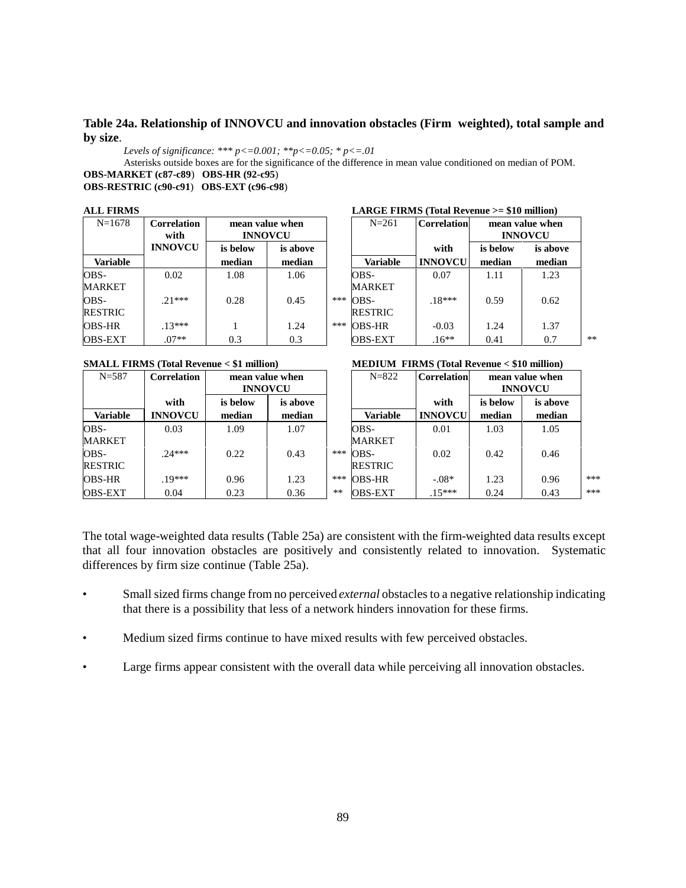## **Table 24a. Relationship of INNOVCU and innovation obstacles (Firm weighted), total sample and by size**.

*Levels of significance: \*\*\* p<=0.001; \*\*p<=0.05; \* p<=.01*

Asterisks outside boxes are for the significance of the difference in mean value conditioned on median of POM. **OBS-MARKET (c87-c89**) **OBS-HR (92-c95**)

**OBS-RESTRIC (c90-c91**) **OBS-EXT (c96-c98**)

| <b>ALL FIRMS</b> |  |
|------------------|--|
|                  |  |

| $N = 1678$             | <b>Correlation</b><br>with | mean value when<br><b>INNOVCU</b> |                    |     | $N = 261$              | <b>Correlation</b>     |                    | mean value when<br><b>INNOVCU</b> |  |
|------------------------|----------------------------|-----------------------------------|--------------------|-----|------------------------|------------------------|--------------------|-----------------------------------|--|
| <b>Variable</b>        | <b>INNOVCU</b>             | is below<br>median                | is above<br>median |     | <b>Variable</b>        | with<br><b>INNOVCU</b> | is below<br>median | is above<br>median                |  |
| OBS-<br><b>MARKET</b>  | 0.02                       | 1.08                              | 1.06               |     | OBS-<br><b>MARKET</b>  | 0.07                   | 1.11               | 1.23                              |  |
| OBS-<br><b>RESTRIC</b> | $21***$                    | 0.28                              | 0.45               | *** | OBS-<br><b>RESTRIC</b> | $18***$                | 0.59               | 0.62                              |  |
| <b>OBS-HR</b>          | $13***$                    |                                   | 1.24               | *** | <b>OBS-HR</b>          | $-0.03$                | 1.24               | 1.37                              |  |
| <b>OBS-EXT</b>         | $.07**$                    | 0.3                               | 0.3                |     | <b>OBS-EXT</b>         | $.16**$                | 0.41               | 0.7                               |  |

| <b>INNOVCU</b> |                 |             |                        |                |                 | <b>INNOVCU</b> |
|----------------|-----------------|-------------|------------------------|----------------|-----------------|----------------|
| is below       | is above        |             |                        | with           | is below        | is above       |
| median         | median          |             | <b>Variable</b>        | <b>INNOVCU</b> | median          | median         |
| 1.08           | 1.06            |             | OBS-<br><b>MARKET</b>  | 0.07           | 1.11            | 1.23           |
| 0.28           | 0.45            | ***         | OBS-<br><b>RESTRIC</b> | $.18***$       | 0.59            | 0.62           |
|                | $1 \bigwedge 1$ | میں میں میں | $0.50$ $\overline{10}$ | 0.02           | $1 \bigwedge 4$ | 1.27           |

**ALL FIRMS LARGE FIRMS (Total Revenue >= \$10 million)**  $N=261$  **Correlation** mean value when

**SMALL FIRMS (Total Revenue < \$1 million) MEDIUM FIRMS (Total Revenue < \$10 million)**

|                  |                                    | $MEDIUM$ $\Gamma$ $INMS$ (Total Revenue $\leq$ 510 minimum) |
|------------------|------------------------------------|-------------------------------------------------------------|
| $\mathbf{M}$ 000 | $\sim$ $\sim$ $\sim$ $\sim$ $\sim$ | the comment of the committee of the com-                    |

| $N = 587$       | <b>Correlation</b> | mean value when<br><b>INNOVCU</b> |          |     | $N = 822$       | <b>Correlation</b> | mean value when<br><b>INNOVCU</b> |          |     |
|-----------------|--------------------|-----------------------------------|----------|-----|-----------------|--------------------|-----------------------------------|----------|-----|
|                 | with               | is below                          | is above |     |                 | with               | is below                          | is above |     |
| <b>Variable</b> | <b>INNOVCU</b>     | median                            | median   |     | <b>Variable</b> | <b>INNOVCU</b>     | median                            | median   |     |
| OBS-            | 0.03               | 1.09                              | 1.07     |     | OBS-            | 0.01               | 1.03                              | 1.05     |     |
| MARKET          |                    |                                   |          |     | <b>MARKET</b>   |                    |                                   |          |     |
| OBS-            | $.24***$           | 0.22                              | 0.43     | *** | OBS-            | 0.02               | 0.42                              | 0.46     |     |
| RESTRIC         |                    |                                   |          |     | <b>RESTRIC</b>  |                    |                                   |          |     |
| OBS-HR          | $19***$            | 0.96                              | 1.23     | *** | <b>OBS-HR</b>   | $-.08*$            | 1.23                              | 0.96     | *** |
| OBS-EXT         | 0.04               | 0.23                              | 0.36     | **  | <b>OBS-EXT</b>  | $15***$            | 0.24                              | 0.43     | *** |

The total wage-weighted data results (Table 25a) are consistent with the firm-weighted data results except that all four innovation obstacles are positively and consistently related to innovation. Systematic differences by firm size continue (Table 25a).

- Small sized firms change from no perceived *external* obstacles to a negative relationship indicating that there is a possibility that less of a network hinders innovation for these firms.
- Medium sized firms continue to have mixed results with few perceived obstacles.
- Large firms appear consistent with the overall data while perceiving all innovation obstacles.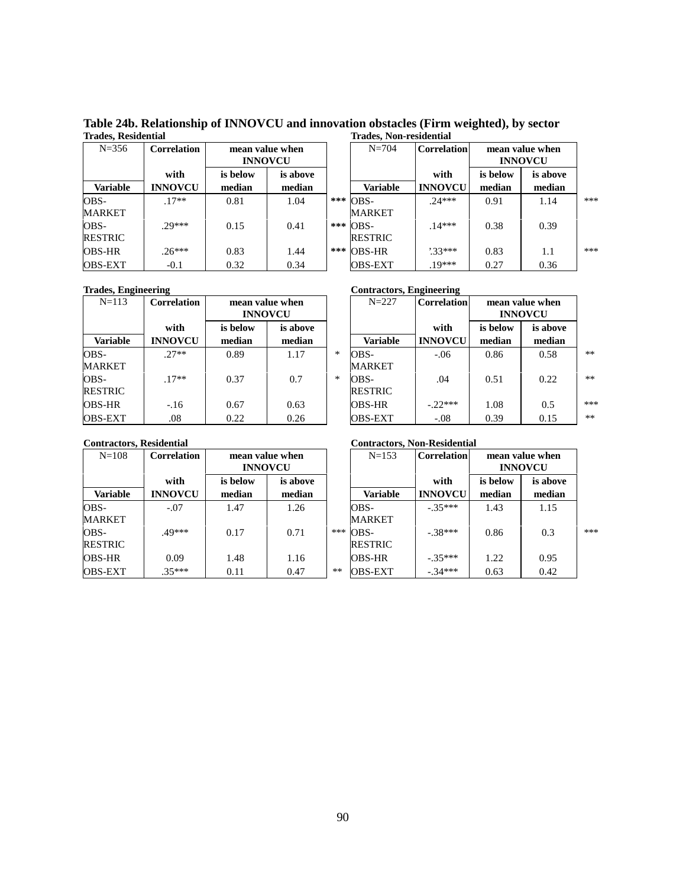**Table 24b. Relationship of INNOVCU and innovation obstacles (Firm weighted), by sector Trades, Residential Trades, Non-residential**

| $N = 356$       | Correlation    |          | mean value when<br><b>INNOVCU</b> |     | $N = 704$      | <b>Correlation</b> |          | mean value when<br><b>INNOVCU</b> |
|-----------------|----------------|----------|-----------------------------------|-----|----------------|--------------------|----------|-----------------------------------|
|                 | with           | is below | is above                          |     |                | with               | is below | is above                          |
| <b>Variable</b> | <b>INNOVCU</b> | median   | median                            |     | Variable       | <b>INNOVCU</b>     | median   | median                            |
| OBS-            | $.17**$        | 0.81     | 1.04                              | *** | OBS-           | $74***$            | 0.91     | 1.14                              |
| <b>MARKET</b>   |                |          |                                   |     | <b>MARKET</b>  |                    |          |                                   |
| OBS-            | $70***$        | 0.15     | 0.41                              |     | *** OBS-       | $14***$            | 0.38     | 0.39                              |
| <b>RESTRIC</b>  |                |          |                                   |     | <b>RESTRIC</b> |                    |          |                                   |
| <b>OBS-HR</b>   | $.26***$       | 0.83     | 1.44                              | *** | <b>OBS-HR</b>  | $33***$            | 0.83     | 1.1                               |
| <b>OBS-EXT</b>  | $-0.1$         | 0.32     | 0.34                              |     | <b>OBS-EXT</b> | $.19***$           | 0.27     | 0.36                              |

| пайсэ. кезисниаг |                |                                   |          | 11 aucs. Ton-Tesnichthal |                    |                                   |          |     |
|------------------|----------------|-----------------------------------|----------|--------------------------|--------------------|-----------------------------------|----------|-----|
| $N = 356$        | Correlation    | mean value when<br><b>INNOVCU</b> |          | $N = 704$                | <b>Correlation</b> | mean value when<br><b>INNOVCU</b> |          |     |
|                  | with           | is below                          | is above |                          | with               | is below                          | is above |     |
| <b>Variable</b>  | <b>INNOVCU</b> | median                            | median   | Variable                 | <b>INNOVCU</b>     | median                            | median   |     |
| OBS-             | $.17**$        | 0.81                              | 1.04     | $***$ OBS-               | $.24***$           | 0.91                              | 1.14     | *** |
| MARKET           |                |                                   |          | <b>MARKET</b>            |                    |                                   |          |     |
| OBS-             | $29***$        | 0.15                              | 0.41     | *** OBS-                 | $14***$            | 0.38                              | 0.39     |     |
| RESTRIC          |                |                                   |          | <b>RESTRIC</b>           |                    |                                   |          |     |
| OBS-HR           | $.26***$       | 0.83                              | 1.44     | $***$ OBS-HR             | $33***$            | 0.83                              | 1.1      | *** |
| OBS-EXT          | $-0.1$         | 0.32                              | 0.34     | <b>OBS-EXT</b>           | $.19***$           | 0.27                              | 0.36     |     |

| $N = 113$       | <b>Correlation</b> |          | mean value when<br><b>INNOVCU</b> |   | $N = 227$      | <b>Correlation</b> |          | mean value when<br><b>INNOVCU</b> |  |
|-----------------|--------------------|----------|-----------------------------------|---|----------------|--------------------|----------|-----------------------------------|--|
|                 | with               | is below | is above                          |   |                | with               | is below | is above                          |  |
| <b>Variable</b> | <b>INNOVCU</b>     | median   | median                            |   | Variable       | <b>INNOVCU</b>     | median   | median                            |  |
| OBS-            | $27**$             | 0.89     | 1.17                              | * | OBS-           | $-.06$             | 0.86     | 0.58                              |  |
| <b>MARKET</b>   |                    |          |                                   |   | <b>MARKET</b>  |                    |          |                                   |  |
| OBS-            | $.17**$            | 0.37     | 0.7                               | * | OBS-           | .04                | 0.51     | 0.22                              |  |
| <b>RESTRIC</b>  |                    |          |                                   |   | <b>RESTRIC</b> |                    |          |                                   |  |
| <b>OBS-HR</b>   | $-.16$             | 0.67     | 0.63                              |   | <b>OBS-HR</b>  | $-22***$           | 1.08     | 0.5                               |  |
| <b>OBS-EXT</b>  | .08                | 0.22     | 0.26                              |   | <b>OBS-EXT</b> | $-.08$             | 0.39     | 0.15                              |  |

# **Trades, Engineering Contractors, Engineering Contractors, Engineering**

| $N = 113$       | Correlation    |          | mean value when<br><b>INNOVCU</b> |        | $N = 227$      | <b>Correlation</b> | mean value when<br><b>INNOVCU</b> |          |       |
|-----------------|----------------|----------|-----------------------------------|--------|----------------|--------------------|-----------------------------------|----------|-------|
|                 | with           | is below | is above                          |        |                | with               | is below                          | is above |       |
| <b>Variable</b> | <b>INNOVCU</b> | median   | median                            |        | Variable       | <b>INNOVCU</b>     | median                            | median   |       |
| OBS-            | $.27**$        | 0.89     | 1.17                              | $\ast$ | OBS-           | $-.06$             | 0.86                              | 0.58     | $**$  |
| MARKET          |                |          |                                   |        | <b>MARKET</b>  |                    |                                   |          |       |
| OBS-            | $.17**$        | 0.37     | 0.7                               | $*$    | OBS-           | .04                | 0.51                              | 0.22     | $***$ |
| RESTRIC         |                |          |                                   |        | <b>RESTRIC</b> |                    |                                   |          |       |
| OBS-HR          | $-.16$         | 0.67     | 0.63                              |        | <b>OBS-HR</b>  | $-22***$           | 1.08                              | 0.5      | ***   |
| <b>OBS-EXT</b>  | .08            | 0.22     | 0.26                              |        | <b>OBS-EXT</b> | $-.08$             | 0.39                              | 0.15     | $***$ |
|                 |                |          |                                   |        |                |                    |                                   |          |       |

| $N = 108$       | <b>Correlation</b> |          | mean value when<br><b>INNOVCU</b> |      | $N = 153$            | <b>Correlation</b> |          | mean value when<br><b>INNOVCU</b> |
|-----------------|--------------------|----------|-----------------------------------|------|----------------------|--------------------|----------|-----------------------------------|
|                 | with               | is below | is above                          |      |                      | with               | is below | is above                          |
| <b>Variable</b> | <b>INNOVCU</b>     | median   | median                            |      | <b>Variable</b>      | <b>INNOVCU</b>     | median   | median                            |
| OBS-            | $-.07$             | 1.47     | 1.26                              |      | OBS-                 | $-35***$           | 1.43     | 1.15                              |
| <b>MARKET</b>   |                    |          |                                   |      | <b>MARKET</b>        |                    |          |                                   |
| OBS-            | .49***             | 0.17     | 0.71                              |      | *** $\overline{OBS}$ | $-38***$           | 0.86     | 0.3                               |
| <b>RESTRIC</b>  |                    |          |                                   |      | <b>RESTRIC</b>       |                    |          |                                   |
| <b>OBS-HR</b>   | 0.09               | 1.48     | 1.16                              |      | <b>OBS-HR</b>        | $-35***$           | 1.22     | 0.95                              |
| <b>OBS-EXT</b>  | $35***$            | 0.11     | 0.47                              | $**$ | <b>OBS-EXT</b>       | $-34***$           | 0.63     | 0.42                              |

## **Contractors, Residential Contractors, Non-Residential**

| relation             | mean value when<br><b>INNOVCU</b> |                    | $N = 153$ |                            | Correlation            | mean value when<br><b>INNOVCU</b> |                    |     |
|----------------------|-----------------------------------|--------------------|-----------|----------------------------|------------------------|-----------------------------------|--------------------|-----|
| with<br><b>NOVCU</b> | is below<br>median                | is above<br>median |           | <b>Variable</b>            | with<br><b>INNOVCU</b> | is below<br>median                | is above<br>median |     |
| $-.07$               | 1.47                              | 1.26               |           | OBS-                       | $-35***$               | 1.43                              | 1.15               |     |
|                      |                                   |                    |           | <b>MARKET</b>              |                        |                                   |                    |     |
| 49***                | 0.17                              | 0.71               |           | *** OBS-<br><b>RESTRIC</b> | $-.38***$              | 0.86                              | 0.3                | *** |
| 0.09                 | 1.48                              | 1.16               |           | <b>OBS-HR</b>              | $-35***$               | 1.22                              | 0.95               |     |
| 35***                | 0.11                              | 0.47               | $***$     | <b>OBS-EXT</b>             | $-34***$               | 0.63                              | 0.42               |     |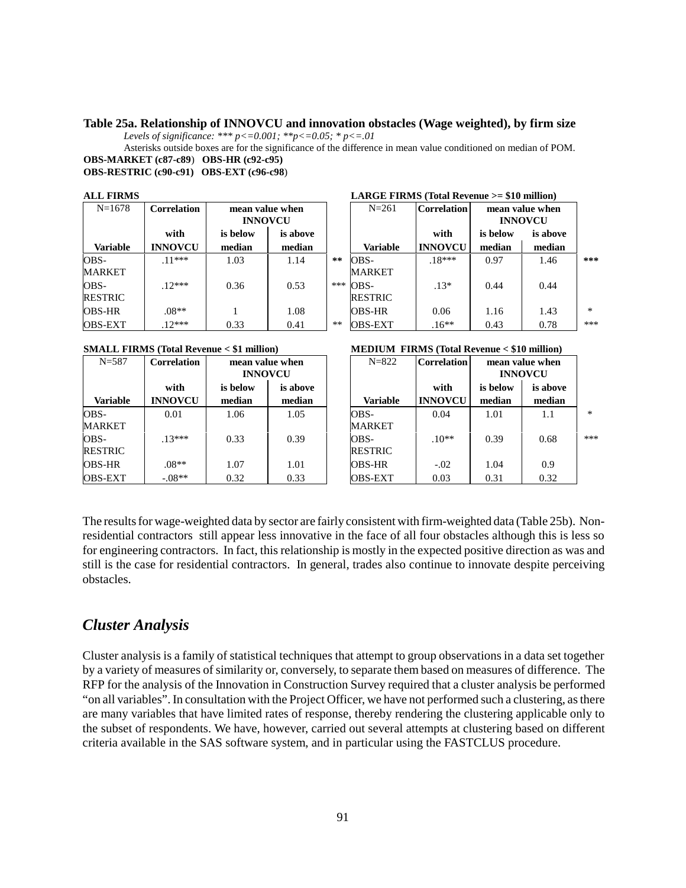#### **Table 25a. Relationship of INNOVCU and innovation obstacles (Wage weighted), by firm size**

*Levels of significance: \*\*\* p<=0.001; \*\*p<=0.05; \* p<=.01*

Asterisks outside boxes are for the significance of the difference in mean value conditioned on median of POM. **OBS-MARKET (c87-c89**) **OBS-HR (c92-c95)**

#### **OBS-RESTRIC (c90-c91) OBS-EXT (c96-c98**)

| <b>ALL FIRMS</b> |
|------------------|
|                  |

| $N = 1678$      | <b>Correlation</b> |          | mean value when<br><b>INNOVCU</b> |      | $N = 261$       | <b>Correlation</b> | mean value when<br><b>INNOVCU</b> |          |
|-----------------|--------------------|----------|-----------------------------------|------|-----------------|--------------------|-----------------------------------|----------|
|                 | with               | is below | is above                          |      |                 | with               | is below                          | is above |
| <b>Variable</b> | <b>INNOVCU</b>     | median   | median                            |      | <b>Variable</b> | <b>INNOVCU</b>     | median                            | median   |
| OBS-            | $11***$            | 1.03     | 1.14                              | **   | OBS-            | $.18***$           | 0.97                              | 1.46     |
| <b>MARKET</b>   |                    |          |                                   |      | <b>MARKET</b>   |                    |                                   |          |
| OBS-            | $12***$            | 0.36     | 0.53                              | ***  | OBS-            | $.13*$             | 0.44                              | 0.44     |
| <b>RESTRIC</b>  |                    |          |                                   |      | <b>RESTRIC</b>  |                    |                                   |          |
| <b>OBS-HR</b>   | $.08**$            |          | 1.08                              |      | <b>OBS-HR</b>   | 0.06               | 1.16                              | 1.43     |
| <b>OBS-EXT</b>  | $12***$            | 0.33     | 0.41                              | $**$ | <b>OBS-EXT</b>  | $.16**$            | 0.43                              | 0.78     |

| $N = 587$       | <b>Correlation</b> | mean value when<br><b>INNOVCU</b> |          | $N = 822$       | <b>Correlation</b> |          | mean value when<br><b>INNOVCU</b> |
|-----------------|--------------------|-----------------------------------|----------|-----------------|--------------------|----------|-----------------------------------|
|                 | with               | is below                          | is above |                 | with               | is below | is above                          |
| <b>Variable</b> | <b>INNOVCU</b>     | median                            | median   | <b>Variable</b> | <b>INNOVCU</b>     | median   | median                            |
| OBS-            | 0.01               | 1.06                              | 1.05     | OBS-            | 0.04               | 1.01     | 1.1                               |
| <b>MARKET</b>   |                    |                                   |          | <b>MARKET</b>   |                    |          |                                   |
| OBS-            | $13***$            | 0.33                              | 0.39     | OBS-            | $.10**$            | 0.39     | 0.68                              |
| <b>RESTRIC</b>  |                    |                                   |          | <b>RESTRIC</b>  |                    |          |                                   |
| <b>OBS-HR</b>   | $.08**$            | 1.07                              | 1.01     | <b>OBS-HR</b>   | $-.02$             | 1.04     | 0.9                               |
| <b>OBS-EXT</b>  | $-.08**$           | 0.32                              | 0.33     | <b>OBS-EXT</b>  | 0.03               | 0.31     | 0.32                              |

| ALL PINDIS      |                    |                 |          |     | $LATOLE$ F INNES (TOtal Revenue $2-$ \$10 million) |                    |                 |                |     |
|-----------------|--------------------|-----------------|----------|-----|----------------------------------------------------|--------------------|-----------------|----------------|-----|
| $N = 1678$      | <b>Correlation</b> | mean value when |          |     | $N = 261$                                          | <b>Correlation</b> | mean value when |                |     |
|                 |                    | <b>INNOVCU</b>  |          |     |                                                    |                    |                 | <b>INNOVCU</b> |     |
|                 | with               | is below        | is above |     |                                                    | with               | is below        | is above       |     |
| <b>Variable</b> | <b>INNOVCU</b>     | median          | median   |     | <b>Variable</b>                                    | <b>INNOVCU</b>     | median          | median         |     |
| OBS-            | $11***$            | 1.03            | 1.14     | **  | OBS-                                               | $.18***$           | 0.97            | 1.46           | *** |
| MARKET          |                    |                 |          |     | <b>MARKET</b>                                      |                    |                 |                |     |
| OBS-            | $12***$            | 0.36            | 0.53     | *** | OBS-                                               | $.13*$             | 0.44            | 0.44           |     |
| RESTRIC         |                    |                 |          |     | <b>RESTRIC</b>                                     |                    |                 |                |     |
| OBS-HR          | $.08**$            |                 | 1.08     |     | <b>OBS-HR</b>                                      | 0.06               | 1.16            | 1.43           | $*$ |
| OBS-EXT         | $12***$            | 0.33            | 0.41     | **  | <b>OBS-EXT</b>                                     | $.16**$            | 0.43            | 0.78           | *** |

 $I$  ADCE FIDMS (Total Devenue  $\epsilon = 10$  million)

#### **SMALL FIRMS (Total Revenue < \$1 million) MEDIUM FIRMS (Total Revenue < \$10 million)**

|                      |                                   |                    | $\ldots$               |                        |                    |                                   |     |  |  |
|----------------------|-----------------------------------|--------------------|------------------------|------------------------|--------------------|-----------------------------------|-----|--|--|
| relation             | mean value when<br><b>INNOVCU</b> |                    | $N = 822$              | <b>Correlation</b>     |                    | mean value when<br><b>INNOVCU</b> |     |  |  |
| with<br><b>NOVCU</b> | is below<br>median                | is above<br>median | <b>Variable</b>        | with<br><b>INNOVCU</b> | is below<br>median | is above<br>median                |     |  |  |
| 0.01                 | 1.06                              | 1.05               | OBS-<br><b>MARKET</b>  | 0.04                   | 1.01               | 1.1                               | $*$ |  |  |
| 13***                | 0.33                              | 0.39               | OBS-<br><b>RESTRIC</b> | $.10**$                | 0.39               | 0.68                              | *** |  |  |
| $08**$               | 1.07                              | 1.01               | <b>OBS-HR</b>          | $-.02$                 | 1.04               | 0.9                               |     |  |  |
| $.08**$              | 0.32                              | 0.33               | <b>OBS-EXT</b>         | 0.03                   | 0.31               | 0.32                              |     |  |  |

The results for wage-weighted data by sector are fairly consistent with firm-weighted data (Table 25b). Nonresidential contractors still appear less innovative in the face of all four obstacles although this is less so for engineering contractors. In fact, this relationship is mostly in the expected positive direction as was and still is the case for residential contractors. In general, trades also continue to innovate despite perceiving obstacles.

## *Cluster Analysis*

Cluster analysis is a family of statistical techniques that attempt to group observations in a data set together by a variety of measures of similarity or, conversely, to separate them based on measures of difference. The RFP for the analysis of the Innovation in Construction Survey required that a cluster analysis be performed "on all variables". In consultation with the Project Officer, we have not performed such a clustering, as there are many variables that have limited rates of response, thereby rendering the clustering applicable only to the subset of respondents. We have, however, carried out several attempts at clustering based on different criteria available in the SAS software system, and in particular using the FASTCLUS procedure.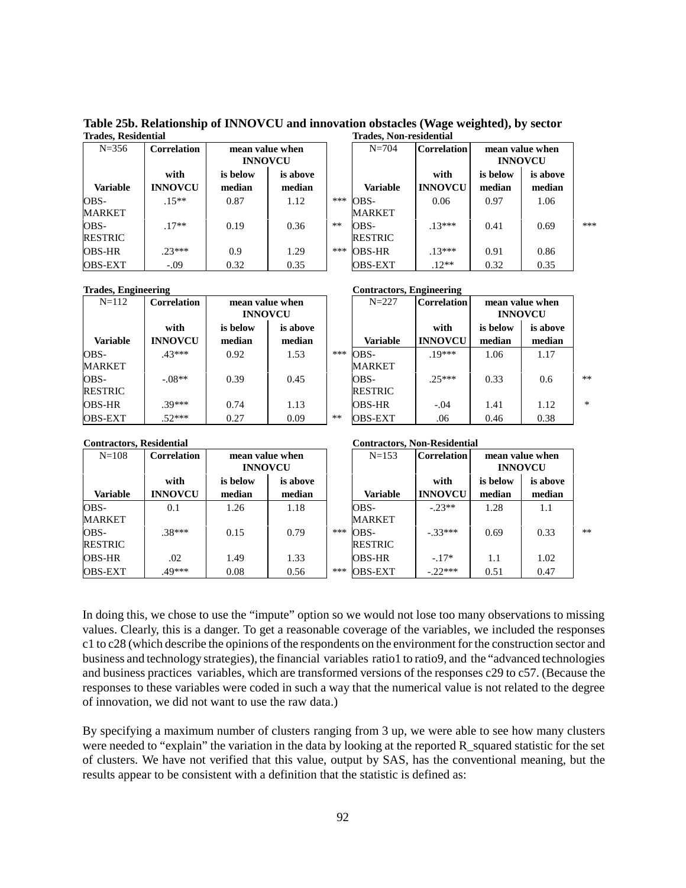**Table 25b. Relationship of INNOVCU and innovation obstacles (Wage weighted), by sector Trades, Residential Trades, Non-residential**

| $N = 356$              | <b>Correlation</b>     | mean value when<br><b>INNOVCU</b> |                    |      | $N = 704$              | <b>Correlation</b>     |                    | mean value when<br><b>INNOVCU</b> |
|------------------------|------------------------|-----------------------------------|--------------------|------|------------------------|------------------------|--------------------|-----------------------------------|
| <b>Variable</b>        | with<br><b>INNOVCU</b> | is below<br>median                | is above<br>median |      | <b>Variable</b>        | with<br><b>INNOVCU</b> | is below<br>median | is above<br>median                |
| OBS-<br><b>MARKET</b>  | $.15**$                | 0.87                              | 1.12               | ***  | OBS-<br><b>MARKET</b>  | 0.06                   | 0.97               | 1.06                              |
| OBS-<br><b>RESTRIC</b> | $.17**$                | 0.19                              | 0.36               | $**$ | OBS-<br><b>RESTRIC</b> | $13***$                | 0.41               | 0.69                              |
| <b>OBS-HR</b>          | $23***$                | 0.9                               | 1.29               | ***  | <b>OBS-HR</b>          | $.13***$               | 0.91               | 0.86                              |
| <b>OBS-EXT</b>         | $-.09$                 | 0.32                              | 0.35               |      | <b>OBS-EXT</b>         | $.12**$                | 0.32               | 0.35                              |

| relation             | mean value when<br><b>INNOVCU</b> |                    |      | $N = 704$              | <b>Correlation</b>     | mean value when<br><b>INNOVCU</b> |                    |     |
|----------------------|-----------------------------------|--------------------|------|------------------------|------------------------|-----------------------------------|--------------------|-----|
| with<br><b>NOVCU</b> | is below<br>median                | is above<br>median |      | <b>Variable</b>        | with<br><b>INNOVCU</b> | is below<br>median                | is above<br>median |     |
| $15**$               | 0.87                              | 1.12               | ***  | OBS-<br>MARKET         | 0.06                   | 0.97                              | 1.06               |     |
| $17**$               | 0.19                              | 0.36               | $**$ | OBS-<br><b>RESTRIC</b> | $13***$                | 0.41                              | 0.69               | *** |
| 23***                | 0.9                               | 1.29               | ***  | OBS-HR                 | $13***$                | 0.91                              | 0.86               |     |
| $-.09$               | 0.32                              | 0.35               |      | <b>OBS-EXT</b>         | $.12**$                | 0.32                              | 0.35               |     |

**Trades, Engineering Contractors, Engineering**

| $\frac{1}{2}$   |                    |                                   |          |       | $\frac{1}{2}$  |                |                                   |          |        |
|-----------------|--------------------|-----------------------------------|----------|-------|----------------|----------------|-----------------------------------|----------|--------|
| $N = 112$       | <b>Correlation</b> | mean value when<br><b>INNOVCU</b> |          |       | $N = 227$      | Correlation    | mean value when<br><b>INNOVCU</b> |          |        |
|                 | with               | is below                          | is above |       |                | with           | is below                          | is above |        |
| <b>Variable</b> | <b>INNOVCU</b>     | median                            | median   |       | Variable       | <b>INNOVCU</b> | median                            | median   |        |
| OBS-            | $.43***$           | 0.92                              | 1.53     | ***   | OBS-           | $19***$        | 1.06                              | 1.17     |        |
| <b>MARKET</b>   |                    |                                   |          |       | <b>MARKET</b>  |                |                                   |          |        |
| OBS-            | $-.08**$           | 0.39                              | 0.45     |       | OBS-           | $25***$        | 0.33                              | 0.6      | **     |
| <b>RESTRIC</b>  |                    |                                   |          |       | <b>RESTRIC</b> |                |                                   |          |        |
| <b>OBS-HR</b>   | 39***              | 0.74                              | 1.13     |       | <b>OBS-HR</b>  | $-.04$         | 1.41                              | 1.12     | $\ast$ |
| <b>OBS-EXT</b>  | $.52***$           | 0.27                              | 0.09     | $***$ | <b>OBS-EXT</b> | .06            | 0.46                              | 0.38     |        |

#### **Contractors, Residential Contractors, Non-Residential**

| $N = 108$       | <b>Correlation</b> | mean value when<br><b>INNOVCU</b> |          |     | $N = 153$       | <b>Correlation</b> | mean value when<br><b>INNOVCU</b> |          |      |
|-----------------|--------------------|-----------------------------------|----------|-----|-----------------|--------------------|-----------------------------------|----------|------|
|                 | with               | is below                          | is above |     |                 | with               | is below                          | is above |      |
| <b>Variable</b> | <b>INNOVCU</b>     | median                            | median   |     | <b>Variable</b> | <b>INNOVCU</b>     | median                            | median   |      |
| OBS-            | 0.1                | 1.26                              | 1.18     |     | OBS-            | $-.23**$           | 1.28                              | 1.1      |      |
| <b>MARKET</b>   |                    |                                   |          |     | <b>MARKET</b>   |                    |                                   |          |      |
| OBS-            | $.38***$           | 0.15                              | 0.79     | *** | OBS-            | $-33***$           | 0.69                              | 0.33     | $**$ |
| <b>RESTRIC</b>  |                    |                                   |          |     | <b>RESTRIC</b>  |                    |                                   |          |      |
| <b>OBS-HR</b>   | .02                | 1.49                              | 1.33     |     | <b>OBS-HR</b>   | $-.17*$            | 1.1                               | 1.02     |      |
| <b>OBS-EXT</b>  | 49***              | 0.08                              | 0.56     | *** | <b>OBS-EXT</b>  | $-22***$           | 0.51                              | 0.47     |      |

In doing this, we chose to use the "impute" option so we would not lose too many observations to missing values. Clearly, this is a danger. To get a reasonable coverage of the variables, we included the responses c1 to c28 (which describe the opinions of the respondents on the environment for the construction sector and business and technology strategies), the financial variables ratio1 to ratio9, and the "advanced technologies and business practices variables, which are transformed versions of the responses c29 to c57. (Because the responses to these variables were coded in such a way that the numerical value is not related to the degree of innovation, we did not want to use the raw data.)

By specifying a maximum number of clusters ranging from 3 up, we were able to see how many clusters were needed to "explain" the variation in the data by looking at the reported R\_squared statistic for the set of clusters. We have not verified that this value, output by SAS, has the conventional meaning, but the results appear to be consistent with a definition that the statistic is defined as: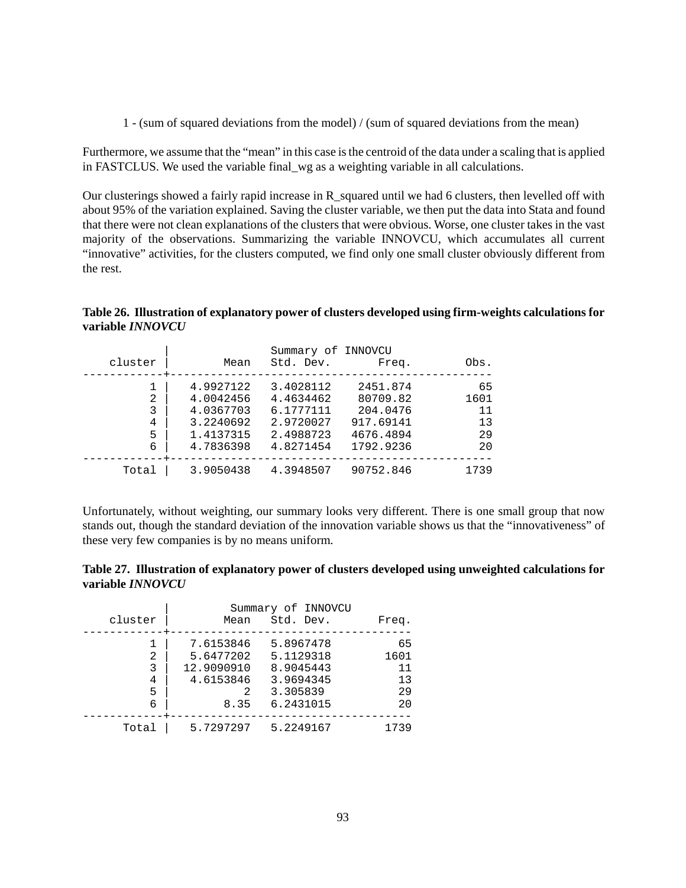1 - (sum of squared deviations from the model) / (sum of squared deviations from the mean)

Furthermore, we assume that the "mean" in this case is the centroid of the data under a scaling that is applied in FASTCLUS. We used the variable final\_wg as a weighting variable in all calculations.

Our clusterings showed a fairly rapid increase in R\_squared until we had 6 clusters, then levelled off with about 95% of the variation explained. Saving the cluster variable, we then put the data into Stata and found that there were not clean explanations of the clusters that were obvious. Worse, one cluster takes in the vast majority of the observations. Summarizing the variable INNOVCU, which accumulates all current "innovative" activities, for the clusters computed, we find only one small cluster obviously different from the rest.

**Table 26. Illustration of explanatory power of clusters developed using firm-weights calculations for variable** *INNOVCU*

|                |           | Summary of INNOVCU |           |      |
|----------------|-----------|--------------------|-----------|------|
| cluster        | Mean      | Std. Dev.          | Freq.     | Obs. |
|                | 4.9927122 | 3.4028112          | 2451.874  | 65   |
| $\mathfrak{D}$ | 4.0042456 | 4.4634462          | 80709.82  | 1601 |
| 3              | 4.0367703 | 6.1777111          | 204.0476  | 11   |
| 4              | 3.2240692 | 2.9720027          | 917.69141 | 13   |
| 5              | 1.4137315 | 2.4988723          | 4676.4894 | 29   |
| 6              | 4.7836398 | 4.8271454          | 1792.9236 | 20   |
| Total          | 3.9050438 | 4.3948507          | 90752.846 | 1739 |

Unfortunately, without weighting, our summary looks very different. There is one small group that now stands out, though the standard deviation of the innovation variable shows us that the "innovativeness" of these very few companies is by no means uniform.

| Table 27. Illustration of explanatory power of clusters developed using unweighted calculations for |  |  |
|-----------------------------------------------------------------------------------------------------|--|--|
| variable INNOVCU                                                                                    |  |  |

|         |            | Summary of INNOVCU |       |
|---------|------------|--------------------|-------|
| cluster | Mean       | Std. Dev.          | Freq. |
|         | 7.6153846  | 5.8967478          | 65    |
| 2       | 5.6477202  | 5.1129318          | 1601  |
| 3       | 12.9090910 | 8.9045443          | 11    |
| 4       | 4.6153846  | 3.9694345          | 13    |
| 5       | 2          | 3.305839           | 29    |
| 6       | 8.35       | 6.2431015          | 20    |
| Total   | 5.7297297  | 5.2249167          | 1739  |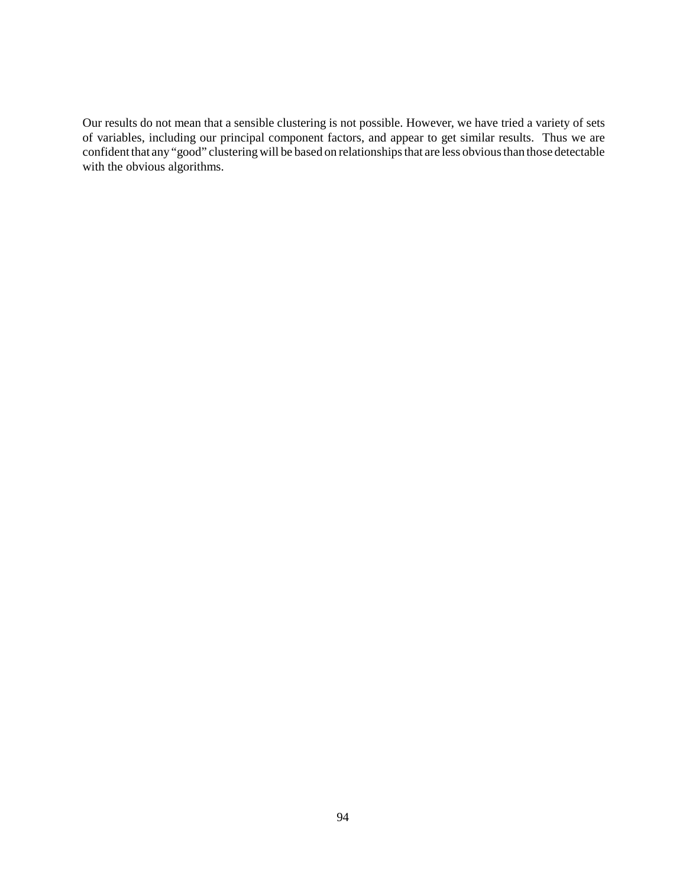Our results do not mean that a sensible clustering is not possible. However, we have tried a variety of sets of variables, including our principal component factors, and appear to get similar results. Thus we are confident that any "good" clustering will be based on relationships that are less obvious than those detectable with the obvious algorithms.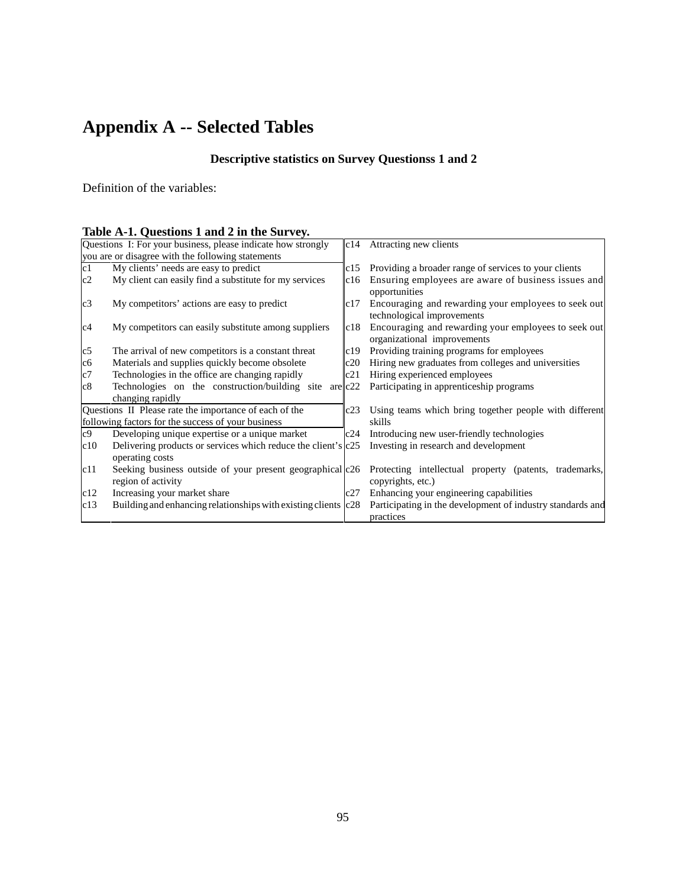# **Appendix A -- Selected Tables**

# **Descriptive statistics on Survey Questionss 1 and 2**

Definition of the variables:

|  | Table A-1. Questions 1 and 2 in the Survey. |  |  |  |
|--|---------------------------------------------|--|--|--|
|  |                                             |  |  |  |

|                | Questions I: For your business, please indicate how strongly                     |           | c14 Attracting new clients                                                          |  |  |  |  |  |
|----------------|----------------------------------------------------------------------------------|-----------|-------------------------------------------------------------------------------------|--|--|--|--|--|
|                | you are or disagree with the following statements                                |           |                                                                                     |  |  |  |  |  |
| c1             | My clients' needs are easy to predict                                            | c15       | Providing a broader range of services to your clients                               |  |  |  |  |  |
| c2             | My client can easily find a substitute for my services                           | c16       | Ensuring employees are aware of business issues and<br>opportunities                |  |  |  |  |  |
| c3             | My competitors' actions are easy to predict                                      | c17       | Encouraging and rewarding your employees to seek out<br>technological improvements  |  |  |  |  |  |
| c4             | My competitors can easily substitute among suppliers                             | c18       | Encouraging and rewarding your employees to seek out<br>organizational improvements |  |  |  |  |  |
| c5             | The arrival of new competitors is a constant threat                              | c19       | Providing training programs for employees                                           |  |  |  |  |  |
| c6             | Materials and supplies quickly become obsolete                                   | c20       | Hiring new graduates from colleges and universities                                 |  |  |  |  |  |
| c7             | Technologies in the office are changing rapidly                                  | c21       | Hiring experienced employees                                                        |  |  |  |  |  |
| c8             | Technologies on the construction/building site                                   | are $c22$ | Participating in apprenticeship programs                                            |  |  |  |  |  |
|                | changing rapidly                                                                 |           |                                                                                     |  |  |  |  |  |
|                | Questions II Please rate the importance of each of the                           | c23       | Using teams which bring together people with different                              |  |  |  |  |  |
|                | following factors for the success of your business                               |           | skills                                                                              |  |  |  |  |  |
| c <sub>9</sub> | Developing unique expertise or a unique market                                   | c24       | Introducing new user-friendly technologies                                          |  |  |  |  |  |
| c10            | Delivering products or services which reduce the client's c25<br>operating costs |           | Investing in research and development                                               |  |  |  |  |  |
| c11            | Seeking business outside of your present geographical c26<br>region of activity  |           | Protecting intellectual property (patents, trademarks,<br>copyrights, etc.)         |  |  |  |  |  |
| c12            | Increasing your market share                                                     | c27       | Enhancing your engineering capabilities                                             |  |  |  |  |  |
| c13            | Building and enhancing relationships with existing clients c28                   |           | Participating in the development of industry standards and<br>practices             |  |  |  |  |  |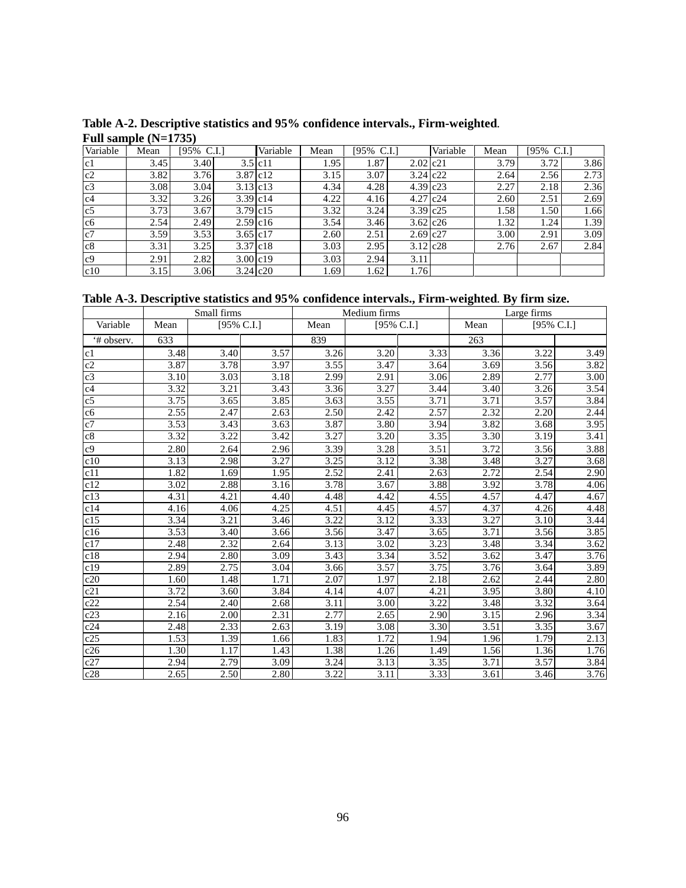| Variable       | $\cdot$<br>Mean | $[95\% \text{ C.I.}]$ |              | Variable  | Mean | [95% | C.I.         | Variable | Mean | [95% C.I.] |      |
|----------------|-----------------|-----------------------|--------------|-----------|------|------|--------------|----------|------|------------|------|
| c1             | 3.45            | 3.40                  |              | $3.5$ c11 | 1.95 | 1.87 | $2.02$ c21   |          | 3.79 | 3.72       | 3.86 |
| c2             | 3.82            | 3.76                  | 3.87 c12     |           | 3.15 | 3.07 | $3.24$ $c22$ |          | 2.64 | 2.56       | 2.73 |
| c3             | 3.08            | 3.04                  | $3.13$ c13   |           | 4.34 | 4.28 | $4.39$ $c23$ |          | 2.27 | 2.18       | 2.36 |
| c4             | 3.32            | 3.26                  | $3.39$ $c14$ |           | 4.22 | 4.16 | $4.27$ $c24$ |          | 2.60 | 2.51       | 2.69 |
| c <sub>5</sub> | 3.73            | 3.67                  | $3.79$ c15   |           | 3.32 | 3.24 | $3.39$ $c25$ |          | 1.58 | 1.50       | 1.66 |
| c6             | 2.54            | 2.49                  | $2.59$ c16   |           | 3.54 | 3.46 | $3.62$ c26   |          | 1.32 | 1.24       | 1.39 |
| c7             | 3.59            | 3.53                  | $3.65$ c17   |           | 2.60 | 2.51 | $2.69$ $c27$ |          | 3.00 | 2.91       | 3.09 |
| c8             | 3.31            | 3.25                  | 3.37 c18     |           | 3.03 | 2.95 | $3.12$ $c28$ |          | 2.76 | 2.67       | 2.84 |
| c <sub>9</sub> | 2.91            | 2.82                  | $3.00$ c19   |           | 3.03 | 2.94 | 3.11         |          |      |            |      |
| c10            | 3.15            | 3.06                  | $3.24$ $c20$ |           | 1.69 | 1.62 | 1.76         |          |      |            |      |

**Table A-2. Descriptive statistics and 95% confidence intervals., Firm-weighted**. **Full sample (N=1735)**

**Table A-3. Descriptive statistics and 95% confidence intervals., Firm-weighted**. **By firm size.** 

|                 |      | Small firms       |      | Medium firms      |                   |            | Large firms |            |                   |
|-----------------|------|-------------------|------|-------------------|-------------------|------------|-------------|------------|-------------------|
| Variable        | Mean | [95% C.I.]        |      | Mean              |                   | [95% C.I.] |             | [95% C.I.] |                   |
| '# observ.      | 633  |                   |      | 839               |                   |            | 263         |            |                   |
| c1              | 3.48 | 3.40              | 3.57 | 3.26              | 3.20              | 3.33       | 3.36        | 3.22       | 3.49              |
| c2              | 3.87 | 3.78              | 3.97 | 3.55              | 3.47              | 3.64       | 3.69        | 3.56       | 3.82              |
| $\overline{c3}$ | 3.10 | 3.03              | 3.18 | 2.99              | 2.91              | 3.06       | 2.89        | 2.77       | 3.00              |
| c4              | 3.32 | 3.21              | 3.43 | 3.36              | 3.27              | 3.44       | 3.40        | 3.26       | 3.54              |
| c5              | 3.75 | 3.65              | 3.85 | 3.63              | 3.55              | 3.71       | 3.71        | 3.57       | 3.84              |
| c6              | 2.55 | 2.47              | 2.63 | 2.50              | 2.42              | 2.57       | 2.32        | 2.20       | 2.44              |
| c7              | 3.53 | 3.43              | 3.63 | 3.87              | 3.80              | 3.94       | 3.82        | 3.68       | 3.95              |
| c8              | 3.32 | $\overline{3.22}$ | 3.42 | 3.27              | $\overline{3.20}$ | 3.35       | 3.30        | 3.19       | $\overline{3.41}$ |
| c <sub>9</sub>  | 2.80 | 2.64              | 2.96 | 3.39              | 3.28              | 3.51       | 3.72        | 3.56       | 3.88              |
| c10             | 3.13 | 2.98              | 3.27 | 3.25              | 3.12              | 3.38       | 3.48        | 3.27       | 3.68              |
| c11             | 1.82 | 1.69              | 1.95 | 2.52              | 2.41              | 2.63       | 2.72        | 2.54       | 2.90              |
| c12             | 3.02 | 2.88              | 3.16 | 3.78              | 3.67              | 3.88       | 3.92        | 3.78       | 4.06              |
| c13             | 4.31 | 4.21              | 4.40 | 4.48              | 4.42              | 4.55       | 4.57        | 4.47       | 4.67              |
| c14             | 4.16 | 4.06              | 4.25 | 4.51              | 4.45              | 4.57       | 4.37        | 4.26       | 4.48              |
| c15             | 3.34 | 3.21              | 3.46 | 3.22              | 3.12              | 3.33       | 3.27        | 3.10       | 3.44              |
| c16             | 3.53 | 3.40              | 3.66 | 3.56              | 3.47              | 3.65       | 3.71        | 3.56       | 3.85              |
| c17             | 2.48 | 2.32              | 2.64 | 3.13              | 3.02              | 3.23       | 3.48        | 3.34       | 3.62              |
| c18             | 2.94 | 2.80              | 3.09 | 3.43              | 3.34              | 3.52       | 3.62        | 3.47       | 3.76              |
| c19             | 2.89 | 2.75              | 3.04 | 3.66              | 3.57              | 3.75       | 3.76        | 3.64       | 3.89              |
| c20             | 1.60 | 1.48              | 1.71 | 2.07              | 1.97              | 2.18       | 2.62        | 2.44       | 2.80              |
| c21             | 3.72 | 3.60              | 3.84 | 4.14              | 4.07              | 4.21       | 3.95        | 3.80       | 4.10              |
| c22             | 2.54 | 2.40              | 2.68 | 3.11              | 3.00              | 3.22       | 3.48        | 3.32       | 3.64              |
| c23             | 2.16 | $\overline{2.00}$ | 2.31 | 2.77              | 2.65              | 2.90       | 3.15        | 2.96       | 3.34              |
| c24             | 2.48 | 2.33              | 2.63 | 3.19              | 3.08              | 3.30       | 3.51        | 3.35       | 3.67              |
| c25             | 1.53 | 1.39              | 1.66 | 1.83              | 1.72              | 1.94       | 1.96        | 1.79       | 2.13              |
| c26             | 1.30 | 1.17              | 1.43 | 1.38              | 1.26              | 1.49       | 1.56        | 1.36       | 1.76              |
| c27             | 2.94 | 2.79              | 3.09 | 3.24              | 3.13              | 3.35       | 3.71        | 3.57       | 3.84              |
| c28             | 2.65 | 2.50              | 2.80 | $\overline{3.22}$ | 3.11              | 3.33       | 3.61        | 3.46       | 3.76              |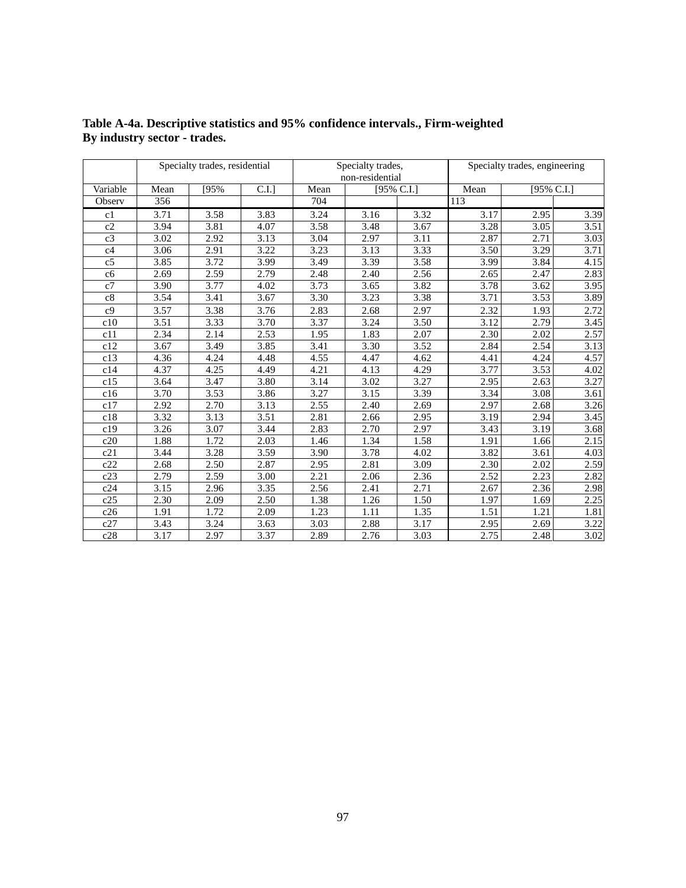|                |      | Specialty trades, residential |      |                   | Specialty trades, |            | Specialty trades, engineering |            |      |
|----------------|------|-------------------------------|------|-------------------|-------------------|------------|-------------------------------|------------|------|
|                |      |                               |      |                   | non-residential   |            |                               |            |      |
| Variable       | Mean | [95%                          | C.I. | Mean              |                   | [95% C.I.] | Mean                          | [95% C.I.] |      |
| Observ         | 356  |                               |      | 704               |                   |            | 113                           |            |      |
| c1             | 3.71 | 3.58                          | 3.83 | 3.24              | 3.16              | 3.32       | 3.17                          | 2.95       | 3.39 |
| c2             | 3.94 | 3.81                          | 4.07 | 3.58              | 3.48              | 3.67       | $\overline{3.28}$             | 3.05       | 3.51 |
| c3             | 3.02 | 2.92                          | 3.13 | 3.04              | 2.97              | 3.11       | 2.87                          | 2.71       | 3.03 |
| c4             | 3.06 | 2.91                          | 3.22 | 3.23              | 3.13              | 3.33       | 3.50                          | 3.29       | 3.71 |
| c5             | 3.85 | 3.72                          | 3.99 | 3.49              | 3.39              | 3.58       | 3.99                          | 3.84       | 4.15 |
| c6             | 2.69 | 2.59                          | 2.79 | 2.48              | 2.40              | 2.56       | 2.65                          | 2.47       | 2.83 |
| c7             | 3.90 | 3.77                          | 4.02 | $\overline{3.73}$ | 3.65              | 3.82       | 3.78                          | 3.62       | 3.95 |
| c8             | 3.54 | 3.41                          | 3.67 | 3.30              | 3.23              | 3.38       | 3.71                          | 3.53       | 3.89 |
| c <sub>9</sub> | 3.57 | 3.38                          | 3.76 | 2.83              | 2.68              | 2.97       | 2.32                          | 1.93       | 2.72 |
| c10            | 3.51 | 3.33                          | 3.70 | 3.37              | 3.24              | 3.50       | 3.12                          | 2.79       | 3.45 |
| c11            | 2.34 | 2.14                          | 2.53 | 1.95              | 1.83              | 2.07       | 2.30                          | 2.02       | 2.57 |
| c12            | 3.67 | 3.49                          | 3.85 | 3.41              | 3.30              | 3.52       | 2.84                          | 2.54       | 3.13 |
| c13            | 4.36 | 4.24                          | 4.48 | 4.55              | 4.47              | 4.62       | 4.41                          | 4.24       | 4.57 |
| c14            | 4.37 | 4.25                          | 4.49 | 4.21              | 4.13              | 4.29       | 3.77                          | 3.53       | 4.02 |
| c15            | 3.64 | 3.47                          | 3.80 | 3.14              | 3.02              | 3.27       | 2.95                          | 2.63       | 3.27 |
| c16            | 3.70 | 3.53                          | 3.86 | 3.27              | 3.15              | 3.39       | 3.34                          | 3.08       | 3.61 |
| c17            | 2.92 | 2.70                          | 3.13 | 2.55              | 2.40              | 2.69       | 2.97                          | 2.68       | 3.26 |
| c18            | 3.32 | 3.13                          | 3.51 | 2.81              | 2.66              | 2.95       | 3.19                          | 2.94       | 3.45 |
| c19            | 3.26 | 3.07                          | 3.44 | 2.83              | 2.70              | 2.97       | 3.43                          | 3.19       | 3.68 |
| c20            | 1.88 | 1.72                          | 2.03 | 1.46              | 1.34              | 1.58       | 1.91                          | 1.66       | 2.15 |
| c21            | 3.44 | 3.28                          | 3.59 | 3.90              | 3.78              | 4.02       | 3.82                          | 3.61       | 4.03 |
| c22            | 2.68 | 2.50                          | 2.87 | 2.95              | 2.81              | 3.09       | 2.30                          | 2.02       | 2.59 |
| c23            | 2.79 | 2.59                          | 3.00 | 2.21              | 2.06              | 2.36       | 2.52                          | 2.23       | 2.82 |
| c24            | 3.15 | 2.96                          | 3.35 | 2.56              | 2.41              | 2.71       | 2.67                          | 2.36       | 2.98 |
| c25            | 2.30 | 2.09                          | 2.50 | 1.38              | 1.26              | 1.50       | 1.97                          | 1.69       | 2.25 |
| c26            | 1.91 | 1.72                          | 2.09 | 1.23              | 1.11              | 1.35       | 1.51                          | 1.21       | 1.81 |
| c27            | 3.43 | 3.24                          | 3.63 | 3.03              | 2.88              | 3.17       | 2.95                          | 2.69       | 3.22 |
| c28            | 3.17 | 2.97                          | 3.37 | 2.89              | 2.76              | 3.03       | 2.75                          | 2.48       | 3.02 |

## **Table A-4a. Descriptive statistics and 95% confidence intervals., Firm-weighted By industry sector - trades.**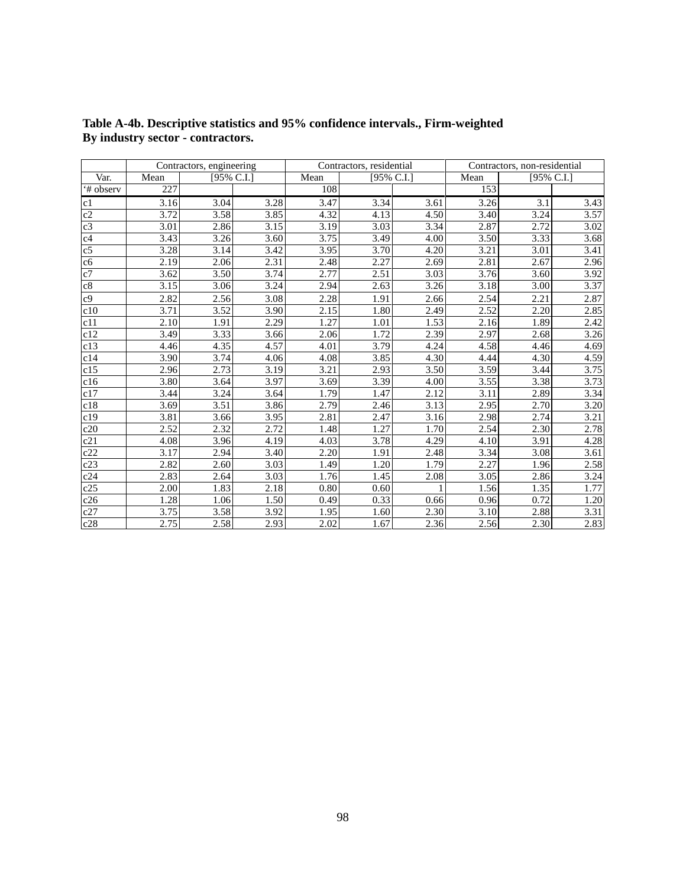|                |      | Contractors, engineering |      |      | Contractors, residential |            |      | Contractors, non-residential |      |  |
|----------------|------|--------------------------|------|------|--------------------------|------------|------|------------------------------|------|--|
| Var.           | Mean | [95% C.I.]               |      | Mean |                          | [95% C.I.] | Mean | [95% C.I.]                   |      |  |
| '# observ      | 227  |                          |      | 108  |                          |            | 153  |                              |      |  |
| c1             | 3.16 | 3.04                     | 3.28 | 3.47 | 3.34                     | 3.61       | 3.26 | 3.1                          | 3.43 |  |
| c2             | 3.72 | 3.58                     | 3.85 | 4.32 | 4.13                     | 4.50       | 3.40 | 3.24                         | 3.57 |  |
| c3             | 3.01 | 2.86                     | 3.15 | 3.19 | 3.03                     | 3.34       | 2.87 | 2.72                         | 3.02 |  |
| c4             | 3.43 | 3.26                     | 3.60 | 3.75 | 3.49                     | 4.00       | 3.50 | 3.33                         | 3.68 |  |
| c <sub>5</sub> | 3.28 | 3.14                     | 3.42 | 3.95 | 3.70                     | 4.20       | 3.21 | 3.01                         | 3.41 |  |
| c6             | 2.19 | 2.06                     | 2.31 | 2.48 | 2.27                     | 2.69       | 2.81 | 2.67                         | 2.96 |  |
| c7             | 3.62 | 3.50                     | 3.74 | 2.77 | 2.51                     | 3.03       | 3.76 | 3.60                         | 3.92 |  |
| $\rm c8$       | 3.15 | 3.06                     | 3.24 | 2.94 | 2.63                     | 3.26       | 3.18 | 3.00                         | 3.37 |  |
| c9             | 2.82 | 2.56                     | 3.08 | 2.28 | 1.91                     | 2.66       | 2.54 | 2.21                         | 2.87 |  |
| c10            | 3.71 | 3.52                     | 3.90 | 2.15 | 1.80                     | 2.49       | 2.52 | 2.20                         | 2.85 |  |
| c11            | 2.10 | 1.91                     | 2.29 | 1.27 | 1.01                     | 1.53       | 2.16 | 1.89                         | 2.42 |  |
| c12            | 3.49 | 3.33                     | 3.66 | 2.06 | 1.72                     | 2.39       | 2.97 | 2.68                         | 3.26 |  |
| c13            | 4.46 | 4.35                     | 4.57 | 4.01 | 3.79                     | 4.24       | 4.58 | 4.46                         | 4.69 |  |
| c14            | 3.90 | 3.74                     | 4.06 | 4.08 | 3.85                     | 4.30       | 4.44 | 4.30                         | 4.59 |  |
| c15            | 2.96 | 2.73                     | 3.19 | 3.21 | 2.93                     | 3.50       | 3.59 | 3.44                         | 3.75 |  |
| c16            | 3.80 | 3.64                     | 3.97 | 3.69 | 3.39                     | 4.00       | 3.55 | 3.38                         | 3.73 |  |
| c17            | 3.44 | 3.24                     | 3.64 | 1.79 | 1.47                     | 2.12       | 3.11 | 2.89                         | 3.34 |  |
| c18            | 3.69 | 3.51                     | 3.86 | 2.79 | 2.46                     | 3.13       | 2.95 | 2.70                         | 3.20 |  |
| c19            | 3.81 | 3.66                     | 3.95 | 2.81 | 2.47                     | 3.16       | 2.98 | 2.74                         | 3.21 |  |
| c20            | 2.52 | 2.32                     | 2.72 | 1.48 | 1.27                     | 1.70       | 2.54 | 2.30                         | 2.78 |  |
| c21            | 4.08 | 3.96                     | 4.19 | 4.03 | $\overline{3.78}$        | 4.29       | 4.10 | 3.91                         | 4.28 |  |
| c22            | 3.17 | 2.94                     | 3.40 | 2.20 | 1.91                     | 2.48       | 3.34 | 3.08                         | 3.61 |  |
| c23            | 2.82 | 2.60                     | 3.03 | 1.49 | 1.20                     | 1.79       | 2.27 | 1.96                         | 2.58 |  |
| c24            | 2.83 | 2.64                     | 3.03 | 1.76 | 1.45                     | 2.08       | 3.05 | 2.86                         | 3.24 |  |
| c25            | 2.00 | 1.83                     | 2.18 | 0.80 | 0.60                     |            | 1.56 | 1.35                         | 1.77 |  |
| c26            | 1.28 | 1.06                     | 1.50 | 0.49 | 0.33                     | 0.66       | 0.96 | 0.72                         | 1.20 |  |
| c27            | 3.75 | 3.58                     | 3.92 | 1.95 | 1.60                     | 2.30       | 3.10 | 2.88                         | 3.31 |  |
| c28            | 2.75 | 2.58                     | 2.93 | 2.02 | 1.67                     | 2.36       | 2.56 | 2.30                         | 2.83 |  |

**Table A-4b. Descriptive statistics and 95% confidence intervals., Firm-weighted By industry sector - contractors.**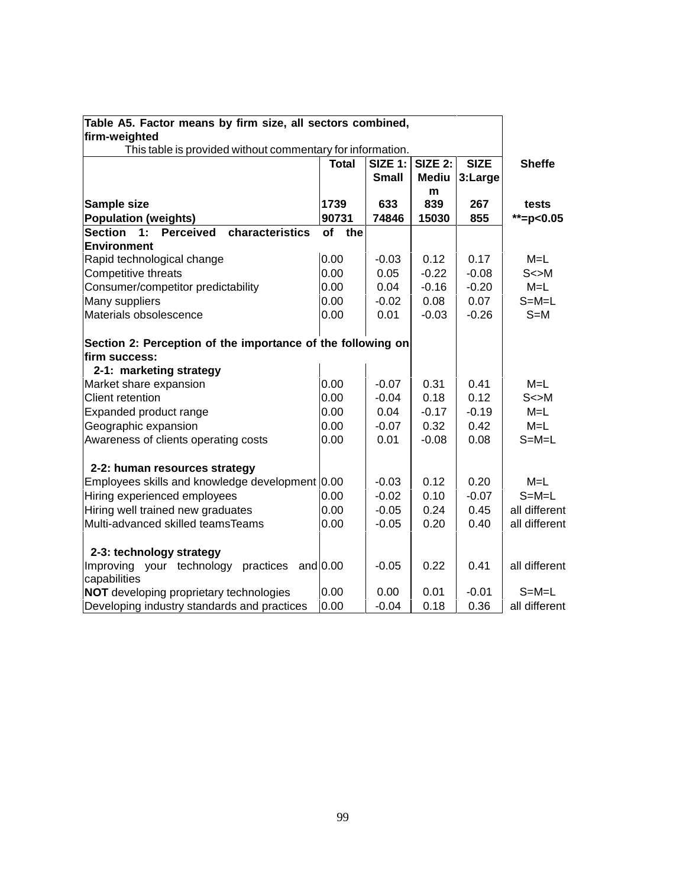| Table A5. Factor means by firm size, all sectors combined,  |              |                |                |             |               |
|-------------------------------------------------------------|--------------|----------------|----------------|-------------|---------------|
| firm-weighted                                               |              |                |                |             |               |
| This table is provided without commentary for information.  | <b>Total</b> | <b>SIZE 1:</b> | <b>SIZE 2:</b> | <b>SIZE</b> |               |
|                                                             |              | <b>Small</b>   |                |             | <b>Sheffe</b> |
|                                                             |              |                | <b>Mediu</b>   | 3:Large     |               |
| Sample size                                                 | 1739         | 633            | m<br>839       | 267         | tests         |
| <b>Population (weights)</b>                                 | 90731        | 74846          | 15030          | 855         | $*$ =p<0.05   |
| <b>Section</b><br>1:<br><b>Perceived</b><br>characteristics | of the       |                |                |             |               |
| Environment                                                 |              |                |                |             |               |
| Rapid technological change                                  | 0.00         | $-0.03$        | 0.12           | 0.17        | $M=L$         |
| Competitive threats                                         | 0.00         | 0.05           | $-0.22$        | $-0.08$     | $S \ll M$     |
| Consumer/competitor predictability                          | 0.00         | 0.04           | $-0.16$        | $-0.20$     | $M=L$         |
| Many suppliers                                              | 0.00         | $-0.02$        | 0.08           | 0.07        | $S = M = L$   |
| Materials obsolescence                                      | 0.00         | 0.01           | $-0.03$        | $-0.26$     | $S=M$         |
|                                                             |              |                |                |             |               |
| Section 2: Perception of the importance of the following on |              |                |                |             |               |
| firm success:                                               |              |                |                |             |               |
| 2-1: marketing strategy                                     |              |                |                |             |               |
| Market share expansion                                      | 0.00         | $-0.07$        | 0.31           | 0.41        | $M=L$         |
| <b>Client retention</b>                                     | 0.00         | $-0.04$        | 0.18           | 0.12        | $S \ll M$     |
| Expanded product range                                      | 0.00         | 0.04           | $-0.17$        | $-0.19$     | $M=L$         |
| Geographic expansion                                        | 0.00         | $-0.07$        | 0.32           | 0.42        | $M=L$         |
| Awareness of clients operating costs                        | 0.00         | 0.01           | $-0.08$        | 0.08        | $S = M = L$   |
|                                                             |              |                |                |             |               |
| 2-2: human resources strategy                               |              |                |                |             |               |
| Employees skills and knowledge development 0.00             |              | $-0.03$        | 0.12           | 0.20        | $M=L$         |
| Hiring experienced employees                                | 0.00         | $-0.02$        | 0.10           | $-0.07$     | $S = M = L$   |
| Hiring well trained new graduates                           | 0.00         | $-0.05$        | 0.24           | 0.45        | all different |
| Multi-advanced skilled teamsTeams                           | 0.00         | $-0.05$        | 0.20           | 0.40        | all different |
|                                                             |              |                |                |             |               |
| 2-3: technology strategy                                    |              |                |                |             |               |
| Improving your technology<br>practices                      | and $0.00$   | $-0.05$        | 0.22           | 0.41        | all different |
| capabilities                                                |              |                |                |             |               |
| <b>NOT</b> developing proprietary technologies              | 0.00         | 0.00           | 0.01           | $-0.01$     | $S=M=L$       |
| Developing industry standards and practices                 | 0.00         | $-0.04$        | 0.18           | 0.36        | all different |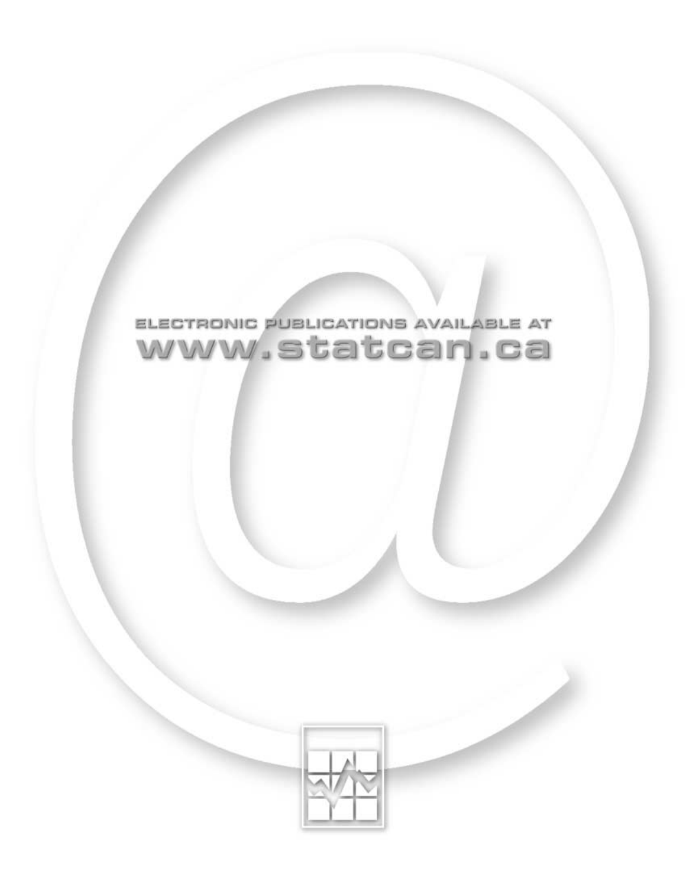

# ELECTRONIC PUBLICATIONS AVAILABLE AT www.statcan.ca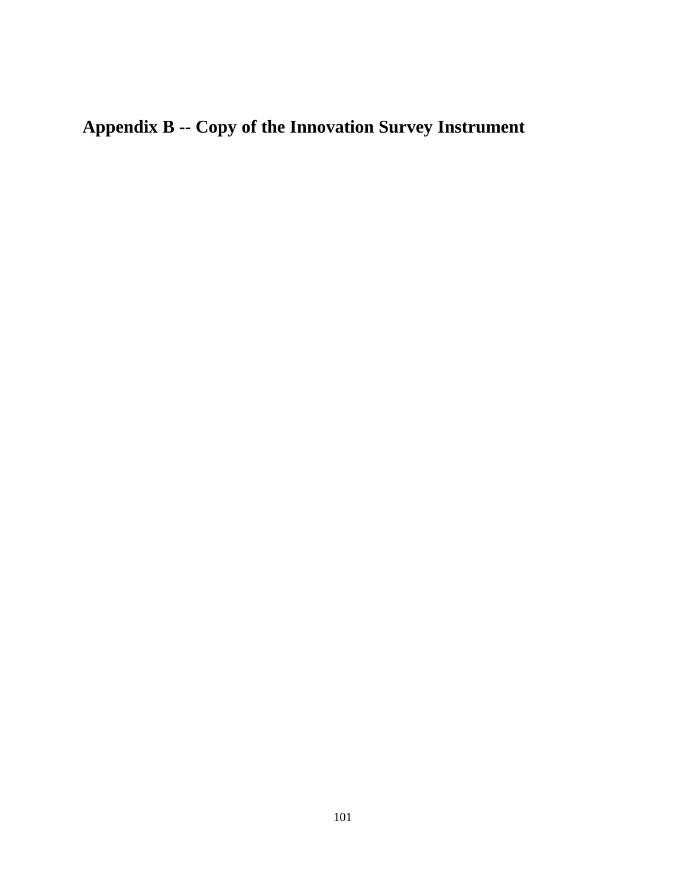# **Appendix B -- Copy of the Innovation Survey Instrument**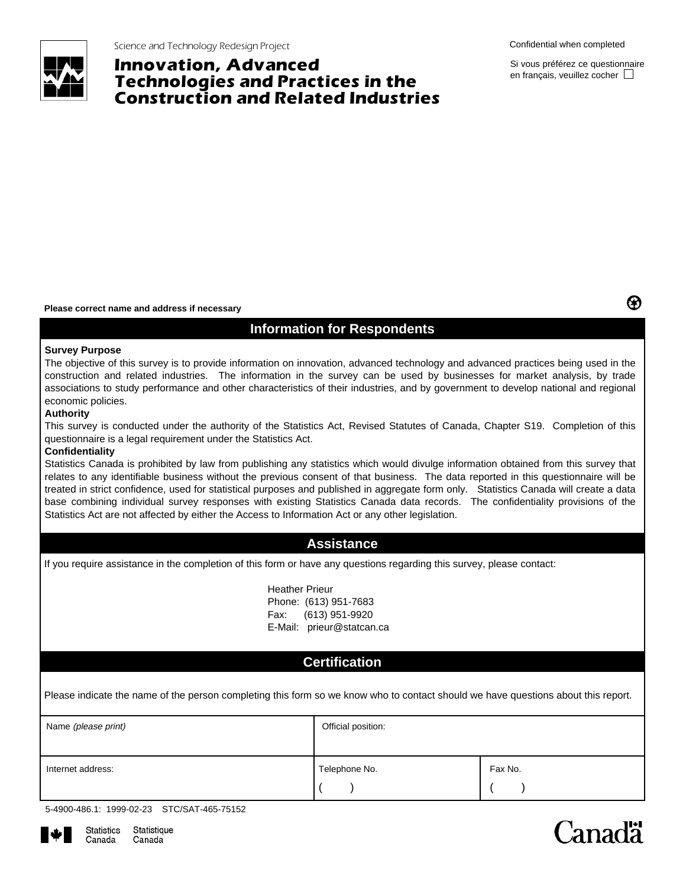

Science and Technology Redesign Project Confidential when completed Confidential when completed

# **Innovation, Advanced Technologies and Practices in the Construction and Related Industries**

Si vous préférez ce questionnaire en français, veuillez cocher  $\Box$ 

❸

#### **Please correct name and address if necessary**

## **Information for Respondents**

#### **Survey Purpose**

The objective of this survey is to provide information on innovation, advanced technology and advanced practices being used in the construction and related industries. The information in the survey can be used by businesses for market analysis, by trade associations to study performance and other characteristics of their industries, and by government to develop national and regional economic policies.

#### **Authority**

This survey is conducted under the authority of the Statistics Act, Revised Statutes of Canada, Chapter S19. Completion of this questionnaire is a legal requirement under the Statistics Act.

#### **Confidentiality**

Statistics Canada is prohibited by law from publishing any statistics which would divulge information obtained from this survey that relates to any identifiable business without the previous consent of that business. The data reported in this questionnaire will be treated in strict confidence, used for statistical purposes and published in aggregate form only. Statistics Canada will create a data base combining individual survey responses with existing Statistics Canada data records. The confidentiality provisions of the Statistics Act are not affected by either the Access to Information Act or any other legislation.

## **Assistance**

If you require assistance in the completion of this form or have any questions regarding this survey, please contact:

Heather Prieur Phone: (613) 951-7683 Fax: (613) 951-9920 E-Mail: prieur@statcan.ca

## **Certification**

Please indicate the name of the person completing this form so we know who to contact should we have questions about this report.

| Name (please print) | Official position: |         |  |  |  |  |  |
|---------------------|--------------------|---------|--|--|--|--|--|
| Internet address:   | Telephone No.      | Fax No. |  |  |  |  |  |

|  | 5-4900-486.1: 1999-02-23 STC/SAT-465-75152 |
|--|--------------------------------------------|
|  |                                            |



# Canadä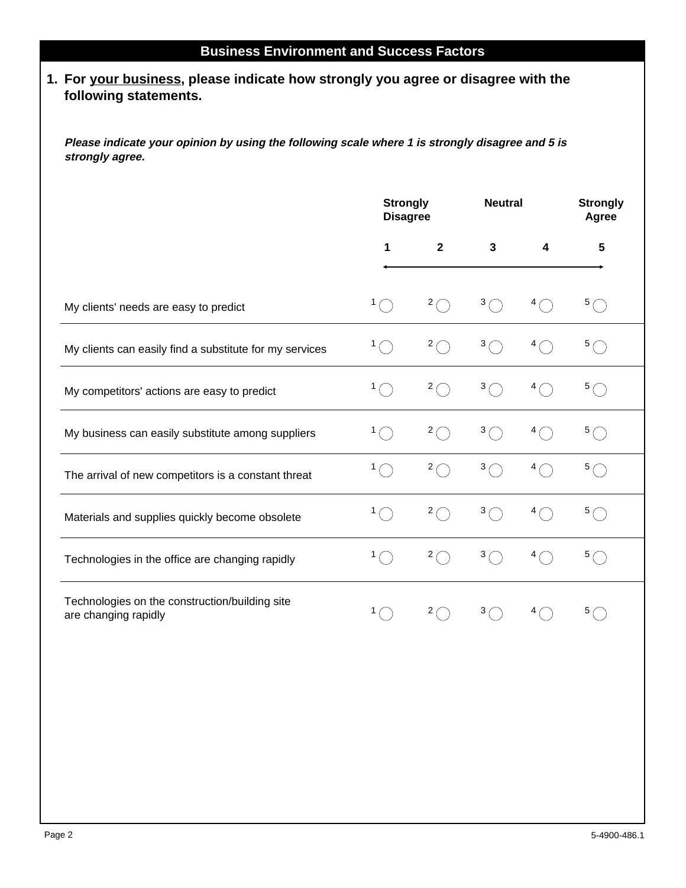# **1. For your business, please indicate how strongly you agree or disagree with the following statements.**

**Please indicate your opinion by using the following scale where 1 is strongly disagree and 5 is strongly agree.**

|                                                                        | <b>Strongly</b><br><b>Disagree</b> |                     | <b>Neutral</b> |    | <b>Strongly</b><br>Agree |
|------------------------------------------------------------------------|------------------------------------|---------------------|----------------|----|--------------------------|
|                                                                        | 1                                  | $\mathbf{2}$        | 3              | 4  | 5                        |
| My clients' needs are easy to predict                                  | 1.                                 | 2(                  | 3(             |    | 5(                       |
| My clients can easily find a substitute for my services                | 1                                  | 2 <sub>0</sub>      | 3 <sub>1</sub> | 4  | 5(                       |
| My competitors' actions are easy to predict                            |                                    | 2(                  | 3 <sub>1</sub> | 4  | 5(                       |
| My business can easily substitute among suppliers                      | 1                                  | 2(                  | 3 <sub>1</sub> | 4  | 5 <sub>0</sub>           |
| The arrival of new competitors is a constant threat                    | 1.                                 | $2\subset$          | 3 <sub>1</sub> | 4. | 5(                       |
| Materials and supplies quickly become obsolete                         |                                    | $2\curvearrowright$ | 3(             | 4  | 5(                       |
| Technologies in the office are changing rapidly                        |                                    | $\overline{2}$      | 3 <sub>1</sub> | 4  | 5 <sub>1</sub>           |
| Technologies on the construction/building site<br>are changing rapidly |                                    | $\overline{2}$      | 3              |    | 5                        |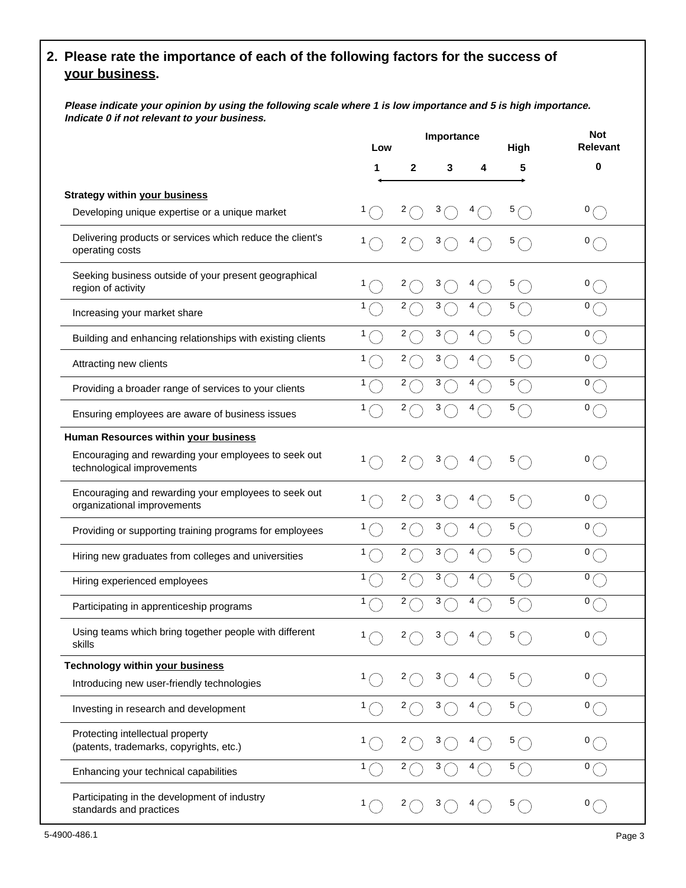# **2. Please rate the importance of each of the following factors for the success of your business.**

**Please indicate your opinion by using the following scale where 1 is low importance and 5 is high importance. Indicate 0 if not relevant to your business.**

|                                                                                        | Low |            | Importance |   | High           | <b>Not</b><br><b>Relevant</b> |
|----------------------------------------------------------------------------------------|-----|------------|------------|---|----------------|-------------------------------|
|                                                                                        | 1   | 2          | 3          | 4 | 5              | 0                             |
| <b>Strategy within your business</b><br>Developing unique expertise or a unique market |     | 2          | 3          |   | 5              | 0(                            |
| Delivering products or services which reduce the client's<br>operating costs           |     | 2          | 3          |   | 5              | 0                             |
| Seeking business outside of your present geographical<br>region of activity            |     | 2          | 3          | 4 | 5              | 0                             |
| Increasing your market share                                                           | 1   | 2          | 3          | 4 | 5              | 0 <sub>1</sub>                |
| Building and enhancing relationships with existing clients                             |     | 2          | 3          | 4 | 5/             | 0                             |
| Attracting new clients                                                                 |     | 2          | 3          | 4 | 5              | 0                             |
| Providing a broader range of services to your clients                                  | 1   | 2          | 3          | 4 | 5(             | 0 <sub>1</sub>                |
| Ensuring employees are aware of business issues                                        |     | 2          | 3          |   | 5 <sub>1</sub> | 0 <sub>l</sub>                |
| Human Resources within your business                                                   |     |            |            |   |                |                               |
| Encouraging and rewarding your employees to seek out<br>technological improvements     |     | 2          | 3          |   | 5              | 0                             |
| Encouraging and rewarding your employees to seek out<br>organizational improvements    |     | 2          | 3          | 4 | 5              | 0                             |
| Providing or supporting training programs for employees                                | 1   | 2          | 3          | 4 | 5              | 0                             |
| Hiring new graduates from colleges and universities                                    | 1.  | 2          | 3          | 4 | 5              | 0 <sub>1</sub>                |
| Hiring experienced employees                                                           | 1   | 2          | 3          | 4 | 5              | 0                             |
| Participating in apprenticeship programs                                               | 1   | 2          | 3          |   | 5              | 0                             |
| Using teams which bring together people with different<br>skills                       |     | $2\subset$ | 3(         |   | 5(             | 0 <sub>0</sub>                |
| <b>Technology within your business</b>                                                 |     | 2          | 3          |   | 5(             | 0(                            |
| Introducing new user-friendly technologies                                             |     |            |            |   |                |                               |
| Investing in research and development                                                  | 1.  | 2          | 3          |   | 5(             | 0(                            |
| Protecting intellectual property<br>(patents, trademarks, copyrights, etc.)            |     | 2          | 3          | 4 | 5(             | 0(                            |
| Enhancing your technical capabilities                                                  | 1   | 2          | 3          |   | 5(             | 0(                            |
| Participating in the development of industry<br>standards and practices                |     | 2          | 3          |   | 5              | 0 <sub>0</sub>                |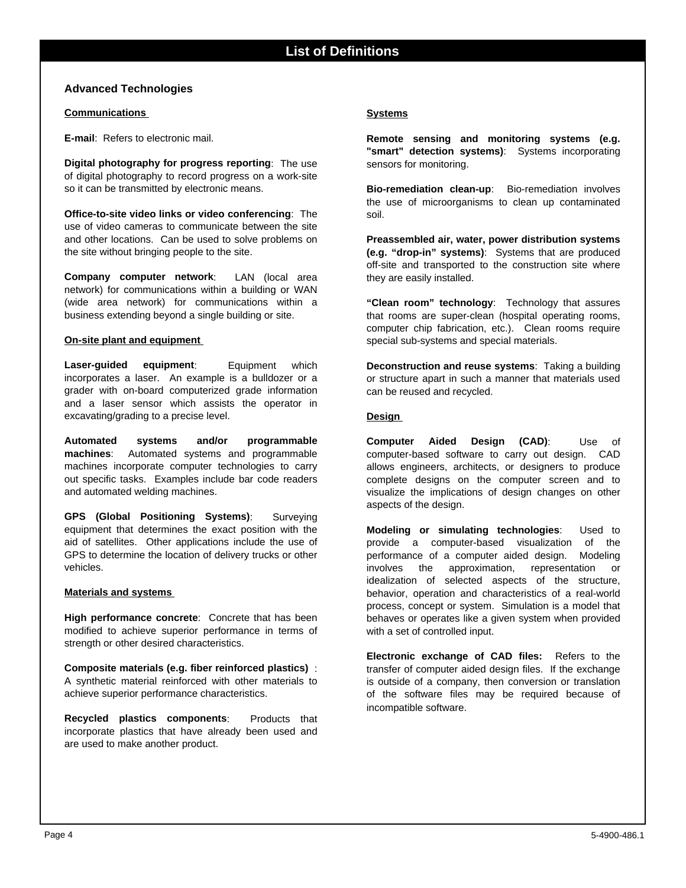### **Advanced Technologies**

#### **Communications**

**E-mail**: Refers to electronic mail.

**Digital photography for progress reporting**: The use of digital photography to record progress on a work-site so it can be transmitted by electronic means.

**Office-to-site video links or video conferencing**: The use of video cameras to communicate between the site and other locations. Can be used to solve problems on the site without bringing people to the site.

**Company computer network**: LAN (local area network) for communications within a building or WAN (wide area network) for communications within a business extending beyond a single building or site.

#### **On-site plant and equipment**

**Laser-guided equipment**: Equipment which incorporates a laser. An example is a bulldozer or a grader with on-board computerized grade information and a laser sensor which assists the operator in excavating/grading to a precise level.

**Automated systems and/or programmable machines**: Automated systems and programmable machines incorporate computer technologies to carry out specific tasks. Examples include bar code readers and automated welding machines.

**GPS (Global Positioning Systems)**: Surveying equipment that determines the exact position with the aid of satellites. Other applications include the use of GPS to determine the location of delivery trucks or other vehicles.

#### **Materials and systems**

**High performance concrete**: Concrete that has been modified to achieve superior performance in terms of strength or other desired characteristics.

**Composite materials (e.g. fiber reinforced plastics)** : A synthetic material reinforced with other materials to achieve superior performance characteristics.

**Recycled plastics components**: Products that incorporate plastics that have already been used and are used to make another product.

#### **Systems**

**Remote sensing and monitoring systems (e.g. "smart" detection systems)**: Systems incorporating sensors for monitoring.

**Bio-remediation clean-up**: Bio-remediation involves the use of microorganisms to clean up contaminated soil.

**Preassembled air, water, power distribution systems (e.g. "drop-in" systems)**: Systems that are produced off-site and transported to the construction site where they are easily installed.

**"Clean room" technology**: Technology that assures that rooms are super-clean (hospital operating rooms, computer chip fabrication, etc.). Clean rooms require special sub-systems and special materials.

**Deconstruction and reuse systems**: Taking a building or structure apart in such a manner that materials used can be reused and recycled.

#### **Design**

**Computer Aided Design (CAD)**: Use of computer-based software to carry out design. CAD allows engineers, architects, or designers to produce complete designs on the computer screen and to visualize the implications of design changes on other aspects of the design.

**Modeling or simulating technologies**: Used to provide a computer-based visualization of the performance of a computer aided design. Modeling involves the approximation, representation or idealization of selected aspects of the structure, behavior, operation and characteristics of a real-world process, concept or system. Simulation is a model that behaves or operates like a given system when provided with a set of controlled input.

**Electronic exchange of CAD files:** Refers to the transfer of computer aided design files. If the exchange is outside of a company, then conversion or translation of the software files may be required because of incompatible software.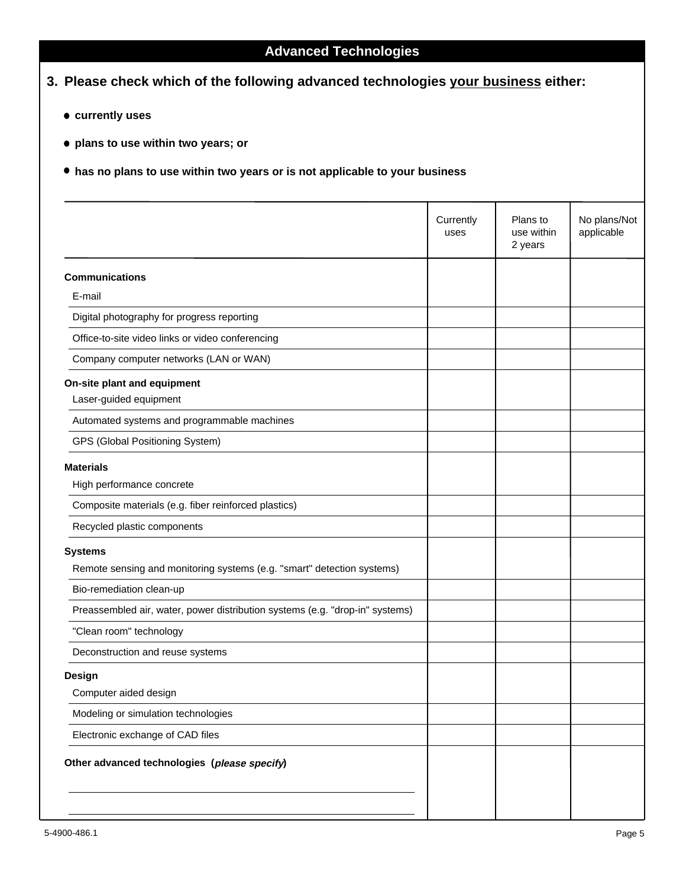| • currently uses                                                                         |                   |                                   |                            |
|------------------------------------------------------------------------------------------|-------------------|-----------------------------------|----------------------------|
| • plans to use within two years; or                                                      |                   |                                   |                            |
| $\bullet$ has no plans to use within two years or is not applicable to your business     |                   |                                   |                            |
|                                                                                          | Currently<br>uses | Plans to<br>use within<br>2 years | No plans/Not<br>applicable |
| <b>Communications</b><br>E-mail                                                          |                   |                                   |                            |
| Digital photography for progress reporting                                               |                   |                                   |                            |
| Office-to-site video links or video conferencing                                         |                   |                                   |                            |
| Company computer networks (LAN or WAN)                                                   |                   |                                   |                            |
| On-site plant and equipment<br>Laser-guided equipment                                    |                   |                                   |                            |
| Automated systems and programmable machines                                              |                   |                                   |                            |
| GPS (Global Positioning System)                                                          |                   |                                   |                            |
| <b>Materials</b><br>High performance concrete                                            |                   |                                   |                            |
| Composite materials (e.g. fiber reinforced plastics)                                     |                   |                                   |                            |
| Recycled plastic components                                                              |                   |                                   |                            |
| <b>Systems</b><br>Remote sensing and monitoring systems (e.g. "smart" detection systems) |                   |                                   |                            |
| Bio-remediation clean-up                                                                 |                   |                                   |                            |
| Preassembled air, water, power distribution systems (e.g. "drop-in" systems)             |                   |                                   |                            |
| "Clean room" technology                                                                  |                   |                                   |                            |
| Deconstruction and reuse systems                                                         |                   |                                   |                            |
| <b>Design</b><br>Computer aided design                                                   |                   |                                   |                            |
| Modeling or simulation technologies                                                      |                   |                                   |                            |
| Electronic exchange of CAD files                                                         |                   |                                   |                            |
| Other advanced technologies (please specify)                                             |                   |                                   |                            |

# **Advanced Technologies**

**3. Please check which of the following advanced technologies your business either:**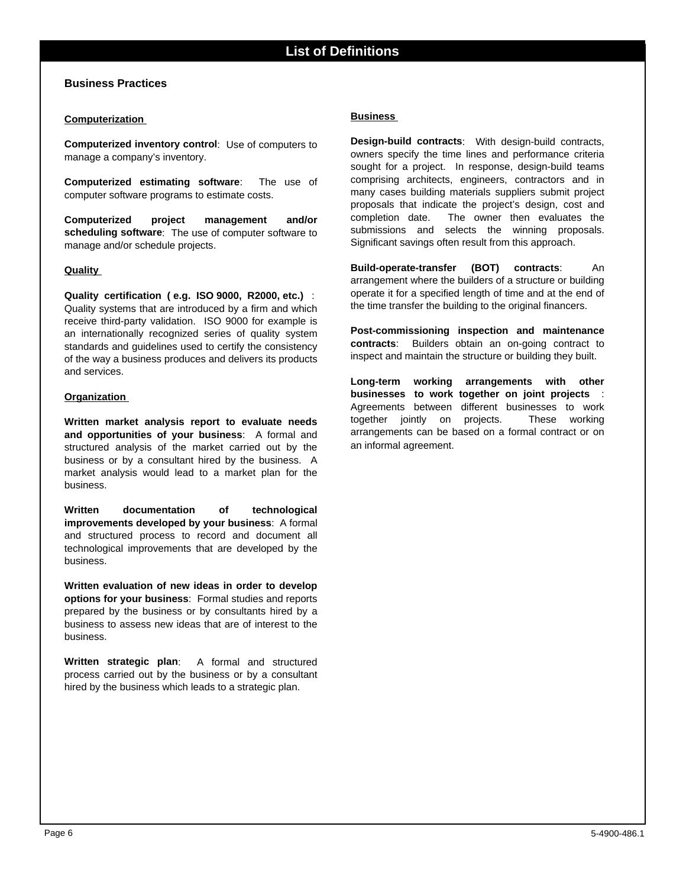### **Business Practices**

#### **Computerization**

**Computerized inventory control**: Use of computers to manage a company's inventory.

**Computerized estimating software**: The use of computer software programs to estimate costs.

**Computerized project management and/or scheduling software**: The use of computer software to manage and/or schedule projects.

#### **Quality**

**Quality certification ( e.g. ISO 9000, R2000, etc.)** : Quality systems that are introduced by a firm and which receive third-party validation. ISO 9000 for example is an internationally recognized series of quality system standards and guidelines used to certify the consistency of the way a business produces and delivers its products and services.

#### **Organization**

**Written market analysis report to evaluate needs and opportunities of your business**: A formal and structured analysis of the market carried out by the business or by a consultant hired by the business. A market analysis would lead to a market plan for the business.

**Written documentation of technological improvements developed by your business**: A formal and structured process to record and document all technological improvements that are developed by the business.

**Written evaluation of new ideas in order to develop options for your business**: Formal studies and reports prepared by the business or by consultants hired by a business to assess new ideas that are of interest to the business.

**Written strategic plan**: A formal and structured process carried out by the business or by a consultant hired by the business which leads to a strategic plan.

#### **Business**

**Design-build contracts**: With design-build contracts, owners specify the time lines and performance criteria sought for a project. In response, design-build teams comprising architects, engineers, contractors and in many cases building materials suppliers submit project proposals that indicate the project's design, cost and completion date. The owner then evaluates the submissions and selects the winning proposals. Significant savings often result from this approach.

**Build-operate-transfer (BOT) contracts**: An arrangement where the builders of a structure or building operate it for a specified length of time and at the end of the time transfer the building to the original financers.

**Post-commissioning inspection and maintenance contracts**: Builders obtain an on-going contract to inspect and maintain the structure or building they built.

**Long-term working arrangements with other businesses to work together on joint projects** : Agreements between different businesses to work together jointly on projects. These working arrangements can be based on a formal contract or on an informal agreement.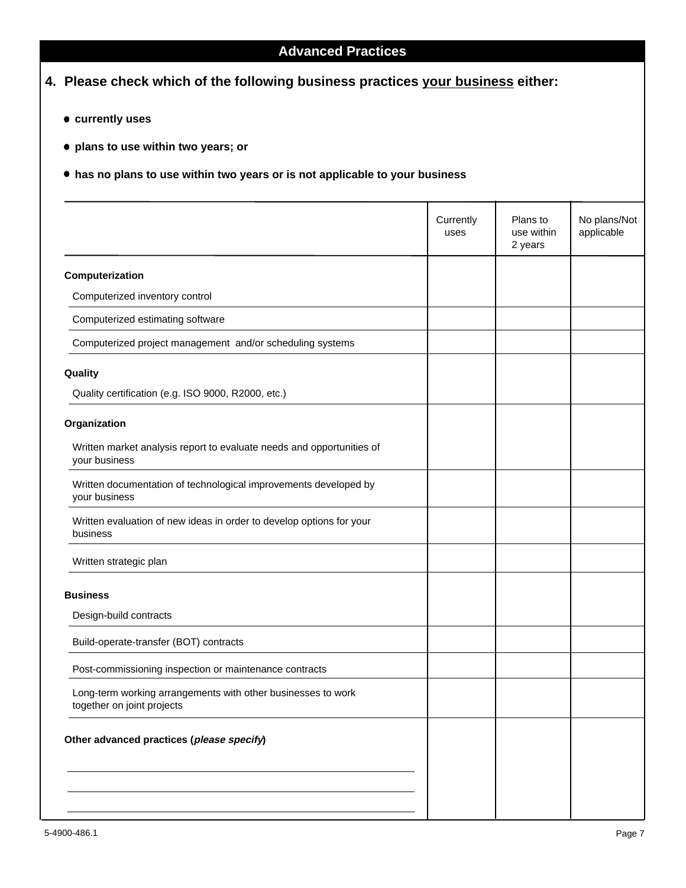# **Advanced Practices**

## **4. Please check which of the following business practices your business either:**

- **currently uses**
- **plans to use within two years; or**
- **has no plans to use within two years or is not applicable to your business**

|                                                                                            | Currently<br>uses | Plans to<br>use within<br>2 years | No plans/Not<br>applicable |
|--------------------------------------------------------------------------------------------|-------------------|-----------------------------------|----------------------------|
| Computerization                                                                            |                   |                                   |                            |
| Computerized inventory control                                                             |                   |                                   |                            |
| Computerized estimating software                                                           |                   |                                   |                            |
| Computerized project management and/or scheduling systems                                  |                   |                                   |                            |
| Quality                                                                                    |                   |                                   |                            |
| Quality certification (e.g. ISO 9000, R2000, etc.)                                         |                   |                                   |                            |
| Organization                                                                               |                   |                                   |                            |
| Written market analysis report to evaluate needs and opportunities of<br>your business     |                   |                                   |                            |
| Written documentation of technological improvements developed by<br>your business          |                   |                                   |                            |
| Written evaluation of new ideas in order to develop options for your<br>business           |                   |                                   |                            |
| Written strategic plan                                                                     |                   |                                   |                            |
| <b>Business</b>                                                                            |                   |                                   |                            |
| Design-build contracts                                                                     |                   |                                   |                            |
| Build-operate-transfer (BOT) contracts                                                     |                   |                                   |                            |
| Post-commissioning inspection or maintenance contracts                                     |                   |                                   |                            |
| Long-term working arrangements with other businesses to work<br>together on joint projects |                   |                                   |                            |
| Other advanced practices (please specify)                                                  |                   |                                   |                            |
|                                                                                            |                   |                                   |                            |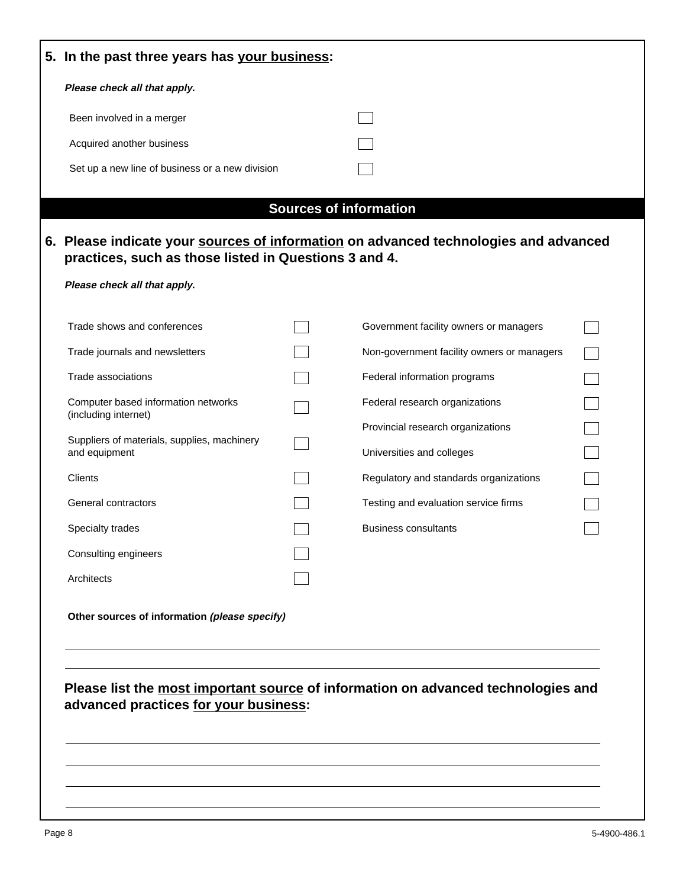| 5. In the past three years has your business:               |                                                                                                                       |  |
|-------------------------------------------------------------|-----------------------------------------------------------------------------------------------------------------------|--|
| Please check all that apply.                                |                                                                                                                       |  |
| Been involved in a merger                                   |                                                                                                                       |  |
| Acquired another business                                   |                                                                                                                       |  |
| Set up a new line of business or a new division             |                                                                                                                       |  |
|                                                             |                                                                                                                       |  |
| practices, such as those listed in Questions 3 and 4.       | <b>Sources of information</b><br>6. Please indicate your sources of information on advanced technologies and advanced |  |
| Please check all that apply.                                |                                                                                                                       |  |
| Trade shows and conferences                                 | Government facility owners or managers                                                                                |  |
| Trade journals and newsletters                              | Non-government facility owners or managers                                                                            |  |
| Trade associations                                          | Federal information programs                                                                                          |  |
| Computer based information networks<br>(including internet) | Federal research organizations                                                                                        |  |
| Suppliers of materials, supplies, machinery                 | Provincial research organizations                                                                                     |  |
| and equipment                                               | Universities and colleges                                                                                             |  |
| Clients                                                     | Regulatory and standards organizations                                                                                |  |
| General contractors                                         | Testing and evaluation service firms                                                                                  |  |
| Specialty trades                                            | <b>Business consultants</b>                                                                                           |  |
| Consulting engineers                                        |                                                                                                                       |  |
| Architects                                                  |                                                                                                                       |  |
| Other sources of information (please specify)               |                                                                                                                       |  |
|                                                             |                                                                                                                       |  |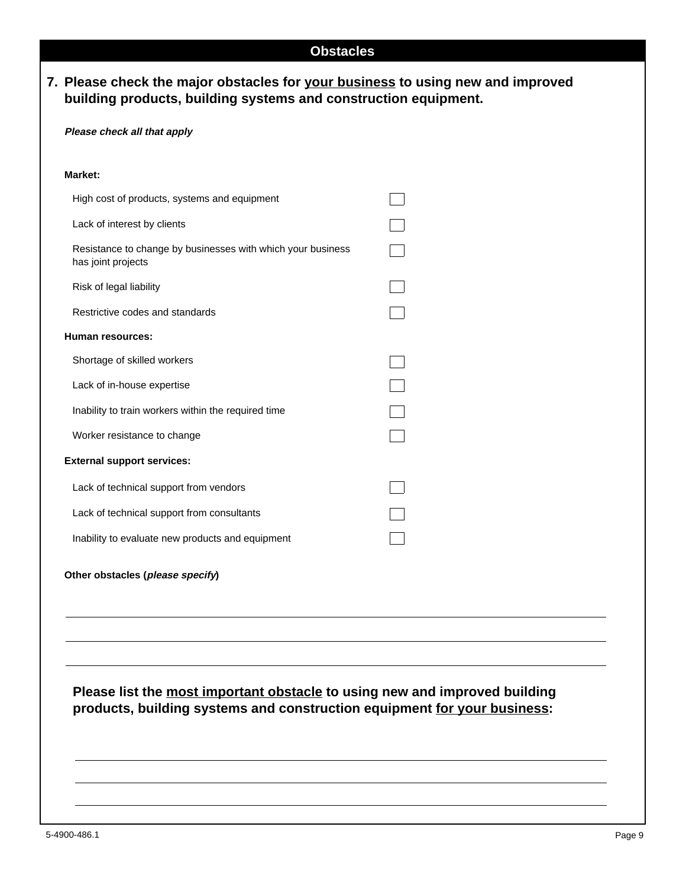|  | ∼ | <b>SIMPLE</b> | ., | . . |
|--|---|---------------|----|-----|
|  |   |               |    |     |

# **7. Please check the major obstacles for your business to using new and improved building products, building systems and construction equipment.**

### **Please check all that apply**

| Market:                                                                           |  |
|-----------------------------------------------------------------------------------|--|
| High cost of products, systems and equipment                                      |  |
| Lack of interest by clients                                                       |  |
| Resistance to change by businesses with which your business<br>has joint projects |  |
| Risk of legal liability                                                           |  |
| Restrictive codes and standards                                                   |  |
| Human resources:                                                                  |  |
| Shortage of skilled workers                                                       |  |
| Lack of in-house expertise                                                        |  |
| Inability to train workers within the required time                               |  |
| Worker resistance to change                                                       |  |
| <b>External support services:</b>                                                 |  |
| Lack of technical support from vendors                                            |  |
| Lack of technical support from consultants                                        |  |
| Inability to evaluate new products and equipment                                  |  |
| Other obstacles (please specify)                                                  |  |
|                                                                                   |  |
|                                                                                   |  |
|                                                                                   |  |
|                                                                                   |  |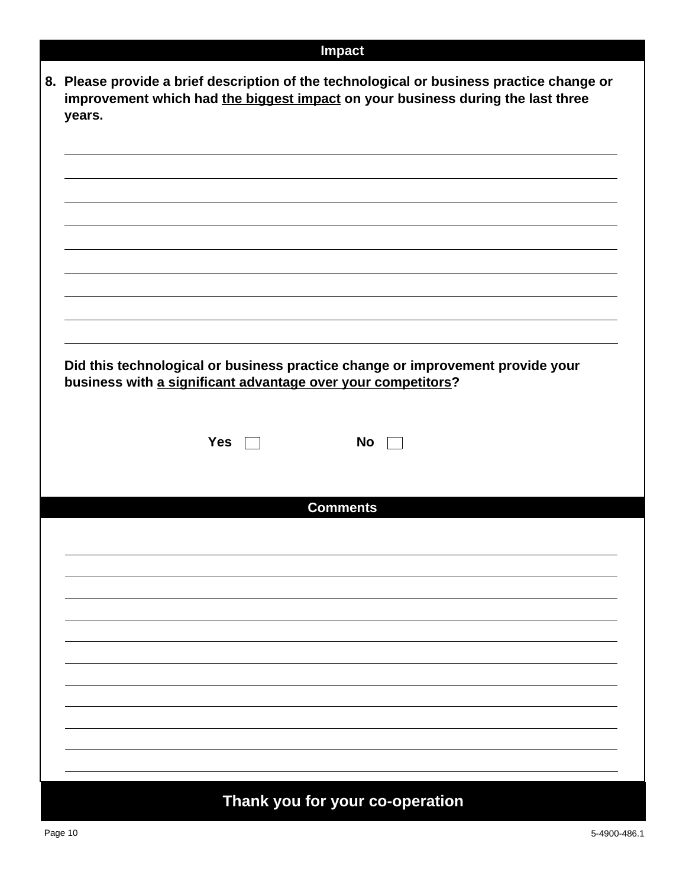# **Impact**

| Did this technological or business practice change or improvement provide your |            |                 |  |  |
|--------------------------------------------------------------------------------|------------|-----------------|--|--|
| business with a significant advantage over your competitors?                   |            |                 |  |  |
|                                                                                |            |                 |  |  |
|                                                                                |            |                 |  |  |
|                                                                                |            |                 |  |  |
|                                                                                | <b>Yes</b> | <b>No</b>       |  |  |
|                                                                                |            |                 |  |  |
|                                                                                |            |                 |  |  |
|                                                                                |            | <b>Comments</b> |  |  |
|                                                                                |            |                 |  |  |
|                                                                                |            |                 |  |  |
|                                                                                |            |                 |  |  |
|                                                                                |            |                 |  |  |
|                                                                                |            |                 |  |  |
|                                                                                |            |                 |  |  |
|                                                                                |            |                 |  |  |
|                                                                                |            |                 |  |  |
|                                                                                |            |                 |  |  |
|                                                                                |            |                 |  |  |
|                                                                                |            |                 |  |  |
|                                                                                |            |                 |  |  |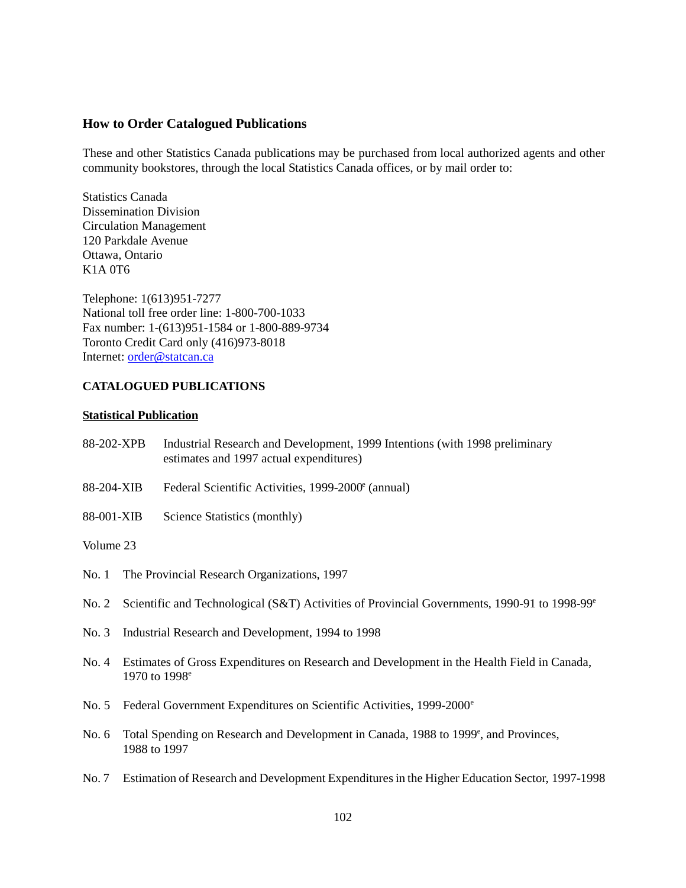### **How to Order Catalogued Publications**

These and other Statistics Canada publications may be purchased from local authorized agents and other community bookstores, through the local Statistics Canada offices, or by mail order to:

Statistics Canada Dissemination Division Circulation Management 120 Parkdale Avenue Ottawa, Ontario K1A 0T6

Telephone: 1(613)951-7277 National toll free order line: 1-800-700-1033 Fax number: 1-(613)951-1584 or 1-800-889-9734 Toronto Credit Card only (416)973-8018 Internet: order@statcan.ca

#### **CATALOGUED PUBLICATIONS**

#### **Statistical Publication**

| 88-202-XPB | Industrial Research and Development, 1999 Intentions (with 1998 preliminary |
|------------|-----------------------------------------------------------------------------|
|            | estimates and 1997 actual expenditures)                                     |

- 88-204-XIB Federal Scientific Activities, 1999-2000<sup>e</sup> (annual)
- 88-001-XIB Science Statistics (monthly)

#### Volume 23

- No. 1 The Provincial Research Organizations, 1997
- No. 2 Scientific and Technological (S&T) Activities of Provincial Governments, 1990-91 to 1998-99<sup>e</sup>
- No. 3 Industrial Research and Development, 1994 to 1998
- No. 4 Estimates of Gross Expenditures on Research and Development in the Health Field in Canada, 1970 to 1998<sup>e</sup>
- No. 5 Federal Government Expenditures on Scientific Activities, 1999-2000<sup>e</sup>
- No. 6 Total Spending on Research and Development in Canada, 1988 to 1999<sup>e</sup>, and Provinces, 1988 to 1997
- No. 7 Estimation of Research and Development Expenditures in the Higher Education Sector, 1997-1998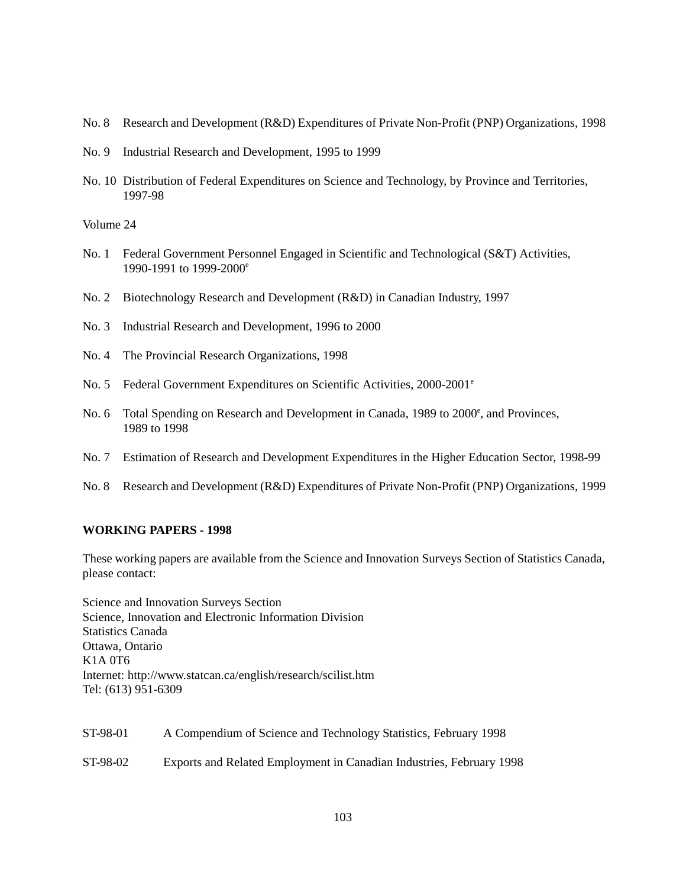- No. 8 Research and Development (R&D) Expenditures of Private Non-Profit (PNP) Organizations, 1998
- No. 9 Industrial Research and Development, 1995 to 1999
- No. 10 Distribution of Federal Expenditures on Science and Technology, by Province and Territories, 1997-98

Volume 24

- No. 1 Federal Government Personnel Engaged in Scientific and Technological (S&T) Activities, 1990-1991 to 1999-2000e
- No. 2 Biotechnology Research and Development (R&D) in Canadian Industry, 1997
- No. 3 Industrial Research and Development, 1996 to 2000
- No. 4 The Provincial Research Organizations, 1998
- No. 5 Federal Government Expenditures on Scientific Activities,  $2000-2001^{\circ}$
- No. 6 Total Spending on Research and Development in Canada, 1989 to 2000°, and Provinces, 1989 to 1998
- No. 7 Estimation of Research and Development Expenditures in the Higher Education Sector, 1998-99
- No. 8 Research and Development (R&D) Expenditures of Private Non-Profit (PNP) Organizations, 1999

### **WORKING PAPERS - 1998**

These working papers are available from the Science and Innovation Surveys Section of Statistics Canada, please contact:

Science and Innovation Surveys Section Science, Innovation and Electronic Information Division Statistics Canada Ottawa, Ontario K1A 0T6 Internet: http://www.statcan.ca/english/research/scilist.htm Tel: (613) 951-6309

| ST-98-01 | A Compendium of Science and Technology Statistics, February 1998     |
|----------|----------------------------------------------------------------------|
| ST-98-02 | Exports and Related Employment in Canadian Industries, February 1998 |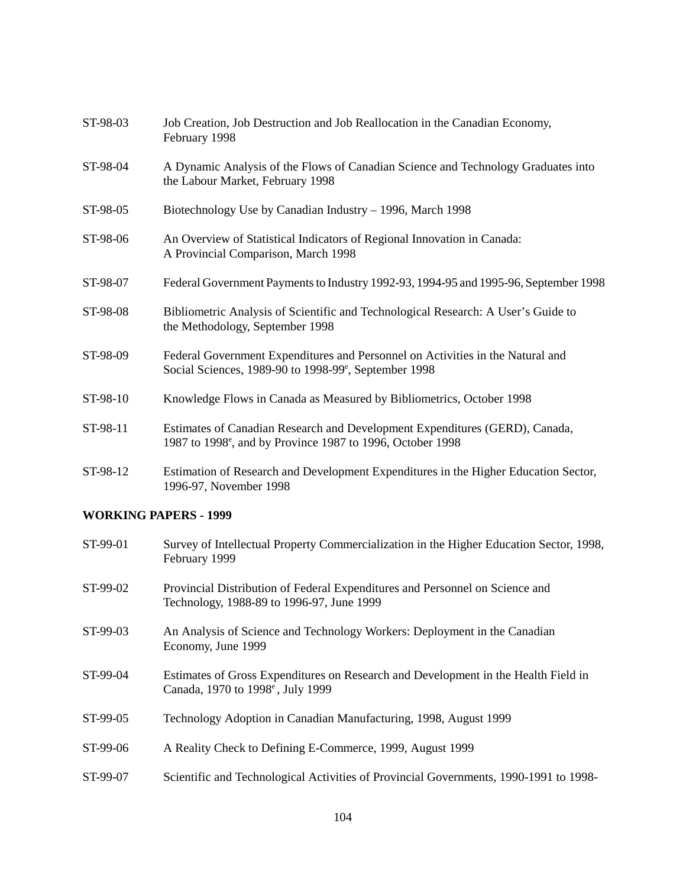| ST-98-03 | Job Creation, Job Destruction and Job Reallocation in the Canadian Economy,<br>February 1998                                                          |
|----------|-------------------------------------------------------------------------------------------------------------------------------------------------------|
| ST-98-04 | A Dynamic Analysis of the Flows of Canadian Science and Technology Graduates into<br>the Labour Market, February 1998                                 |
| ST-98-05 | Biotechnology Use by Canadian Industry – 1996, March 1998                                                                                             |
| ST-98-06 | An Overview of Statistical Indicators of Regional Innovation in Canada:<br>A Provincial Comparison, March 1998                                        |
| ST-98-07 | Federal Government Payments to Industry 1992-93, 1994-95 and 1995-96, September 1998                                                                  |
| ST-98-08 | Bibliometric Analysis of Scientific and Technological Research: A User's Guide to<br>the Methodology, September 1998                                  |
| ST-98-09 | Federal Government Expenditures and Personnel on Activities in the Natural and<br>Social Sciences, 1989-90 to 1998-99 <sup>e</sup> , September 1998   |
| ST-98-10 | Knowledge Flows in Canada as Measured by Bibliometrics, October 1998                                                                                  |
| ST-98-11 | Estimates of Canadian Research and Development Expenditures (GERD), Canada,<br>1987 to 1998 <sup>e</sup> , and by Province 1987 to 1996, October 1998 |
| ST-98-12 | Estimation of Research and Development Expenditures in the Higher Education Sector,<br>1996-97, November 1998                                         |

## **WORKING PAPERS - 1999**

| ST-99-01 | Survey of Intellectual Property Commercialization in the Higher Education Sector, 1998,<br>February 1999                            |
|----------|-------------------------------------------------------------------------------------------------------------------------------------|
| ST-99-02 | Provincial Distribution of Federal Expenditures and Personnel on Science and<br>Technology, 1988-89 to 1996-97, June 1999           |
| ST-99-03 | An Analysis of Science and Technology Workers: Deployment in the Canadian<br>Economy, June 1999                                     |
| ST-99-04 | Estimates of Gross Expenditures on Research and Development in the Health Field in<br>Canada, 1970 to 1998 <sup>e</sup> , July 1999 |
| ST-99-05 | Technology Adoption in Canadian Manufacturing, 1998, August 1999                                                                    |
| ST-99-06 | A Reality Check to Defining E-Commerce, 1999, August 1999                                                                           |
| ST-99-07 | Scientific and Technological Activities of Provincial Governments, 1990-1991 to 1998-                                               |
|          |                                                                                                                                     |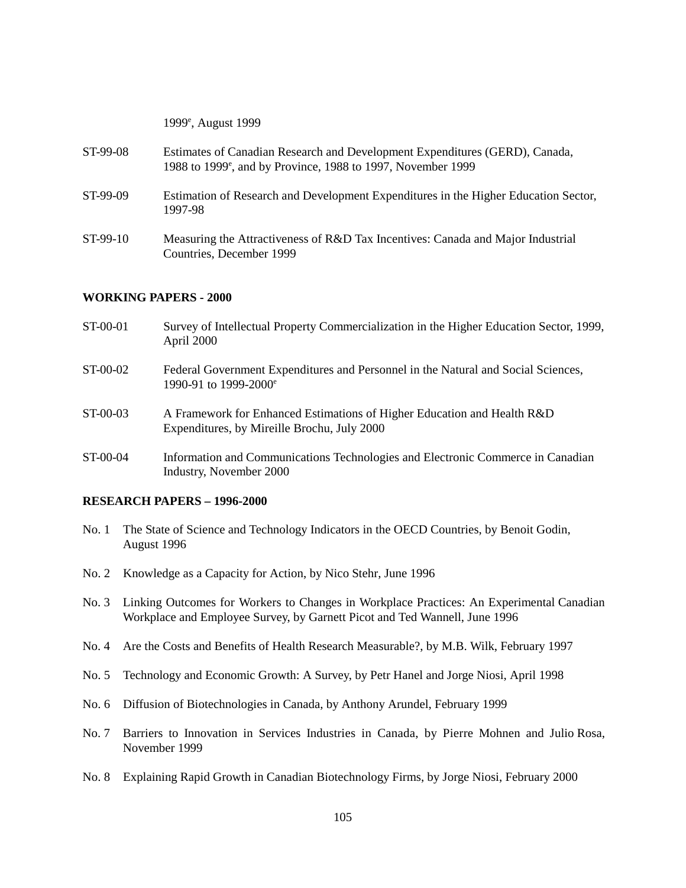|          | 1999 <sup>e</sup> , August 1999                                                                                                                         |
|----------|---------------------------------------------------------------------------------------------------------------------------------------------------------|
| ST-99-08 | Estimates of Canadian Research and Development Expenditures (GERD), Canada,<br>1988 to 1999 <sup>e</sup> , and by Province, 1988 to 1997, November 1999 |
| ST-99-09 | Estimation of Research and Development Expenditures in the Higher Education Sector,<br>1997-98                                                          |
| ST-99-10 | Measuring the Attractiveness of R&D Tax Incentives: Canada and Major Industrial<br>Countries, December 1999                                             |

#### **WORKING PAPERS - 2000**

- ST-00-01 Survey of Intellectual Property Commercialization in the Higher Education Sector, 1999, April 2000
- ST-00-02 Federal Government Expenditures and Personnel in the Natural and Social Sciences, 1990-91 to 1999-2000e
- ST-00-03 A Framework for Enhanced Estimations of Higher Education and Health R&D Expenditures, by Mireille Brochu, July 2000
- ST-00-04 Information and Communications Technologies and Electronic Commerce in Canadian Industry, November 2000

#### **RESEARCH PAPERS – 1996-2000**

- No. 1 The State of Science and Technology Indicators in the OECD Countries, by Benoit Godin, August 1996
- No. 2 Knowledge as a Capacity for Action, by Nico Stehr, June 1996
- No. 3 Linking Outcomes for Workers to Changes in Workplace Practices: An Experimental Canadian Workplace and Employee Survey, by Garnett Picot and Ted Wannell, June 1996
- No. 4 Are the Costs and Benefits of Health Research Measurable?, by M.B. Wilk, February 1997
- No. 5 Technology and Economic Growth: A Survey, by Petr Hanel and Jorge Niosi, April 1998
- No. 6 Diffusion of Biotechnologies in Canada, by Anthony Arundel, February 1999
- No. 7 Barriers to Innovation in Services Industries in Canada, by Pierre Mohnen and Julio Rosa, November 1999
- No. 8 Explaining Rapid Growth in Canadian Biotechnology Firms, by Jorge Niosi, February 2000